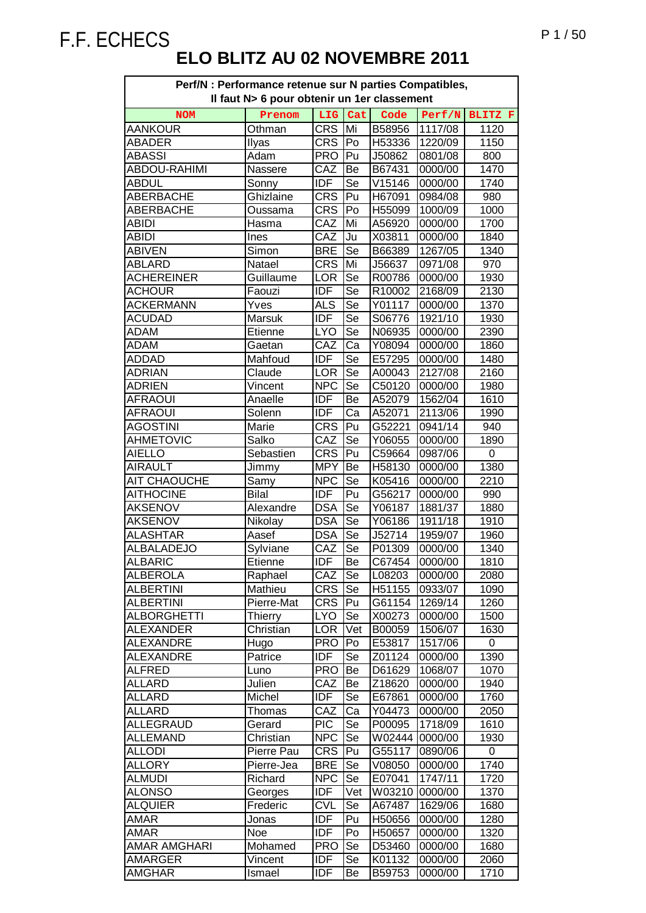| Perf/N : Performance retenue sur N parties Compatibles,<br>Il faut N> 6 pour obtenir un 1er classement |                |            |     |        |         |      |  |  |
|--------------------------------------------------------------------------------------------------------|----------------|------------|-----|--------|---------|------|--|--|
| LIG<br>Cat<br>Code<br>Perf/N BLITZ F<br><b>NOM</b><br>Prenom                                           |                |            |     |        |         |      |  |  |
| <b>AANKOUR</b>                                                                                         | Othman         | <b>CRS</b> | Mi  | B58956 | 1117/08 | 1120 |  |  |
| <b>ABADER</b>                                                                                          | Ilyas          | CRS        | Po  | H53336 | 1220/09 | 1150 |  |  |
| <b>ABASSI</b>                                                                                          | Adam           | <b>PRO</b> | Pu  | J50862 | 0801/08 | 800  |  |  |
| <b>ABDOU-RAHIMI</b>                                                                                    | Nassere        | CAZ        | Be  | B67431 | 0000/00 | 1470 |  |  |
| <b>ABDUL</b>                                                                                           | Sonny          | <b>IDF</b> | Se  | V15146 | 0000/00 | 1740 |  |  |
| <b>ABERBACHE</b>                                                                                       | Ghizlaine      | <b>CRS</b> | Pu  | H67091 | 0984/08 | 980  |  |  |
| <b>ABERBACHE</b>                                                                                       | Oussama        | <b>CRS</b> | Po  | H55099 | 1000/09 | 1000 |  |  |
| <b>ABIDI</b>                                                                                           | Hasma          | CAZ        | Mi  | A56920 | 0000/00 | 1700 |  |  |
| <b>ABIDI</b>                                                                                           | Ines           | CAZ        | Ju  | X03811 | 0000/00 | 1840 |  |  |
| <b>ABIVEN</b>                                                                                          | Simon          | <b>BRE</b> | Se  | B66389 | 1267/05 | 1340 |  |  |
| <b>ABLARD</b>                                                                                          | Natael         | <b>CRS</b> | Mi  | J56637 | 0971/08 | 970  |  |  |
| <b>ACHEREINER</b>                                                                                      | Guillaume      | LOR        | Se  | R00786 | 0000/00 | 1930 |  |  |
| <b>ACHOUR</b>                                                                                          | Faouzi         | <b>IDF</b> | Se  | R10002 | 2168/09 | 2130 |  |  |
| <b>ACKERMANN</b>                                                                                       | Yves           | <b>ALS</b> | Se  | Y01117 | 0000/00 | 1370 |  |  |
| <b>ACUDAD</b>                                                                                          | Marsuk         | <b>IDF</b> | Se  | S06776 | 1921/10 | 1930 |  |  |
| <b>ADAM</b>                                                                                            | Etienne        | <b>LYO</b> | Se  | N06935 | 0000/00 | 2390 |  |  |
| <b>ADAM</b>                                                                                            | Gaetan         | CAZ        | Ca  | Y08094 | 0000/00 | 1860 |  |  |
| <b>ADDAD</b>                                                                                           | Mahfoud        | <b>IDF</b> | Se  | E57295 | 0000/00 | 1480 |  |  |
| <b>ADRIAN</b>                                                                                          | Claude         | LOR        | Se  | A00043 | 2127/08 | 2160 |  |  |
| <b>ADRIEN</b>                                                                                          | Vincent        | <b>NPC</b> | Se  | C50120 | 0000/00 | 1980 |  |  |
| <b>AFRAOUI</b>                                                                                         | Anaelle        | <b>IDF</b> | Be  | A52079 | 1562/04 | 1610 |  |  |
| <b>AFRAOUI</b>                                                                                         | Solenn         | <b>IDF</b> | Ca  | A52071 | 2113/06 | 1990 |  |  |
| <b>AGOSTINI</b>                                                                                        | Marie          | <b>CRS</b> | Pu  | G52221 | 0941/14 | 940  |  |  |
| <b>AHMETOVIC</b>                                                                                       | Salko          | CAZ        | Se  | Y06055 | 0000/00 | 1890 |  |  |
| <b>AIELLO</b>                                                                                          | Sebastien      | <b>CRS</b> | Pu  | C59664 | 0987/06 | 0    |  |  |
| <b>AIRAULT</b>                                                                                         | Jimmy          | <b>MPY</b> | Be  | H58130 | 0000/00 | 1380 |  |  |
| <b>AIT CHAOUCHE</b>                                                                                    | Samy           | <b>NPC</b> | Se  | K05416 | 0000/00 | 2210 |  |  |
| <b>AITHOCINE</b>                                                                                       | <b>Bilal</b>   | <b>IDF</b> | Pu  | G56217 | 0000/00 | 990  |  |  |
| <b>AKSENOV</b>                                                                                         | Alexandre      | <b>DSA</b> | Se  | Y06187 | 1881/37 | 1880 |  |  |
| <b>AKSENOV</b>                                                                                         | Nikolay        | <b>DSA</b> | Se  | Y06186 | 1911/18 | 1910 |  |  |
| <b>ALASHTAR</b>                                                                                        | Aasef          | <b>DSA</b> | Se  | J52714 | 1959/07 | 1960 |  |  |
| <b>ALBALADEJO</b>                                                                                      | Sylviane       | CAZ        | Se  | P01309 | 0000/00 | 1340 |  |  |
| <b>ALBARIC</b>                                                                                         | Etienne        | IDF        | Be  | C67454 | 0000/00 | 1810 |  |  |
| <b>ALBEROLA</b>                                                                                        | Raphael        | CAZ        | Se  | L08203 | 0000/00 | 2080 |  |  |
| <b>ALBERTINI</b>                                                                                       | Mathieu        | <b>CRS</b> | Se  | H51155 | 0933/07 | 1090 |  |  |
| <b>ALBERTINI</b>                                                                                       | Pierre-Mat     | CRS        | Pu  | G61154 | 1269/14 | 1260 |  |  |
| <b>ALBORGHETTI</b>                                                                                     | <b>Thierry</b> | <b>LYO</b> | Se  | X00273 | 0000/00 | 1500 |  |  |
| <b>ALEXANDER</b>                                                                                       | Christian      | LOR        | Vet | B00059 | 1506/07 | 1630 |  |  |
| <b>ALEXANDRE</b>                                                                                       | Hugo           | <b>PRO</b> | Po  | E53817 | 1517/06 | 0    |  |  |
| <b>ALEXANDRE</b>                                                                                       | Patrice        | <b>IDF</b> | Se  | Z01124 | 0000/00 | 1390 |  |  |
| <b>ALFRED</b>                                                                                          | Luno           | <b>PRO</b> | Be  | D61629 | 1068/07 | 1070 |  |  |
| ALLARD                                                                                                 | Julien         | CAZ        | Be  | Z18620 | 0000/00 | 1940 |  |  |
| <b>ALLARD</b>                                                                                          | Michel         | <b>IDF</b> | Se  | E67861 | 0000/00 | 1760 |  |  |
| ALLARD                                                                                                 | Thomas         | CAZ        | Ca  | Y04473 | 0000/00 | 2050 |  |  |
| <b>ALLEGRAUD</b>                                                                                       | Gerard         | <b>PIC</b> | Se  | P00095 | 1718/09 | 1610 |  |  |
| <b>ALLEMAND</b>                                                                                        | Christian      | <b>NPC</b> | Se  | W02444 | 0000/00 | 1930 |  |  |
| <b>ALLODI</b>                                                                                          | Pierre Pau     | <b>CRS</b> | Pu  | G55117 | 0890/06 | 0    |  |  |
| <b>ALLORY</b>                                                                                          | Pierre-Jea     | <b>BRE</b> | Se  | V08050 | 0000/00 | 1740 |  |  |
| <b>ALMUDI</b>                                                                                          | Richard        | <b>NPC</b> | Se  | E07041 | 1747/11 | 1720 |  |  |
| <b>ALONSO</b>                                                                                          | Georges        | <b>IDF</b> | Vet | W03210 | 0000/00 | 1370 |  |  |
| <b>ALQUIER</b>                                                                                         | Frederic       | <b>CVL</b> | Se  | A67487 | 1629/06 | 1680 |  |  |
| AMAR                                                                                                   | Jonas          | <b>IDF</b> | Pu  | H50656 | 0000/00 | 1280 |  |  |
| AMAR                                                                                                   | Noe            | <b>IDF</b> | Po  | H50657 | 0000/00 | 1320 |  |  |
| <b>AMAR AMGHARI</b>                                                                                    | Mohamed        | <b>PRO</b> | Se  | D53460 | 0000/00 | 1680 |  |  |
| <b>AMARGER</b>                                                                                         | Vincent        | <b>IDF</b> | Se  | K01132 | 0000/00 | 2060 |  |  |
| <b>AMGHAR</b>                                                                                          | Ismael         | <b>IDF</b> | Be  | B59753 | 0000/00 | 1710 |  |  |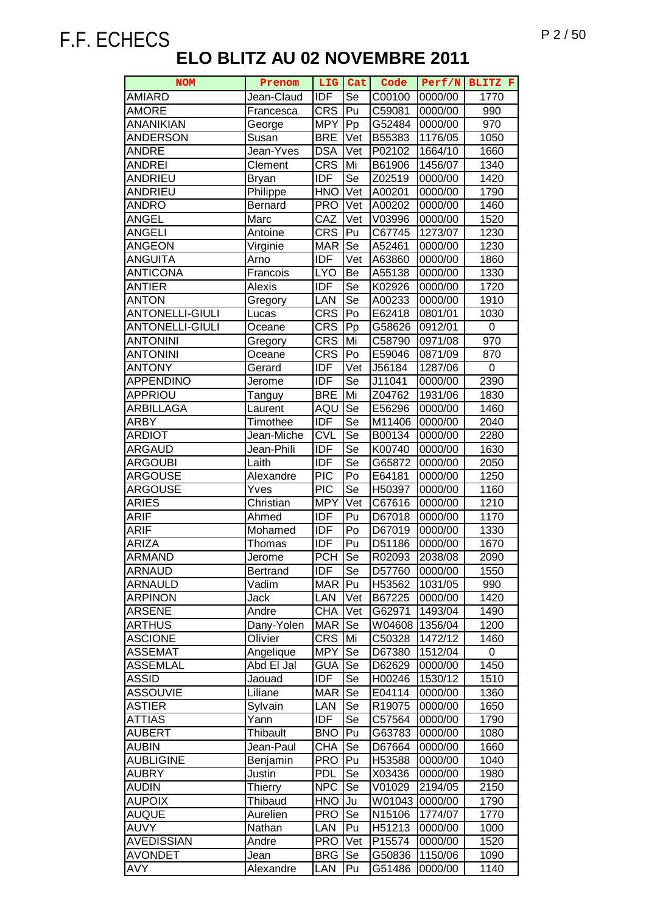| <b>NOM</b>             | Prenom          | LIG              | Cat                        | Code   | Perf/N  | BLITZ F |
|------------------------|-----------------|------------------|----------------------------|--------|---------|---------|
| <b>AMIARD</b>          | Jean-Claud      | <b>IDF</b>       | Se                         | C00100 | 0000/00 | 1770    |
| <b>AMORE</b>           | Francesca       | <b>CRS</b>       | Pu                         | C59081 | 0000/00 | 990     |
| <b>ANANIKIAN</b>       | George          | <b>MPY</b>       | Pp                         | G52484 | 0000/00 | 970     |
| <b>ANDERSON</b>        | Susan           | <b>BRE</b>       | Vet                        | B55383 | 1176/05 | 1050    |
| <b>ANDRE</b>           | Jean-Yves       | <b>DSA</b>       | $\overline{\mathsf{V}}$ et | P02102 | 1664/10 | 1660    |
| <b>ANDREI</b>          | Clement         | <b>CRS</b>       | Mi                         | B61906 | 1456/07 | 1340    |
| <b>ANDRIEU</b>         | <b>Bryan</b>    | <b>IDF</b>       | Se                         | Z02519 | 0000/00 | 1420    |
| <b>ANDRIEU</b>         | Philippe        | <b>HNO</b>       | Vet                        | A00201 | 0000/00 | 1790    |
| <b>ANDRO</b>           | <b>Bernard</b>  | <b>PRO</b>       | Vet                        | A00202 | 0000/00 | 1460    |
| <b>ANGEL</b>           | Marc            | CAZ              | $\overline{\mathsf{V}}$ et | V03996 | 0000/00 | 1520    |
| <b>ANGELI</b>          | Antoine         | <b>CRS</b>       | Pu                         | C67745 | 1273/07 | 1230    |
| <b>ANGEON</b>          | Virginie        | <b>MAR</b>       | Se                         | A52461 | 0000/00 | 1230    |
| <b>ANGUITA</b>         | Arno            | <b>IDF</b>       | Vet                        | A63860 | 0000/00 | 1860    |
| <b>ANTICONA</b>        | Francois        | <b>LYO</b>       | Be                         | A55138 | 0000/00 | 1330    |
| <b>ANTIER</b>          | Alexis          | <b>IDF</b>       | Se                         | K02926 | 0000/00 | 1720    |
| <b>ANTON</b>           | Gregory         | LAN              | Se                         | A00233 | 0000/00 | 1910    |
| <b>ANTONELLI-GIULI</b> | Lucas           | <b>CRS</b>       | Po                         | E62418 | 0801/01 | 1030    |
| <b>ANTONELLI-GIULI</b> | Oceane          | <b>CRS</b>       | Pp                         | G58626 | 0912/01 | 0       |
| <b>ANTONINI</b>        | Gregory         | <b>CRS</b>       | Mi                         | C58790 | 0971/08 | 970     |
| <b>ANTONINI</b>        | Oceane          | <b>CRS</b>       | Po                         | E59046 | 0871/09 | 870     |
| <b>ANTONY</b>          | Gerard          | <b>IDF</b>       | Vet                        | J56184 | 1287/06 | 0       |
| <b>APPENDINO</b>       | Jerome          | <b>IDF</b>       | Se                         | J11041 | 0000/00 | 2390    |
| APPRIOU                | Tanguy          | <b>BRE</b>       | Mi                         | Z04762 | 1931/06 | 1830    |
| ARBILLAGA              | Laurent         | AQU              | Se                         | E56296 | 0000/00 | 1460    |
| ARBY                   | Timothee        | IDF              | Se                         | M11406 | 0000/00 | 2040    |
| <b>ARDIOT</b>          | Jean-Miche      | <b>CVL</b>       | Se                         | B00134 | 0000/00 | 2280    |
| <b>ARGAUD</b>          | Jean-Phili      | <b>IDF</b>       | Se                         | K00740 | 0000/00 | 1630    |
| <b>ARGOUBI</b>         | Laith           | <b>IDF</b>       | Se                         | G65872 | 0000/00 | 2050    |
| <b>ARGOUSE</b>         | Alexandre       | $\overline{PIC}$ | Po                         | E64181 | 0000/00 | 1250    |
| <b>ARGOUSE</b>         | Yves            | <b>PIC</b>       | Se                         | H50397 | 0000/00 | 1160    |
| <b>ARIES</b>           | Christian       | <b>MPY</b>       | Vet                        | C67616 | 0000/00 | 1210    |
| <b>ARIF</b>            | Ahmed           | <b>IDF</b>       | Pu                         | D67018 | 0000/00 | 1170    |
| <b>ARIF</b>            | Mohamed         | <b>IDF</b>       | Po                         | D67019 | 0000/00 | 1330    |
| <b>ARIZA</b>           | Thomas          | IDF              | Pu                         | D51186 | 0000/00 | 1670    |
| <b>ARMAND</b>          | Jerome          | <b>PCH</b>       | Se                         | R02093 | 2038/08 | 2090    |
| <b>ARNAUD</b>          | <b>Bertrand</b> | <b>IDF</b>       | Se                         | D57760 | 0000/00 | 1550    |
| <b>ARNAULD</b>         | Vadim           | <b>MAR</b>       | Pu                         | H53562 | 1031/05 | 990     |
| <b>ARPINON</b>         | Jack            | LAN              | Vet                        | B67225 | 0000/00 | 1420    |
| <b>ARSENE</b>          | Andre           | <b>CHA</b>       | Vet                        | G62971 | 1493/04 | 1490    |
| <b>ARTHUS</b>          | Dany-Yolen      | <b>MAR</b>       | Se                         | W04608 | 1356/04 | 1200    |
| <b>ASCIONE</b>         | Olivier         | <b>CRS</b>       | Mi                         | C50328 | 1472/12 | 1460    |
| <b>ASSEMAT</b>         | Angelique       | <b>MPY</b>       | Se                         | D67380 | 1512/04 | 0       |
| <b>ASSEMLAL</b>        | Abd El Jal      | <b>GUA</b>       | Se                         | D62629 | 0000/00 | 1450    |
| <b>ASSID</b>           | Jaouad          | <b>IDF</b>       | Se                         | H00246 | 1530/12 | 1510    |
| <b>ASSOUVIE</b>        | Liliane         | <b>MAR</b>       | Se                         | E04114 | 0000/00 | 1360    |
| <b>ASTIER</b>          | Sylvain         | LAN              | Se                         | R19075 | 0000/00 | 1650    |
| <b>ATTIAS</b>          | Yann            | <b>IDF</b>       | Se                         | C57564 | 0000/00 | 1790    |
| <b>AUBERT</b>          | <b>Thibault</b> | <b>BNO</b>       | Pu                         | G63783 | 0000/00 | 1080    |
| <b>AUBIN</b>           | Jean-Paul       | <b>CHA</b>       | Se                         | D67664 | 0000/00 | 1660    |
| <b>AUBLIGINE</b>       | Benjamin        | <b>PRO</b>       | Pu                         | H53588 | 0000/00 | 1040    |
| <b>AUBRY</b>           | Justin          | <b>PDL</b>       | <b>Se</b>                  | X03436 | 0000/00 | 1980    |
| <b>AUDIN</b>           | <b>Thierry</b>  | <b>NPC</b>       | Se                         | V01029 | 2194/05 | 2150    |
| <b>AUPOIX</b>          | Thibaud         | <b>HNO</b>       | Ju                         | W01043 | 0000/00 | 1790    |
| <b>AUQUE</b>           | Aurelien        | <b>PRO</b>       | Se                         | N15106 | 1774/07 | 1770    |
| <b>AUVY</b>            | Nathan          | LAN              | Pu                         | H51213 | 0000/00 | 1000    |
| <b>AVEDISSIAN</b>      | Andre           | <b>PRO</b>       | Vet                        | P15574 | 0000/00 | 1520    |
| <b>AVONDET</b>         | Jean            | <b>BRG</b>       | Se                         | G50836 | 1150/06 | 1090    |
| <b>AVY</b>             | Alexandre       | LAN              | Pu                         | G51486 | 0000/00 | 1140    |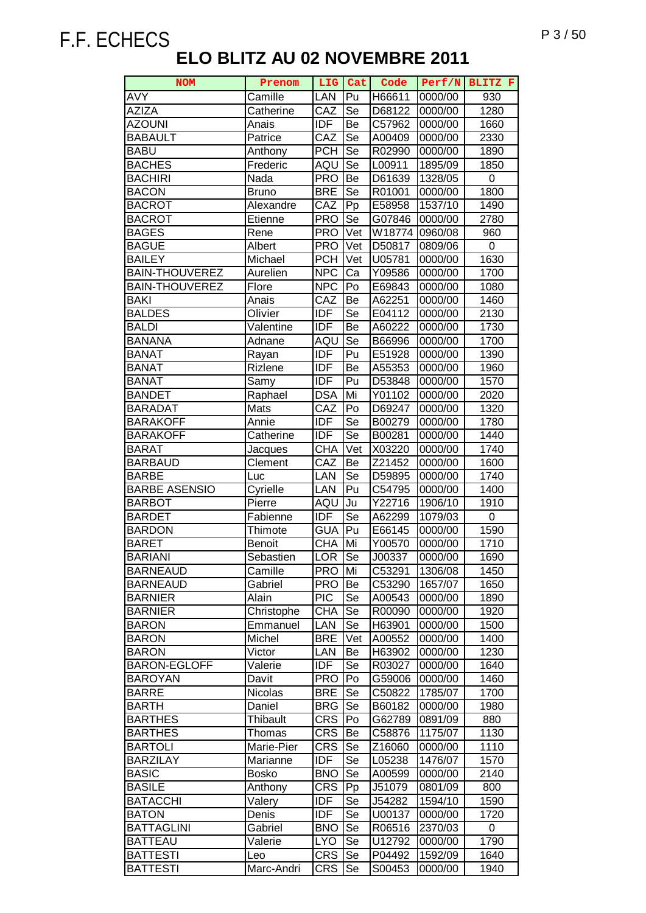| <b>NOM</b>            | Prenom        | LIG        | Cat                      | Code                 | Perf/N  | BLITZ F |
|-----------------------|---------------|------------|--------------------------|----------------------|---------|---------|
| <b>AVY</b>            | Camille       | LAN        | Pu                       | H66611               | 0000/00 | 930     |
| <b>AZIZA</b>          | Catherine     | CAZ        | Se                       | D68122               | 0000/00 | 1280    |
| <b>AZOUNI</b>         | Anais         | <b>IDF</b> | Be                       | C57962               | 0000/00 | 1660    |
| <b>BABAULT</b>        | Patrice       | CAZ        | Se                       | A00409               | 0000/00 | 2330    |
| <b>BABU</b>           | Anthony       | <b>PCH</b> | Se                       | R02990               | 0000/00 | 1890    |
| <b>BACHES</b>         | Frederic      | AQU        | $\overline{\text{Se}}$   | L00911               | 1895/09 | 1850    |
| <b>BACHIRI</b>        | Nada          | <b>PRO</b> | Be                       | D61639               | 1328/05 | 0       |
| <b>BACON</b>          | <b>Bruno</b>  | <b>BRE</b> | Se                       | R01001               | 0000/00 | 1800    |
| <b>BACROT</b>         | Alexandre     | CAZ        | Pp                       | E58958               | 1537/10 | 1490    |
| <b>BACROT</b>         | Etienne       | <b>PRO</b> | Se                       | G07846               | 0000/00 | 2780    |
| <b>BAGES</b>          | Rene          | <b>PRO</b> | Vet                      | W18774               | 0960/08 | 960     |
| <b>BAGUE</b>          | Albert        | <b>PRO</b> | Vet                      |                      |         | 0       |
| <b>BAILEY</b>         |               |            |                          | D50817               | 0809/06 |         |
|                       | Michael       | <b>PCH</b> | Vet                      | U05781               | 0000/00 | 1630    |
| <b>BAIN-THOUVEREZ</b> | Aurelien      | <b>NPC</b> | Ca                       | Y09586               | 0000/00 | 1700    |
| <b>BAIN-THOUVEREZ</b> | Flore         | <b>NPC</b> | Po                       | E69843               | 0000/00 | 1080    |
| <b>BAKI</b>           | Anais         | CAZ        | Be                       | A62251               | 0000/00 | 1460    |
| <b>BALDES</b>         | Olivier       | <b>IDF</b> | Se                       | E04112               | 0000/00 | 2130    |
| <b>BALDI</b>          | Valentine     | <b>IDF</b> | Be                       | A60222               | 0000/00 | 1730    |
| <b>BANANA</b>         | Adnane        | AQU        | Se                       | B66996               | 0000/00 | 1700    |
| <b>BANAT</b>          | Rayan         | <b>IDF</b> | Pu                       | E51928               | 0000/00 | 1390    |
| <b>BANAT</b>          | Rizlene       | <b>IDF</b> | Be                       | A55353               | 0000/00 | 1960    |
| <b>BANAT</b>          | Samy          | <b>IDF</b> | Pu                       | D53848               | 0000/00 | 1570    |
| <b>BANDET</b>         | Raphael       | <b>DSA</b> | Mi                       | Y01102               | 0000/00 | 2020    |
| <b>BARADAT</b>        | Mats          | CAZ        | Po                       | D69247               | 0000/00 | 1320    |
| <b>BARAKOFF</b>       | Annie         | <b>IDF</b> | Se                       | B00279               | 0000/00 | 1780    |
| <b>BARAKOFF</b>       | Catherine     | <b>IDF</b> | Se                       | B00281               | 0000/00 | 1440    |
| <b>BARAT</b>          | Jacques       | <b>CHA</b> | Vet                      | X03220               | 0000/00 | 1740    |
| <b>BARBAUD</b>        | Clement       | CAZ        | Be                       | Z21452               | 0000/00 | 1600    |
| <b>BARBE</b>          | Luc           | LAN        | $\overline{\mathsf{Se}}$ | D59895               | 0000/00 | 1740    |
| <b>BARBE ASENSIO</b>  | Cyrielle      | LAN        | Pu                       | C54795               | 0000/00 | 1400    |
| <b>BARBOT</b>         | Pierre        | AQU        | Ju                       | $\overline{Y}$ 22716 | 1906/10 | 1910    |
| <b>BARDET</b>         | Fabienne      | <b>IDF</b> | Se                       | A62299               | 1079/03 | 0       |
| <b>BARDON</b>         | Thimote       | <b>GUA</b> | Pu                       | E66145               | 0000/00 | 1590    |
| <b>BARET</b>          | <b>Benoit</b> | <b>CHA</b> | Mi                       | Y00570               | 0000/00 | 1710    |
| <b>BARIANI</b>        | Sebastien     | <b>LOR</b> | Se                       | J00337               | 0000/00 | 1690    |
| <b>BARNEAUD</b>       | Camille       | <b>PRO</b> | Mi                       | C53291               | 1306/08 | 1450    |
| <b>BARNEAUD</b>       | Gabriel       | <b>PRO</b> | Be                       | C53290               | 1657/07 | 1650    |
| <b>BARNIER</b>        | Alain         | <b>PIC</b> | Se                       | A00543               | 0000/00 | 1890    |
| <b>BARNIER</b>        | Christophe    | <b>CHA</b> | Se                       | R00090               | 0000/00 | 1920    |
| <b>BARON</b>          | Emmanuel      | LAN        | Se                       | H63901               | 0000/00 | 1500    |
| <b>BARON</b>          | Michel        | <b>BRE</b> | Vet                      | A00552               | 0000/00 | 1400    |
| <b>BARON</b>          | Victor        | LAN        | Be                       | H63902               | 0000/00 | 1230    |
| <b>BARON-EGLOFF</b>   | Valerie       | <b>IDF</b> | Se                       | R03027               | 0000/00 | 1640    |
| <b>BAROYAN</b>        | Davit         | <b>PRO</b> | Po                       | G59006               | 0000/00 | 1460    |
| <b>BARRE</b>          | Nicolas       | <b>BRE</b> | Se                       | C50822               | 1785/07 | 1700    |
| <b>BARTH</b>          | Daniel        | <b>BRG</b> | Se                       | B60182               | 0000/00 | 1980    |
| <b>BARTHES</b>        | Thibault      | <b>CRS</b> | Po                       | G62789               | 0891/09 | 880     |
| <b>BARTHES</b>        | Thomas        | <b>CRS</b> | Be                       | C58876               | 1175/07 | 1130    |
| <b>BARTOLI</b>        | Marie-Pier    | <b>CRS</b> | Se                       | Z16060               | 0000/00 | 1110    |
| <b>BARZILAY</b>       | Marianne      | <b>IDF</b> | Se                       | L05238               | 1476/07 | 1570    |
| <b>BASIC</b>          | <b>Bosko</b>  | <b>BNO</b> | Se                       | A00599               | 0000/00 | 2140    |
| <b>BASILE</b>         | Anthony       | <b>CRS</b> | Pp                       | J51079               | 0801/09 | 800     |
| <b>BATACCHI</b>       | Valery        | <b>IDF</b> | Se                       | J54282               | 1594/10 | 1590    |
| <b>BATON</b>          | Denis         | <b>IDF</b> | Se                       | U00137               | 0000/00 | 1720    |
| <b>BATTAGLINI</b>     | Gabriel       | <b>BNO</b> | Se                       | R06516               | 2370/03 | 0       |
|                       |               |            |                          |                      |         |         |
| <b>BATTEAU</b>        | Valerie       | <b>LYO</b> | Se                       | U12792               | 0000/00 | 1790    |
| <b>BATTESTI</b>       | Leo           | <b>CRS</b> | Se                       | P04492               | 1592/09 | 1640    |
| <b>BATTESTI</b>       | Marc-Andri    | <b>CRS</b> | Se                       | S00453               | 0000/00 | 1940    |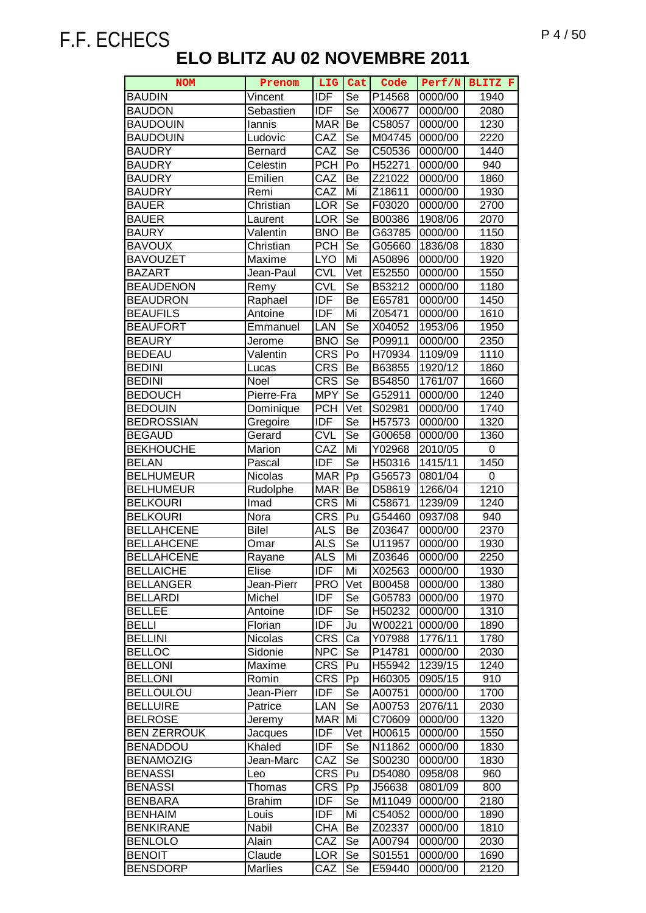| <b>NOM</b>                           | Prenom              | LIG                      | Cat                    | Code             | Perf/N             | BLITZ F           |
|--------------------------------------|---------------------|--------------------------|------------------------|------------------|--------------------|-------------------|
| <b>BAUDIN</b>                        | Vincent             | <b>IDF</b>               | Se                     | P14568           | 0000/00            | 1940              |
| <b>BAUDON</b>                        | Sebastien           | IDF                      | Se                     | X00677           | 0000/00            | 2080              |
| <b>BAUDOUIN</b>                      | lannis              | <b>MAR</b>               | Be                     | C58057           | 0000/00            | 1230              |
| <b>BAUDOUIN</b>                      | Ludovic             | CAZ                      | Se                     | M04745           | 0000/00            | 2220              |
| <b>BAUDRY</b>                        | Bernard             | CAZ                      | Se                     | C50536           | 0000/00            | 1440              |
| <b>BAUDRY</b>                        | Celestin            | <b>PCH</b>               | Po                     | H52271           | 0000/00            | 940               |
| <b>BAUDRY</b>                        | Emilien             | CAZ                      | Be                     | Z21022           | 0000/00            | 1860              |
| <b>BAUDRY</b>                        | Remi                | CAZ                      | Mi                     | Z18611           | 0000/00            | 1930              |
| <b>BAUER</b>                         | Christian           | LOR                      | Se                     | F03020           | 0000/00            | 2700              |
| <b>BAUER</b>                         | Laurent             | LOR                      | Se                     | B00386           | 1908/06            | 2070              |
| <b>BAURY</b>                         | Valentin            | <b>BNO</b>               | Be                     | G63785           | 0000/00            | 1150              |
| <b>BAVOUX</b>                        | Christian           | <b>PCH</b>               | Se                     | G05660           | 1836/08            | 1830              |
| <b>BAVOUZET</b>                      | Maxime              | <b>LYO</b>               | Mi                     | A50896           | 0000/00            | 1920              |
| <b>BAZART</b>                        | Jean-Paul           | <b>CVL</b>               | Vet                    | E52550           | 0000/00            | 1550              |
| <b>BEAUDENON</b>                     | Remy                | <b>CVL</b>               | Se                     | B53212           | 0000/00            | 1180              |
| <b>BEAUDRON</b>                      |                     | <b>IDF</b>               | Be                     | E65781           | 0000/00            | 1450              |
| <b>BEAUFILS</b>                      | Raphael             | <b>IDF</b>               | Mi                     | Z05471           | 0000/00            | 1610              |
| <b>BEAUFORT</b>                      | Antoine             | LAN                      | Se                     |                  |                    |                   |
|                                      | Emmanuel            |                          | $\overline{\text{Se}}$ | X04052           | 1953/06            | 1950              |
| <b>BEAURY</b>                        | Jerome              | <b>BNO</b>               |                        | P09911           | 0000/00            | 2350              |
| <b>BEDEAU</b>                        | Valentin            | <b>CRS</b>               | Po                     | H70934           | 1109/09            | 1110              |
| <b>BEDINI</b>                        | Lucas               | <b>CRS</b>               | Be                     | B63855           | 1920/12            | 1860              |
| <b>BEDINI</b>                        | Noel                | <b>CRS</b>               | Se                     | B54850           | 1761/07            | 1660              |
| <b>BEDOUCH</b>                       | Pierre-Fra          | <b>MPY</b>               | Se                     | G52911           | 0000/00            | 1240              |
| <b>BEDOUIN</b>                       | Dominique           | <b>PCH</b>               | Vet                    | S02981           | 0000/00            | 1740              |
| <b>BEDROSSIAN</b>                    | Gregoire            | <b>IDF</b>               | Se                     | H57573           | 0000/00            | 1320              |
| <b>BEGAUD</b>                        | Gerard              | <b>CVL</b>               | Se                     | G00658           | 0000/00            | 1360              |
| <b>BEKHOUCHE</b>                     | Marion              | CAZ                      | Mi                     | Y02968           | 2010/05            | 0                 |
| <b>BELAN</b>                         | Pascal              | <b>IDF</b>               | Se                     | H50316           | 1415/11            | 1450              |
| <b>BELHUMEUR</b>                     | Nicolas             | <b>MAR</b>               | Pp                     | G56573           | 0801/04            | 0                 |
| <b>BELHUMEUR</b>                     | Rudolphe            | <b>MAR</b>               | Be                     | D58619           | 1266/04            | $\overline{1210}$ |
| <b>BELKOURI</b>                      | Imad                | <b>CRS</b>               | Mi                     | C58671           | 1239/09            | 1240              |
| <b>BELKOURI</b>                      | Nora                | <b>CRS</b>               | Pu                     | G54460           | 0937/08            | 940               |
| <b>BELLAHCENE</b>                    | <b>Bilel</b>        | <b>ALS</b>               | Be                     | Z03647           | 0000/00            | 2370              |
| <b>BELLAHCENE</b>                    | Omar                | <b>ALS</b><br><b>ALS</b> | Se                     | U11957           | 0000/00            | 1930              |
| <b>BELLAHCENE</b>                    | Rayane              |                          | Mi                     | Z03646           | 0000/00            | 2250              |
| <b>BELLAICHE</b>                     | Elise               | <b>IDF</b>               | Mi                     | X02563           | 0000/00            | 1930              |
| <b>BELLANGER</b>                     | Jean-Pierr          | <b>PRO</b>               | Vet                    | B00458           | 0000/00            | 1380              |
| <b>BELLARDI</b>                      | Michel              | <b>IDF</b>               | Se                     | G05783           | 0000/00            | 1970              |
| <b>BELLEE</b>                        | Antoine             | <b>IDF</b>               | Se                     | H50232           | 0000/00            | 1310              |
| <b>BELLI</b>                         | Florian             | <b>IDF</b>               | Ju                     | W00221           | 0000/00            | 1890              |
| <b>BELLINI</b>                       | Nicolas             | <b>CRS</b>               | Ca                     | Y07988           | 1776/11            | 1780              |
| <b>BELLOC</b>                        | Sidonie             | <b>NPC</b>               | Se                     | P14781           | 0000/00            | 2030              |
| <b>BELLONI</b>                       | Maxime              | <b>CRS</b>               | Pu                     | H55942           | 1239/15            | 1240              |
| <b>BELLONI</b>                       | Romin               | <b>CRS</b>               | Pp                     | H60305           | 0905/15            | 910               |
| <b>BELLOULOU</b>                     | Jean-Pierr          | <b>IDF</b>               | Se                     | A00751           | 0000/00            | 1700              |
| <b>BELLUIRE</b>                      | Patrice             | LAN                      | Se                     | A00753           | 2076/11            | 2030              |
| <b>BELROSE</b><br><b>BEN ZERROUK</b> | Jeremy              | <b>MAR</b>               | Mi                     | C70609           | 0000/00            | 1320              |
| <b>BENADDOU</b>                      | Jacques             | IDF<br><b>IDF</b>        | Vet                    | H00615           | 0000/00            | 1550              |
| <b>BENAMOZIG</b>                     | Khaled<br>Jean-Marc | CAZ                      | Se<br>Se               | N11862           | 0000/00            | 1830<br>1830      |
| <b>BENASSI</b>                       | Leo                 | <b>CRS</b>               | Pu                     | S00230<br>D54080 | 0000/00<br>0958/08 | 960               |
| <b>BENASSI</b>                       | Thomas              | <b>CRS</b>               | Pp                     | J56638           | 0801/09            | 800               |
| <b>BENBARA</b>                       |                     | <b>IDF</b>               | Se                     | M11049           |                    |                   |
| <b>BENHAIM</b>                       | <b>Brahim</b>       | <b>IDF</b>               | Mi                     |                  | 0000/00            | 2180              |
|                                      | Louis               |                          |                        | C54052           | 0000/00            | 1890              |
| <b>BENKIRANE</b><br><b>BENLOLO</b>   | Nabil               | <b>CHA</b>               | Be<br>Se               | Z02337           | 0000/00            | 1810              |
| <b>BENOIT</b>                        | Alain<br>Claude     | CAZ<br><b>LOR</b>        | Se                     | A00794<br>S01551 | 0000/00<br>0000/00 | 2030<br>1690      |
| <b>BENSDORP</b>                      | <b>Marlies</b>      | CAZ                      | Se                     | E59440           | 0000/00            | 2120              |
|                                      |                     |                          |                        |                  |                    |                   |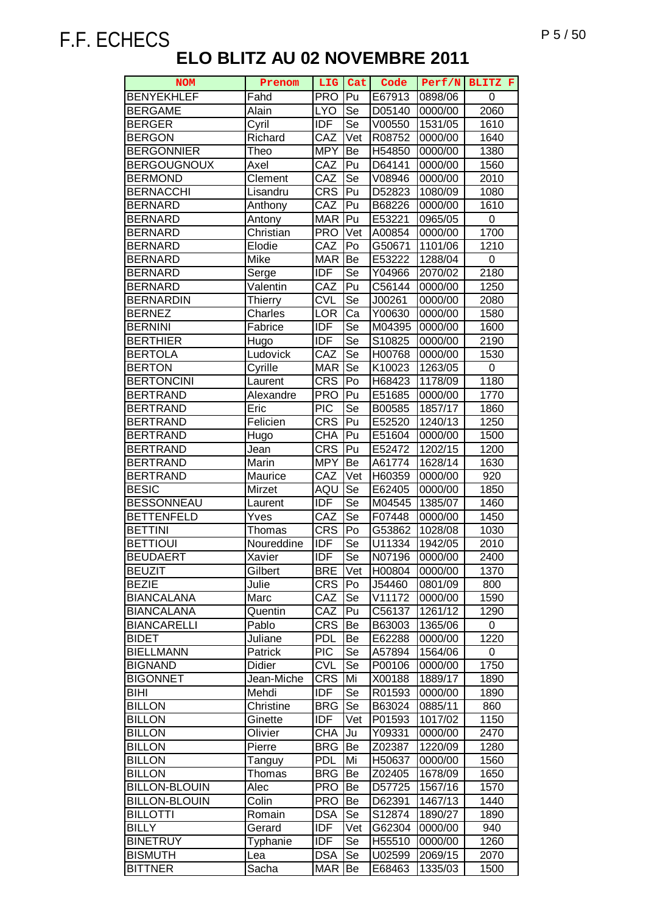| <b>NOM</b>                         | Prenom             | LIG                      | Cat                       | Code               | Perf/N             | BLITZ F      |
|------------------------------------|--------------------|--------------------------|---------------------------|--------------------|--------------------|--------------|
| <b>BENYEKHLEF</b>                  | Fahd               | <b>PRO</b>               | Pu                        | E67913             | 0898/06            | 0            |
| <b>BERGAME</b>                     | Alain              | <b>LYO</b>               | $\overline{\mathsf{S}}$ e | D05140             | 0000/00            | 2060         |
| <b>BERGER</b>                      | Cyril              | <b>IDF</b>               | Se                        | V00550             | 1531/05            | 1610         |
| <b>BERGON</b>                      | Richard            | CAZ                      | Vet                       | R08752             | 0000/00            | 1640         |
| <b>BERGONNIER</b>                  | Theo               | <b>MPY</b>               | Be                        | H54850             | 0000/00            | 1380         |
| <b>BERGOUGNOUX</b>                 | Axel               | CAZ                      | Pu                        | D64141             | 0000/00            | 1560         |
| <b>BERMOND</b>                     | Clement            | CAZ                      | <b>Se</b>                 | V08946             | 0000/00            | 2010         |
| <b>BERNACCHI</b>                   | Lisandru           | <b>CRS</b>               | Pu                        | D52823             | 1080/09            | 1080         |
| <b>BERNARD</b>                     | Anthony            | CAZ                      | Pu                        | B68226             | 0000/00            | 1610         |
| <b>BERNARD</b>                     | Antony             | <b>MAR</b>               | Pu                        | E53221             | 0965/05            | 0            |
| <b>BERNARD</b>                     | Christian          | <b>PRO</b>               | Vet                       | A00854             | 0000/00            | 1700         |
| <b>BERNARD</b>                     | Elodie             | CAZ                      | Po                        | G50671             | 1101/06            | 1210         |
| <b>BERNARD</b>                     | Mike               | <b>MAR</b>               | Be                        | E53222             | 1288/04            | 0            |
| <b>BERNARD</b>                     | Serge              | <b>IDF</b>               | Se                        | Y04966             | 2070/02            | 2180         |
| <b>BERNARD</b>                     | Valentin           | CAZ                      | Pu                        | C56144             | 0000/00            | 1250         |
| <b>BERNARDIN</b>                   |                    | <b>CVL</b>               | Se                        | J00261             | 0000/00            | 2080         |
|                                    | <b>Thierry</b>     |                          |                           |                    |                    |              |
| <b>BERNEZ</b>                      | Charles<br>Fabrice | LOR<br><b>IDF</b>        | Ca<br>Se                  | Y00630             | 0000/00            | 1580         |
| <b>BERNINI</b>                     |                    | <b>IDF</b>               | Se                        | M04395             | 0000/00            | 1600         |
| <b>BERTHIER</b>                    | Hugo               |                          |                           | S <sub>10825</sub> | 0000/00            | 2190         |
| <b>BERTOLA</b>                     | Ludovick           | CAZ                      | Se                        | H00768             | 0000/00            | 1530         |
| <b>BERTON</b>                      | Cyrille            | <b>MAR</b>               | Se                        | K10023             | 1263/05            | 0            |
| <b>BERTONCINI</b>                  | Laurent            | <b>CRS</b>               | Po                        | H68423             | 1178/09            | 1180         |
| <b>BERTRAND</b>                    | Alexandre          | <b>PRO</b>               | Pu                        | E51685             | 0000/00            | 1770         |
| <b>BERTRAND</b><br><b>BERTRAND</b> | Eric               | <b>PIC</b><br><b>CRS</b> | Se<br>Pu                  | B00585             | 1857/17            | 1860         |
| <b>BERTRAND</b>                    | Felicien           |                          |                           | E52520             | 1240/13            | 1250         |
|                                    | Hugo               | <b>CHA</b>               | Pu                        | E51604             | 0000/00            | 1500         |
| <b>BERTRAND</b><br><b>BERTRAND</b> | Jean               | <b>CRS</b><br><b>MPY</b> | Pu<br>Be                  | E52472             | 1202/15            | 1200<br>1630 |
| <b>BERTRAND</b>                    | Marin              | CAZ                      | Vet                       | A61774             | 1628/14            |              |
| <b>BESIC</b>                       | Maurice<br>Mirzet  | AQU                      | Se                        | H60359<br>E62405   | 0000/00<br>0000/00 | 920<br>1850  |
| <b>BESSONNEAU</b>                  | Laurent            | <b>IDF</b>               | Se                        | M04545             | 1385/07            | 1460         |
| <b>BETTENFELD</b>                  | Yves               | CAZ                      | Se                        | F07448             | 0000/00            | 1450         |
| <b>BETTINI</b>                     | Thomas             | <b>CRS</b>               | Po                        | G53862             | 1028/08            | 1030         |
| <b>BETTIOUI</b>                    | Noureddine         | <b>IDF</b>               | Se                        | U11334             | 1942/05            | 2010         |
| <b>BEUDAERT</b>                    | Xavier             | <b>IDF</b>               | Se                        | N07196             | 0000/00            | 2400         |
| <b>BEUZIT</b>                      | Gilbert            | <b>BRE</b>               | Vet                       | H00804             | 0000/00            | 1370         |
| <b>BEZIE</b>                       | Julie              | <b>CRS</b>               | Po                        | J54460             | 0801/09            | 800          |
| <b>BIANCALANA</b>                  | Marc               | CAZ                      | Se                        | V11172             | 0000/00            | 1590         |
| <b>BIANCALANA</b>                  | Quentin            | CAZ                      | Pu                        | C56137             | 1261/12            | 1290         |
| <b>BIANCARELLI</b>                 | Pablo              | <b>CRS</b>               | Be                        | B63003             | 1365/06            | 0            |
| <b>BIDET</b>                       | Juliane            | <b>PDL</b>               | Be                        | E62288             | 0000/00            | 1220         |
| <b>BIELLMANN</b>                   | Patrick            | <b>PIC</b>               | Se                        | A57894             | 1564/06            | 0            |
| <b>BIGNAND</b>                     | <b>Didier</b>      | <b>CVL</b>               | Se                        | P00106             | 0000/00            | 1750         |
| <b>BIGONNET</b>                    | Jean-Miche         | <b>CRS</b>               | Mi                        | X00188             | 1889/17            | 1890         |
| <b>BIHI</b>                        | Mehdi              | <b>IDF</b>               | Se                        | R01593             | 0000/00            | 1890         |
| <b>BILLON</b>                      | Christine          | <b>BRG</b>               | Se                        | B63024             | 0885/11            | 860          |
| <b>BILLON</b>                      | Ginette            | <b>IDF</b>               | Vet                       | P01593             | 1017/02            | 1150         |
| <b>BILLON</b>                      | Olivier            | <b>CHA</b>               | Ju                        | Y09331             | 0000/00            | 2470         |
| <b>BILLON</b>                      | Pierre             | <b>BRG</b>               | Be                        | Z02387             | 1220/09            | 1280         |
| <b>BILLON</b>                      | Tanguy             | <b>PDL</b>               | Mi                        | H50637             | 0000/00            | 1560         |
| <b>BILLON</b>                      | Thomas             | <b>BRG</b>               | Be                        | Z02405             | 1678/09            | 1650         |
| <b>BILLON-BLOUIN</b>               | Alec               | <b>PRO</b>               | Be                        | D57725             | 1567/16            | 1570         |
| <b>BILLON-BLOUIN</b>               | Colin              | <b>PRO</b>               | Be                        | D62391             | 1467/13            | 1440         |
| <b>BILLOTTI</b>                    | Romain             | <b>DSA</b>               | Se                        | S12874             | 1890/27            | 1890         |
| <b>BILLY</b>                       | Gerard             | <b>IDF</b>               | Vet                       | G62304             | 0000/00            | 940          |
| <b>BINETRUY</b>                    | Typhanie           | <b>IDF</b>               | Se                        | H55510             | 0000/00            | 1260         |
| <b>BISMUTH</b>                     | Lea                | <b>DSA</b>               | Se                        | U02599             | 2069/15            | 2070         |
| <b>BITTNER</b>                     | Sacha              | <b>MAR</b>               | Be                        | E68463             | 1335/03            | 1500         |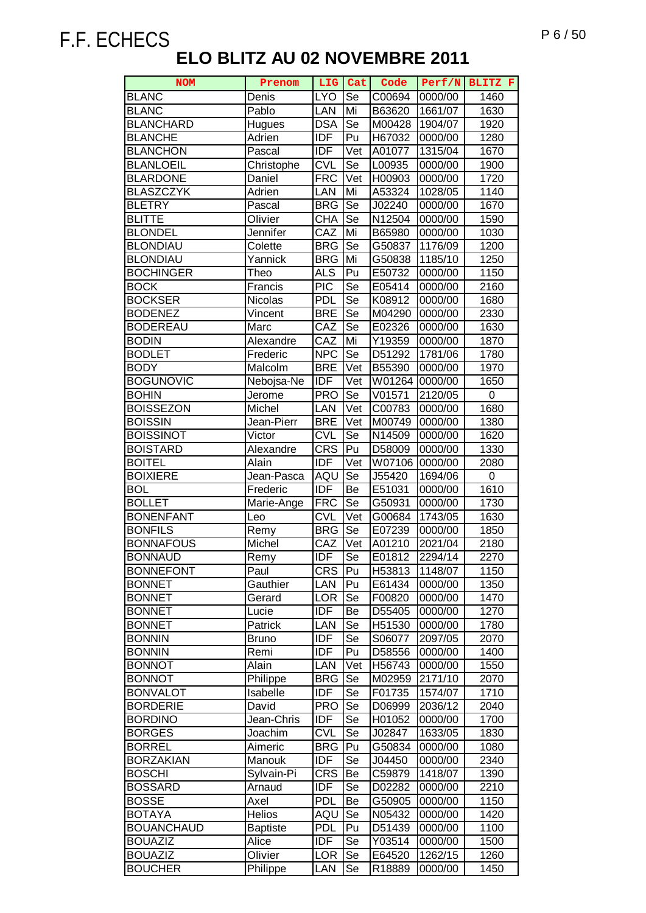| <b>NOM</b>        | Prenom          | LIG               | Cat                        | Code                 | Perf/N  | BLITZ F          |
|-------------------|-----------------|-------------------|----------------------------|----------------------|---------|------------------|
| <b>BLANC</b>      | Denis           | <b>LYO</b>        | Se                         | C00694               | 0000/00 | 1460             |
| <b>BLANC</b>      | Pablo           | LAN               | Mi                         | B63620               | 1661/07 | 1630             |
| <b>BLANCHARD</b>  | Hugues          | <b>DSA</b>        | Se                         | M00428               | 1904/07 | 1920             |
| <b>BLANCHE</b>    | Adrien          | <b>IDF</b>        | Pu                         | H67032               | 0000/00 | 1280             |
| <b>BLANCHON</b>   | Pascal          | <b>IDF</b>        | Vet                        | A01077               | 1315/04 | 1670             |
| <b>BLANLOEIL</b>  | Christophe      | <b>CVL</b>        | <b>Se</b>                  | L00935               | 0000/00 | 1900             |
| <b>BLARDONE</b>   | Daniel          | <b>FRC</b>        | Vet                        | H00903               | 0000/00 | 1720             |
| <b>BLASZCZYK</b>  | Adrien          | LAN               | Mi                         | A53324               | 1028/05 | 1140             |
| <b>BLETRY</b>     | Pascal          | <b>BRG</b>        | Se                         | J02240               | 0000/00 | 1670             |
| <b>BLITTE</b>     | Olivier         | <b>CHA</b>        | Se                         | N12504               | 0000/00 | 1590             |
| <b>BLONDEL</b>    | Jennifer        | CAZ               | Mi                         | B65980               | 0000/00 | 1030             |
| <b>BLONDIAU</b>   | Colette         | <b>BRG</b>        | Se                         | G50837               | 1176/09 | 1200             |
| <b>BLONDIAU</b>   | Yannick         | <b>BRG</b>        | Mi                         | G50838               | 1185/10 | 1250             |
| <b>BOCHINGER</b>  | Theo            | <b>ALS</b>        | Pu                         | E50732               | 0000/00 | 1150             |
| <b>BOCK</b>       |                 | <b>PIC</b>        |                            |                      |         |                  |
|                   | Francis         | <b>PDL</b>        | Se                         | E05414               | 0000/00 | 2160             |
| <b>BOCKSER</b>    | Nicolas         |                   | Se                         | K08912               | 0000/00 | 1680             |
| <b>BODENEZ</b>    | Vincent         | <b>BRE</b>        | $\overline{\mathsf{Se}}$   | M04290               | 0000/00 | 2330             |
| <b>BODEREAU</b>   | Marc            | CAZ               | $\overline{\text{Se}}$     | E02326               | 0000/00 | 1630             |
| <b>BODIN</b>      | Alexandre       | CAZ               | Mi                         | Y19359               | 0000/00 | 1870             |
| <b>BODLET</b>     | Frederic        | <b>NPC</b>        | $\overline{\mathsf{Se}}$   | D51292               | 1781/06 | 1780             |
| <b>BODY</b>       | Malcolm         | <b>BRE</b>        | $\overline{\mathsf{V}}$ et | B55390               | 0000/00 | 1970             |
| <b>BOGUNOVIC</b>  | Nebojsa-Ne      | <b>IDF</b>        | Vet                        | W01264               | 0000/00 | 1650             |
| <b>BOHIN</b>      | Jerome          | <b>PRO</b>        | Se                         | $\overline{V}$ 01571 | 2120/05 | $\boldsymbol{0}$ |
| <b>BOISSEZON</b>  | Michel          | LAN               | Vet                        | C00783               | 0000/00 | 1680             |
| <b>BOISSIN</b>    | Jean-Pierr      | <b>BRE</b>        | Vet                        | M00749               | 0000/00 | 1380             |
| <b>BOISSINOT</b>  | Victor          | <b>CVL</b>        | Se                         | N14509               | 0000/00 | 1620             |
| <b>BOISTARD</b>   | Alexandre       | <b>CRS</b>        | Pu                         | D58009               | 0000/00 | 1330             |
| <b>BOITEL</b>     | Alain           | <b>IDF</b>        | Vet                        | W07106               | 0000/00 | 2080             |
| <b>BOIXIERE</b>   | Jean-Pasca      | AQU               | $\overline{\mathsf{Se}}$   | J55420               | 1694/06 | 0                |
| <b>BOL</b>        | Frederic        | <b>IDF</b>        | Be                         | E51031               | 0000/00 | 1610             |
| <b>BOLLET</b>     | Marie-Ange      | <b>FRC</b>        | <b>Se</b>                  | G50931               | 0000/00 | 1730             |
| <b>BONENFANT</b>  | Leo             | <b>CVL</b>        | Vet                        | G00684               | 1743/05 | 1630             |
| <b>BONFILS</b>    | Remy            | <b>BRG</b>        | Se                         | E07239               | 0000/00 | 1850             |
| <b>BONNAFOUS</b>  | Michel          | $\overline{C}$ AZ | $\overline{\mathsf{V}}$ et | A01210               | 2021/04 | 2180             |
| <b>BONNAUD</b>    | Remy            | <b>IDF</b>        | Se                         | E01812               | 2294/14 | 2270             |
| <b>BONNEFONT</b>  | Paul            | <b>CRS</b>        | Pu                         | H53813               | 1148/07 | 1150             |
| <b>BONNET</b>     | Gauthier        | LAN               | Pu                         | E61434               | 0000/00 | 1350             |
| <b>BONNET</b>     | Gerard          | <b>LOR</b>        | Se                         | F00820               | 0000/00 | 1470             |
| <b>BONNET</b>     | Lucie           | <b>IDF</b>        | Be                         | D55405               | 0000/00 | 1270             |
| <b>BONNET</b>     | Patrick         | LAN               | Se                         | H51530               | 0000/00 | 1780             |
| <b>BONNIN</b>     | <b>Bruno</b>    | <b>IDF</b>        | Se                         | S06077               | 2097/05 | 2070             |
| <b>BONNIN</b>     | Remi            | <b>IDF</b>        | Pu                         | D58556               | 0000/00 | 1400             |
| <b>BONNOT</b>     | Alain           | LAN               | Vet                        | H56743               | 0000/00 | 1550             |
| <b>BONNOT</b>     | Philippe        | <b>BRG</b>        | Se                         | M02959               | 2171/10 | 2070             |
| <b>BONVALOT</b>   | Isabelle        | <b>IDF</b>        | Se                         | F01735               | 1574/07 | 1710             |
| <b>BORDERIE</b>   | David           | <b>PRO</b>        | Se                         | D06999               | 2036/12 | 2040             |
| <b>BORDINO</b>    | Jean-Chris      | <b>IDF</b>        | Se                         | H01052               | 0000/00 | 1700             |
| <b>BORGES</b>     | Joachim         | <b>CVL</b>        | Se                         | J02847               | 1633/05 | 1830             |
| <b>BORREL</b>     | Aimeric         | <b>BRG</b>        | Pu                         | G50834               | 0000/00 | 1080             |
| <b>BORZAKIAN</b>  | Manouk          | <b>IDF</b>        | Se                         | J04450               | 0000/00 | 2340             |
| <b>BOSCHI</b>     | Sylvain-Pi      | <b>CRS</b>        | Be                         | C59879               | 1418/07 | 1390             |
| <b>BOSSARD</b>    | Arnaud          | <b>IDF</b>        | Se                         | D02282               | 0000/00 | 2210             |
| <b>BOSSE</b>      | Axel            | <b>PDL</b>        | Be                         | G50905               | 0000/00 | 1150             |
| <b>BOTAYA</b>     | Helios          | AQU               | Se                         | N05432               | 0000/00 | 1420             |
| <b>BOUANCHAUD</b> | <b>Baptiste</b> | <b>PDL</b>        | Pu                         | D51439               | 0000/00 | 1100             |
| <b>BOUAZIZ</b>    | Alice           | <b>IDF</b>        | Se                         | Y03514               | 0000/00 | 1500             |
| <b>BOUAZIZ</b>    | Olivier         | <b>LOR</b>        | <b>Se</b>                  | E64520               | 1262/15 | 1260             |
| <b>BOUCHER</b>    | Philippe        | LAN               | Se                         | R <sub>18889</sub>   | 0000/00 | 1450             |
|                   |                 |                   |                            |                      |         |                  |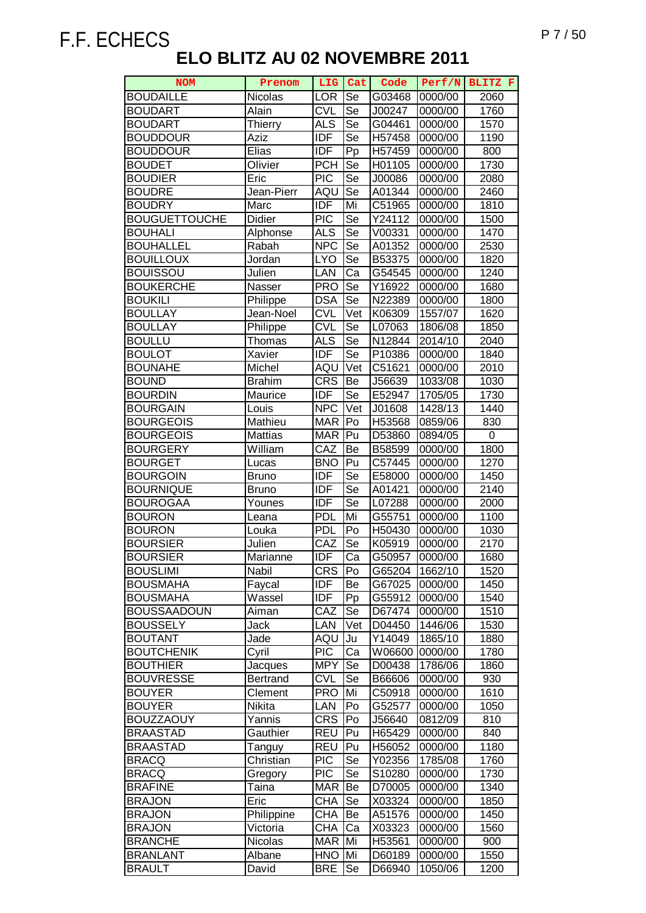| <b>NOM</b>                          | Prenom              | LIG                      | Cat       | Code               | Perf/N             | BLITZ F      |
|-------------------------------------|---------------------|--------------------------|-----------|--------------------|--------------------|--------------|
| <b>BOUDAILLE</b>                    | Nicolas             | <b>LOR</b>               | Se        | G03468             | 0000/00            | 2060         |
| <b>BOUDART</b>                      | Alain               | <b>CVL</b>               | Se        | J00247             | 0000/00            | 1760         |
| <b>BOUDART</b>                      | <b>Thierry</b>      | <b>ALS</b>               | Se        | G04461             | 0000/00            | 1570         |
| <b>BOUDDOUR</b>                     | Aziz                | <b>IDF</b>               | Se        | H57458             | 0000/00            | 1190         |
| <b>BOUDDOUR</b>                     | Elias               | <b>IDF</b>               | Pp        | H57459             | 0000/00            | 800          |
| <b>BOUDET</b>                       | Olivier             | <b>PCH</b>               | Se        | H01105             | 0000/00            | 1730         |
| <b>BOUDIER</b>                      | Eric                | <b>PIC</b>               | Se        | J00086             | 0000/00            | 2080         |
| <b>BOUDRE</b>                       | Jean-Pierr          | AQU                      | Se        | A01344             | 0000/00            | 2460         |
| <b>BOUDRY</b>                       | Marc                | <b>IDF</b>               | Mi        | C51965             | 0000/00            | 1810         |
| <b>BOUGUETTOUCHE</b>                | Didier              | <b>PIC</b>               | Se        | Y24112             | 0000/00            | 1500         |
| <b>BOUHALI</b>                      | Alphonse            | <b>ALS</b>               | Se        | V00331             | 0000/00            | 1470         |
| <b>BOUHALLEL</b>                    | Rabah               | <b>NPC</b>               | Se        | A01352             | 0000/00            | 2530         |
| <b>BOUILLOUX</b>                    | Jordan              | <b>LYO</b>               | Se        | B53375             | 0000/00            | 1820         |
| <b>BOUISSOU</b>                     | Julien              | LAN                      | Ca        | G54545             | 0000/00            | 1240         |
| <b>BOUKERCHE</b>                    | Nasser              | <b>PRO</b>               | Se        | Y <sub>16922</sub> | 0000/00            | 1680         |
| <b>BOUKILI</b>                      | Philippe            | <b>DSA</b>               | <b>Se</b> | N22389             | 0000/00            | 1800         |
| <b>BOULLAY</b>                      | Jean-Noel           | <b>CVL</b>               | Vet       | K06309             | 1557/07            | 1620         |
| <b>BOULLAY</b>                      | Philippe            | <b>CVL</b>               | Se        | L07063             | 1806/08            | 1850         |
| <b>BOULLU</b>                       | Thomas              | <b>ALS</b>               | Se        | N12844             | 2014/10            | 2040         |
| <b>BOULOT</b>                       | Xavier              | <b>IDF</b>               | Se        | P10386             | 0000/00            | 1840         |
| <b>BOUNAHE</b>                      | Michel              | AQU                      | Vet       | C51621             | 0000/00            | 2010         |
| <b>BOUND</b>                        | <b>Brahim</b>       | <b>CRS</b>               | Be        | J56639             | 1033/08            | 1030         |
| <b>BOURDIN</b>                      | Maurice             | <b>IDF</b>               | Se        | E52947             | 1705/05            | 1730         |
| <b>BOURGAIN</b>                     | Louis               | <b>NPC</b>               | Vet       | J01608             | 1428/13            | 1440         |
| <b>BOURGEOIS</b>                    | Mathieu             | <b>MAR</b>               | Po        | H53568             | 0859/06            | 830          |
| <b>BOURGEOIS</b>                    | <b>Mattias</b>      | <b>MAR</b>               | Pu        | D53860             | 0894/05            | 0            |
| <b>BOURGERY</b>                     | William             | CAZ                      | Be        | B58599             | 0000/00            | 1800         |
| <b>BOURGET</b>                      | Lucas               | <b>BNO</b>               | Pu        | C57445             | 0000/00            | 1270         |
| <b>BOURGOIN</b>                     | <b>Bruno</b>        | <b>IDF</b>               | Se        | E58000             | 0000/00            | 1450         |
| <b>BOURNIQUE</b>                    | <b>Bruno</b>        | <b>IDF</b>               | Se        | A01421             | 0000/00            | 2140         |
| <b>BOUROGAA</b>                     | Younes              | <b>IDF</b>               | Se        | L07288             | 0000/00            | 2000         |
| <b>BOURON</b>                       | Leana               | <b>PDL</b>               | Mi        | G55751             | 0000/00            | 1100         |
| <b>BOURON</b>                       | Louka               | <b>PDL</b>               | Po        | H50430             | 0000/00            | 1030         |
| <b>BOURSIER</b>                     | Julien              | CAZ                      | Se        | K05919             | 0000/00            | 2170         |
| <b>BOURSIER</b>                     | Marianne            | <b>IDF</b>               | Ca        | G50957             | 0000/00            | 1680         |
| <b>BOUSLIMI</b>                     | Nabil               | <b>CRS</b>               | Po        | G65204             | 1662/10            | 1520         |
| <b>BOUSMAHA</b>                     | Faycal              | <b>IDF</b>               | Be        | G67025             | 0000/00            | 1450         |
| <b>BOUSMAHA</b>                     | Wassel              | <b>IDF</b>               | Pp        | G55912             | 0000/00            | 1540         |
| <b>BOUSSAADOUN</b>                  | Aiman               | CAZ                      | Se        | D67474             | 0000/00            | 1510         |
| <b>BOUSSELY</b>                     | <b>Jack</b>         | LAN                      | Vet       | D04450             | 1446/06            | 1530         |
| <b>BOUTANT</b>                      | Jade                | AQU                      | Ju        | Y14049             | 1865/10            | 1880         |
| <b>BOUTCHENIK</b>                   | Cyril               | <b>PIC</b>               | Ca        | W06600             | 0000/00            | 1780         |
| <b>BOUTHIER</b>                     | Jacques             | <b>MPY</b>               | Se        | D00438             | 1786/06            | 1860         |
| <b>BOUVRESSE</b>                    | <b>Bertrand</b>     | <b>CVL</b>               | Se        | B66606             | 0000/00            | 930          |
| <b>BOUYER</b>                       | Clement             | <b>PRO</b>               | Mi        | C50918             | 0000/00            | 1610         |
| <b>BOUYER</b>                       | Nikita              | LAN                      | Po        | G52577             | 0000/00            | 1050         |
| <b>BOUZZAOUY</b><br><b>BRAASTAD</b> | Yannis<br>Gauthier  | <b>CRS</b><br><b>REU</b> | Po<br>Pu  | J56640             | 0812/09            | 810          |
| <b>BRAASTAD</b>                     |                     | <b>REU</b>               | Pu        | H65429<br>H56052   | 0000/00<br>0000/00 | 840<br>1180  |
|                                     | Tanguy<br>Christian |                          | Se        |                    |                    |              |
| <b>BRACQ</b><br><b>BRACQ</b>        |                     | <b>PIC</b><br><b>PIC</b> | Se        | Y02356<br>S10280   | 1785/08<br>0000/00 | 1760<br>1730 |
| <b>BRAFINE</b>                      | Gregory<br>Taina    | <b>MAR</b>               | Be        | D70005             | 0000/00            | 1340         |
| <b>BRAJON</b>                       | Eric                | <b>CHA</b>               | Se        | X03324             | 0000/00            | 1850         |
| <b>BRAJON</b>                       | Philippine          | <b>CHA</b>               | Be        | A51576             | 0000/00            | 1450         |
| <b>BRAJON</b>                       | Victoria            | <b>CHA</b>               | Ca        | X03323             | 0000/00            | 1560         |
| <b>BRANCHE</b>                      | Nicolas             | <b>MAR</b>               | Mi        | H53561             | 0000/00            | 900          |
| <b>BRANLANT</b>                     | Albane              | <b>HNO</b>               | Mi        | D60189             | 0000/00            | 1550         |
| <b>BRAULT</b>                       | David               | <b>BRE</b>               | Se        | D66940             | 1050/06            | 1200         |
|                                     |                     |                          |           |                    |                    |              |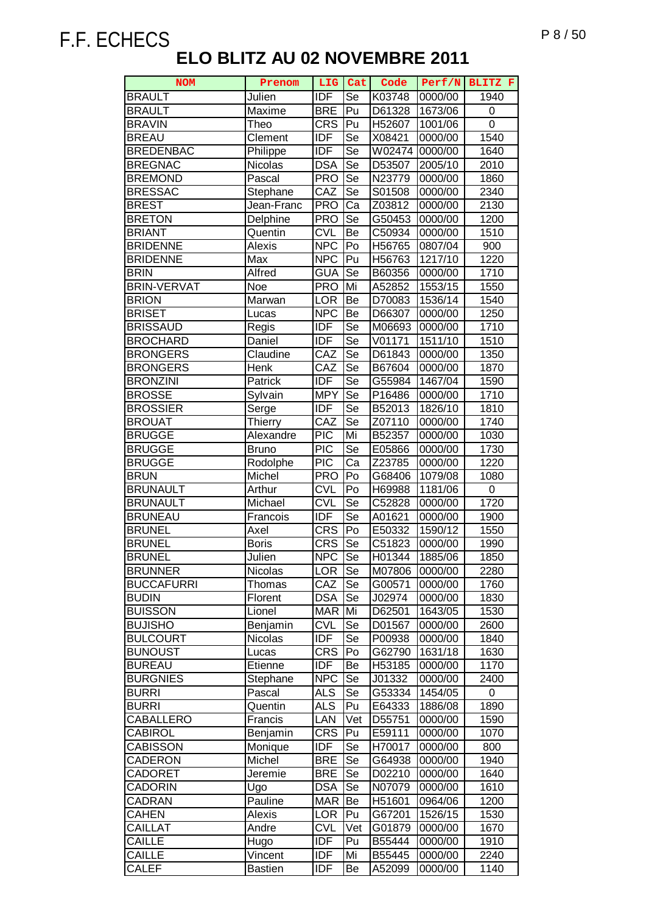| <b>NOM</b>                     | Prenom             | <b>LIG</b>        | Cat       | Code             | Perf/N             | BLITZ F      |
|--------------------------------|--------------------|-------------------|-----------|------------------|--------------------|--------------|
| <b>BRAULT</b>                  | Julien             | <b>IDF</b>        | Se        | K03748           | 0000/00            | 1940         |
| <b>BRAULT</b>                  | Maxime             | <b>BRE</b>        | Pu        | D61328           | 1673/06            | 0            |
| <b>BRAVIN</b>                  | Theo               | <b>CRS</b>        | Pu        | H52607           | 1001/06            | 0            |
| <b>BREAU</b>                   | Clement            | <b>IDF</b>        | Se        | X08421           | 0000/00            | 1540         |
| <b>BREDENBAC</b>               | Philippe           | <b>IDF</b>        | Se        | W02474           | 0000/00            | 1640         |
| <b>BREGNAC</b>                 | Nicolas            | <b>DSA</b>        | Se        | D53507           | 2005/10            | 2010         |
| <b>BREMOND</b>                 | Pascal             | <b>PRO</b>        | Se        | N23779           | 0000/00            | 1860         |
| <b>BRESSAC</b>                 | Stephane           | CAZ               | Se        | S01508           | 0000/00            | 2340         |
| <b>BREST</b>                   | Jean-Franc         | <b>PRO</b>        | Ca        | Z03812           | 0000/00            | 2130         |
| <b>BRETON</b>                  | Delphine           | <b>PRO</b>        | Se        | G50453           | 0000/00            | 1200         |
| <b>BRIANT</b>                  | Quentin            | <b>CVL</b>        | Be        | C50934           | 0000/00            | 1510         |
| <b>BRIDENNE</b>                | Alexis             | <b>NPC</b>        | Po        | H56765           | 0807/04            | 900          |
| <b>BRIDENNE</b>                | Max                | <b>NPC</b>        | Pu        | H56763           | 1217/10            | 1220         |
| <b>BRIN</b>                    | Alfred             | <b>GUA</b>        | Se        | B60356           | 0000/00            | 1710         |
| <b>BRIN-VERVAT</b>             | Noe                | <b>PRO</b>        | Mi        | A52852           | 1553/15            | 1550         |
| <b>BRION</b>                   |                    | <b>LOR</b>        | Be        | D70083           | 1536/14            | 1540         |
| <b>BRISET</b>                  | Marwan             | <b>NPC</b>        | Be        | D66307           |                    | 1250         |
| <b>BRISSAUD</b>                | Lucas              | <b>IDF</b>        | Se        |                  | 0000/00            | 1710         |
|                                | Regis              |                   |           | M06693           | 0000/00            |              |
| <b>BROCHARD</b>                | Daniel             | <b>IDF</b>        | Se        | V01171           | 1511/10            | 1510         |
| <b>BRONGERS</b>                | Claudine           | CAZ               | Se        | D61843           | 0000/00            | 1350         |
| <b>BRONGERS</b>                | Henk               | CAZ<br><b>IDF</b> | Se        | B67604           | 0000/00            | 1870         |
| <b>BRONZINI</b>                | Patrick            |                   | Se        | G55984           | 1467/04            | 1590         |
| <b>BROSSE</b>                  | Sylvain            | <b>MPY</b>        | Se        | P16486           | 0000/00            | 1710         |
| <b>BROSSIER</b>                | Serge              | <b>IDF</b><br>CAZ | Se        | B52013           | 1826/10            | 1810         |
| <b>BROUAT</b>                  | Thierry            | PIC               | Se<br>Mi  | Z07110           | 0000/00            | 1740         |
| <b>BRUGGE</b>                  | Alexandre          | PIC               |           | B52357           | 0000/00            | 1030         |
| <b>BRUGGE</b><br><b>BRUGGE</b> | <b>Bruno</b>       | $\overline{PIC}$  | Se<br>Ca  | E05866           | 0000/00            | 1730<br>1220 |
| <b>BRUN</b>                    | Rodolphe<br>Michel | <b>PRO</b>        | Po        | Z23785           | 0000/00            |              |
| <b>BRUNAULT</b>                | Arthur             | <b>CVL</b>        | Po        | G68406<br>H69988 | 1079/08<br>1181/06 | 1080<br>0    |
| <b>BRUNAULT</b>                | Michael            | <b>CVL</b>        | Se        | C52828           | 0000/00            | 1720         |
| <b>BRUNEAU</b>                 | Francois           | <b>IDF</b>        | Se        | A01621           | 0000/00            | 1900         |
| <b>BRUNEL</b>                  | Axel               | <b>CRS</b>        | Po        | E50332           | 1590/12            | 1550         |
| <b>BRUNEL</b>                  | <b>Boris</b>       | <b>CRS</b>        | Se        | C51823           | 0000/00            | 1990         |
| <b>BRUNEL</b>                  | Julien             | <b>NPC</b>        | Se        | H01344           | 1885/06            | 1850         |
| <b>BRUNNER</b>                 | Nicolas            | <b>LOR</b>        | Se        | M07806           | 0000/00            | 2280         |
| <b>BUCCAFURRI</b>              | Thomas             | CAZ               | Se        | G00571           | 0000/00            | 1760         |
| <b>BUDIN</b>                   | <b>Florent</b>     | <b>DSA</b>        | Se        | J02974           | 0000/00            | 1830         |
| <b>BUISSON</b>                 | Lionel             | <b>MAR</b>        | Mi        | D62501           | 1643/05            | 1530         |
| <b>BUJISHO</b>                 | Benjamin           | <b>CVL</b>        | Se        | D01567           | 0000/00            | 2600         |
| <b>BULCOURT</b>                | Nicolas            | <b>IDF</b>        | Se        | P00938           | 0000/00            | 1840         |
| <b>BUNOUST</b>                 | Lucas              | <b>CRS</b>        | Po        | G62790           | 1631/18            | 1630         |
| <b>BUREAU</b>                  | Etienne            | <b>IDF</b>        | Be        | H53185           | 0000/00            | 1170         |
| <b>BURGNIES</b>                | Stephane           | <b>NPC</b>        | Se        | J01332           | 0000/00            | 2400         |
| <b>BURRI</b>                   | Pascal             | <b>ALS</b>        | Se        | G53334           | 1454/05            | 0            |
| <b>BURRI</b>                   | Quentin            | ALS               | Pu        | E64333           | 1886/08            | 1890         |
| CABALLERO                      | Francis            | LAN               | Vet       | D55751           | 0000/00            | 1590         |
| CABIROL                        | Benjamin           | <b>CRS</b>        | Pu        | E59111           | 0000/00            | 1070         |
| CABISSON                       | Monique            | <b>IDF</b>        | Se        | H70017           | 0000/00            | 800          |
| <b>CADERON</b>                 | Michel             | <b>BRE</b>        | <b>Se</b> | G64938           | 0000/00            | 1940         |
| <b>CADORET</b>                 | Jeremie            | <b>BRE</b>        | Se        | D02210           | 0000/00            | 1640         |
| <b>CADORIN</b>                 | Ugo                | <b>DSA</b>        | Se        | N07079           | 0000/00            | 1610         |
| CADRAN                         | Pauline            | <b>MAR</b>        | Be        | H51601           | 0964/06            | 1200         |
| CAHEN                          | Alexis             | <b>LOR</b>        | Pu        | G67201           | 1526/15            | 1530         |
| <b>CAILLAT</b>                 | Andre              | <b>CVL</b>        | Vet       | G01879           | 0000/00            | 1670         |
| <b>CAILLE</b>                  | Hugo               | <b>IDF</b>        | Pu        | B55444           | 0000/00            | 1910         |
| CAILLE                         | Vincent            | <b>IDF</b>        | Mi        | B55445           | 0000/00            | 2240         |
| <b>CALEF</b>                   | <b>Bastien</b>     | <b>IDF</b>        | Be        | A52099           | 0000/00            | 1140         |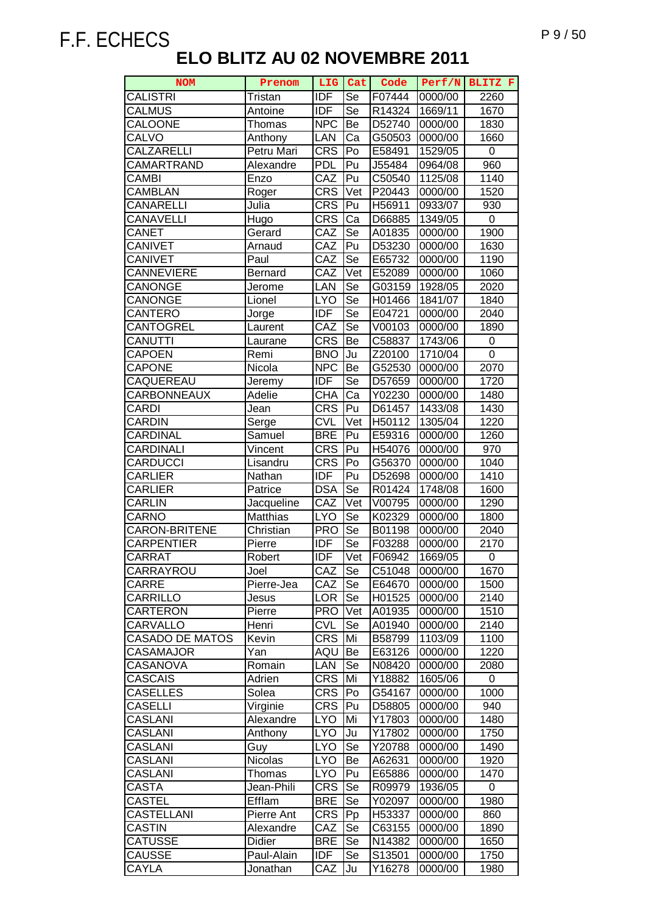| <b>NOM</b>             | Prenom         | <b>LIG</b>        | Cat                      | Code   | Perf/N  | BLITZ F     |
|------------------------|----------------|-------------------|--------------------------|--------|---------|-------------|
| <b>CALISTRI</b>        | Tristan        | <b>IDF</b>        | Se                       | F07444 | 0000/00 | 2260        |
| <b>CALMUS</b>          | Antoine        | <b>IDF</b>        | Se                       | R14324 | 1669/11 | 1670        |
| CALOONE                | Thomas         | <b>NPC</b>        | Be                       | D52740 | 0000/00 | 1830        |
| <b>CALVO</b>           | Anthony        | LAN               | Ca                       | G50503 | 0000/00 | 1660        |
| CALZARELLI             | Petru Mari     | CRS               | Po                       | E58491 | 1529/05 | 0           |
| CAMARTRAND             | Alexandre      | <b>PDL</b>        | Pu                       | J55484 | 0964/08 | 960         |
| CAMBI                  | Enzo           | CAZ               | Pu                       | C50540 | 1125/08 | 1140        |
| <b>CAMBLAN</b>         | Roger          | <b>CRS</b>        | Vet                      | P20443 | 0000/00 | 1520        |
| CANARELLI              | Julia          | <b>CRS</b>        | Pu                       | H56911 | 0933/07 | 930         |
| CANAVELLI              | Hugo           | <b>CRS</b>        | Ca                       | D66885 | 1349/05 | 0           |
| CANET                  | Gerard         | CAZ               | Se                       | A01835 | 0000/00 | 1900        |
| <b>CANIVET</b>         | Arnaud         | CAZ               | Pu                       | D53230 | 0000/00 | 1630        |
| <b>CANIVET</b>         | Paul           | CAZ               | Se                       | E65732 | 0000/00 | 1190        |
| <b>CANNEVIERE</b>      | <b>Bernard</b> | $\overline{C}$ AZ | Vet                      | E52089 | 0000/00 | 1060        |
| CANONGE                | Jerome         | LAN               | Se                       | G03159 | 1928/05 | 2020        |
| <b>CANONGE</b>         | Lionel         | <b>LYO</b>        | $\overline{\mathsf{Se}}$ | H01466 | 1841/07 | 1840        |
| CANTERO                | Jorge          | <b>IDF</b>        | Se                       | E04721 | 0000/00 | 2040        |
| <b>CANTOGREL</b>       | Laurent        | CAZ               | $\overline{\mathsf{Se}}$ | V00103 | 0000/00 | 1890        |
| CANUTTI                | Laurane        | <b>CRS</b>        | Be                       | C58837 | 1743/06 | 0           |
| <b>CAPOEN</b>          | Remi           | <b>BNO</b>        | Ju                       | Z20100 | 1710/04 | $\mathbf 0$ |
| <b>CAPONE</b>          | Nicola         | <b>NPC</b>        | Be                       | G52530 | 0000/00 | 2070        |
| CAQUEREAU              | Jeremy         | <b>IDF</b>        | Se                       | D57659 | 0000/00 | 1720        |
| CARBONNEAUX            | Adelie         | <b>CHA</b>        | Ca                       | Y02230 | 0000/00 | 1480        |
| <b>CARDI</b>           | Jean           | <b>CRS</b>        | Pu                       | D61457 | 1433/08 | 1430        |
| CARDIN                 | Serge          | <b>CVL</b>        | Vet                      | H50112 | 1305/04 | 1220        |
| CARDINAL               | Samuel         | <b>BRE</b>        | Pu                       | E59316 | 0000/00 | 1260        |
| CARDINALI              | Vincent        | <b>CRS</b>        | Pu                       | H54076 | 0000/00 | 970         |
| CARDUCCI               | Lisandru       | <b>CRS</b>        | Po                       | G56370 | 0000/00 | 1040        |
| <b>CARLIER</b>         | Nathan         | <b>IDF</b>        | Pu                       | D52698 | 0000/00 | 1410        |
| <b>CARLIER</b>         | Patrice        | <b>DSA</b>        | Se                       | R01424 | 1748/08 | 1600        |
| <b>CARLIN</b>          | Jacqueline     | CAZ               | Vet                      | V00795 | 0000/00 | 1290        |
| CARNO                  | Matthias       | <b>LYO</b>        | Se                       | K02329 | 0000/00 | 1800        |
| <b>CARON-BRITENE</b>   | Christian      | <b>PRO</b>        | Se                       | B01198 | 0000/00 | 2040        |
| <b>CARPENTIER</b>      | Pierre         | <b>IDF</b>        | Se                       | F03288 | 0000/00 | 2170        |
| <b>CARRAT</b>          | Robert         | IDF               | Vet                      | F06942 | 1669/05 | 0           |
| CARRAYROU              | Joel           | CAZ               | Se                       | C51048 | 0000/00 | 1670        |
| <b>CARRE</b>           | Pierre-Jea     | CAZ               | Se                       | E64670 | 0000/00 | 1500        |
| CARRILLO               | Jesus          | <b>LOR</b>        | Se                       | H01525 | 0000/00 | 2140        |
| CARTERON               | Pierre         | <b>PRO</b>        | Vet                      | A01935 | 0000/00 | 1510        |
| CARVALLO               | Henri          | <b>CVL</b>        | <b>Se</b>                | A01940 | 0000/00 | 2140        |
| <b>CASADO DE MATOS</b> | Kevin          | <b>CRS</b>        | Mi                       | B58799 | 1103/09 | 1100        |
| CASAMAJOR              | Yan            | AQU               | Be                       | E63126 | 0000/00 | 1220        |
| CASANOVA               | Romain         | LAN               | Se                       | N08420 | 0000/00 | 2080        |
| <b>CASCAIS</b>         | Adrien         | <b>CRS</b>        | Mi                       | Y18882 | 1605/06 | 0           |
| CASELLES               | Solea          | <b>CRS</b>        | Po                       | G54167 | 0000/00 | 1000        |
| CASELLI                | Virginie       | <b>CRS</b>        | Pu                       | D58805 | 0000/00 | 940         |
| CASLANI                | Alexandre      | LYO               | Mi                       | Y17803 | 0000/00 | 1480        |
| CASLANI                | Anthony        | <b>LYO</b>        | Ju                       | Y17802 | 0000/00 | 1750        |
| CASLANI                | Guy            | <b>LYO</b>        | Se                       | Y20788 | 0000/00 | 1490        |
| <b>CASLANI</b>         | Nicolas        | <b>LYO</b>        | Be                       | A62631 | 0000/00 | 1920        |
| <b>CASLANI</b>         | Thomas         | <b>LYO</b>        | Pu                       | E65886 | 0000/00 | 1470        |
| CASTA                  | Jean-Phili     | <b>CRS</b>        | Se                       | R09979 | 1936/05 | 0           |
| CASTEL                 | Efflam         | <b>BRE</b>        | Se                       | Y02097 | 0000/00 | 1980        |
| CASTELLANI             | Pierre Ant     | <b>CRS</b>        | Pp                       | H53337 | 0000/00 | 860         |
| CASTIN                 | Alexandre      | CAZ               | Se                       | C63155 | 0000/00 | 1890        |
| <b>CATUSSE</b>         | Didier         | <b>BRE</b>        | Se                       | N14382 | 0000/00 | 1650        |
| <b>CAUSSE</b>          | Paul-Alain     | <b>IDF</b>        | Se                       | S13501 | 0000/00 | 1750        |
| CAYLA                  | Jonathan       | CAZ               | Ju                       | Y16278 | 0000/00 | 1980        |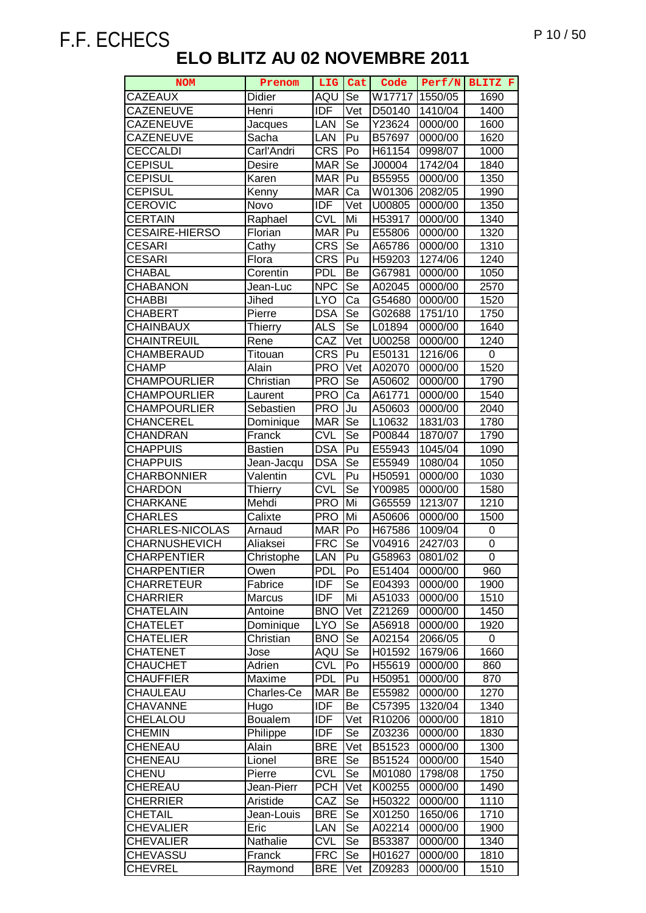| <b>CAZEAUX</b><br>Didier<br>AQU                                       | Se               | W17717           |                    |            |
|-----------------------------------------------------------------------|------------------|------------------|--------------------|------------|
|                                                                       |                  |                  | 1550/05            | 1690       |
| <b>CAZENEUVE</b><br><b>IDF</b><br>Henri                               | Vet              | D50140           | 1410/04            | 1400       |
| <b>CAZENEUVE</b><br>LAN<br>Jacques                                    | Se               | Y23624           | 0000/00            | 1600       |
| <b>CAZENEUVE</b><br>Sacha<br>LAN                                      | Pu               | B57697           | 0000/00            | 1620       |
| <b>CECCALDI</b><br><b>CRS</b><br>Carl'Andri                           | Po               | H61154           | 0998/07            | 1000       |
| <b>CEPISUL</b><br><b>MAR</b><br>Desire                                | Se               | J00004           | 1742/04            | 1840       |
| <b>CEPISUL</b><br><b>MAR</b><br>Karen                                 | Pu               | B55955           | 0000/00            | 1350       |
| CEPISUL<br><b>MAR</b><br>Kenny                                        | Ca               | W01306           | 2082/05            | 1990       |
| <b>CEROVIC</b><br><b>IDF</b><br>Novo                                  | Vet              | U00805           | 0000/00            | 1350       |
| <b>CERTAIN</b><br><b>CVL</b><br>Raphael                               | Mi               | H53917           | 0000/00            | 1340       |
| <b>CESAIRE-HIERSO</b><br><b>MAR</b><br>Florian                        | Pu               | E55806           | 0000/00            | 1320       |
| <b>CRS</b><br><b>CESARI</b><br>Cathy                                  | $\overline{5}$ e | A65786           | 0000/00            | 1310       |
| <b>CRS</b><br><b>CESARI</b><br>Flora                                  | Pu               | H59203           | 1274/06            | 1240       |
| <b>PDL</b><br><b>CHABAL</b><br>Corentin                               | Be               | G67981           | 0000/00            | 1050       |
| <b>NPC</b><br>CHABANON<br>Jean-Luc                                    | Se               | A02045           | 0000/00            | 2570       |
| <b>CHABBI</b><br><b>LYO</b><br>Jihed                                  | Ca               | G54680           | 0000/00            | 1520       |
| <b>DSA</b><br><b>CHABERT</b><br>Pierre                                | Se               | G02688           | 1751/10            | 1750       |
| <b>ALS</b><br>CHAINBAUX<br><b>Thierry</b>                             | Se               | L01894           | 0000/00            | 1640       |
| CAZ<br>CHAINTREUIL<br>Rene                                            | Vet              | U00258           | 0000/00            | 1240       |
| <b>CRS</b><br>CHAMBERAUD<br>Titouan                                   | Pu               | E50131           | 1216/06            | 0          |
| CHAMP<br><b>PRO</b><br>Alain                                          | Vet              | A02070           | 0000/00            | 1520       |
| <b>CHAMPOURLIER</b><br><b>PRO</b><br>Christian                        | Se               | A50602           | 0000/00            | 1790       |
| <b>PRO</b><br><b>CHAMPOURLIER</b><br>Laurent                          | Ca               | A61771           | 0000/00            | 1540       |
| <b>PRO</b><br><b>CHAMPOURLIER</b><br>Sebastien                        | Ju               | A50603           | 0000/00            | 2040       |
| <b>MAR</b><br>CHANCEREL<br>Dominique                                  | Se               | L10632           | 1831/03            | 1780       |
| <b>CVL</b><br>CHANDRAN<br>Franck                                      | Se               | P00844           | 1870/07            | 1790       |
| <b>DSA</b><br><b>CHAPPUIS</b><br>Bastien                              | Pu               | E55943           | 1045/04            | 1090       |
| <b>DSA</b><br><b>CHAPPUIS</b><br>Jean-Jacqu                           | Se               | E55949           | 1080/04            | 1050       |
| <b>CVL</b><br><b>CHARBONNIER</b><br>Valentin                          | Pu               | H50591           | 0000/00            | 1030       |
| <b>CVL</b><br><b>CHARDON</b><br><b>Thierry</b>                        | Se               | Y00985           | 0000/00            | 1580       |
| <b>CHARKANE</b><br><b>PRO</b><br>Mehdi                                | Mi               | G65559           | 1213/07            | 1210       |
| <b>CHARLES</b><br>Calixte<br><b>PRO</b>                               | Mi               | A50606           | 0000/00            | 1500       |
| <b>MAR</b><br><b>CHARLES-NICOLAS</b><br>Arnaud                        | Po               | H67586           | 1009/04            | 0          |
| <b>CHARNUSHEVICH</b><br><b>FRC</b><br>Aliaksei                        | Se               | V04916           | 2427/03            | 0          |
| ICHARPENTIER<br>LAN<br>Christophe                                     | Pu               | G58963           | 0801/02            | 0          |
| <b>CHARPENTIER</b><br><b>PDL</b><br>Owen                              | Po               | E51404           | 0000/00            | 960        |
| <b>IDF</b><br><b>CHARRETEUR</b><br>Fabrice                            | Se               | E04393           | 0000/00            | 1900       |
| <b>IDF</b><br><b>CHARRIER</b><br>Marcus                               | Mi               | A51033           | 0000/00            | 1510       |
| <b>CHATELAIN</b><br><b>BNO</b><br>Antoine                             | Vet              | Z21269           | 0000/00            | 1450       |
| <b>LYO</b><br><b>CHATELET</b><br>Dominique                            | Se               | A56918           | 0000/00            | 1920       |
| <b>CHATELIER</b><br>Christian<br><b>BNO</b><br>AQU<br><b>CHATENET</b> | Se<br>Se         | A02154<br>H01592 | 2066/05<br>1679/06 | 0<br>1660  |
| Jose<br><b>CVL</b><br><b>CHAUCHET</b>                                 | Po               |                  |                    |            |
| Adrien<br><b>PDL</b><br>CHAUFFIER<br>Maxime                           | Pu               | H55619<br>H50951 | 0000/00<br>0000/00 | 860<br>870 |
| CHAULEAU<br><b>MAR</b><br>Charles-Ce                                  | Be               | E55982           | 0000/00            | 1270       |
| <b>IDF</b><br>CHAVANNE<br>Hugo                                        | Be               | C57395           | 1320/04            | 1340       |
| <b>Boualem</b><br><b>IDF</b><br>CHELALOU                              | Vet              | R10206           | 0000/00            | 1810       |
| <b>CHEMIN</b><br><b>IDF</b><br>Philippe                               | <b>Se</b>        | Z03236           | 0000/00            | 1830       |
| <b>CHENEAU</b><br><b>BRE</b><br>Alain                                 | Vet              | B51523           | 0000/00            | 1300       |
| CHENEAU<br><b>BRE</b><br>Lionel                                       | Se               | B51524           | 0000/00            | 1540       |
| <b>CVL</b><br><b>CHENU</b><br>Pierre                                  | Se               | M01080           | 1798/08            | 1750       |
| CHEREAU<br><b>PCH</b><br>Jean-Pierr                                   | Vet              | K00255           | 0000/00            | 1490       |
| CAZ<br><b>CHERRIER</b><br>Aristide                                    | Se               | H50322           | 0000/00            | 1110       |
| <b>BRE</b><br><b>CHETAIL</b><br>Jean-Louis                            | Se               | X01250           | 1650/06            | 1710       |
| <b>CHEVALIER</b><br>LAN<br>Eric                                       | $\bar{S}e$       | A02214           | 0000/00            | 1900       |
| <b>CHEVALIER</b><br>Nathalie<br><b>CVL</b>                            | Se               | B53387           | 0000/00            | 1340       |
| <b>CHEVASSU</b><br><b>FRC</b><br>Franck                               | Se               | H01627           | 0000/00            | 1810       |
| <b>CHEVREL</b><br><b>BRE</b><br>Raymond                               | Vet              | Z09283           | 0000/00            | 1510       |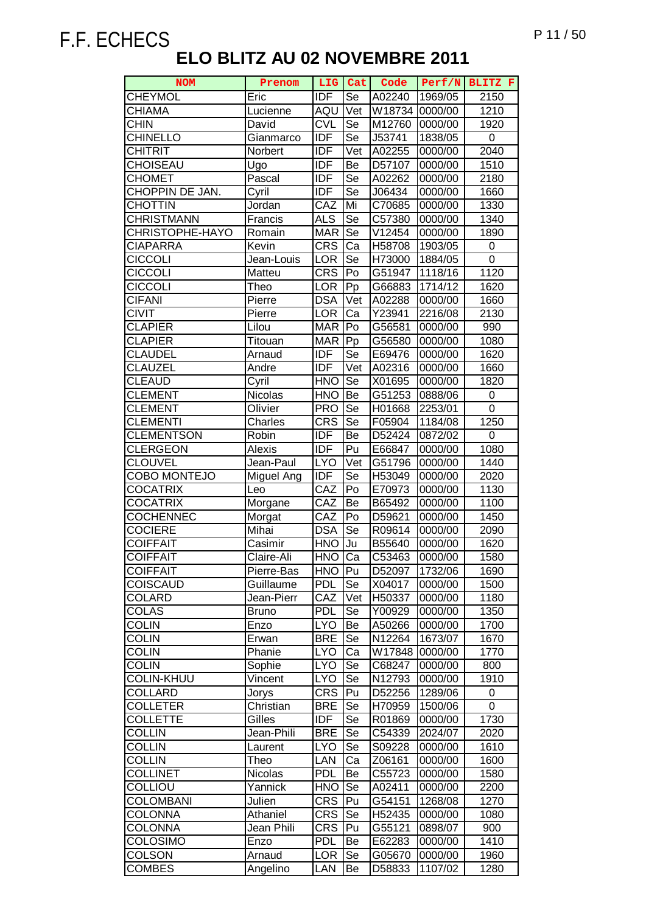| <b>NOM</b>        | Prenom       | LIG.       | Cat                        | Code           | Perf/N  | BLITZ F |
|-------------------|--------------|------------|----------------------------|----------------|---------|---------|
| <b>CHEYMOL</b>    | Eric         | <b>IDF</b> | Se                         | A02240         | 1969/05 | 2150    |
| <b>CHIAMA</b>     | Lucienne     | AQU        | $\overline{\mathsf{V}}$ et | W18734 0000/00 |         | 1210    |
| <b>CHIN</b>       | David        | <b>CVL</b> | Se                         | M12760         | 0000/00 | 1920    |
| <b>CHINELLO</b>   | Gianmarco    | <b>IDF</b> | $\overline{\mathsf{Se}}$   | J53741         | 1838/05 | 0       |
| CHITRIT           | Norbert      | <b>IDF</b> | Vet                        | A02255         | 0000/00 | 2040    |
| CHOISEAU          | Ugo          | <b>IDF</b> | Be                         | D57107         | 0000/00 | 1510    |
| <b>CHOMET</b>     | Pascal       | <b>IDF</b> | Se                         | A02262         | 0000/00 | 2180    |
| CHOPPIN DE JAN.   | Cyril        | <b>IDF</b> | Se                         | J06434         | 0000/00 | 1660    |
| <b>CHOTTIN</b>    | Jordan       | CAZ        | Mi                         | C70685         | 0000/00 | 1330    |
| CHRISTMANN        | Francis      | <b>ALS</b> | Se                         | C57380         | 0000/00 | 1340    |
| CHRISTOPHE-HAYO   | Romain       | <b>MAR</b> | Se                         | V12454         | 0000/00 | 1890    |
| CIAPARRA          | Kevin        | <b>CRS</b> | Ca                         | H58708         | 1903/05 | 0       |
| <b>CICCOLI</b>    | Jean-Louis   | <b>LOR</b> | Se                         | H73000         | 1884/05 | 0       |
| <b>CICCOLI</b>    | Matteu       | <b>CRS</b> | P <sub>O</sub>             | G51947         | 1118/16 | 1120    |
| <b>CICCOLI</b>    | Theo         | <b>LOR</b> | Pp                         | G66883         | 1714/12 | 1620    |
| <b>CIFANI</b>     | Pierre       | <b>DSA</b> | $\overline{\mathsf{V}}$ et | A02288         | 0000/00 | 1660    |
| CIVIT             | Pierre       | <b>LOR</b> | Ca                         | Y23941         | 2216/08 | 2130    |
| <b>CLAPIER</b>    | Lilou        | <b>MAR</b> | Po                         | G56581         | 0000/00 | 990     |
| <b>CLAPIER</b>    | Titouan      | <b>MAR</b> | Pp                         | G56580         | 0000/00 | 1080    |
| <b>CLAUDEL</b>    | Arnaud       | <b>IDF</b> | Se                         | E69476         | 0000/00 | 1620    |
| <b>CLAUZEL</b>    | Andre        | <b>IDF</b> | Vet                        | A02316         | 0000/00 | 1660    |
| <b>CLEAUD</b>     | Cyril        | <b>HNO</b> | Se                         | X01695         | 0000/00 | 1820    |
| <b>CLEMENT</b>    | Nicolas      | <b>HNO</b> | Be                         | G51253         | 0888/06 | 0       |
| <b>CLEMENT</b>    | Olivier      | <b>PRO</b> | Se                         | H01668         | 2253/01 | 0       |
| <b>CLEMENTI</b>   | Charles      | <b>CRS</b> | Se                         | F05904         | 1184/08 | 1250    |
| <b>CLEMENTSON</b> | Robin        | IDF        | Be                         | D52424         | 0872/02 | 0       |
| CLERGEON          | Alexis       | <b>IDF</b> | Pu                         | E66847         | 0000/00 | 1080    |
| <b>CLOUVEL</b>    | Jean-Paul    | <b>LYO</b> | Vet                        | G51796         | 0000/00 | 1440    |
| COBO MONTEJO      | Miguel Ang   | IDF        | Se                         | H53049         | 0000/00 | 2020    |
| <b>COCATRIX</b>   | Leo          | CAZ        | Po                         | E70973         | 0000/00 | 1130    |
| <b>COCATRIX</b>   | Morgane      | CAZ        | Be                         | B65492         | 0000/00 | 1100    |
| <b>COCHENNEC</b>  | Morgat       | CAZ        | Po                         | D59621         | 0000/00 | 1450    |
| <b>COCIERE</b>    | Mihai        | <b>DSA</b> | Se                         | R09614         | 0000/00 | 2090    |
| <b>COIFFAIT</b>   | Casimir      | <b>HNO</b> | Ju                         | B55640         | 0000/00 | 1620    |
| <b>COIFFAIT</b>   | Claire-Ali   | HNO        | Ca                         | C53463         | 0000/00 | 1580    |
| <b>COIFFAIT</b>   | Pierre-Bas   | HNO        | Pu                         | D52097         | 1732/06 | 1690    |
| <b>COISCAUD</b>   | Guillaume    | <b>PDL</b> | Se                         | X04017         | 0000/00 | 1500    |
| <b>COLARD</b>     | Jean-Pierr   | CAZ        | Vet                        | H50337         | 0000/00 | 1180    |
| COLAS             | <b>Bruno</b> | <b>PDL</b> | Se                         | Y00929         | 0000/00 | 1350    |
| <b>COLIN</b>      | Enzo         | <b>LYO</b> | Be                         | A50266         | 0000/00 | 1700    |
| <b>COLIN</b>      | Erwan        | <b>BRE</b> | Se                         | N12264         | 1673/07 | 1670    |
| <b>COLIN</b>      | Phanie       | <b>LYO</b> | Ca                         | W17848         | 0000/00 | 1770    |
| <b>COLIN</b>      | Sophie       | <b>LYO</b> | Se                         | C68247         | 0000/00 | 800     |
| <b>COLIN-KHUU</b> | Vincent      | <b>LYO</b> | Se                         | N12793         | 0000/00 | 1910    |
| COLLARD           | Jorys        | <b>CRS</b> | Pu                         | D52256         | 1289/06 | 0       |
| <b>COLLETER</b>   | Christian    | <b>BRE</b> | Se                         | H70959         | 1500/06 | 0       |
| <b>COLLETTE</b>   | Gilles       | <b>IDF</b> | Se                         | R01869         | 0000/00 | 1730    |
| COLLIN            | Jean-Phili   | <b>BRE</b> | Se                         | C54339         | 2024/07 | 2020    |
| <b>COLLIN</b>     | Laurent      | <b>LYO</b> | Se                         | S09228         | 0000/00 | 1610    |
| <b>COLLIN</b>     | Theo         | LAN        | Ca                         | Z06161         | 0000/00 | 1600    |
| <b>COLLINET</b>   | Nicolas      | <b>PDL</b> | Be                         | C55723         | 0000/00 | 1580    |
| COLLIOU           | Yannick      | <b>HNO</b> | Se                         | A02411         | 0000/00 | 2200    |
| <b>COLOMBANI</b>  | Julien       | <b>CRS</b> | Pu                         | G54151         | 1268/08 | 1270    |
| <b>COLONNA</b>    | Athaniel     | <b>CRS</b> | Se                         | H52435         | 0000/00 | 1080    |
| <b>COLONNA</b>    | Jean Phili   | <b>CRS</b> | Pu                         | G55121         | 0898/07 | 900     |
| <b>COLOSIMO</b>   | Enzo         | <b>PDL</b> | Be                         | E62283         | 0000/00 | 1410    |
| <b>COLSON</b>     | Arnaud       | <b>LOR</b> | Se                         | G05670         | 0000/00 | 1960    |
| <b>COMBES</b>     | Angelino     | LAN        | Be                         | D58833         | 1107/02 | 1280    |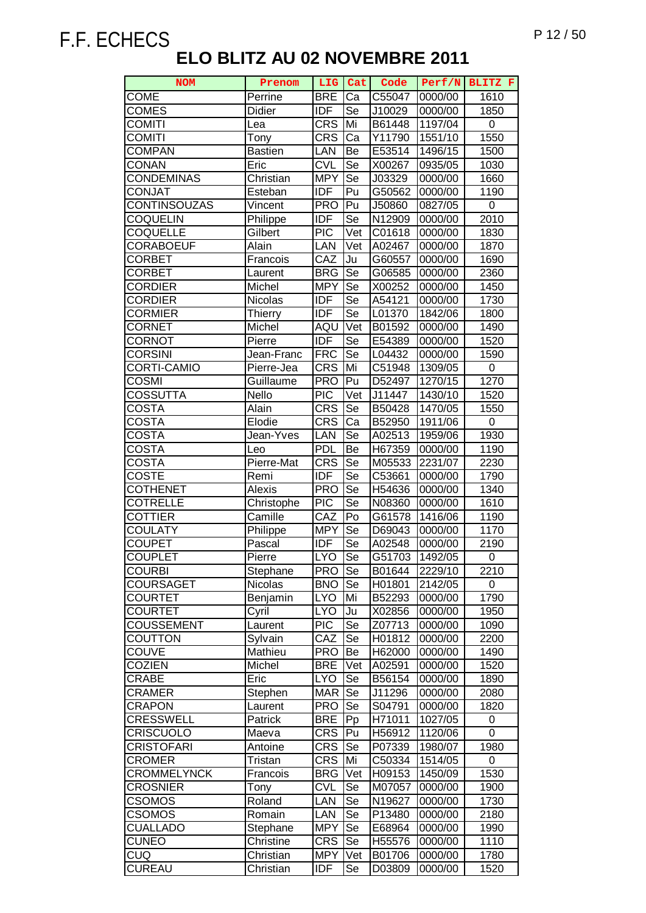| <b>NOM</b>          | Prenom         | LIG                      | Cat                      | Code   | Perf/N  | BLITZ F          |
|---------------------|----------------|--------------------------|--------------------------|--------|---------|------------------|
| <b>COME</b>         | Perrine        | <b>BRE</b>               | Ca                       | C55047 | 0000/00 | 1610             |
| <b>COMES</b>        | <b>Didier</b>  | <b>IDF</b>               | Se                       | J10029 | 0000/00 | 1850             |
| <b>COMITI</b>       | Lea            | <b>CRS</b>               | Mi                       | B61448 | 1197/04 | $\pmb{0}$        |
| <b>COMITI</b>       | Tony           | <b>CRS</b>               | Ca                       | Y11790 | 1551/10 | 1550             |
| <b>COMPAN</b>       | <b>Bastien</b> | LAN                      | Be                       | E53514 | 1496/15 | 1500             |
| CONAN               | Eric           | <b>CVL</b>               | Se                       | X00267 | 0935/05 | 1030             |
| <b>CONDEMINAS</b>   | Christian      | <b>MPY</b>               | Se                       | J03329 | 0000/00 | 1660             |
| <b>CONJAT</b>       | Esteban        | <b>IDF</b>               | Pu                       | G50562 | 0000/00 | 1190             |
| CONTINSOUZAS        | Vincent        | <b>PRO</b>               | Pu                       | J50860 | 0827/05 | $\boldsymbol{0}$ |
| COQUELIN            | Philippe       | <b>IDF</b>               | Se                       | N12909 | 0000/00 | 2010             |
| <b>COQUELLE</b>     | Gilbert        | <b>PIC</b>               | Vet                      | C01618 | 0000/00 | 1830             |
| CORABOEUF           | Alain          | LAN                      | Vet                      | A02467 | 0000/00 | 1870             |
| CORBET              | Francois       | CAZ                      | Ju                       | G60557 | 0000/00 | 1690             |
| CORBET              | Laurent        | <b>BRG</b>               | Se                       | G06585 | 0000/00 | 2360             |
| <b>CORDIER</b>      | Michel         | <b>MPY</b>               | Se                       | X00252 | 0000/00 | 1450             |
| <b>CORDIER</b>      | Nicolas        | <b>IDF</b>               | Se                       | A54121 | 0000/00 | 1730             |
| <b>CORMIER</b>      | Thierry        | <b>IDF</b>               | Se                       | L01370 | 1842/06 | 1800             |
| CORNET              | Michel         | AQU                      | Vet                      | B01592 | 0000/00 | 1490             |
| CORNOT              | Pierre         | <b>IDF</b>               | Se                       | E54389 | 0000/00 | 1520             |
| <b>CORSINI</b>      | Jean-Franc     | <b>FRC</b>               | $\overline{\mathsf{Se}}$ | L04432 | 0000/00 | 1590             |
| CORTI-CAMIO         | Pierre-Jea     | <b>CRS</b>               | Mi                       | C51948 | 1309/05 | 0                |
| COSMI               | Guillaume      | <b>PRO</b>               | Pu                       | D52497 | 1270/15 | 1270             |
| COSSUTTA            | Nello          | <b>PIC</b>               | Vet                      | J11447 | 1430/10 | 1520             |
| COSTA               | Alain          | <b>CRS</b>               | Se                       | B50428 | 1470/05 | 1550             |
| COSTA               | Elodie         | <b>CRS</b>               | Ca                       | B52950 | 1911/06 | 0                |
| <b>COSTA</b>        | Jean-Yves      | LAN                      | Se                       | A02513 | 1959/06 | 1930             |
| COSTA               | Leo            | <b>PDL</b>               | Be                       | H67359 | 0000/00 | 1190             |
| COSTA               | Pierre-Mat     | <b>CRS</b>               | Se                       | M05533 | 2231/07 | 2230             |
| <b>COSTE</b>        | Remi           | <b>IDF</b>               | $\overline{\mathsf{Se}}$ | C53661 | 0000/00 | 1790             |
| <b>COTHENET</b>     | Alexis         | <b>PRO</b>               | $\overline{\mathsf{Se}}$ | H54636 | 0000/00 | 1340             |
| <b>COTRELLE</b>     | Christophe     | <b>PIC</b>               | Se                       | N08360 | 0000/00 | 1610             |
| <b>COTTIER</b>      | Camille        | CAZ                      | Po                       | G61578 | 1416/06 | 1190             |
| <b>COULATY</b>      | Philippe       | <b>MPY</b>               | Se                       | D69043 | 0000/00 | 1170             |
| COUPET              | Pascal         | <b>IDF</b>               | Se                       | A02548 | 0000/00 | 2190             |
| <b>COUPLET</b>      | Pierre         | <b>LYO</b>               | Se                       | G51703 | 1492/05 | $\pmb{0}$        |
| <b>COURBI</b>       | Stephane       | <b>PRO</b>               | Se                       | B01644 | 2229/10 | 2210             |
| COURSAGET           | <b>Nicolas</b> | <b>BNO</b>               | Se                       | H01801 | 2142/05 | 0                |
| <b>COURTET</b>      | Benjamin       | <b>LYO</b>               | Mi                       | B52293 | 0000/00 | 1790             |
| <b>COURTET</b>      | Cyril          | <b>LYO</b>               | Ju                       | X02856 | 0000/00 | 1950             |
| COUSSEMENT          | Laurent        | <b>PIC</b>               | Se                       | Z07713 | 0000/00 | 1090             |
| COUTTON             | Sylvain        | CAZ                      | Se                       | H01812 | 0000/00 | 2200             |
| COUVE               | Mathieu        | <b>PRO</b>               | Be                       | H62000 | 0000/00 | 1490             |
| <b>COZIEN</b>       | Michel         | <b>BRE</b>               | Vet                      | A02591 | 0000/00 | 1520             |
| CRABE               | Eric           | <b>LYO</b>               | Se                       | B56154 | 0000/00 | 1890             |
| CRAMER              | Stephen        | <b>MAR</b>               | Se                       | J11296 | 0000/00 | 2080             |
| <b>CRAPON</b>       | Laurent        | <b>PRO</b>               | Se                       | S04791 | 0000/00 | 1820             |
| <b>CRESSWELL</b>    | Patrick        | <b>BRE</b>               | Pp                       | H71011 | 1027/05 | 0                |
| CRISCUOLO           | Maeva          | <b>CRS</b>               | Pu                       | H56912 | 1120/06 | 0                |
| CRISTOFARI          | Antoine        | <b>CRS</b>               | Se                       | P07339 | 1980/07 | 1980             |
| <b>CROMER</b>       | Tristan        | <b>CRS</b>               | Mi                       | C50334 | 1514/05 | 0                |
| <b>CROMMELYNCK</b>  | Francois       | <b>BRG</b>               | Vet                      | H09153 | 1450/09 | 1530             |
| <b>CROSNIER</b>     | Tony           | <b>CVL</b>               | Se                       | M07057 | 0000/00 | 1900             |
| <b>CSOMOS</b>       | Roland         | LAN                      | Se                       | N19627 | 0000/00 | 1730             |
| <b>CSOMOS</b>       | Romain         | <b>LAN</b>               | Se                       | P13480 | 0000/00 | 2180             |
| <b>CUALLADO</b>     |                | <b>MPY</b>               | Se                       |        | 0000/00 |                  |
|                     | Stephane       |                          |                          | E68964 |         | 1990             |
| CUNEO<br><b>CUQ</b> | Christine      | <b>CRS</b><br><b>MPY</b> | Se                       | H55576 | 0000/00 | 1110<br>1780     |
| <b>CUREAU</b>       | Christian      |                          | Vet                      | B01706 | 0000/00 |                  |
|                     | Christian      | IDF                      | Se                       | D03809 | 0000/00 | 1520             |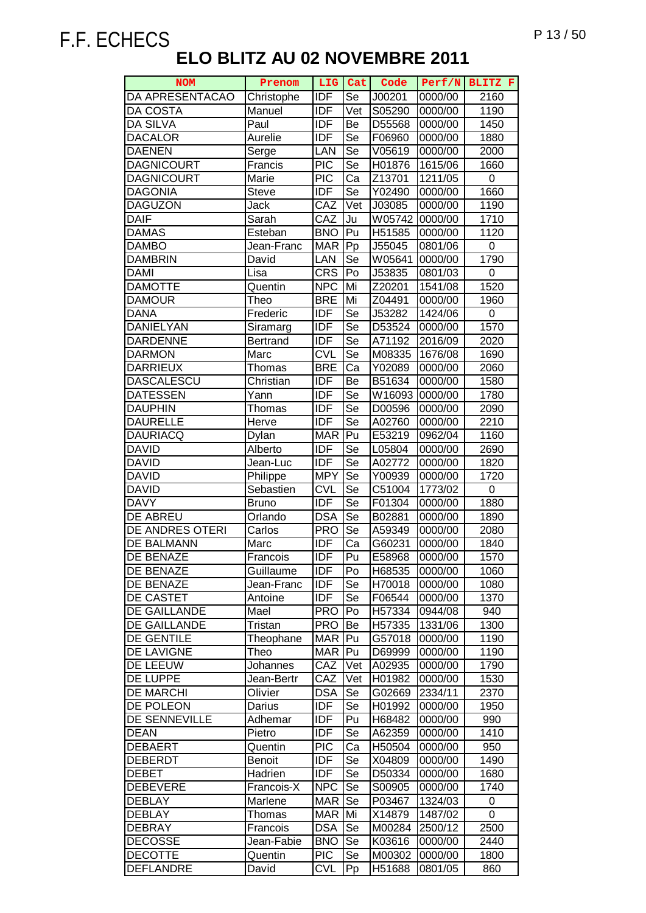| <b>NOM</b>        | Prenom          | LIG              | Cat                      | Code   | Perf/N  | BLITZ F |
|-------------------|-----------------|------------------|--------------------------|--------|---------|---------|
| DA APRESENTACAO   | Christophe      | IDF              | Se                       | J00201 | 0000/00 | 2160    |
| <b>DA COSTA</b>   | Manuel          | IDF              | Vet                      | S05290 | 0000/00 | 1190    |
| <b>DA SILVA</b>   | Paul            | <b>IDF</b>       | Be                       | D55568 | 0000/00 | 1450    |
| <b>DACALOR</b>    | Aurelie         | <b>IDF</b>       | Se                       | F06960 | 0000/00 | 1880    |
| <b>DAENEN</b>     | Serge           | LAN              | Se                       | V05619 | 0000/00 | 2000    |
| <b>DAGNICOURT</b> | Francis         | $\overline{PIC}$ | Se                       | H01876 | 1615/06 | 1660    |
| <b>DAGNICOURT</b> | Marie           | <b>PIC</b>       | Ca                       | Z13701 | 1211/05 | 0       |
| <b>DAGONIA</b>    | Steve           | <b>IDF</b>       | Se                       | Y02490 | 0000/00 | 1660    |
| <b>DAGUZON</b>    | Jack            | CAZ              | Vet                      | J03085 | 0000/00 | 1190    |
| <b>DAIF</b>       | Sarah           | CAZ              | Ju                       | W05742 | 0000/00 | 1710    |
| <b>DAMAS</b>      | Esteban         | <b>BNO</b>       | Pu                       | H51585 | 0000/00 | 1120    |
| <b>DAMBO</b>      | Jean-Franc      | <b>MAR</b>       | Pp                       | J55045 | 0801/06 | 0       |
| <b>DAMBRIN</b>    | David           | LAN              | Se                       | W05641 | 0000/00 | 1790    |
| <b>DAMI</b>       | Lisa            | <b>CRS</b>       | Po                       | J53835 | 0801/03 | 0       |
| <b>DAMOTTE</b>    | Quentin         | <b>NPC</b>       | Mi                       | Z20201 | 1541/08 | 1520    |
| <b>DAMOUR</b>     | Theo            | <b>BRE</b>       | Mi                       | Z04491 | 0000/00 | 1960    |
| <b>DANA</b>       | Frederic        | <b>IDF</b>       | Se                       | J53282 | 1424/06 | 0       |
| DANIELYAN         | Siramarg        | <b>IDF</b>       | $\overline{\text{Se}}$   | D53524 | 0000/00 | 1570    |
| <b>DARDENNE</b>   | <b>Bertrand</b> | <b>IDF</b>       | Se                       | A71192 | 2016/09 | 2020    |
| <b>DARMON</b>     | Marc            | <b>CVL</b>       | Se                       | M08335 | 1676/08 | 1690    |
| <b>DARRIEUX</b>   | Thomas          | <b>BRE</b>       | Ca                       | Y02089 | 0000/00 | 2060    |
| <b>DASCALESCU</b> | Christian       | <b>IDF</b>       | Be                       | B51634 | 0000/00 | 1580    |
| <b>DATESSEN</b>   | Yann            | <b>IDF</b>       | Se                       | W16093 | 0000/00 | 1780    |
| <b>DAUPHIN</b>    | Thomas          | <b>IDF</b>       | Se                       | D00596 | 0000/00 | 2090    |
| <b>DAURELLE</b>   | Herve           | IDF              | Se                       | A02760 | 0000/00 | 2210    |
| <b>DAURIACQ</b>   | Dylan           | <b>MAR</b>       | Pu                       | E53219 | 0962/04 | 1160    |
| <b>DAVID</b>      | Alberto         | <b>IDF</b>       | Se                       | L05804 | 0000/00 | 2690    |
| <b>DAVID</b>      | Jean-Luc        | <b>IDF</b>       | $\overline{\mathsf{Se}}$ | A02772 | 0000/00 | 1820    |
| <b>DAVID</b>      | Philippe        | <b>MPY</b>       | Se                       | Y00939 | 0000/00 | 1720    |
| <b>DAVID</b>      | Sebastien       | <b>CVL</b>       | Se                       | C51004 | 1773/02 | 0       |
| <b>DAVY</b>       | <b>Bruno</b>    | <b>IDF</b>       | Se                       | F01304 | 0000/00 | 1880    |
| DE ABREU          | Orlando         | <b>DSA</b>       | Se                       | B02881 | 0000/00 | 1890    |
| DE ANDRES OTERI   | Carlos          | <b>PRO</b>       | Se                       | A59349 | 0000/00 | 2080    |
| DE BALMANN        | Marc            | <b>IDF</b>       | Ca                       | G60231 | 0000/00 | 1840    |
| DE BENAZE         | Francois        | IDF              | Pu                       | E58968 | 0000/00 | 1570    |
| DE BENAZE         | Guillaume       | <b>IDF</b>       | Po                       | H68535 | 0000/00 | 1060    |
| DE BENAZE         | Jean-Franc      | <b>IDF</b>       | Se                       | H70018 | 0000/00 | 1080    |
| DE CASTET         | Antoine         | IDF              | Se                       | F06544 | 0000/00 | 1370    |
| DE GAILLANDE      | Mael            | <b>PRO</b>       | Po                       | H57334 | 0944/08 | 940     |
| DE GAILLANDE      | Tristan         | <b>PRO</b>       | Be                       | H57335 | 1331/06 | 1300    |
| <b>DE GENTILE</b> | Theophane       | <b>MAR</b>       | Pu                       | G57018 | 0000/00 | 1190    |
| DE LAVIGNE        | Theo            | <b>MAR</b>       | lPu                      | D69999 | 0000/00 | 1190    |
| DE LEEUW          | Johannes        | CAZ              | Vet                      | A02935 | 0000/00 | 1790    |
| DE LUPPE          | Jean-Bertr      | CAZ              | Vet                      | H01982 | 0000/00 | 1530    |
| <b>DE MARCHI</b>  | Olivier         | <b>DSA</b>       | Se                       | G02669 | 2334/11 | 2370    |
| DE POLEON         | Darius          | <b>IDF</b>       | Se                       | H01992 | 0000/00 | 1950    |
| DE SENNEVILLE     | Adhemar         | <b>IDF</b>       | Pu                       | H68482 | 0000/00 | 990     |
| <b>DEAN</b>       | Pietro          | <b>IDF</b>       | Se                       | A62359 | 0000/00 | 1410    |
| <b>DEBAERT</b>    | Quentin         | <b>PIC</b>       | Ca                       | H50504 | 0000/00 | 950     |
| <b>DEBERDT</b>    | <b>Benoit</b>   | <b>IDF</b>       | Se                       | X04809 | 0000/00 | 1490    |
| <b>DEBET</b>      | Hadrien         | <b>IDF</b>       | Se                       | D50334 | 0000/00 | 1680    |
| <b>DEBEVERE</b>   | Francois-X      | <b>NPC</b>       | Se                       | S00905 | 0000/00 | 1740    |
| <b>DEBLAY</b>     | Marlene         | <b>MAR</b>       | Se                       | P03467 | 1324/03 | 0       |
| <b>DEBLAY</b>     | Thomas          | <b>MAR</b>       | Mi                       | X14879 | 1487/02 | 0       |
| <b>DEBRAY</b>     | Francois        | <b>DSA</b>       | Se                       | M00284 | 2500/12 | 2500    |
| <b>DECOSSE</b>    | Jean-Fabie      | <b>BNO</b>       | Se                       | K03616 | 0000/00 | 2440    |
| <b>DECOTTE</b>    | Quentin         | <b>PIC</b>       | Se                       | M00302 | 0000/00 | 1800    |
| <b>DEFLANDRE</b>  | David           | <b>CVL</b>       | Pp                       | H51688 | 0801/05 | 860     |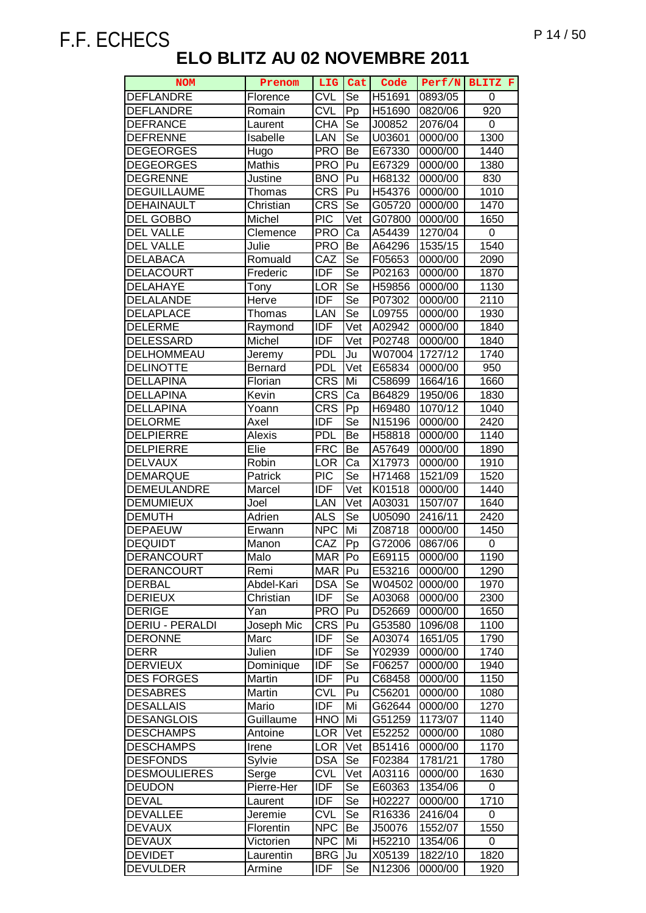| <b>NOM</b>                            | Prenom               | LIG                      | Cat        | Code             | Perf/N             | BLITZ F      |
|---------------------------------------|----------------------|--------------------------|------------|------------------|--------------------|--------------|
| <b>DEFLANDRE</b>                      | Florence             | <b>CVL</b>               | Se         | H51691           | 0893/05            | 0            |
| <b>DEFLANDRE</b>                      | Romain               | <b>CVL</b>               | $\bar{P}p$ | H51690           | 0820/06            | 920          |
| <b>DEFRANCE</b>                       | Laurent              | CHA                      | Se         | J00852           | 2076/04            | 0            |
| <b>DEFRENNE</b>                       | Isabelle             | LAN                      | Se         | U03601           | 0000/00            | 1300         |
| <b>DEGEORGES</b>                      | Hugo                 | <b>PRO</b>               | Be         | E67330           | 0000/00            | 1440         |
| <b>DEGEORGES</b>                      | Mathis               | <b>PRO</b>               | Pu         | E67329           | 0000/00            | 1380         |
| <b>DEGRENNE</b>                       | Justine              | <b>BNO</b>               | Pu         | H68132           | 0000/00            | 830          |
| <b>DEGUILLAUME</b>                    | Thomas               | <b>CRS</b>               | Pu         | H54376           | 0000/00            | 1010         |
| <b>DEHAINAULT</b>                     | Christian            | <b>CRS</b>               | Se         | G05720           | 0000/00            | 1470         |
| <b>DEL GOBBO</b>                      | Michel               | <b>PIC</b>               | Vet        | G07800           | 0000/00            | 1650         |
| <b>DEL VALLE</b>                      | Clemence             | <b>PRO</b>               | Ca         | A54439           | 1270/04            | 0            |
| <b>DEL VALLE</b>                      | Julie                | <b>PRO</b>               | Be         | A64296           | 1535/15            | 1540         |
| <b>DELABACA</b>                       | Romuald              | CAZ                      | Se         | F05653           | 0000/00            | 2090         |
| <b>DELACOURT</b>                      | Frederic             | <b>IDF</b>               | Se         | P02163           | 0000/00            | 1870         |
| <b>DELAHAYE</b>                       | Tony                 | <b>LOR</b>               | Se         | H59856           | 0000/00            | 1130         |
| <b>DELALANDE</b>                      | Herve                | <b>IDF</b>               | Se         | P07302           | 0000/00            | 2110         |
| <b>DELAPLACE</b>                      | Thomas               | LAN                      | Se         | L09755           | 0000/00            | 1930         |
| <b>DELERME</b>                        | Raymond              | <b>IDF</b>               | Vet        | A02942           | 0000/00            | 1840         |
| <b>DELESSARD</b>                      | Michel               | <b>IDF</b>               | Vet        | P02748           | 0000/00            | 1840         |
| DELHOMMEAU                            | Jeremy               | <b>PDL</b>               | Ju         | W07004           | 1727/12            | 1740         |
| <b>DELINOTTE</b>                      | <b>Bernard</b>       | <b>PDL</b>               | Vet        | E65834           | 0000/00            | 950          |
| <b>DELLAPINA</b>                      | Florian              | <b>CRS</b>               | Mi         | C58699           | 1664/16            | 1660         |
| <b>DELLAPINA</b>                      | Kevin                | <b>CRS</b>               | Ca         | B64829           | 1950/06            | 1830         |
| <b>DELLAPINA</b>                      | Yoann                | <b>CRS</b>               | Pp         | H69480           | 1070/12            | 1040         |
| <b>DELORME</b>                        | Axel                 | <b>IDF</b>               | Se         | N15196           | 0000/00            | 2420         |
| <b>DELPIERRE</b>                      | Alexis               | <b>PDL</b>               | Be         | H58818           | 0000/00            | 1140         |
| <b>DELPIERRE</b>                      | Elie                 | <b>FRC</b>               | Be         | A57649           | 0000/00            | 1890         |
| <b>DELVAUX</b>                        | Robin                | <b>LOR</b>               | Ca         | X17973           | 0000/00            | 1910         |
| <b>DEMARQUE</b>                       | Patrick              | <b>PIC</b>               | Se         | H71468           | 1521/09            | 1520         |
| <b>DEMEULANDRE</b>                    | Marcel               | <b>IDF</b>               | Vet        | K01518           | 0000/00            | 1440         |
| <b>DEMUMIEUX</b>                      | Joel                 | LAN                      | Vet        | A03031           | 1507/07            | 1640         |
| <b>DEMUTH</b>                         | Adrien               | <b>ALS</b>               | Se         | U05090           | 2416/11            | 2420         |
| <b>DEPAEUW</b>                        | Erwann               | <b>NPC</b>               | Mi         | Z08718           | 0000/00            | 1450         |
| <b>DEQUIDT</b>                        | Manon                | CAZ                      | Pp         | G72006           | 0867/06            | 0            |
| <b>DERANCOURT</b>                     | Malo                 | MAR <sup>1</sup>         | Po         | E69115           | 0000/00            | 1190         |
| <b>DERANCOURT</b>                     | Remi                 | MAR   Pu                 |            | E53216           | 0000/00            | 1290         |
| <b>DERBAL</b>                         | Abdel-Kari           | <b>DSA</b>               | Se         | W04502           | 0000/00            | 1970         |
| <b>DERIEUX</b>                        | Christian            | <b>IDF</b>               | Se         | A03068           | 0000/00            | 2300         |
| <b>DERIGE</b>                         | Yan                  | <b>PRO</b>               | Pu         | D52669           | 0000/00            | 1650         |
| DERIU - PERALDI                       | Joseph Mic           | <b>CRS</b>               | Pu         | G53580           | 1096/08            | 1100         |
| <b>DERONNE</b>                        | Marc                 | <b>IDF</b>               | Se         | A03074           | 1651/05            | 1790         |
| <b>DERR</b>                           | Julien               | <b>IDF</b>               | Se         | Y02939           | 0000/00            | 1740         |
| <b>DERVIEUX</b>                       | Dominique            | <b>IDF</b>               | Se         | F06257           | 0000/00            | 1940         |
| <b>DES FORGES</b>                     | Martin<br>Martin     | <b>IDF</b><br><b>CVL</b> | Pu         | C68458           | 0000/00            | 1150         |
| <b>DESABRES</b>                       |                      |                          | Pu         | C56201           | 0000/00            | 1080         |
| <b>DESALLAIS</b><br><b>DESANGLOIS</b> | Mario                | <b>IDF</b><br><b>HNO</b> | Mi<br>Mi   | G62644           | 0000/00            | 1270         |
| <b>DESCHAMPS</b>                      | Guillaume<br>Antoine | <b>LOR</b>               | Vet        | G51259<br>E52252 | 1173/07<br>0000/00 | 1140<br>1080 |
| <b>DESCHAMPS</b>                      | Irene                | <b>LOR</b>               | Vet        | B51416           | 0000/00            | 1170         |
| <b>DESFONDS</b>                       | Sylvie               | <b>DSA</b>               | Se         | F02384           | 1781/21            | 1780         |
| <b>DESMOULIERES</b>                   | Serge                | <b>CVL</b>               | Vet        | A03116           | 0000/00            | 1630         |
| <b>DEUDON</b>                         | Pierre-Her           | <b>IDF</b>               | Se         | E60363           | 1354/06            | 0            |
| <b>DEVAL</b>                          | Laurent              | <b>IDF</b>               | Se         | H02227           | 0000/00            | 1710         |
| <b>DEVALLEE</b>                       | Jeremie              | <b>CVL</b>               | Se         | R16336           | 2416/04            | 0            |
| <b>DEVAUX</b>                         | Florentin            | <b>NPC</b>               | Be         | J50076           | 1552/07            | 1550         |
| <b>DEVAUX</b>                         | Victorien            | <b>NPC</b>               | Mi         | H52210           | 1354/06            | 0            |
| <b>DEVIDET</b>                        | Laurentin            | <b>BRG</b>               | Ju         | X05139           | 1822/10            | 1820         |
| <b>DEVULDER</b>                       | Armine               | IDF                      | Se         | N12306           | 0000/00            | 1920         |
|                                       |                      |                          |            |                  |                    |              |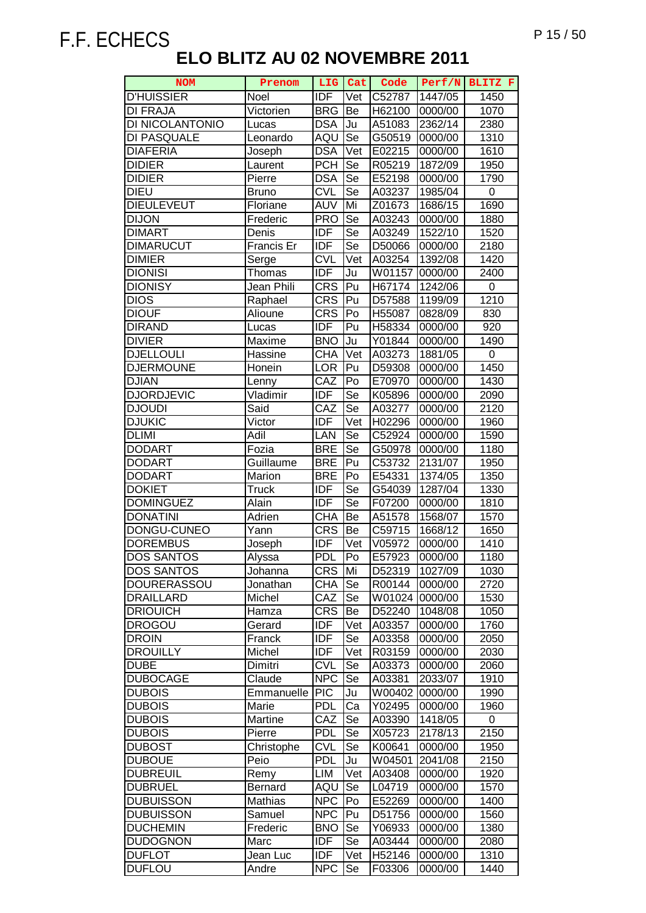| <b>NOM</b>         | Prenom         | LIG               | Cat       | Code   | Perf/N  | BLITZ F           |
|--------------------|----------------|-------------------|-----------|--------|---------|-------------------|
| <b>D'HUISSIER</b>  | Noel           | <b>IDF</b>        | Vet       | C52787 | 1447/05 | 1450              |
| <b>DI FRAJA</b>    | Victorien      | <b>BRG</b>        | Be        | H62100 | 0000/00 | 1070              |
| DI NICOLANTONIO    | Lucas          | <b>DSA</b>        | Ju        | A51083 | 2362/14 | 2380              |
| DI PASQUALE        | Leonardo       | AQU               | Se        | G50519 | 0000/00 | 1310              |
| <b>DIAFERIA</b>    | Joseph         | <b>DSA</b>        | Vet       | E02215 | 0000/00 | 1610              |
| <b>DIDIER</b>      | Laurent        | <b>PCH</b>        | Se        | R05219 | 1872/09 | 1950              |
| <b>DIDIER</b>      | Pierre         | <b>DSA</b>        | Se        | E52198 | 0000/00 | 1790              |
| <b>DIEU</b>        | <b>Bruno</b>   | <b>CVL</b>        | Se        | A03237 | 1985/04 | 0                 |
| <b>DIEULEVEUT</b>  | Floriane       | <b>AUV</b>        | Mi        | Z01673 | 1686/15 | 1690              |
| <b>DIJON</b>       | Frederic       | <b>PRO</b>        | Se        | A03243 | 0000/00 | 1880              |
| <b>DIMART</b>      | Denis          | <b>IDF</b>        | Se        | A03249 | 1522/10 | 1520              |
| <b>DIMARUCUT</b>   | Francis Er     | IDF               | Se        | D50066 | 0000/00 | $\overline{2180}$ |
| <b>DIMIER</b>      | Serge          | <b>CVL</b>        | Vet       | A03254 | 1392/08 | 1420              |
| <b>DIONISI</b>     | Thomas         | <b>IDF</b>        | Ju        | W01157 | 0000/00 | 2400              |
| <b>DIONISY</b>     | Jean Phili     | <b>CRS</b>        | Pu        | H67174 | 1242/06 | 0                 |
| <b>DIOS</b>        | Raphael        | <b>CRS</b>        | Pu        | D57588 | 1199/09 | 1210              |
| <b>DIOUF</b>       | Alioune        | <b>CRS</b>        | Po        | H55087 | 0828/09 | 830               |
| <b>DIRAND</b>      | Lucas          | <b>IDF</b>        | Pu        | H58334 | 0000/00 | 920               |
| <b>DIVIER</b>      | Maxime         | <b>BNO</b>        | Ju        | Y01844 | 0000/00 | 1490              |
| <b>DJELLOULI</b>   | Hassine        | <b>CHA</b>        | Vet       | A03273 | 1881/05 | $\pmb{0}$         |
| <b>DJERMOUNE</b>   | Honein         | <b>LOR</b>        | Pu        | D59308 | 0000/00 | 1450              |
| <b>DJIAN</b>       | Lenny          | CAZ               | Po        | E70970 | 0000/00 | 1430              |
| <b>DJORDJEVIC</b>  | Vladimir       | <b>IDF</b>        | Se        | K05896 | 0000/00 | 2090              |
| <b>DJOUDI</b>      | Said           | CAZ               | Se        | A03277 | 0000/00 | 2120              |
| <b>DJUKIC</b>      | Victor         | <b>IDF</b>        | Vet       | H02296 | 0000/00 | 1960              |
| <b>DLIMI</b>       | Adil           | LAN               | Se        | C52924 | 0000/00 | 1590              |
| <b>DODART</b>      | Fozia          | <b>BRE</b>        | Se        | G50978 | 0000/00 | 1180              |
| <b>DODART</b>      | Guillaume      | <b>BRE</b>        | Pu        | C53732 | 2131/07 | 1950              |
| <b>DODART</b>      | Marion         | <b>BRE</b>        | Po        | E54331 | 1374/05 | 1350              |
| <b>DOKIET</b>      | <b>Truck</b>   | <b>IDF</b>        | Se        | G54039 | 1287/04 | 1330              |
| <b>DOMINGUEZ</b>   | Alain          | <b>IDF</b>        | Se        | F07200 | 0000/00 | 1810              |
| <b>DONATINI</b>    | Adrien         | CHA               | Be        | A51578 | 1568/07 | 1570              |
| DONGU-CUNEO        | Yann           | $CR\overline{S}$  | Be        | C59715 | 1668/12 | 1650              |
| <b>DOREMBUS</b>    | Joseph         | <b>IDF</b>        | Vet       | V05972 | 0000/00 | 1410              |
| <b>DOS SANTOS</b>  | Alvssa         | PDL               | Po        | E57923 | 0000/00 | 1180              |
| <b>DOS SANTOS</b>  | Johanna        | <b>CRS</b>        | Mi        | D52319 | 1027/09 | 1030              |
| <b>DOURERASSOU</b> | Jonathan       | <b>CHA</b>        | Se        | R00144 | 0000/00 | 2720              |
| <b>DRAILLARD</b>   | Michel         | CAZ               | Se        | W01024 | 0000/00 | 1530              |
| <b>DRIOUICH</b>    | Hamza          | <b>CRS</b>        | Be        | D52240 | 1048/08 | 1050              |
| <b>DROGOU</b>      | Gerard         | <b>IDF</b>        | Vet       | A03357 | 0000/00 | 1760              |
| <b>DROIN</b>       | Franck         | <b>IDF</b>        | Se        | A03358 | 0000/00 | 2050              |
| <b>DROUILLY</b>    | Michel         | <b>IDF</b>        | Vet       | R03159 | 0000/00 | 2030              |
| <b>DUBE</b>        | Dimitri        | <b>CVL</b>        | Se        | A03373 | 0000/00 | 2060              |
| <b>DUBOCAGE</b>    | Claude         | <b>NPC</b>        | Se        | A03381 | 2033/07 | 1910              |
| <b>DUBOIS</b>      | Emmanuelle     | $\overline{P}$ IC | Ju        | W00402 | 0000/00 | 1990              |
| <b>DUBOIS</b>      | Marie          | <b>PDL</b>        | Ca        | Y02495 | 0000/00 | 1960              |
| <b>DUBOIS</b>      | Martine        | CAZ               | Se        | A03390 | 1418/05 | 0                 |
| <b>DUBOIS</b>      | Pierre         | <b>PDL</b>        | Se        | X05723 | 2178/13 | 2150              |
| <b>DUBOST</b>      | Christophe     | <b>CVL</b>        | <b>Se</b> | K00641 | 0000/00 | 1950              |
| <b>DUBOUE</b>      | Peio           | <b>PDL</b>        | Ju        | W04501 | 2041/08 | 2150              |
| <b>DUBREUIL</b>    | Remy           | LIM               | Vet       | A03408 | 0000/00 | 1920              |
| <b>DUBRUEL</b>     | <b>Bernard</b> | AQU               | Se        | L04719 | 0000/00 | 1570              |
| <b>DUBUISSON</b>   | Mathias        | <b>NPC</b>        | Po        | E52269 | 0000/00 | 1400              |
| <b>DUBUISSON</b>   | Samuel         | <b>NPC</b>        | Pu        | D51756 | 0000/00 | 1560              |
| <b>DUCHEMIN</b>    | Frederic       | <b>BNO</b>        | Se        | Y06933 | 0000/00 | 1380              |
| <b>DUDOGNON</b>    | Marc           | <b>IDF</b>        | Se        | A03444 | 0000/00 | 2080              |
| <b>DUFLOT</b>      | Jean Luc       | <b>IDF</b>        | Vet       | H52146 | 0000/00 | 1310              |
| <b>DUFLOU</b>      | Andre          | <b>NPC</b>        | Se        | F03306 | 0000/00 | 1440              |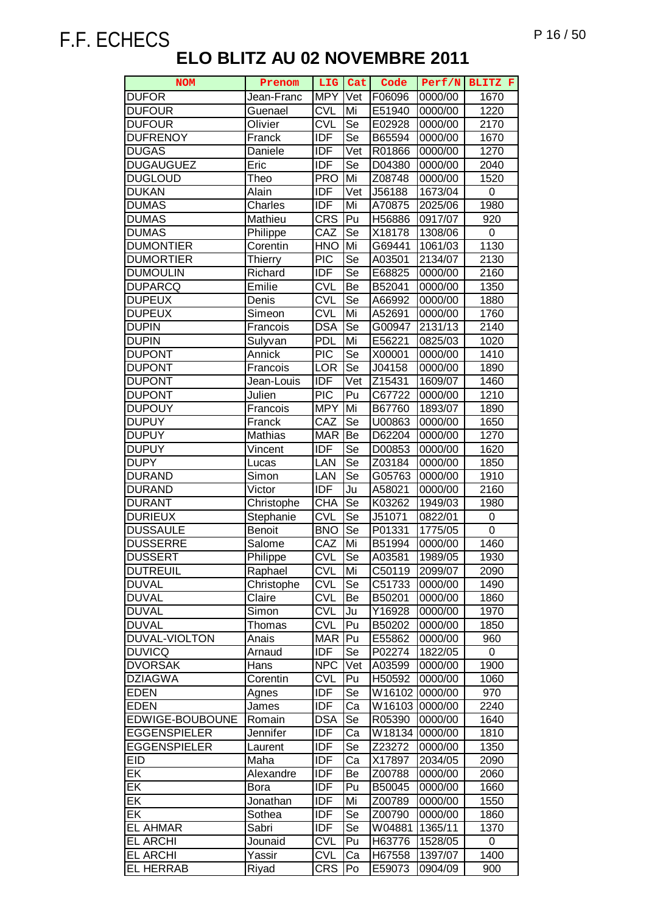| <b>NOM</b>               | Prenom         | LIG        | Cat                    | Code   | Perf/N  | BLITZ F           |
|--------------------------|----------------|------------|------------------------|--------|---------|-------------------|
| <b>DUFOR</b>             | Jean-Franc     | <b>MPY</b> | Vet                    | F06096 | 0000/00 | 1670              |
| <b>DUFOUR</b>            | Guenael        | <b>CVL</b> | Mi                     | E51940 | 0000/00 | $\overline{1220}$ |
| <b>DUFOUR</b>            | Olivier        | <b>CVL</b> | Se                     | E02928 | 0000/00 | 2170              |
| <b>DUFRENOY</b>          | Franck         | <b>IDF</b> | $\overline{\text{Se}}$ | B65594 | 0000/00 | 1670              |
| <b>DUGAS</b>             | Daniele        | <b>IDF</b> | Vet                    | R01866 | 0000/00 | 1270              |
| <b>DUGAUGUEZ</b>         | Eric           | <b>IDF</b> | Se                     | D04380 | 0000/00 | 2040              |
| <b>DUGLOUD</b>           | Theo           | <b>PRO</b> | Mi                     | Z08748 | 0000/00 | 1520              |
| <b>DUKAN</b>             | Alain          | <b>IDF</b> | Vet                    | J56188 | 1673/04 | 0                 |
| <b>DUMAS</b>             | Charles        | <b>IDF</b> | Mi                     | A70875 | 2025/06 | 1980              |
| <b>DUMAS</b>             | Mathieu        | <b>CRS</b> | Pu                     | H56886 | 0917/07 | 920               |
| <b>DUMAS</b>             | Philippe       | CAZ        | Se                     | X18178 | 1308/06 | 0                 |
| <b>DUMONTIER</b>         | Corentin       | <b>HNO</b> | Mi                     | G69441 | 1061/03 | 1130              |
| <b>DUMORTIER</b>         | <b>Thierry</b> | <b>PIC</b> | Se                     | A03501 | 2134/07 | 2130              |
| <b>DUMOULIN</b>          | Richard        | <b>IDF</b> | Se                     | E68825 | 0000/00 | 2160              |
| <b>DUPARCQ</b>           | Emilie         | <b>CVL</b> | Be                     | B52041 | 0000/00 | 1350              |
| <b>DUPEUX</b>            | Denis          | <b>CVL</b> | Se                     | A66992 | 0000/00 | 1880              |
| <b>DUPEUX</b>            | Simeon         | <b>CVL</b> | Mi                     | A52691 | 0000/00 | 1760              |
| <b>DUPIN</b>             | Francois       | <b>DSA</b> | Se                     | G00947 | 2131/13 | 2140              |
| <b>DUPIN</b>             | Sulyvan        | <b>PDL</b> | Mi                     | E56221 | 0825/03 | 1020              |
| <b>DUPONT</b>            | Annick         | <b>PIC</b> | Se                     | X00001 | 0000/00 | 1410              |
| <b>DUPONT</b>            | Francois       | LOR        | Se                     | J04158 | 0000/00 | 1890              |
| <b>DUPONT</b>            | Jean-Louis     | <b>IDF</b> | Vet                    | Z15431 | 1609/07 | 1460              |
| <b>DUPONT</b>            | Julien         | <b>PIC</b> | Pu                     | C67722 | 0000/00 | 1210              |
| <b>DUPOUY</b>            | Francois       | <b>MPY</b> | Mi                     | B67760 | 1893/07 | 1890              |
| <b>DUPUY</b>             | Franck         | CAZ        | Se                     | U00863 | 0000/00 | 1650              |
| <b>DUPUY</b>             | Mathias        | <b>MAR</b> | Be                     | D62204 | 0000/00 | 1270              |
| <b>DUPUY</b>             | Vincent        | <b>IDF</b> | Se                     | D00853 | 0000/00 | 1620              |
| <b>DUPY</b>              | Lucas          | LAN        | Se                     | Z03184 | 0000/00 | 1850              |
| <b>DURAND</b>            | Simon          | LAN        | Se                     | G05763 | 0000/00 | 1910              |
| <b>DURAND</b>            | Victor         | <b>IDF</b> | Ju                     | A58021 | 0000/00 | 2160              |
| <b>DURANT</b>            | Christophe     | <b>CHA</b> | Se                     | K03262 | 1949/03 | 1980              |
| <b>DURIEUX</b>           | Stephanie      | <b>CVL</b> | Se                     | J51071 | 0822/01 | 0                 |
| <b>DUSSAULE</b>          | <b>Benoit</b>  | <b>BNO</b> | Se                     | P01331 | 1775/05 | $\overline{0}$    |
| <b>DUSSERRE</b>          | Salome         | CAZ        | Mi                     | B51994 | 0000/00 | 1460              |
| <b>DUSSERT</b>           | Philippe       | <b>CVL</b> | Se                     | A03581 | 1989/05 | 1930              |
| <b>DUTREUIL</b>          | Raphael        | <b>CVL</b> | Mi                     | C50119 | 2099/07 | 2090              |
| <b>DUVAL</b>             | Christophe     | <b>CVL</b> | Se                     | C51733 | 0000/00 | 1490              |
| <b>DUVAL</b>             | Claire         | <b>CVL</b> | Be                     | B50201 | 0000/00 | 1860              |
| <b>DUVAL</b>             | Simon          | <b>CVL</b> | Ju                     | Y16928 | 0000/00 | 1970              |
| <b>DUVAL</b>             | Thomas         | <b>CVL</b> | Pu                     | B50202 | 0000/00 | 1850              |
| DUVAL-VIOLTON            | Anais          | <b>MAR</b> | Pu                     | E55862 | 0000/00 | 960               |
| <b>DUVICQ</b>            | Arnaud         | <b>IDF</b> | Se                     | P02274 | 1822/05 | 0                 |
| <b>DVORSAK</b>           | Hans           | <b>NPC</b> | Vet                    | A03599 | 0000/00 | 1900              |
| <b>DZIAGWA</b>           | Corentin       | <b>CVL</b> | Pu                     | H50592 | 0000/00 | 1060              |
| <b>EDEN</b>              | Agnes          | <b>IDF</b> | Se                     | W16102 | 0000/00 | 970               |
| EDEN                     | James          | <b>IDF</b> | Ca                     | W16103 | 0000/00 | 2240              |
| EDWIGE-BOUBOUNE          | Romain         | <b>DSA</b> | Se                     | R05390 | 0000/00 | 1640              |
| <b>EGGENSPIELER</b>      | Jennifer       | <b>IDF</b> | Ca                     | W18134 | 0000/00 | 1810              |
| <b>EGGENSPIELER</b>      | Laurent        | IDF        | Se                     | Z23272 | 0000/00 | 1350              |
| <b>EID</b>               | Maha           | IDF        | Ca                     | X17897 | 2034/05 | 2090              |
| EK                       | Alexandre      | <b>IDF</b> | Be                     | Z00788 | 0000/00 | 2060              |
| EK                       | Bora           | <b>IDF</b> | Pu                     | B50045 | 0000/00 | 1660              |
| $E$ K                    | Jonathan       | <b>IDF</b> | Mi                     | Z00789 | 0000/00 | 1550              |
| $\overline{\mathsf{EK}}$ | Sothea         | <b>IDF</b> | Se                     | Z00790 | 0000/00 | 1860              |
| <b>EL AHMAR</b>          | Sabri          | <b>IDF</b> | Se                     | W04881 | 1365/11 | 1370              |
| <b>EL ARCHI</b>          | Jounaid        | <b>CVL</b> | Pu                     | H63776 | 1528/05 | 0                 |
| <b>EL ARCHI</b>          | Yassir         | <b>CVL</b> | Ca                     | H67558 | 1397/07 | 1400              |
| <b>EL HERRAB</b>         | Riyad          | <b>CRS</b> | Po                     | E59073 | 0904/09 | 900               |
|                          |                |            |                        |        |         |                   |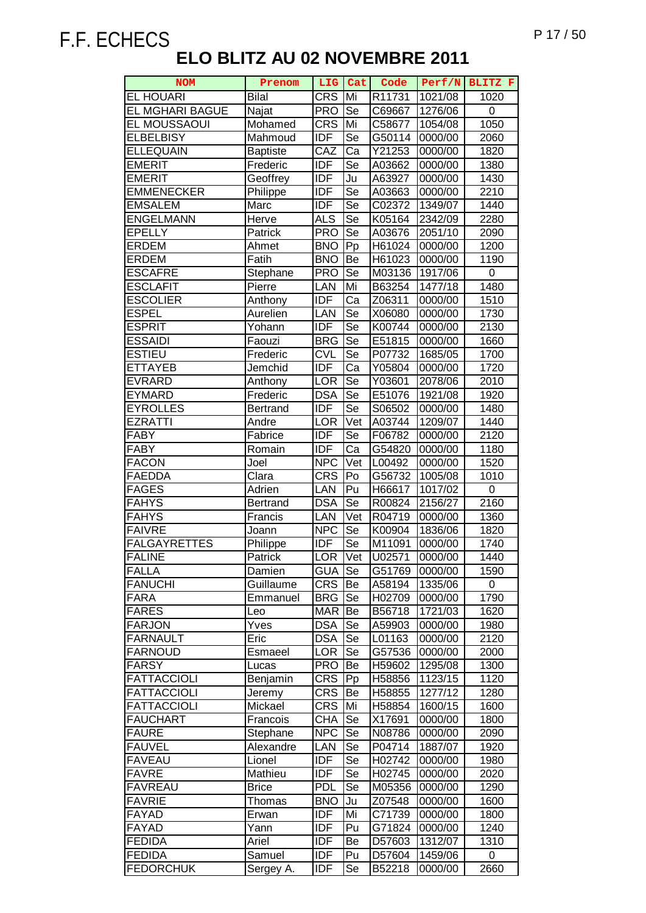| <b>NOM</b>             | Prenom          | LIG           | Cat        | Code   | Perf/N  | BLITZ F           |
|------------------------|-----------------|---------------|------------|--------|---------|-------------------|
| <b>EL HOUARI</b>       | <b>Bilal</b>    | <b>CRS</b>    | Mi         | R11731 | 1021/08 | 1020              |
| <b>EL MGHARI BAGUE</b> | Najat           | <b>PRO</b>    | Se         | C69667 | 1276/06 | 0                 |
| EL MOUSSAOUI           | Mohamed         | <b>CRS</b>    | Mi         | C58677 | 1054/08 | 1050              |
| <b>ELBELBISY</b>       | Mahmoud         | <b>IDF</b>    | Se         | G50114 | 0000/00 | 2060              |
| <b>ELLEQUAIN</b>       | <b>Baptiste</b> | CAZ           | Ca         | Y21253 | 0000/00 | 1820              |
| <b>EMERIT</b>          | Frederic        | <b>IDF</b>    | Se         | A03662 | 0000/00 | 1380              |
| <b>EMERIT</b>          | Geoffrey        | <b>IDF</b>    | Ju         | A63927 | 0000/00 | 1430              |
| <b>EMMENECKER</b>      | Philippe        | <b>IDF</b>    | Se         | A03663 | 0000/00 | 2210              |
| <b>EMSALEM</b>         | Marc            | <b>IDF</b>    | Se         | C02372 | 1349/07 | 1440              |
| <b>ENGELMANN</b>       | Herve           | <b>ALS</b>    | Se         | K05164 | 2342/09 | 2280              |
| <b>EPELLY</b>          | Patrick         | <b>PRO</b>    | Se         | A03676 | 2051/10 | 2090              |
| <b>ERDEM</b>           | Ahmet           | <b>BNO</b>    | Pp         | H61024 | 0000/00 | 1200              |
| <b>ERDEM</b>           | Fatih           | <b>BNO</b>    | Be         | H61023 | 0000/00 | 1190              |
| <b>ESCAFRE</b>         | Stephane        | <b>PRO</b>    | Se         | M03136 | 1917/06 | 0                 |
| <b>ESCLAFIT</b>        | Pierre          | LAN           | Mi         | B63254 | 1477/18 | 1480              |
| <b>ESCOLIER</b>        | Anthony         | <b>IDF</b>    | Ca         | Z06311 | 0000/00 | 1510              |
| <b>ESPEL</b>           | Aurelien        | LAN           | Se         | X06080 | 0000/00 | 1730              |
| <b>ESPRIT</b>          | Yohann          | <b>IDF</b>    | Se         | K00744 | 0000/00 | 2130              |
| <b>ESSAIDI</b>         | Faouzi          | <b>BRG</b>    | Se         | E51815 | 0000/00 | 1660              |
| <b>ESTIEU</b>          | Frederic        | <b>CVL</b>    | Se         | P07732 | 1685/05 | 1700              |
| <b>ETTAYEB</b>         | Jemchid         | <b>IDF</b>    | Ca         | Y05804 | 0000/00 | 1720              |
| <b>EVRARD</b>          | Anthony         | LOR           | Se         | Y03601 | 2078/06 | 2010              |
| <b>EYMARD</b>          | Frederic        | <b>DSA</b>    | Se         | E51076 | 1921/08 | 1920              |
| <b>EYROLLES</b>        | <b>Bertrand</b> | <b>IDF</b>    | Se         | S06502 | 0000/00 | 1480              |
| <b>EZRATTI</b>         | Andre           | <b>LOR</b>    | Vet        | A03744 | 1209/07 | 1440              |
| <b>FABY</b>            | Fabrice         | <b>IDF</b>    | Se         | F06782 | 0000/00 | $\overline{21}20$ |
| <b>FABY</b>            | Romain          | <b>IDF</b>    | Ca         | G54820 | 0000/00 | 1180              |
| <b>FACON</b>           | Joel            | <b>NPC</b>    | Vet        | L00492 | 0000/00 | 1520              |
| <b>FAEDDA</b>          | Clara           | <b>CRS</b>    | Po         | G56732 | 1005/08 | 1010              |
| <b>FAGES</b>           | Adrien          | LAN           | Pu         | H66617 | 1017/02 | 0                 |
| <b>FAHYS</b>           | <b>Bertrand</b> | <b>DSA</b>    | $\bar{S}e$ | R00824 | 2156/27 | 2160              |
| <b>FAHYS</b>           | Francis         | LAN           | Vet        | R04719 | 0000/00 | 1360              |
| <b>FAIVRE</b>          | Joann           | <b>NPC</b>    | Se         | K00904 | 1836/06 | 1820              |
| <b>FALGAYRETTES</b>    | Philippe        | <b>IDF</b>    | Se         | M11091 | 0000/00 | 1740              |
| <b>FALINE</b>          | Patrick         | <b>LOR</b>    | Vet        | U02571 | 0000/00 | 1440              |
| <b>FALLA</b>           | Damien          | <b>GUA</b> Se |            | G51769 | 0000/00 | 1590              |
| <b>FANUCHI</b>         | Guillaume       | <b>CRS</b>    | IВe        | A58194 | 1335/06 | 0                 |
| <b>FARA</b>            | Emmanuel        | <b>BRG</b>    | Se         | H02709 | 0000/00 | 1790              |
| <b>FARES</b>           | Leo             | <b>MAR</b>    | Be         | B56718 | 1721/03 | 1620              |
| <b>FARJON</b>          | Yves            | <b>DSA</b>    | Se         | A59903 | 0000/00 | 1980              |
| <b>FARNAULT</b>        | Eric            | <b>DSA</b>    | Se         | L01163 | 0000/00 | 2120              |
| <b>FARNOUD</b>         | Esmaeel         | <b>LOR</b>    | Se         | G57536 | 0000/00 | 2000              |
| <b>FARSY</b>           | Lucas           | <b>PRO</b>    | Be         | H59602 | 1295/08 | 1300              |
| <b>FATTACCIOLI</b>     | <b>Benjamin</b> | <b>CRS</b>    | Pp         | H58856 | 1123/15 | 1120              |
| <b>FATTACCIOLI</b>     | Jeremy          | <b>CRS</b>    | Be         | H58855 | 1277/12 | 1280              |
| <b>FATTACCIOLI</b>     | Mickael         | <b>CRS</b>    | Mi         | H58854 | 1600/15 | 1600              |
| <b>FAUCHART</b>        | Francois        | <b>CHA</b>    | Se         | X17691 | 0000/00 | 1800              |
| <b>FAURE</b>           | Stephane        | <b>NPC</b>    | Se         | N08786 | 0000/00 | 2090              |
| <b>FAUVEL</b>          | Alexandre       | LAN           | Se         | P04714 | 1887/07 | 1920              |
| <b>FAVEAU</b>          | Lionel          | <b>IDF</b>    | Se         | H02742 | 0000/00 | 1980              |
| <b>FAVRE</b>           | Mathieu         | <b>IDF</b>    | Se         | H02745 | 0000/00 | 2020              |
| <b>FAVREAU</b>         | <b>Brice</b>    | <b>PDL</b>    | Se         | M05356 | 0000/00 | 1290              |
| <b>FAVRIE</b>          | Thomas          | <b>BNO</b>    | Ju         | Z07548 | 0000/00 | 1600              |
| <b>FAYAD</b>           | Erwan           | <b>IDF</b>    | Mi         | C71739 | 0000/00 | 1800              |
| FAYAD                  | Yann            | <b>IDF</b>    | Pu         | G71824 | 0000/00 | 1240              |
| <b>FEDIDA</b>          | Ariel           | <b>IDF</b>    | Be         | D57603 | 1312/07 | 1310              |
| <b>FEDIDA</b>          | Samuel          | IDF           | Pu         | D57604 | 1459/06 | 0                 |
| <b>FEDORCHUK</b>       | Sergey A.       | <b>IDF</b>    | Se         | B52218 | 0000/00 | 2660              |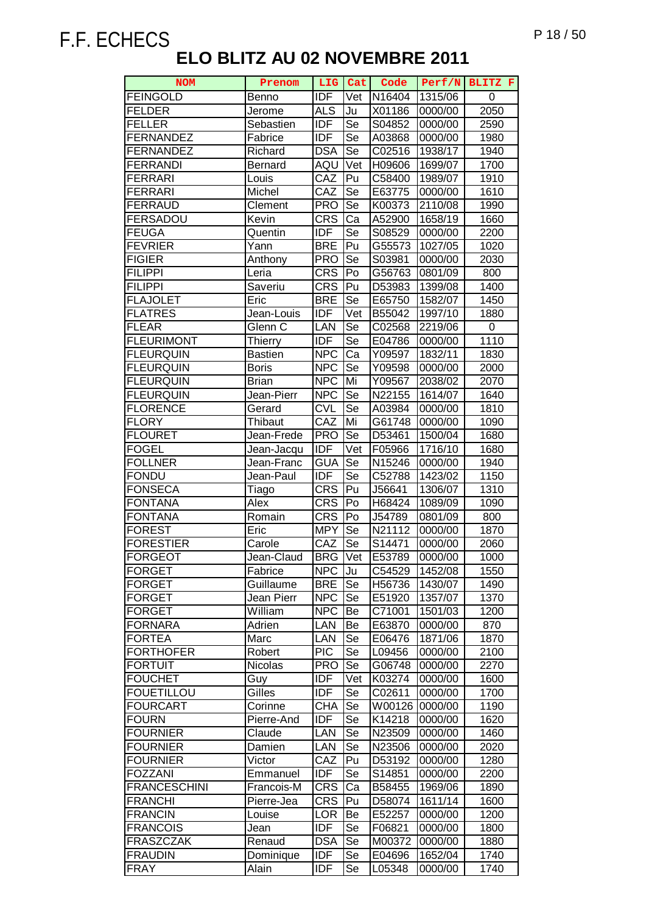| <b>NOM</b>                           | Prenom               | LIG.                     | Cat       | Code             | Perf/N             | BLITZ F      |
|--------------------------------------|----------------------|--------------------------|-----------|------------------|--------------------|--------------|
| <b>FEINGOLD</b>                      | Benno                | <b>IDF</b>               | Vet       | N16404           | 1315/06            | 0            |
| <b>FELDER</b>                        | Jerome               | <b>ALS</b>               | Ju        | X01186           | 0000/00            | 2050         |
| <b>FELLER</b>                        | Sebastien            | <b>IDF</b>               | Se        | S04852           | 0000/00            | 2590         |
| <b>FERNANDEZ</b>                     | Fabrice              | <b>IDF</b>               | Se        | A03868           | 0000/00            | 1980         |
| <b>FERNANDEZ</b>                     | Richard              | <b>DSA</b>               | Se        | C02516           | 1938/17            | 1940         |
| <b>FERRANDI</b>                      | <b>Bernard</b>       | AQU                      | Vet       | H09606           | 1699/07            | 1700         |
| <b>FERRARI</b>                       | Louis                | CAZ                      | Pu        | C58400           | 1989/07            | 1910         |
| <b>FERRARI</b>                       | Michel               | CAZ                      | Se        | E63775           | 0000/00            | 1610         |
| <b>FERRAUD</b>                       | Clement              | <b>PRO</b>               | Se        | K00373           | 2110/08            | 1990         |
| FERSADOU                             | Kevin                | $CR\overline{S}$         | Ca        | A52900           | 1658/19            | 1660         |
| <b>FEUGA</b>                         | Quentin              | <b>IDF</b>               | Se        | S08529           | 0000/00            | 2200         |
| <b>FEVRIER</b>                       | Yann                 | <b>BRE</b>               | Pu        | G55573           | 1027/05            | 1020         |
| <b>FIGIER</b>                        | Anthony              | <b>PRO</b>               | Se        | S03981           | 0000/00            | 2030         |
| <b>FILIPPI</b>                       | Leria                | <b>CRS</b>               | Po        | G56763           | 0801/09            | 800          |
| <b>FILIPPI</b>                       | Saveriu              | <b>CRS</b>               | Pu        | D53983           | 1399/08            | 1400         |
| <b>FLAJOLET</b>                      | Eric                 | <b>BRE</b>               | Se        | E65750           | 1582/07            | 1450         |
| <b>FLATRES</b>                       | Jean-Louis           | <b>IDF</b>               | Vet       | B55042           | 1997/10            | 1880         |
| <b>FLEAR</b>                         | Glenn C              | LAN                      | Se        | C02568           | 2219/06            | 0            |
| <b>FLEURIMONT</b>                    | <b>Thierry</b>       | <b>IDF</b>               | Se        | E04786           | 0000/00            | 1110         |
| <b>FLEURQUIN</b>                     | <b>Bastien</b>       | <b>NPC</b>               | Ca        | Y09597           | 1832/11            | 1830         |
| <b>FLEURQUIN</b>                     | <b>Boris</b>         | <b>NPC</b>               | Se        | Y09598           | 0000/00            | 2000         |
| <b>FLEURQUIN</b>                     | <b>Brian</b>         | <b>NPC</b>               | Mi        | Y09567           | 2038/02            | 2070         |
| <b>FLEURQUIN</b>                     | Jean-Pierr           | <b>NPC</b>               | <b>Se</b> | N22155           | 1614/07            | 1640         |
| <b>FLORENCE</b>                      | Gerard               | <b>CVL</b>               | Se        | A03984           | 0000/00            | 1810         |
| <b>FLORY</b>                         | Thibaut              | CAZ                      | Mi        | G61748           | 0000/00            | 1090         |
| <b>FLOURET</b>                       | Jean-Frede           | <b>PRO</b>               | Se        | D53461           | 1500/04            | 1680         |
| <b>FOGEL</b>                         | Jean-Jacqu           | IDF                      | Vet       | F05966           | 1716/10            | 1680         |
| <b>FOLLNER</b>                       | Jean-Franc           | <b>GUA</b>               | Se        | N15246           | 0000/00            | 1940         |
| <b>FONDU</b>                         | Jean-Paul            | <b>IDF</b>               | Se        | C52788           | 1423/02            | 1150         |
| <b>FONSECA</b>                       | Tiago                | CRS                      | Pu        | J56641           | 1306/07            | 1310         |
| <b>FONTANA</b>                       | Alex                 | <b>CRS</b>               | Po        | H68424           | 1089/09            | 1090         |
| <b>FONTANA</b>                       | Romain               | <b>CRS</b>               | Po        | J54789           | 0801/09            | 800          |
| <b>FOREST</b>                        | Eric                 | <b>MPY</b>               | Se        | N21112           | 0000/00            | 1870         |
| <b>FORESTIER</b>                     | Carole               | $\overline{C}AZ$         | Se        | S14471           | 0000/00            | 2060         |
| <b>FORGEOT</b>                       | Jean-Claud           | <b>BRG</b> Vet           |           | E53789           | 0000/00            | 1000         |
| <b>FORGET</b>                        | Fabrice              | <b>NPC</b>               | Ju        | C54529           | 1452/08            | 1550         |
| <b>FORGET</b>                        | Guillaume            | <b>BRE</b>               | Se        | H56736           | 1430/07            | 1490         |
| <b>FORGET</b>                        | Jean Pierr           | <b>NPC</b>               | Se        | E51920           | 1357/07            | 1370         |
| <b>FORGET</b>                        | William              | <b>NPC</b>               | Be        | C71001           | 1501/03            | 1200         |
| <b>FORNARA</b>                       | Adrien               | <b>LAN</b>               | Be        | E63870           | 0000/00            | 870          |
| <b>FORTEA</b>                        | Marc                 | <b>LAN</b>               | Se        | E06476           | 1871/06            | 1870         |
| <b>FORTHOFER</b>                     | Robert               | <b>PIC</b>               | Se        | L09456           | 0000/00            | 2100         |
| <b>FORTUIT</b>                       | Nicolas              | <b>PRO</b>               | Se        | G06748           | 0000/00            | 2270         |
| <b>FOUCHET</b>                       | Guy                  | <b>IDF</b>               | Vet       | K03274           | 0000/00            | 1600         |
| <b>FOUETILLOU</b><br><b>FOURCART</b> | Gilles               | IDF                      | Se        | C02611           | 0000/00            | 1700         |
| <b>FOURN</b>                         | Corinne              | <b>CHA</b><br><b>IDF</b> | Se<br>Se  | W00126<br>K14218 | 0000/00<br>0000/00 | 1190         |
| <b>FOURNIER</b>                      | Pierre-And<br>Claude | LAN                      | Se        | N23509           | 0000/00            | 1620<br>1460 |
| <b>FOURNIER</b>                      |                      | LAN                      | Se        | N23506           | 0000/00            | 2020         |
| <b>FOURNIER</b>                      | Damien<br>Victor     | CAZ                      | Pu        | D53192           | 0000/00            | 1280         |
| <b>FOZZANI</b>                       | Emmanuel             | IDF                      | Se        | S14851           | 0000/00            | 2200         |
| <b>FRANCESCHINI</b>                  | Francois-M           | <b>CRS</b>               | Ca        | B58455           | 1969/06            | 1890         |
| <b>FRANCHI</b>                       | Pierre-Jea           | <b>CRS</b>               | Pu        | D58074           | 1611/14            | 1600         |
| <b>FRANCIN</b>                       | Louise               | LOR                      | Be        | E52257           | 0000/00            | 1200         |
| <b>FRANCOIS</b>                      | Jean                 | <b>IDF</b>               | Se        | F06821           | 0000/00            | 1800         |
| <b>FRASZCZAK</b>                     | Renaud               | <b>DSA</b>               | Se        | M00372           | 0000/00            | 1880         |
| <b>FRAUDIN</b>                       | Dominique            | <b>IDF</b>               | Se        | E04696           | 1652/04            | 1740         |
| <b>FRAY</b>                          | Alain                | IDF                      | Se        | L05348           | 0000/00            | 1740         |
|                                      |                      |                          |           |                  |                    |              |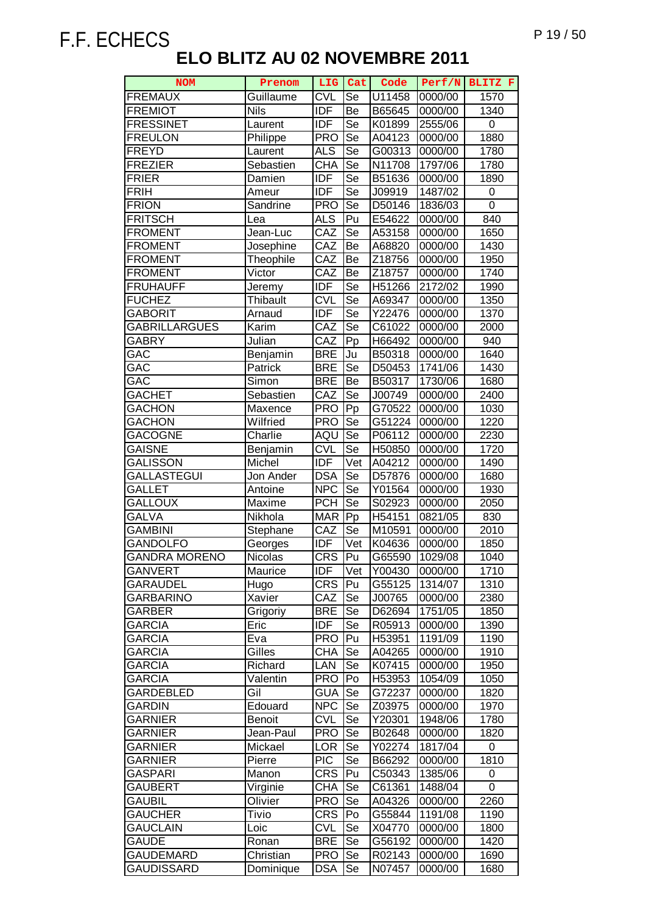| <b>NOM</b>           | Prenom         | LIG        | Cat                      | Code   | Perf/N  | BLITZ F           |
|----------------------|----------------|------------|--------------------------|--------|---------|-------------------|
| <b>FREMAUX</b>       | Guillaume      | <b>CVL</b> | Se                       | U11458 | 0000/00 | 1570              |
| <b>FREMIOT</b>       | <b>Nils</b>    | <b>IDF</b> | Be                       | B65645 | 0000/00 | 1340              |
| <b>FRESSINET</b>     | Laurent        | <b>IDF</b> | Se                       | K01899 | 2555/06 | 0                 |
| <b>FREULON</b>       | Philippe       | <b>PRO</b> | Se                       | A04123 | 0000/00 | 1880              |
| <b>FREYD</b>         | Laurent        | <b>ALS</b> | Se                       | G00313 | 0000/00 | 1780              |
| <b>FREZIER</b>       | Sebastien      | <b>CHA</b> | Se                       | N11708 | 1797/06 | 1780              |
| <b>FRIER</b>         | Damien         | <b>IDF</b> | Se                       | B51636 | 0000/00 | 1890              |
| <b>FRIH</b>          | Ameur          | <b>IDF</b> | Se                       | J09919 | 1487/02 | 0                 |
| <b>FRION</b>         | Sandrine       | <b>PRO</b> | Se                       | D50146 | 1836/03 | 0                 |
| <b>FRITSCH</b>       | Lea            | <b>ALS</b> | Pu                       | E54622 | 0000/00 | 840               |
| <b>FROMENT</b>       | Jean-Luc       | CAZ        | Se                       | A53158 | 0000/00 | 1650              |
| <b>FROMENT</b>       |                |            |                          |        |         |                   |
|                      | Josephine      | CAZ        | Be                       | A68820 | 0000/00 | 1430              |
| <b>FROMENT</b>       | Theophile      | CAZ        | Be                       | Z18756 | 0000/00 | 1950              |
| <b>FROMENT</b>       | Victor         | CAZ        | Be                       | Z18757 | 0000/00 | 1740              |
| <b>FRUHAUFF</b>      | Jeremy         | <b>IDF</b> | Se                       | H51266 | 2172/02 | 1990              |
| <b>FUCHEZ</b>        | Thibault       | <b>CVL</b> | $\overline{\mathsf{Se}}$ | A69347 | 0000/00 | 1350              |
| GABORIT              | Arnaud         | <b>IDF</b> | Se                       | Y22476 | 0000/00 | 1370              |
| <b>GABRILLARGUES</b> | Karim          | CAZ        | $\overline{\mathsf{Se}}$ | C61022 | 0000/00 | 2000              |
| <b>GABRY</b>         | Julian         | CAZ        | Pp                       | H66492 | 0000/00 | 940               |
| GAC                  | Benjamin       | <b>BRE</b> | Ju                       | B50318 | 0000/00 | 1640              |
| GAC                  | Patrick        | <b>BRE</b> | Se                       | D50453 | 1741/06 | 1430              |
| GAC                  | Simon          | <b>BRE</b> | Be                       | B50317 | 1730/06 | 1680              |
| <b>GACHET</b>        | Sebastien      | CAZ        | Se                       | J00749 | 0000/00 | 2400              |
| <b>GACHON</b>        | Maxence        | <b>PRO</b> | $\bar{P}p$               | G70522 | 0000/00 | 1030              |
| <b>GACHON</b>        | Wilfried       | <b>PRO</b> | Se                       | G51224 | 0000/00 | $\overline{1}220$ |
| <b>GACOGNE</b>       | Charlie        | AQU        | $\overline{\mathsf{Se}}$ | P06112 | 0000/00 | 2230              |
| GAISNE               | Benjamin       | <b>CVL</b> | Se                       | H50850 | 0000/00 | 1720              |
| GALISSON             | Michel         | <b>IDF</b> | Vet                      | A04212 | 0000/00 | 1490              |
| GALLASTEGUI          | Jon Ander      | <b>DSA</b> | Se                       | D57876 | 0000/00 | 1680              |
| GALLET               | Antoine        | <b>NPC</b> | Se                       | Y01564 | 0000/00 | 1930              |
| <b>GALLOUX</b>       | Maxime         | <b>PCH</b> | Se                       | S02923 | 0000/00 | 2050              |
| GALVA                | Nikhola        | <b>MAR</b> | Pp                       | H54151 | 0821/05 | 830               |
| GAMBINI              | Stephane       | CAZ        | Se                       | M10591 | 0000/00 | 2010              |
| <b>GANDOLFO</b>      | Georges        | <b>IDF</b> | Vet                      | K04636 | 0000/00 | 1850              |
| <b>GANDRA MORENO</b> | <b>Nicolas</b> | <b>CRS</b> | $\overline{Pu}$          | G65590 | 1029/08 | 1040              |
| <b>GANVERT</b>       | Maurice        | IDF        | Vet                      | Y00430 | 0000/00 | 1710              |
| <b>GARAUDEL</b>      | Hugo           | <b>CRS</b> | Pu                       | G55125 | 1314/07 | 1310              |
| GARBARINO            | Xavier         | CAZ        | Se                       | J00765 | 0000/00 | 2380              |
| GARBER               | Grigoriy       | <b>BRE</b> | Se                       | D62694 | 1751/05 | 1850              |
| <b>GARCIA</b>        | Eric           | <b>IDF</b> | Se                       | R05913 | 0000/00 | 1390              |
| <b>GARCIA</b>        | Eva            | <b>PRO</b> | Pu                       | H53951 | 1191/09 | 1190              |
| GARCIA               | Gilles         | <b>CHA</b> | Se                       | A04265 | 0000/00 | 1910              |
| <b>GARCIA</b>        | Richard        | LAN        | Se                       | K07415 | 0000/00 | 1950              |
| <b>GARCIA</b>        | Valentin       | <b>PRO</b> | Po                       | H53953 | 1054/09 | 1050              |
| GARDEBLED            | Gil            | <b>GUA</b> | Se                       | G72237 | 0000/00 | 1820              |
| GARDIN               | Edouard        | <b>NPC</b> | Se                       | Z03975 | 0000/00 | 1970              |
| <b>GARNIER</b>       | <b>Benoit</b>  | <b>CVL</b> | Se                       | Y20301 | 1948/06 | 1780              |
| <b>GARNIER</b>       | Jean-Paul      | <b>PRO</b> | Se                       | B02648 | 0000/00 | 1820              |
| <b>GARNIER</b>       | Mickael        | <b>LOR</b> | Se                       | Y02274 | 1817/04 | 0                 |
| <b>GARNIER</b>       | Pierre         | <b>PIC</b> | $\overline{\text{Se}}$   | B66292 | 0000/00 | 1810              |
| GASPARI              | Manon          | <b>CRS</b> | Pu                       | C50343 | 1385/06 | 0                 |
| <b>GAUBERT</b>       | Virginie       | <b>CHA</b> | Se                       | C61361 | 1488/04 | 0                 |
| <b>GAUBIL</b>        | Olivier        | <b>PRO</b> | Se                       | A04326 | 0000/00 | 2260              |
| <b>GAUCHER</b>       | <b>Tivio</b>   | <b>CRS</b> | Po                       | G55844 | 1191/08 | 1190              |
| <b>GAUCLAIN</b>      | Loic           | <b>CVL</b> | Se                       | X04770 | 0000/00 | 1800              |
| <b>GAUDE</b>         | Ronan          | <b>BRE</b> | Se                       | G56192 | 0000/00 | 1420              |
| <b>GAUDEMARD</b>     | Christian      | <b>PRO</b> | Se                       | R02143 | 0000/00 | 1690              |
| <b>GAUDISSARD</b>    | Dominique      | <b>DSA</b> | Se                       | N07457 | 0000/00 | 1680              |
|                      |                |            |                          |        |         |                   |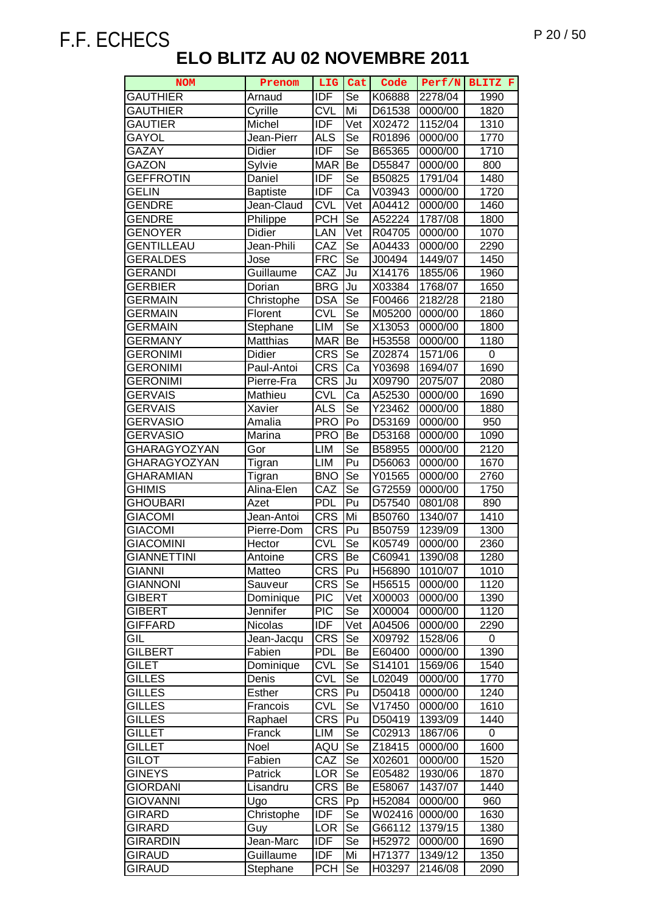| <b>NOM</b>         | Prenom            | LIG                     | Cat                      | Code             | Perf/N  | BLITZ F      |
|--------------------|-------------------|-------------------------|--------------------------|------------------|---------|--------------|
| <b>GAUTHIER</b>    | Arnaud            | <b>IDF</b>              | Se                       | K06888           | 2278/04 | 1990         |
| <b>GAUTHIER</b>    | Cyrille           | <b>CVL</b>              | Mi                       | D61538           | 0000/00 | 1820         |
| <b>GAUTIER</b>     | Michel            | <b>IDF</b>              | Vet                      | X02472           | 1152/04 | 1310         |
| GAYOL              | Jean-Pierr        | <b>ALS</b>              | Se                       | R01896           | 0000/00 | 1770         |
| GAZAY              | Didier            | <b>IDF</b>              | Se                       | B65365           | 0000/00 | 1710         |
| GAZON              | Sylvie            | <b>MAR</b>              | Be                       | D55847           | 0000/00 | 800          |
| <b>GEFFROTIN</b>   | Daniel            | <b>IDF</b>              | Se                       | B50825           | 1791/04 | 1480         |
| GELIN              | <b>Baptiste</b>   | <b>IDF</b>              | Ca                       | V03943           | 0000/00 | 1720         |
| GENDRE             | Jean-Claud        | <b>CVL</b>              | Vet                      | A04412           | 0000/00 | 1460         |
| GENDRE             | Philippe          | <b>PCH</b>              | Se                       | A52224           | 1787/08 | 1800         |
| <b>GENOYER</b>     | <b>Didier</b>     | LAN                     | Vet                      | R04705           | 0000/00 | 1070         |
| GENTILLEAU         | Jean-Phili        | CAZ                     | Se                       | A04433           | 0000/00 | 2290         |
| <b>GERALDES</b>    | Jose              | <b>FRC</b>              | Se                       | J00494           | 1449/07 | 1450         |
| <b>GERANDI</b>     | Guillaume         | CAZ                     | Ju                       | X14176           | 1855/06 | 1960         |
| <b>GERBIER</b>     | Dorian            | <b>BRG</b>              | Ju                       | X03384           | 1768/07 | 1650         |
| <b>GERMAIN</b>     | Christophe        | <b>DSA</b>              | Se                       | F00466           | 2182/28 | 2180         |
| <b>GERMAIN</b>     | Florent           | <b>CVL</b>              | Se                       | M05200           | 0000/00 | 1860         |
| GERMAIN            | Stephane          | LIM                     | $\overline{\mathsf{Se}}$ | X13053           | 0000/00 | 1800         |
| <b>GERMANY</b>     | Matthias          | <b>MAR</b>              | Be                       | H53558           | 0000/00 | 1180         |
| <b>GERONIMI</b>    | <b>Didier</b>     | <b>CRS</b>              | Se                       | Z02874           | 1571/06 | 0            |
| <b>GERONIMI</b>    | Paul-Antoi        | <b>CRS</b>              | Ca                       | Y03698           | 1694/07 | 1690         |
| <b>GERONIMI</b>    | Pierre-Fra        | <b>CRS</b>              | Ju                       | X09790           | 2075/07 | 2080         |
| <b>GERVAIS</b>     | Mathieu           | <b>CVL</b>              | Ca                       | A52530           | 0000/00 | 1690         |
| <b>GERVAIS</b>     | Xavier            | <b>ALS</b>              | Se                       | Y23462           | 0000/00 | 1880         |
| <b>GERVASIO</b>    | Amalia            | <b>PRO</b>              | Po                       | D53169           | 0000/00 | 950          |
| <b>GERVASIO</b>    | Marina            | <b>PRO</b>              | Be                       | D53168           | 0000/00 | 1090         |
| GHARAGYOZYAN       | Gor               | <b>LIM</b>              | Se                       | B58955           | 0000/00 | 2120         |
| GHARAGYOZYAN       | Tigran            | <b>LIM</b>              | Pu                       | D56063           | 0000/00 | 1670         |
| <b>GHARAMIAN</b>   | Tigran            | <b>BNO</b>              | Se                       | Y01565           | 0000/00 | 2760         |
| GHIMIS             | Alina-Elen        | CAZ                     | Se                       | G72559           | 0000/00 | 1750         |
| <b>GHOUBARI</b>    | Azet              | <b>PDL</b>              | Pu                       | D57540           | 0801/08 | 890          |
| <b>GIACOMI</b>     | Jean-Antoi        | <b>CRS</b>              | Mi                       | B50760           | 1340/07 | 1410         |
| <b>GIACOMI</b>     | Pierre-Dom        | <b>CRS</b>              | Pu                       | B50759           | 1239/09 | 1300         |
| <b>GIACOMINI</b>   | Hector            | $\overline{\text{CVL}}$ | Se                       | K05749           | 0000/00 | 2360         |
| <b>GIANNETTINI</b> | Antoine           | <b>CRS</b>              | Be                       | C60941           | 1390/08 | 1280         |
| GIANNI             | Matteo            | <b>CRS</b>              | Pu                       | H56890           | 1010/07 | 1010         |
| <b>GIANNONI</b>    | Sauveur           | CRS                     | Se                       | H56515           | 0000/00 | 1120         |
| <b>GIBERT</b>      | Dominique         | <b>PIC</b>              | Vet                      | X00003           | 0000/00 | 1390         |
| <b>GIBERT</b>      | Jennifer          | <b>PIC</b>              | Se                       | X00004           | 0000/00 | 1120         |
| <b>GIFFARD</b>     | Nicolas           | <b>IDF</b>              | Vet                      | A04506           | 0000/00 | 2290         |
| GIL                | Jean-Jacqu        | <b>CRS</b>              | Se                       | X09792           | 1528/06 | 0            |
| <b>GILBERT</b>     | Fabien            | <b>PDL</b>              | Be                       | E60400           | 0000/00 | 1390         |
| <b>GILET</b>       | Dominique         | <b>CVL</b>              | Se                       | S14101           | 1569/06 | 1540         |
| <b>GILLES</b>      | Denis             | <b>CVL</b>              | Se                       | L02049           | 0000/00 | 1770         |
| <b>GILLES</b>      | <b>Esther</b>     | <b>CRS</b>              | Pu                       | D50418           | 0000/00 | 1240         |
| <b>GILLES</b>      | Francois          | <b>CVL</b>              | Se                       | V17450           | 0000/00 | 1610         |
| <b>GILLES</b>      | Raphael           | <b>CRS</b>              | Pu                       | D50419           | 1393/09 | 1440         |
| <b>GILLET</b>      | Franck            | LIM                     | Se                       | C02913           | 1867/06 | 0            |
| GILLET             | Noel              | AQU                     | Se                       | Z18415           | 0000/00 | 1600         |
| GILOT              | Fabien            | CAZ                     | Se                       | X02601           | 0000/00 | 1520         |
| <b>GINEYS</b>      | Patrick           | <b>LOR</b>              | Se                       | E05482           | 1930/06 | 1870         |
| <b>GIORDANI</b>    | Lisandru          | <b>CRS</b>              | Be                       | E58067           | 1437/07 | 1440         |
| <b>GIOVANNI</b>    |                   | <b>CRS</b>              | Pp                       | H52084           | 0000/00 | 960          |
| GIRARD             | Ugo               | <b>IDF</b>              | Se                       |                  | 0000/00 |              |
| GIRARD             | Christophe<br>Guy | <b>LOR</b>              | Se                       | W02416<br>G66112 | 1379/15 | 1630<br>1380 |
|                    |                   | <b>IDF</b>              |                          |                  |         |              |
| <b>GIRARDIN</b>    | Jean-Marc         |                         | Se                       | H52972           | 0000/00 | 1690         |
| <b>GIRAUD</b>      | Guillaume         | <b>IDF</b>              | Mi                       | H71377           | 1349/12 | 1350         |
| <b>GIRAUD</b>      | Stephane          | <b>PCH</b>              | Se                       | H03297           | 2146/08 | 2090         |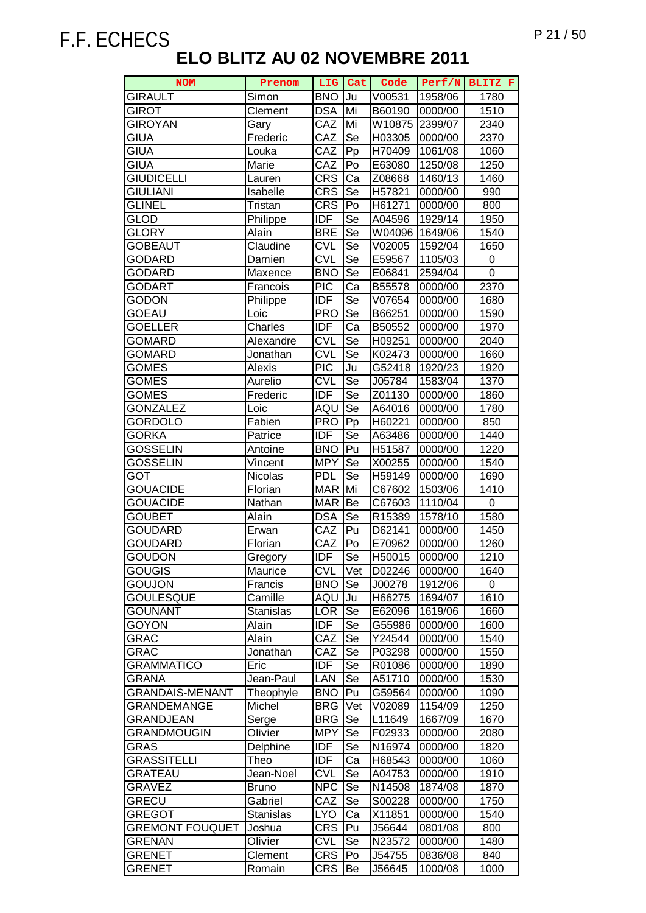| <b>NOM</b>             | Prenom           | <b>LIG</b>        | Cat | Code   | Perf/N  | BLITZ F           |
|------------------------|------------------|-------------------|-----|--------|---------|-------------------|
| <b>GIRAULT</b>         | Simon            | <b>BNO</b>        | Ju  | V00531 | 1958/06 | 1780              |
| <b>GIROT</b>           | Clement          | <b>DSA</b>        | Mi  | B60190 | 0000/00 | 1510              |
| <b>GIROYAN</b>         | Gary             | CAZ               | Mi  | W10875 | 2399/07 | 2340              |
| <b>GIUA</b>            | Frederic         | CAZ               | Se  | H03305 | 0000/00 | 2370              |
| GIUA                   | Louka            | CAZ               | Pp  | H70409 | 1061/08 | 1060              |
| GIUA                   | Marie            | CAZ               | Po  | E63080 | 1250/08 | 1250              |
| <b>GIUDICELLI</b>      | Lauren           | <b>CRS</b>        | Ca  | Z08668 | 1460/13 | 1460              |
| <b>GIULIANI</b>        | Isabelle         | <b>CRS</b>        | Se  | H57821 | 0000/00 | 990               |
| <b>GLINEL</b>          | Tristan          | <b>CRS</b>        | Po  | H61271 | 0000/00 | 800               |
| <b>GLOD</b>            | Philippe         | <b>IDF</b>        | Se  | A04596 | 1929/14 | 1950              |
| GLORY                  | Alain            | <b>BRE</b>        | Se  | W04096 | 1649/06 | 1540              |
| <b>GOBEAUT</b>         | Claudine         | <b>CVL</b>        | Se  | V02005 | 1592/04 | 1650              |
|                        |                  | <b>CVL</b>        | Se  |        |         |                   |
| GODARD                 | Damien           |                   | Se  | E59567 | 1105/03 | 0<br>0            |
| GODARD                 | Maxence          | <b>BNO</b>        |     | E06841 | 2594/04 |                   |
| <b>GODART</b>          | Francois         | <b>PIC</b>        | Ca  | B55578 | 0000/00 | 2370              |
| <b>GODON</b>           | Philippe         | <b>IDF</b>        | Se  | V07654 | 0000/00 | 1680              |
| GOEAU                  | Loic             | <b>PRO</b>        | Se  | B66251 | 0000/00 | 1590              |
| <b>GOELLER</b>         | Charles          | <b>IDF</b>        | Ca  | B50552 | 0000/00 | 1970              |
| GOMARD                 | Alexandre        | <b>CVL</b>        | Se  | H09251 | 0000/00 | 2040              |
| <b>GOMARD</b>          | Jonathan         | <b>CVL</b>        | Se  | K02473 | 0000/00 | 1660              |
| GOMES                  | Alexis           | <b>PIC</b>        | Ju  | G52418 | 1920/23 | 1920              |
| <b>GOMES</b>           | Aurelio          | <b>CVL</b>        | Se  | J05784 | 1583/04 | 1370              |
| GOMES                  | Frederic         | <b>IDF</b>        | Se  | Z01130 | 0000/00 | 1860              |
| <b>GONZALEZ</b>        | Loic             | AQU               | Se  | A64016 | 0000/00 | 1780              |
| GORDOLO                | Fabien           | <b>PRO</b>        | Pp  | H60221 | 0000/00 | 850               |
| <b>GORKA</b>           | Patrice          | <b>IDF</b>        | Se  | A63486 | 0000/00 | 1440              |
| <b>GOSSELIN</b>        | Antoine          | <b>BNO</b>        | Pu  | H51587 | 0000/00 | $\overline{12}20$ |
| GOSSELIN               | Vincent          | <b>MPY</b>        | Se  | X00255 | 0000/00 | 1540              |
| GOT                    | Nicolas          | <b>PDL</b>        | Se  | H59149 | 0000/00 | 1690              |
| <b>GOUACIDE</b>        | Florian          | <b>MAR</b>        | Mi  | C67602 | 1503/06 | 1410              |
| <b>GOUACIDE</b>        | Nathan           | <b>MAR</b>        | Be  | C67603 | 1110/04 | 0                 |
| <b>GOUBET</b>          | Alain            | <b>DSA</b>        | Se  | R15389 | 1578/10 | 1580              |
| <b>GOUDARD</b>         | Erwan            | CAZ               | Pu  | D62141 | 0000/00 | 1450              |
| <b>GOUDARD</b>         | Florian          | CAZ               | Po  | E70962 | 0000/00 | 1260              |
| <b>GOUDON</b>          | Gregory          | <b>IDF</b>        | Se  | H50015 | 0000/00 | 1210              |
| GOUGIS                 | Maurice          | <b>CVL</b>        | Vet | D02246 | 0000/00 | 1640              |
| <b>GOUJON</b>          | Francis          | <b>BNO</b>        | Se  | J00278 | 1912/06 | 0                 |
| <b>GOULESQUE</b>       | Camille          | AQU               | Ju  | H66275 | 1694/07 | 1610              |
| <b>GOUNANT</b>         | <b>Stanislas</b> | <b>LOR</b>        | Se  | E62096 | 1619/06 | 1660              |
| <b>GOYON</b>           | Alain            | <b>IDF</b>        | Se  | G55986 | 0000/00 | 1600              |
| GRAC                   | Alain            | $\overline{C}$ AZ | Se  | Y24544 | 0000/00 | 1540              |
| GRAC                   | Jonathan         | CAZ               | Se  | P03298 | 0000/00 | 1550              |
| <b>GRAMMATICO</b>      | Eric             | <b>IDF</b>        | Se  | R01086 | 0000/00 | 1890              |
| <b>GRANA</b>           | Jean-Paul        | LAN               | Se  | A51710 | 0000/00 | 1530              |
| <b>GRANDAIS-MENANT</b> | Theophyle        | <b>BNO</b>        | Pu  | G59564 | 0000/00 | 1090              |
| GRANDEMANGE            | Michel           | <b>BRG</b>        | Vet | V02089 | 1154/09 | 1250              |
| GRANDJEAN              | Serge            | <b>BRG</b>        | Se  | L11649 | 1667/09 | 1670              |
| GRANDMOUGIN            | Olivier          | <b>MPY</b>        | Se  | F02933 | 0000/00 | 2080              |
| GRAS                   | Delphine         | <b>IDF</b>        | Se  | N16974 | 0000/00 | 1820              |
| <b>GRASSITELLI</b>     | Theo             | <b>IDF</b>        | Ca  | H68543 | 0000/00 | 1060              |
| <b>GRATEAU</b>         | Jean-Noel        | <b>CVL</b>        | Se  | A04753 | 0000/00 | 1910              |
| <b>GRAVEZ</b>          | <b>Bruno</b>     | <b>NPC</b>        | Se  | N14508 | 1874/08 | 1870              |
| <b>GRECU</b>           | Gabriel          | CAZ               | Se  | S00228 | 0000/00 | 1750              |
| <b>GREGOT</b>          | <b>Stanislas</b> | <b>LYO</b>        | Ca  | X11851 | 0000/00 | 1540              |
| <b>GREMONT FOUQUET</b> | Joshua           | <b>CRS</b>        | Pu  | J56644 | 0801/08 | 800               |
| <b>GRENAN</b>          | Olivier          | <b>CVL</b>        | Se  | N23572 | 0000/00 | 1480              |
| <b>GRENET</b>          | Clement          | <b>CRS</b>        | Po  | J54755 | 0836/08 | 840               |
| <b>GRENET</b>          |                  |                   |     |        |         |                   |
|                        | Romain           | <b>CRS</b>        | Be  | J56645 | 1000/08 | 1000              |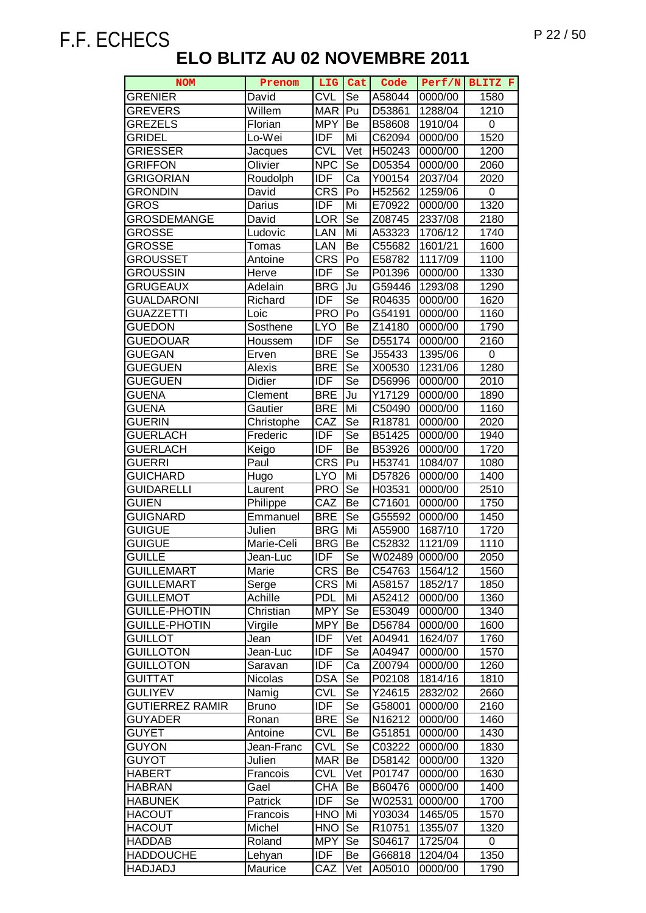| <b>NOM</b>             | Prenom          | LIG        | Cat                    | Code               | Perf/N             | BLITZ F          |
|------------------------|-----------------|------------|------------------------|--------------------|--------------------|------------------|
| <b>GRENIER</b>         | David           | <b>CVL</b> | Se                     | A58044             | 0000/00            | 1580             |
| <b>GREVERS</b>         | Willem          | <b>MAR</b> | Pu                     | D53861             | 1288/04            | $\frac{1}{12}10$ |
| <b>GREZELS</b>         | Florian         | <b>MPY</b> | Be                     | B58608             | 1910/04            | 0                |
| <b>GRIDEL</b>          | Lo-Wei          | <b>IDF</b> | Mi                     | C62094             | 0000/00            | 1520             |
| <b>GRIESSER</b>        | Jacques         | <b>CVL</b> | Vet                    | H50243             | 0000/00            | 1200             |
| <b>GRIFFON</b>         | Olivier         | <b>NPC</b> | Se                     | D05354             | 0000/00            | 2060             |
| <b>GRIGORIAN</b>       | Roudolph        | <b>IDF</b> | Ca                     | Y00154             | 2037/04            | 2020             |
| <b>GRONDIN</b>         | David           | <b>CRS</b> | Po                     | H <sub>52562</sub> | 1259/06            | 0                |
| GROS                   | Darius          | <b>IDF</b> | Mi                     | E70922             | 0000/00            | 1320             |
| GROSDEMANGE            | David           | LOR        | Se                     | Z08745             | 2337/08            | 2180             |
| <b>GROSSE</b>          | Ludovic         | LAN        | Mi                     | A53323             | 1706/12            | 1740             |
| GROSSE                 | Tomas           | LAN        | Be                     | C55682             | 1601/21            | 1600             |
| GROUSSET               | Antoine         | <b>CRS</b> | Po                     | E58782             | 1117/09            | 1100             |
| <b>GROUSSIN</b>        | <b>Herve</b>    | <b>IDF</b> | Se                     | P01396             | 0000/00            | 1330             |
| <b>GRUGEAUX</b>        | Adelain         | <b>BRG</b> | Ju                     | G59446             | 1293/08            | 1290             |
| <b>GUALDARONI</b>      |                 | <b>IDF</b> | $\overline{\text{Se}}$ | R04635             | 0000/00            | 1620             |
| <b>GUAZZETTI</b>       | Richard<br>Loic | <b>PRO</b> | Po                     |                    |                    | 1160             |
|                        | Sosthene        | <b>LYO</b> |                        | G54191             | 0000/00<br>0000/00 |                  |
| GUEDON                 |                 |            | Be                     | Z14180             |                    | 1790             |
| <b>GUEDOUAR</b>        | Houssem         | <b>IDF</b> | Se                     | D <sub>55174</sub> | 0000/00            | 2160             |
| <b>GUEGAN</b>          | Erven           | <b>BRE</b> | Se                     | J55433             | 1395/06            | 0                |
| <b>GUEGUEN</b>         | Alexis          | <b>BRE</b> | Se                     | X00530             | 1231/06            | 1280             |
| <b>GUEGUEN</b>         | Didier          | <b>IDF</b> | Se                     | D56996             | 0000/00            | 2010             |
| GUENA                  | Clement         | <b>BRE</b> | Ju                     | Y17129             | 0000/00            | 1890             |
| GUENA                  | Gautier         | <b>BRE</b> | Mi                     | C50490             | 0000/00            | 1160             |
| <b>GUERIN</b>          | Christophe      | CAZ        | Se                     | R18781             | 0000/00            | 2020             |
| <b>GUERLACH</b>        | Frederic        | <b>IDF</b> | Se                     | B51425             | 0000/00            | 1940             |
| <b>GUERLACH</b>        | Keigo           | <b>IDF</b> | Be                     | B53926             | 0000/00            | 1720             |
| <b>GUERRI</b>          | Paul            | <b>CRS</b> | Pu                     | H53741             | 1084/07            | 1080             |
| <b>GUICHARD</b>        | Hugo            | <b>LYO</b> | Mi                     | D57826             | 0000/00            | 1400             |
| GUIDARELLI             | Laurent         | <b>PRO</b> | Se                     | H03531             | 0000/00            | 2510             |
| <b>GUIEN</b>           | Philippe        | CAZ        | Be                     | C71601             | 0000/00            | 1750             |
| <b>GUIGNARD</b>        | Emmanuel        | <b>BRE</b> | Se                     | G55592             | 0000/00            | 1450             |
| <b>GUIGUE</b>          | Julien          | <b>BRG</b> | Mi                     | A55900             | 1687/10            | 1720             |
| <b>GUIGUE</b>          | Marie-Celi      | <b>BRG</b> | Be                     | C52832             | 1121/09            | 1110             |
| <b>GUILLE</b>          | Jean-Luc        | <b>IDF</b> | Se                     | W02489             | 0000/00            | 2050             |
| <b>GUILLEMART</b>      | Marie           | <b>CRS</b> | Be                     | C54763             | 1564/12            | 1560             |
| <b>GUILLEMART</b>      | Serge           | <b>CRS</b> | Mi                     | A58157             | 1852/17            | 1850             |
| <b>GUILLEMOT</b>       | Achille         | <b>PDL</b> | Mi                     | A52412             | 0000/00            | 1360             |
| <b>GUILLE-PHOTIN</b>   | Christian       | <b>MPY</b> | Se                     | E53049             | 0000/00            | 1340             |
| <b>GUILLE-PHOTIN</b>   | Virgile         | <b>MPY</b> | Be                     | D56784             | 0000/00            | 1600             |
| GUILLOT                | Jean            | <b>IDF</b> | Vet                    | A04941             | 1624/07            | 1760             |
| <b>GUILLOTON</b>       | Jean-Luc        | IDF        | Se                     | A04947             | 0000/00            | 1570             |
| <b>GUILLOTON</b>       | Saravan         | <b>IDF</b> | Ca                     | Z00794             | 0000/00            | 1260             |
| <b>GUITTAT</b>         | Nicolas         | <b>DSA</b> | <b>Se</b>              | P02108             | 1814/16            | 1810             |
| <b>GULIYEV</b>         | Namig           | <b>CVL</b> | Se                     | Y24615             | 2832/02            | 2660             |
| <b>GUTIERREZ RAMIR</b> | <b>Bruno</b>    | <b>IDF</b> | Se                     | G58001             | 0000/00            | 2160             |
| GUYADER                | Ronan           | <b>BRE</b> | Se                     | N16212             | 0000/00            | 1460             |
| <b>GUYET</b>           | Antoine         | CVL        | Be                     | G51851             | 0000/00            | 1430             |
| GUYON                  | Jean-Franc      | <b>CVL</b> | Se                     | C03222             | 0000/00            | 1830             |
| <b>GUYOT</b>           | Julien          | <b>MAR</b> | Be                     | D58142             | 0000/00            | 1320             |
| <b>HABERT</b>          | Francois        | <b>CVL</b> | Vet                    | P01747             | 0000/00            | 1630             |
| <b>HABRAN</b>          | Gael            | <b>CHA</b> | Be                     | B60476             | 0000/00            | 1400             |
| <b>HABUNEK</b>         | Patrick         | <b>IDF</b> | Se                     | W02531             | 0000/00            | 1700             |
| <b>HACOUT</b>          | Francois        | <b>HNO</b> | Mi                     | Y03034             | 1465/05            | 1570             |
| <b>HACOUT</b>          | Michel          | <b>HNO</b> | Se                     | R10751             | 1355/07            | 1320             |
| <b>HADDAB</b>          | Roland          | <b>MPY</b> | Se                     | S04617             | 1725/04            | 0                |
| <b>HADDOUCHE</b>       | Lehyan          | <b>IDF</b> | Be                     | G66818             | 1204/04            | 1350             |
| <b>HADJADJ</b>         | Maurice         | CAZ        | Vet                    | A05010             | 0000/00            | 1790             |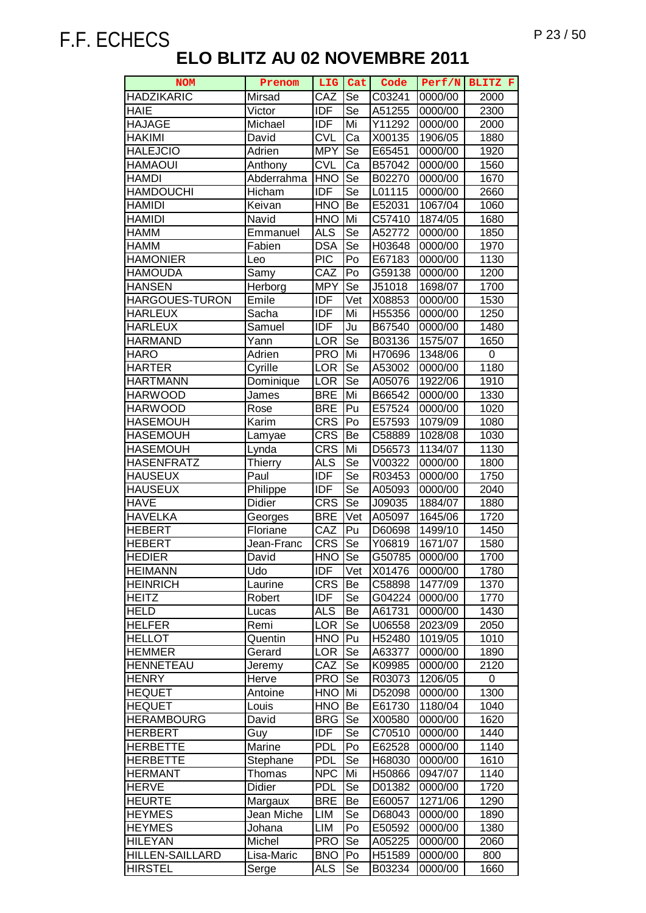| <b>NOM</b>                    | Prenom                    | LIG                      | Cat      | Code             | Perf/N             | BLITZ F      |
|-------------------------------|---------------------------|--------------------------|----------|------------------|--------------------|--------------|
| <b>HADZIKARIC</b>             | Mirsad                    | CAZ                      | Se       | C03241           | 0000/00            | 2000         |
| <b>HAIE</b>                   | Victor                    | <b>IDF</b>               | Se       | A51255           | 0000/00            | 2300         |
| <b>HAJAGE</b>                 | Michael                   | <b>IDF</b>               | Mi       | Y11292           | 0000/00            | 2000         |
| <b>HAKIMI</b>                 | David                     | <b>CVL</b>               | Ca       | X00135           | 1906/05            | 1880         |
| <b>HALEJCIO</b>               | Adrien                    | <b>MPY</b>               | Se       | E65451           | 0000/00            | 1920         |
| <b>HAMAOUI</b>                | Anthony                   | <b>CVL</b>               | Ca       | B57042           | 0000/00            | 1560         |
| <b>HAMDI</b>                  | Abderrahma                | <b>HNO</b>               | Se       | B02270           | 0000/00            | 1670         |
| <b>HAMDOUCHI</b>              | Hicham                    | <b>IDF</b>               | Se       | L01115           | 0000/00            | 2660         |
| <b>HAMIDI</b>                 | Keivan                    | <b>HNO</b>               | Be       | E52031           | 1067/04            | 1060         |
| <b>HAMIDI</b>                 | Navid                     | <b>HNO</b>               | Mi       | C57410           | 1874/05            | 1680         |
| <b>HAMM</b>                   | Emmanuel                  | <b>ALS</b>               | Se       | A52772           | 0000/00            | 1850         |
| <b>HAMM</b>                   | Fabien                    | <b>DSA</b>               | Se       | H03648           | 0000/00            | 1970         |
| <b>HAMONIER</b>               | Leo                       | <b>PIC</b>               | Po       | E67183           | 0000/00            | 1130         |
| <b>HAMOUDA</b>                | Samy                      | CAZ                      | Po       | G59138           | 0000/00            | 1200         |
| <b>HANSEN</b>                 | Herborg                   | <b>MPY</b>               | Se       | J51018           | 1698/07            | 1700         |
| HARGOUES-TURON                | Emile                     | <b>IDF</b>               | Vet      | X08853           | 0000/00            | 1530         |
| <b>HARLEUX</b>                | Sacha                     | <b>IDF</b>               | Mi       |                  |                    |              |
| <b>HARLEUX</b>                | Samuel                    | <b>IDF</b>               | Ju       | H55356<br>B67540 | 0000/00            | 1250<br>1480 |
| <b>HARMAND</b>                |                           |                          | Se       |                  | 0000/00            |              |
| <b>HARO</b>                   | Yann                      | <b>LOR</b><br><b>PRO</b> | Mi       | B03136           | 1575/07            | 1650<br>0    |
|                               | Adrien                    |                          | Se       | H70696           | 1348/06            |              |
| <b>HARTER</b>                 | Cyrille                   | LOR                      |          | A53002           | 0000/00            | 1180         |
| <b>HARTMANN</b>               | Dominique                 | LOR                      | Se       | A05076           | 1922/06            | 1910         |
| <b>HARWOOD</b>                | James                     | <b>BRE</b>               | Mi       | B66542           | 0000/00            | 1330         |
| <b>HARWOOD</b>                | Rose                      | <b>BRE</b>               | Pu       | E57524           | 0000/00            | 1020         |
| <b>HASEMOUH</b>               | Karim                     | <b>CRS</b>               | Po       | E57593           | 1079/09            | 1080         |
| <b>HASEMOUH</b>               | Lamyae                    | <b>CRS</b>               | Be       | C58889           | 1028/08            | 1030         |
| <b>HASEMOUH</b>               | Lynda                     | <b>CRS</b>               | Mi       | D56573           | 1134/07            | 1130         |
| <b>HASENFRATZ</b>             | <b>Thierry</b>            | <b>ALS</b>               | Se       | V00322           | 0000/00            | 1800         |
| <b>HAUSEUX</b>                | Paul                      | <b>IDF</b>               | Se       | R03453           | 0000/00            | 1750         |
| <b>HAUSEUX</b><br><b>HAVE</b> | Philippe<br><b>Didier</b> | <b>IDF</b><br><b>CRS</b> | Se<br>Se | A05093           | 0000/00            | 2040         |
| <b>HAVELKA</b>                |                           | <b>BRE</b>               | Vet      | J09035<br>A05097 | 1884/07<br>1645/06 | 1880<br>1720 |
| <b>HEBERT</b>                 | Georges<br>Floriane       | CAZ                      | Pu       | D60698           | 1499/10            | 1450         |
| <b>HEBERT</b>                 | Jean-Franc                | $CR\overline{S}$         | Se       | Y06819           | 1671/07            | 1580         |
| <b>HEDIER</b>                 | David                     | <b>HNO</b>               | Se       | G50785           | 0000/00            | 1700         |
| <b>HEIMANN</b>                | Udo                       | IDF                      | Vet      | X01476           | 0000/00            | 1780         |
| <b>HEINRICH</b>               | Laurine                   | <b>CRS</b>               | Be       | C58898           | 1477/09            | 1370         |
| <b>HEITZ</b>                  | Robert                    | <b>IDF</b>               | Se       | G04224           | 0000/00            | 1770         |
| <b>HELD</b>                   | Lucas                     | <b>ALS</b>               | Be       | A61731           | 0000/00            | 1430         |
| <b>HELFER</b>                 | Remi                      | LOR                      | Se       | U06558           | 2023/09            | 2050         |
| <b>HELLOT</b>                 | Quentin                   | <b>HNO</b>               | Pu       | H52480           | 1019/05            | 1010         |
| <b>HEMMER</b>                 | Gerard                    | <b>LOR</b>               | Se       | A63377           | 0000/00            | 1890         |
| <b>HENNETEAU</b>              | Jeremy                    | CAZ                      | Se       | K09985           | 0000/00            | 2120         |
| <b>HENRY</b>                  | Herve                     | <b>PRO</b>               | Se       | R03073           | 1206/05            | 0            |
| <b>HEQUET</b>                 | Antoine                   | <b>HNO</b>               | Mi       | D52098           | 0000/00            | 1300         |
| <b>HEQUET</b>                 | Louis                     | <b>HNO</b>               | Be       | E61730           | 1180/04            | 1040         |
| <b>HERAMBOURG</b>             | David                     | <b>BRG</b>               | Se       | X00580           | 0000/00            | 1620         |
| <b>HERBERT</b>                | Guy                       | <b>IDF</b>               | Se       | C70510           | 0000/00            | 1440         |
| <b>HERBETTE</b>               | Marine                    | <b>PDL</b>               | Po       | E62528           | 0000/00            | 1140         |
| <b>HERBETTE</b>               | Stephane                  | <b>PDL</b>               | Se       | H68030           | 0000/00            | 1610         |
| <b>HERMANT</b>                | Thomas                    | <b>NPC</b>               | Mi       | H50866           | 0947/07            | 1140         |
| <b>HERVE</b>                  | Didier                    | <b>PDL</b>               | Se       | D01382           | 0000/00            | 1720         |
| <b>HEURTE</b>                 | Margaux                   | <b>BRE</b>               | Be       | E60057           | 1271/06            | 1290         |
| <b>HEYMES</b>                 | Jean Miche                | LIM                      | Se       | D68043           | 0000/00            | 1890         |
| <b>HEYMES</b>                 | Johana                    | LIM                      | Po       | E50592           | 0000/00            | 1380         |
| <b>HILEYAN</b>                | Michel                    | <b>PRO</b>               | Se       | A05225           | 0000/00            | 2060         |
| <b>HILLEN-SAILLARD</b>        | Lisa-Maric                | <b>BNO</b>               | Po       | H51589           | 0000/00            | 800          |
| <b>HIRSTEL</b>                | Serge                     | ALS                      | Se       | B03234           | 0000/00            | 1660         |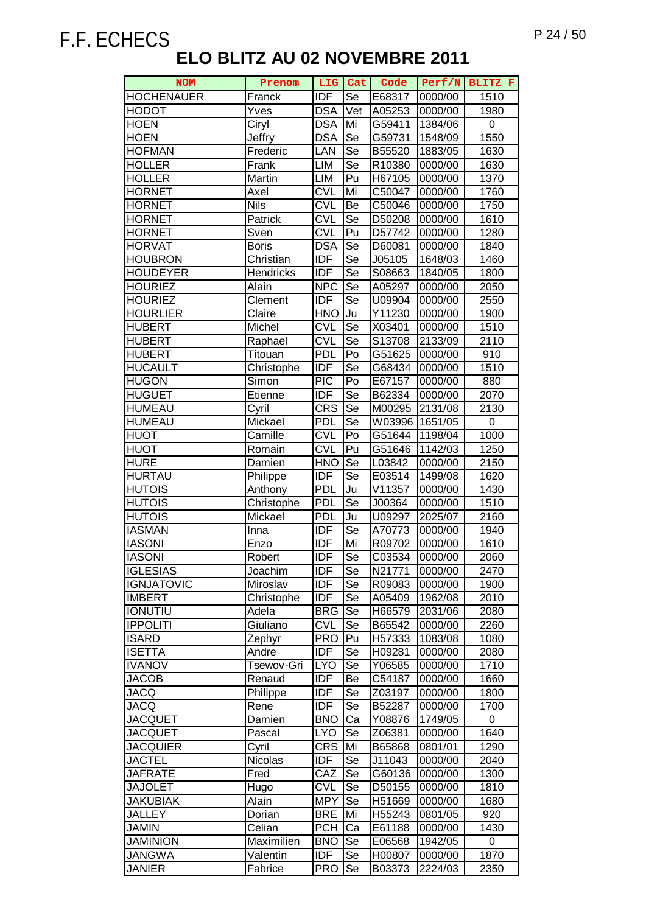| <b>NOM</b>                       | Prenom           | <b>LIG</b>               | Cat                    | Code             | Perf/N             | BLITZ F            |
|----------------------------------|------------------|--------------------------|------------------------|------------------|--------------------|--------------------|
| <b>HOCHENAUER</b>                | Franck           | <b>IDF</b>               | Se                     | E68317           | 0000/00            | 1510               |
| <b>HODOT</b>                     | Yves             | <b>DSA</b>               | Vet                    | A05253           | 0000/00            | 1980               |
| <b>HOEN</b>                      | Ciryl            | <b>DSA</b>               | Mi                     | G59411           | 1384/06            | 0                  |
| <b>HOEN</b>                      | Jeffry           | <b>DSA</b>               | Se                     | G59731           | 1548/09            | 1550               |
| <b>HOFMAN</b>                    | Frederic         | LAN                      | $\overline{\text{Se}}$ | B55520           | 1883/05            | 1630               |
| <b>HOLLER</b>                    | Frank            | <b>LIM</b>               | Se                     | R10380           | 0000/00            | 1630               |
| <b>HOLLER</b>                    | Martin           | LIM                      | Pu                     | H67105           | 0000/00            | 1370               |
| <b>HORNET</b>                    | Axel             | <b>CVL</b>               | Mi                     | C50047           | 0000/00            | 1760               |
| <b>HORNET</b>                    | <b>Nils</b>      | <b>CVL</b>               | Be                     | C50046           | 0000/00            | 1750               |
| <b>HORNET</b>                    | Patrick          | <b>CVL</b>               | Se                     | D50208           | 0000/00            | 1610               |
| <b>HORNET</b>                    | Sven             | <b>CVL</b>               | Pu                     | D57742           | 0000/00            | 1280               |
| <b>HORVAT</b>                    | <b>Boris</b>     | <b>DSA</b>               | Se                     | D60081           | 0000/00            | 1840               |
| <b>HOUBRON</b>                   | Christian        | <b>IDF</b>               | Se                     | J05105           | 1648/03            | 1460               |
| <b>HOUDEYER</b>                  | <b>Hendricks</b> | <b>IDF</b>               | Se                     | S08663           | 1840/05            | 1800               |
| <b>HOURIEZ</b>                   | Alain            | <b>NPC</b>               | Se                     | A05297           | 0000/00            | 2050               |
| <b>HOURIEZ</b>                   | Clement          | $\overline{IDF}$         | Se                     | U09904           | 0000/00            | 2550               |
| <b>HOURLIER</b>                  | Claire           | <b>HNO</b>               | Ju                     | Y11230           | 0000/00            | 1900               |
| <b>HUBERT</b>                    | Michel           | $\overline{\text{CVL}}$  | Se                     | X03401           | 0000/00            | 1510               |
| <b>HUBERT</b>                    | Raphael          | <b>CVL</b>               | Se                     | S13708           | 2133/09            | 2110               |
| <b>HUBERT</b>                    | Titouan          | <b>PDL</b>               | Po                     | G51625           | 0000/00            | 910                |
| <b>HUCAULT</b>                   | Christophe       | <b>IDF</b>               | Se                     | G68434           | 0000/00            | 1510               |
| <b>HUGON</b>                     | Simon            | <b>PIC</b>               | Po                     | E67157           | 0000/00            | 880                |
| <b>HUGUET</b>                    | Etienne          | <b>IDF</b>               | Se                     | B62334           | 0000/00            | 2070               |
| <b>HUMEAU</b>                    | Cyril            | $CR\overline{S}$         | Se                     | M00295           | 2131/08            | 2130               |
| <b>HUMEAU</b>                    | Mickael          | <b>PDL</b>               | Se                     | W03996           | 1651/05            | 0                  |
| <b>HUOT</b>                      | Camille          | <b>CVL</b>               | P <sub>o</sub>         | G51644           | 1198/04            | 1000               |
| <b>HUOT</b>                      | Romain           | <b>CVL</b>               | Pu                     | G51646           | 1142/03            | 1250               |
| <b>HURE</b>                      | Damien           | <b>HNO</b>               | Se                     | L03842           | 0000/00            | 2150               |
| <b>HURTAU</b>                    | Philippe         | <b>IDF</b>               | $\overline{\text{Se}}$ | E03514           | 1499/08            | 1620               |
| <b>HUTOIS</b>                    | Anthony          | <b>PDL</b>               | Ju                     | V11357           | 0000/00            | 1430               |
| <b>HUTOIS</b>                    | Christophe       | <b>PDL</b>               | Se                     | J00364           | 0000/00            | 1510               |
| <b>HUTOIS</b>                    | Mickael          | <b>PDL</b>               | Ju                     | U09297           | 2025/07            | $\overline{2}$ 160 |
| <b>IASMAN</b>                    | Inna             | <b>IDF</b>               | Se                     | A70773           | 0000/00            | 1940               |
| <b>IASONI</b>                    | Enzo             | <b>IDF</b>               | Mi                     | R09702           | 0000/00            | 1610               |
| <b>IASONI</b>                    | Robert           | IDF                      | Se                     | C03534           | 0000/00            | 2060               |
| <b>IGLESIAS</b>                  | Joachim          | <b>IDF</b>               | Se                     | N21771           | 0000/00            | 2470               |
| <b>IGNJATOVIC</b>                | Miroslav         | <b>IDF</b>               | Se                     | R09083           | 0000/00            | 1900               |
| <b>IMBERT</b>                    | Christophe       | <b>IDF</b>               | Se                     | A05409           | 1962/08            | 2010               |
| <b>IONUTIU</b>                   | Adela            | <b>BRG</b>               | Se                     | H66579           | 2031/06            | 2080               |
| <b>IPPOLITI</b>                  | Giuliano         | <b>CVL</b>               | Se                     | B65542           | 0000/00            | 2260               |
| <b>ISARD</b>                     | Zephyr           | <b>PRO</b>               | Pu                     | H57333           | 1083/08            | 1080               |
| <b>ISETTA</b>                    | Andre            | <b>IDF</b>               | Se                     | H09281           | 0000/00            | 2080               |
| <b>IVANOV</b>                    | Tsewov-Gri       | <b>LYO</b>               | Se                     | Y06585           | 0000/00            | 1710               |
| <b>JACOB</b>                     | Renaud           | <b>IDF</b>               | Be                     | C54187           | 0000/00            | 1660               |
| <b>JACQ</b>                      | Philippe         | <b>IDF</b>               | Se                     | Z03197           | 0000/00            | 1800               |
| <b>JACQ</b>                      | Rene<br>Damien   | <b>IDF</b><br><b>BNO</b> | Se<br>Ca               | B52287<br>Y08876 | 0000/00<br>1749/05 | 1700<br>0          |
| <b>JACQUET</b><br><b>JACQUET</b> |                  | <b>LYO</b>               | Se                     |                  | 0000/00            | 1640               |
| <b>JACQUIER</b>                  | Pascal<br>Cyril  | <b>CRS</b>               | Mi                     | Z06381<br>B65868 | 0801/01            | 1290               |
| <b>JACTEL</b>                    | Nicolas          | <b>IDF</b>               | Se                     | J11043           | 0000/00            | 2040               |
| <b>JAFRATE</b>                   | Fred             | CAZ                      | <b>Se</b>              |                  | 0000/00            | 1300               |
| <b>JAJOLET</b>                   | Hugo             | <b>CVL</b>               | Se                     | G60136<br>D50155 | 0000/00            | 1810               |
| <b>JAKUBIAK</b>                  | Alain            | <b>MPY</b>               | Se                     | H51669           | 0000/00            | 1680               |
| <b>JALLEY</b>                    | Dorian           | <b>BRE</b>               | Mi                     | H55243           | 0801/05            | 920                |
| <b>JAMIN</b>                     | Celian           | <b>PCH</b>               | Ca                     | E61188           | 0000/00            | 1430               |
| <b>JAMINION</b>                  | Maximilien       | <b>BNO</b>               | Se                     | E06568           | 1942/05            | 0                  |
| <b>JANGWA</b>                    | Valentin         | <b>IDF</b>               | Se                     | H00807           | 0000/00            | 1870               |
| <b>JANIER</b>                    | Fabrice          | <b>PRO</b>               | Se                     | B03373           | 2224/03            | 2350               |
|                                  |                  |                          |                        |                  |                    |                    |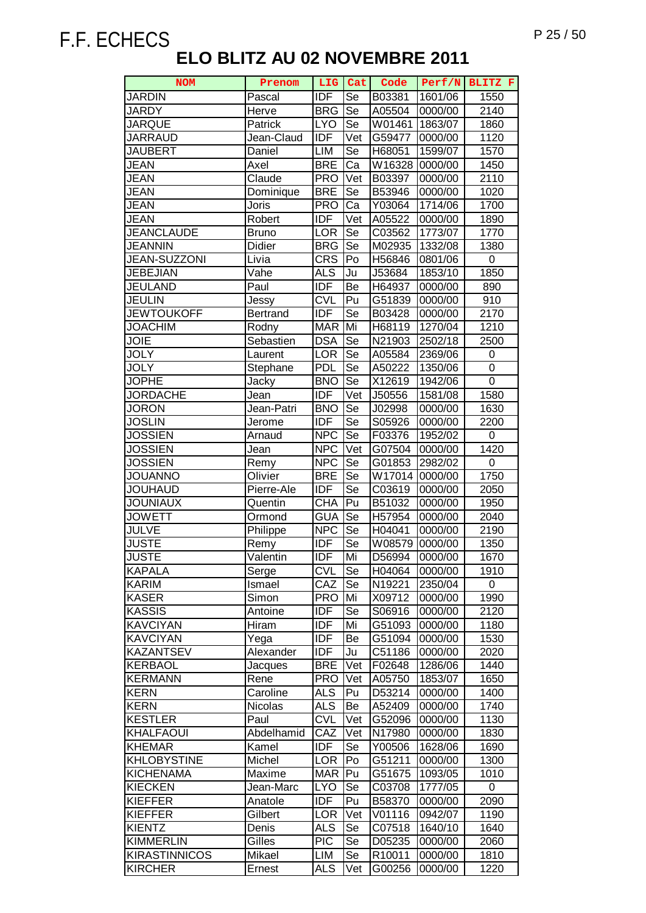| <b>NOM</b>                          | Prenom          | LIG Cat                  |                          | Code             |                    | Perf/N BLITZ F |
|-------------------------------------|-----------------|--------------------------|--------------------------|------------------|--------------------|----------------|
| <b>JARDIN</b>                       | Pascal          | <b>IDF</b>               | Se                       | B03381           | 1601/06            | 1550           |
| <b>JARDY</b>                        | Herve           | <b>BRG</b>               | Se                       | A05504           | 0000/00            | 2140           |
| <b>JARQUE</b>                       | Patrick         | <b>LYO</b>               | Se                       | W01461           | 1863/07            | 1860           |
| <b>JARRAUD</b>                      | Jean-Claud      | <b>IDF</b>               | Vet                      | G59477           | 0000/00            | 1120           |
| <b>JAUBERT</b>                      | Daniel          | LIM                      | Se                       | H68051           | 1599/07            | 1570           |
| <b>JEAN</b>                         | Axel            | <b>BRE</b>               | Ca                       | W16328           | 0000/00            | 1450           |
| <b>JEAN</b>                         | Claude          | <b>PRO</b>               | Vet                      | B03397           | 0000/00            | 2110           |
| <b>JEAN</b>                         | Dominique       | <b>BRE</b>               | Se                       | B53946           | 0000/00            | 1020           |
| <b>JEAN</b>                         | Joris           | <b>PRO</b>               | Ca                       | Y03064           | 1714/06            | 1700           |
| <b>JEAN</b>                         | Robert          | <b>IDF</b>               | Vet                      | A05522           | 0000/00            | 1890           |
| <b>JEANCLAUDE</b>                   | <b>Bruno</b>    | <b>LOR</b>               | Se                       | C03562           | 1773/07            | 1770           |
| <b>JEANNIN</b>                      | Didier          | <b>BRG</b>               | Se                       | M02935           | 1332/08            | 1380           |
| JEAN-SUZZONI                        | Livia           | <b>CRS</b>               | Po                       | H56846           | 0801/06            | 0              |
| <b>JEBEJIAN</b>                     | Vahe            | <b>ALS</b>               | Ju                       | J53684           | 1853/10            | 1850           |
| <b>JEULAND</b>                      | Paul            | <b>IDF</b>               | Be                       | H64937           | 0000/00            | 890            |
| <b>JEULIN</b>                       | Jessy           | <b>CVL</b>               | Pu                       | G51839           | 0000/00            | 910            |
| <b>JEWTOUKOFF</b>                   | <b>Bertrand</b> | <b>IDF</b>               | Se                       | B03428           | 0000/00            | 2170           |
| <b>JOACHIM</b>                      | Rodny           | <b>MAR</b>               | Mi                       | H68119           | 1270/04            | 1210           |
| <b>JOIE</b>                         | Sebastien       | <b>DSA</b>               | Se                       | N21903           | 2502/18            | 2500           |
| <b>JOLY</b>                         | Laurent         | <b>LOR</b>               | Se                       | A05584           | 2369/06            | $\pmb{0}$      |
| <b>JOLY</b>                         | Stephane        | <b>PDL</b>               | Se                       | A50222           | 1350/06            | 0              |
| <b>JOPHE</b>                        | Jacky           | <b>BNO</b>               | Se                       | X12619           | 1942/06            | 0              |
| <b>JORDACHE</b>                     | Jean            | <b>IDF</b>               | Vet                      | J50556           | 1581/08            | 1580           |
| <b>JORON</b>                        | Jean-Patri      | <b>BNO</b>               | Se                       | J02998           | 0000/00            | 1630           |
| <b>JOSLIN</b>                       | Jerome          | <b>IDF</b>               | Se                       | S05926           | 0000/00            | 2200           |
| <b>JOSSIEN</b>                      | Arnaud          | <b>NPC</b>               | $\overline{\mathsf{Se}}$ | F03376           | 1952/02            | $\pmb{0}$      |
| <b>JOSSIEN</b>                      | Jean            | <b>NPC</b>               | Vet                      | G07504           | 0000/00            | 1420           |
| <b>JOSSIEN</b>                      | Remy            | <b>NPC</b>               | Se                       | G01853           | 2982/02            | 0              |
| <b>JOUANNO</b>                      | Olivier         | <b>BRE</b>               | <b>Se</b>                | W17014 0000/00   |                    | 1750           |
| <b>JOUHAUD</b>                      | Pierre-Ale      | <b>IDF</b>               | <b>Se</b>                | C03619           | 0000/00            | 2050           |
| <b>JOUNIAUX</b>                     | Quentin         | <b>CHA</b>               | Pu                       | B51032           | 0000/00            | 1950           |
| <b>JOWETT</b>                       | Ormond          | <b>GUA</b>               | Se                       | H57954           | 0000/00            | 2040           |
| <b>JULVE</b>                        | Philippe        | <b>NPC</b>               | Se                       | H04041           | 0000/00            | 2190           |
| <b>JUSTE</b>                        | Remy            | <b>IDF</b>               | Se                       | W08579           | 0000/00            | 1350           |
| <b>JUSTE</b>                        | Valentin        | <b>IDF</b>               | Mi                       | D56994           | 0000/00            | 1670           |
| <b>KAPALA</b>                       | Serge           | <b>CVL</b>               | Se                       | H04064           | 0000/00            | 1910           |
| <b>KARIM</b>                        | Ismael          | CAZ                      | Se                       | N19221           | 2350/04            | 0              |
| <b>KASER</b>                        | Simon           | <b>PRO</b>               | Mi                       | X09712           | 0000/00            | 1990           |
| KASSIS                              | Antoine         | <b>IDF</b>               | Se                       | S06916           | 0000/00            | 2120           |
| <b>KAVCIYAN</b>                     | Hiram           | <b>IDF</b>               | Mi                       | G51093           | 0000/00            | 1180           |
| <b>KAVCIYAN</b><br><b>KAZANTSEV</b> | Yega            | <b>IDF</b>               | Be                       | G51094           | 0000/00            | 1530           |
| <b>KERBAOL</b>                      | Alexander       | <b>IDF</b>               | Ju                       | C51186           | 0000/00<br>1286/06 | 2020           |
| <b>KERMANN</b>                      | Jacques<br>Rene | <b>BRE</b><br><b>PRO</b> | Vet<br>Vet               | F02648           |                    | 1440           |
| <b>KERN</b>                         | Caroline        | <b>ALS</b>               | Pu                       | A05750<br>D53214 | 1853/07<br>0000/00 | 1650<br>1400   |
| <b>KERN</b>                         | <b>Nicolas</b>  | <b>ALS</b>               | Be                       | A52409           | 0000/00            | 1740           |
| <b>KESTLER</b>                      | Paul            | <b>CVL</b>               | Vet                      | G52096           | 0000/00            | 1130           |
| <b>KHALFAOUI</b>                    | Abdelhamid      | CAZ                      | Vet                      | N17980           | 0000/00            | 1830           |
| <b>KHEMAR</b>                       | Kamel           | <b>IDF</b>               | <b>Se</b>                | Y00506           | 1628/06            | 1690           |
| <b>KHLOBYSTINE</b>                  | Michel          | <b>LOR</b>               | Po                       | G51211           | 0000/00            | 1300           |
| <b>KICHENAMA</b>                    | Maxime          | <b>MAR</b>               | Pu                       | G51675           | 1093/05            | 1010           |
| <b>KIECKEN</b>                      | Jean-Marc       | <b>LYO</b>               | Se                       | C03708           | 1777/05            | 0              |
| <b>KIEFFER</b>                      | Anatole         | <b>IDF</b>               | Pu                       | B58370           | 0000/00            | 2090           |
| <b>KIEFFER</b>                      | Gilbert         | <b>LOR</b>               | Vet                      | V01116           | 0942/07            | 1190           |
| <b>KIENTZ</b>                       | Denis           | <b>ALS</b>               | Se                       | C07518           | 1640/10            | 1640           |
| <b>KIMMERLIN</b>                    | Gilles          | <b>PIC</b>               | Se                       | D05235           | 0000/00            | 2060           |
| <b>KIRASTINNICOS</b>                | Mikael          | LIM                      | Se                       | R10011           | 0000/00            | 1810           |
| <b>KIRCHER</b>                      | Ernest          | <b>ALS</b>               | Vet                      | G00256           | 0000/00            | 1220           |
|                                     |                 |                          |                          |                  |                    |                |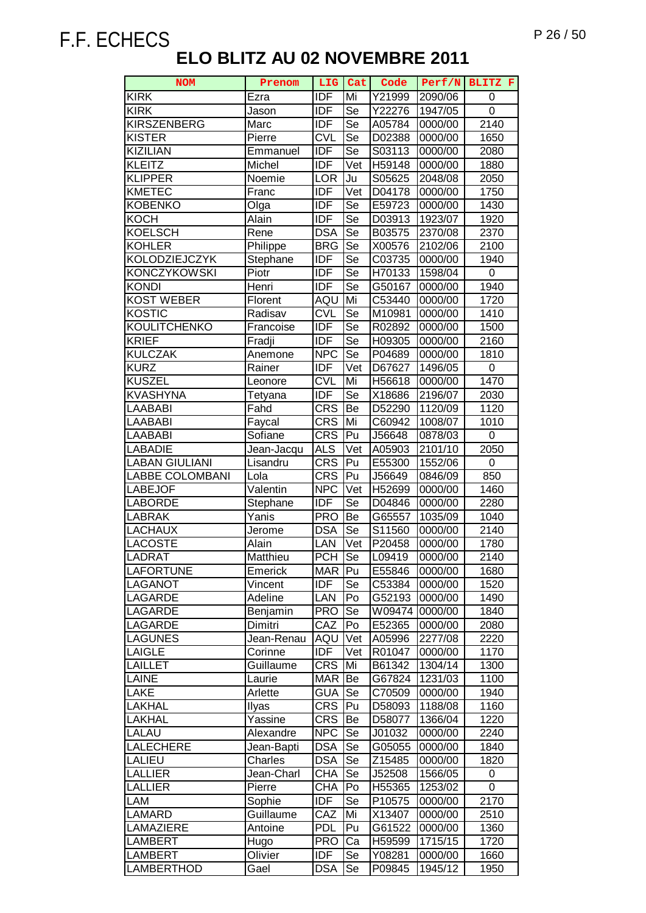| <b>KIRK</b><br><b>IDF</b><br>Mi<br>Y21999<br>Ezra<br>2090/06<br>0<br><b>IDF</b><br><b>KIRK</b><br>Se<br>$\mathbf 0$<br>Y22276<br>1947/05<br>Jason<br>$\overline{\text{Se}}$<br>$\frac{1}{2140}$<br><b>KIRSZENBERG</b><br><b>IDF</b><br>A05784<br>0000/00<br>Marc<br><b>CVL</b><br>$\overline{\text{Se}}$<br><b>KISTER</b><br>0000/00<br>1650<br>Pierre<br>D02388<br><b>IDF</b><br><b>KIZILIAN</b><br>Se<br>Emmanuel<br>S03113<br>0000/00<br>2080<br><b>IDF</b><br><b>KLEITZ</b><br>Vet<br>H59148<br>1880<br>Michel<br>0000/00<br><b>KLIPPER</b><br>Ju<br>S05625<br>2048/08<br>2050<br>Noemie<br><b>LOR</b><br>Vet<br><b>KMETEC</b><br><b>IDF</b><br>1750<br>D04178<br>0000/00<br>Franc<br><b>IDF</b><br>Se<br><b>KOBENKO</b><br>E59723<br>0000/00<br>1430<br>Olga<br>KOCH<br>Alain<br><b>IDF</b><br>Se<br>D03913<br>1923/07<br>1920<br><b>KOELSCH</b><br><b>DSA</b><br>Se<br>Rene<br>B03575<br>2370/08<br>2370<br><b>KOHLER</b><br><b>BRG</b><br>Se<br>Philippe<br>X00576<br>2102/06<br>2100<br>KOLODZIEJCZYK<br><b>IDF</b><br>Se<br>Stephane<br>C03735<br>0000/00<br>1940<br>Se<br><b>KONCZYKOWSKI</b><br>IDF<br>0<br>Piotr<br>H70133<br>1598/04<br><b>IDF</b><br>Se<br><b>KONDI</b><br>Henri<br>G50167<br>0000/00<br>1940<br><b>KOST WEBER</b><br>Mi<br>Florent<br>AQU<br>C53440<br>0000/00<br>1720<br><b>CVL</b><br>KOSTIC<br>Se<br>Radisav<br>M10981<br>0000/00<br>1410<br><b>IDF</b><br>$\overline{\text{Se}}$<br>KOULITCHENKO<br>1500<br>Francoise<br>R02892<br>0000/00<br><b>IDF</b><br><b>KRIEF</b><br>Se<br>H09305<br>0000/00<br>2160<br>Fradji<br>Se<br><b>KULCZAK</b><br><b>NPC</b><br>P04689<br>Anemone<br>0000/00<br>1810<br><b>IDF</b><br>Vet<br><b>KURZ</b><br>Rainer<br>D67627<br>1496/05<br>0<br><b>KUSZEL</b><br><b>CVL</b><br>Mi<br>1470<br>H56618<br>0000/00<br>Leonore<br><b>IDF</b><br>KVASHYNA<br>Se<br>X18686<br>2196/07<br>2030<br>Tetyana<br><b>CRS</b><br>Fahd<br>Be<br>LAABABI<br>D52290<br>1120/09<br>1120<br><b>CRS</b><br>LAABABI<br>Faycal<br>Mi<br>C60942<br>1008/07<br>1010<br><b>CRS</b><br>LAABABI<br>Sofiane<br>Pu<br>J56648<br>0878/03<br>0<br><b>LABADIE</b><br><b>ALS</b><br>Vet<br>2050<br>A05903<br>2101/10<br>Jean-Jacqu<br><b>CRS</b><br><b>LABAN GIULIANI</b><br>Pu<br>E55300<br>1552/06<br>0<br>Lisandru<br><b>LABBE COLOMBANI</b><br><b>CRS</b><br>Pu<br>850<br>Lola<br>J56649<br>0846/09<br>Valentin<br><b>LABEJOF</b><br><b>NPC</b><br>Vet<br>H52699<br>0000/00<br>1460<br><b>IDF</b><br><b>LABORDE</b><br>Se<br>2280<br>Stephane<br>D04846<br>0000/00<br><b>LABRAK</b><br>Yanis<br><b>PRO</b><br>Be<br>G65557<br>1035/09<br>1040<br><b>LACHAUX</b><br><b>DSA</b><br>Se<br>S11560<br>0000/00<br>2140<br>Jerome<br><b>LACOSTE</b><br>Alain<br>Vet<br>P20458<br>LAN<br>0000/00<br>1780<br>Se<br><b>PCH</b><br>LADRAT<br>0000/00<br>2140<br>Matthieu<br>L09419<br>Pu<br><b>LAFORTUNE</b><br><b>MAR</b><br>E55846<br>1680<br>Emerick<br>0000/00<br><b>IDF</b><br>Se<br>C53384<br><b>LAGANOT</b><br>Vincent<br>0000/00<br>1520<br><b>LAGARDE</b><br>Adeline<br>LAN<br>G52193<br>0000/00<br>Po<br>1490<br><b>PRO</b><br>Se<br>W09474<br><b>LAGARDE</b><br>Benjamin<br>0000/00<br>1840<br>CAZ<br>Po<br>E52365<br>0000/00<br>LAGARDE<br>2080<br>Dimitri<br><b>LAGUNES</b><br>Jean-Renau<br>Vet<br>2277/08<br>2220<br>AQU<br>A05996<br><b>IDF</b><br><b>LAIGLE</b><br>Vet<br>R01047<br>0000/00<br>1170<br>Corinne<br><b>CRS</b><br><b>LAILLET</b><br>Mi<br>1304/14<br>Guillaume<br>B61342<br>1300<br>LAINE<br><b>MAR</b><br>Be<br>1231/03<br>1100<br>Laurie<br>G67824<br><b>GUA</b><br>Se<br>LAKE<br>C70509<br>0000/00<br>1940<br>Arlette<br>LAKHAL<br><b>CRS</b><br>Pu<br>1188/08<br>1160<br>Ilyas<br>D58093<br><b>CRS</b><br>LAKHAL<br>Yassine<br>D58077<br>1366/04<br>1220<br>Be<br>LALAU<br><b>NPC</b><br>Se<br>Alexandre<br>J01032<br>0000/00<br>2240<br><b>DSA</b><br><b>LALECHERE</b><br>Se<br>G05055<br>0000/00<br>1840<br>Jean-Bapti<br><b>LALIEU</b><br>Charles<br><b>DSA</b><br>Se<br>Z15485<br>1820<br>0000/00<br>Se<br><b>LALLIER</b><br><b>CHA</b><br>Jean-Charl<br>J52508<br>1566/05<br>0<br><b>LALLIER</b><br><b>CHA</b><br>Po<br>H55365<br>0<br>Pierre<br>1253/02<br>Se<br>Sophie<br><b>IDF</b><br>2170<br>LAM<br>P10575<br>0000/00<br>CAZ<br><b>LAMARD</b><br>Mi<br>Guillaume<br>X13407<br>0000/00<br>2510<br><b>LAMAZIERE</b><br><b>PDL</b><br>Pu<br>G61522<br>0000/00<br>1360<br>Antoine<br>Ca<br><b>LAMBERT</b><br><b>PRO</b><br>1715/15<br>1720<br>Hugo<br>H59599<br><b>LAMBERT</b><br>Olivier<br><b>IDF</b><br>Se<br>Y08281<br>0000/00<br>1660 | <b>NOM</b> | Prenom | <b>LIG</b> | Cat | Code | Perf/N | BLITZ F |
|---------------------------------------------------------------------------------------------------------------------------------------------------------------------------------------------------------------------------------------------------------------------------------------------------------------------------------------------------------------------------------------------------------------------------------------------------------------------------------------------------------------------------------------------------------------------------------------------------------------------------------------------------------------------------------------------------------------------------------------------------------------------------------------------------------------------------------------------------------------------------------------------------------------------------------------------------------------------------------------------------------------------------------------------------------------------------------------------------------------------------------------------------------------------------------------------------------------------------------------------------------------------------------------------------------------------------------------------------------------------------------------------------------------------------------------------------------------------------------------------------------------------------------------------------------------------------------------------------------------------------------------------------------------------------------------------------------------------------------------------------------------------------------------------------------------------------------------------------------------------------------------------------------------------------------------------------------------------------------------------------------------------------------------------------------------------------------------------------------------------------------------------------------------------------------------------------------------------------------------------------------------------------------------------------------------------------------------------------------------------------------------------------------------------------------------------------------------------------------------------------------------------------------------------------------------------------------------------------------------------------------------------------------------------------------------------------------------------------------------------------------------------------------------------------------------------------------------------------------------------------------------------------------------------------------------------------------------------------------------------------------------------------------------------------------------------------------------------------------------------------------------------------------------------------------------------------------------------------------------------------------------------------------------------------------------------------------------------------------------------------------------------------------------------------------------------------------------------------------------------------------------------------------------------------------------------------------------------------------------------------------------------------------------------------------------------------------------------------------------------------------------------------------------------------------------------------------------------------------------------------------------------------------------------------------------------------------------------------------------------------------------------------------------------------------------------------------------------------------------------------------------------------------------------------------------------------------------------------------------------------------------------------------------------------------------------------------------------------------------------------------------------------------------------------------------------------------------------------------------------------------------|------------|--------|------------|-----|------|--------|---------|
|                                                                                                                                                                                                                                                                                                                                                                                                                                                                                                                                                                                                                                                                                                                                                                                                                                                                                                                                                                                                                                                                                                                                                                                                                                                                                                                                                                                                                                                                                                                                                                                                                                                                                                                                                                                                                                                                                                                                                                                                                                                                                                                                                                                                                                                                                                                                                                                                                                                                                                                                                                                                                                                                                                                                                                                                                                                                                                                                                                                                                                                                                                                                                                                                                                                                                                                                                                                                                                                                                                                                                                                                                                                                                                                                                                                                                                                                                                                                                                                                                                                                                                                                                                                                                                                                                                                                                                                                                                                                                                               |            |        |            |     |      |        |         |
|                                                                                                                                                                                                                                                                                                                                                                                                                                                                                                                                                                                                                                                                                                                                                                                                                                                                                                                                                                                                                                                                                                                                                                                                                                                                                                                                                                                                                                                                                                                                                                                                                                                                                                                                                                                                                                                                                                                                                                                                                                                                                                                                                                                                                                                                                                                                                                                                                                                                                                                                                                                                                                                                                                                                                                                                                                                                                                                                                                                                                                                                                                                                                                                                                                                                                                                                                                                                                                                                                                                                                                                                                                                                                                                                                                                                                                                                                                                                                                                                                                                                                                                                                                                                                                                                                                                                                                                                                                                                                                               |            |        |            |     |      |        |         |
|                                                                                                                                                                                                                                                                                                                                                                                                                                                                                                                                                                                                                                                                                                                                                                                                                                                                                                                                                                                                                                                                                                                                                                                                                                                                                                                                                                                                                                                                                                                                                                                                                                                                                                                                                                                                                                                                                                                                                                                                                                                                                                                                                                                                                                                                                                                                                                                                                                                                                                                                                                                                                                                                                                                                                                                                                                                                                                                                                                                                                                                                                                                                                                                                                                                                                                                                                                                                                                                                                                                                                                                                                                                                                                                                                                                                                                                                                                                                                                                                                                                                                                                                                                                                                                                                                                                                                                                                                                                                                                               |            |        |            |     |      |        |         |
|                                                                                                                                                                                                                                                                                                                                                                                                                                                                                                                                                                                                                                                                                                                                                                                                                                                                                                                                                                                                                                                                                                                                                                                                                                                                                                                                                                                                                                                                                                                                                                                                                                                                                                                                                                                                                                                                                                                                                                                                                                                                                                                                                                                                                                                                                                                                                                                                                                                                                                                                                                                                                                                                                                                                                                                                                                                                                                                                                                                                                                                                                                                                                                                                                                                                                                                                                                                                                                                                                                                                                                                                                                                                                                                                                                                                                                                                                                                                                                                                                                                                                                                                                                                                                                                                                                                                                                                                                                                                                                               |            |        |            |     |      |        |         |
|                                                                                                                                                                                                                                                                                                                                                                                                                                                                                                                                                                                                                                                                                                                                                                                                                                                                                                                                                                                                                                                                                                                                                                                                                                                                                                                                                                                                                                                                                                                                                                                                                                                                                                                                                                                                                                                                                                                                                                                                                                                                                                                                                                                                                                                                                                                                                                                                                                                                                                                                                                                                                                                                                                                                                                                                                                                                                                                                                                                                                                                                                                                                                                                                                                                                                                                                                                                                                                                                                                                                                                                                                                                                                                                                                                                                                                                                                                                                                                                                                                                                                                                                                                                                                                                                                                                                                                                                                                                                                                               |            |        |            |     |      |        |         |
|                                                                                                                                                                                                                                                                                                                                                                                                                                                                                                                                                                                                                                                                                                                                                                                                                                                                                                                                                                                                                                                                                                                                                                                                                                                                                                                                                                                                                                                                                                                                                                                                                                                                                                                                                                                                                                                                                                                                                                                                                                                                                                                                                                                                                                                                                                                                                                                                                                                                                                                                                                                                                                                                                                                                                                                                                                                                                                                                                                                                                                                                                                                                                                                                                                                                                                                                                                                                                                                                                                                                                                                                                                                                                                                                                                                                                                                                                                                                                                                                                                                                                                                                                                                                                                                                                                                                                                                                                                                                                                               |            |        |            |     |      |        |         |
|                                                                                                                                                                                                                                                                                                                                                                                                                                                                                                                                                                                                                                                                                                                                                                                                                                                                                                                                                                                                                                                                                                                                                                                                                                                                                                                                                                                                                                                                                                                                                                                                                                                                                                                                                                                                                                                                                                                                                                                                                                                                                                                                                                                                                                                                                                                                                                                                                                                                                                                                                                                                                                                                                                                                                                                                                                                                                                                                                                                                                                                                                                                                                                                                                                                                                                                                                                                                                                                                                                                                                                                                                                                                                                                                                                                                                                                                                                                                                                                                                                                                                                                                                                                                                                                                                                                                                                                                                                                                                                               |            |        |            |     |      |        |         |
|                                                                                                                                                                                                                                                                                                                                                                                                                                                                                                                                                                                                                                                                                                                                                                                                                                                                                                                                                                                                                                                                                                                                                                                                                                                                                                                                                                                                                                                                                                                                                                                                                                                                                                                                                                                                                                                                                                                                                                                                                                                                                                                                                                                                                                                                                                                                                                                                                                                                                                                                                                                                                                                                                                                                                                                                                                                                                                                                                                                                                                                                                                                                                                                                                                                                                                                                                                                                                                                                                                                                                                                                                                                                                                                                                                                                                                                                                                                                                                                                                                                                                                                                                                                                                                                                                                                                                                                                                                                                                                               |            |        |            |     |      |        |         |
|                                                                                                                                                                                                                                                                                                                                                                                                                                                                                                                                                                                                                                                                                                                                                                                                                                                                                                                                                                                                                                                                                                                                                                                                                                                                                                                                                                                                                                                                                                                                                                                                                                                                                                                                                                                                                                                                                                                                                                                                                                                                                                                                                                                                                                                                                                                                                                                                                                                                                                                                                                                                                                                                                                                                                                                                                                                                                                                                                                                                                                                                                                                                                                                                                                                                                                                                                                                                                                                                                                                                                                                                                                                                                                                                                                                                                                                                                                                                                                                                                                                                                                                                                                                                                                                                                                                                                                                                                                                                                                               |            |        |            |     |      |        |         |
|                                                                                                                                                                                                                                                                                                                                                                                                                                                                                                                                                                                                                                                                                                                                                                                                                                                                                                                                                                                                                                                                                                                                                                                                                                                                                                                                                                                                                                                                                                                                                                                                                                                                                                                                                                                                                                                                                                                                                                                                                                                                                                                                                                                                                                                                                                                                                                                                                                                                                                                                                                                                                                                                                                                                                                                                                                                                                                                                                                                                                                                                                                                                                                                                                                                                                                                                                                                                                                                                                                                                                                                                                                                                                                                                                                                                                                                                                                                                                                                                                                                                                                                                                                                                                                                                                                                                                                                                                                                                                                               |            |        |            |     |      |        |         |
|                                                                                                                                                                                                                                                                                                                                                                                                                                                                                                                                                                                                                                                                                                                                                                                                                                                                                                                                                                                                                                                                                                                                                                                                                                                                                                                                                                                                                                                                                                                                                                                                                                                                                                                                                                                                                                                                                                                                                                                                                                                                                                                                                                                                                                                                                                                                                                                                                                                                                                                                                                                                                                                                                                                                                                                                                                                                                                                                                                                                                                                                                                                                                                                                                                                                                                                                                                                                                                                                                                                                                                                                                                                                                                                                                                                                                                                                                                                                                                                                                                                                                                                                                                                                                                                                                                                                                                                                                                                                                                               |            |        |            |     |      |        |         |
|                                                                                                                                                                                                                                                                                                                                                                                                                                                                                                                                                                                                                                                                                                                                                                                                                                                                                                                                                                                                                                                                                                                                                                                                                                                                                                                                                                                                                                                                                                                                                                                                                                                                                                                                                                                                                                                                                                                                                                                                                                                                                                                                                                                                                                                                                                                                                                                                                                                                                                                                                                                                                                                                                                                                                                                                                                                                                                                                                                                                                                                                                                                                                                                                                                                                                                                                                                                                                                                                                                                                                                                                                                                                                                                                                                                                                                                                                                                                                                                                                                                                                                                                                                                                                                                                                                                                                                                                                                                                                                               |            |        |            |     |      |        |         |
|                                                                                                                                                                                                                                                                                                                                                                                                                                                                                                                                                                                                                                                                                                                                                                                                                                                                                                                                                                                                                                                                                                                                                                                                                                                                                                                                                                                                                                                                                                                                                                                                                                                                                                                                                                                                                                                                                                                                                                                                                                                                                                                                                                                                                                                                                                                                                                                                                                                                                                                                                                                                                                                                                                                                                                                                                                                                                                                                                                                                                                                                                                                                                                                                                                                                                                                                                                                                                                                                                                                                                                                                                                                                                                                                                                                                                                                                                                                                                                                                                                                                                                                                                                                                                                                                                                                                                                                                                                                                                                               |            |        |            |     |      |        |         |
|                                                                                                                                                                                                                                                                                                                                                                                                                                                                                                                                                                                                                                                                                                                                                                                                                                                                                                                                                                                                                                                                                                                                                                                                                                                                                                                                                                                                                                                                                                                                                                                                                                                                                                                                                                                                                                                                                                                                                                                                                                                                                                                                                                                                                                                                                                                                                                                                                                                                                                                                                                                                                                                                                                                                                                                                                                                                                                                                                                                                                                                                                                                                                                                                                                                                                                                                                                                                                                                                                                                                                                                                                                                                                                                                                                                                                                                                                                                                                                                                                                                                                                                                                                                                                                                                                                                                                                                                                                                                                                               |            |        |            |     |      |        |         |
|                                                                                                                                                                                                                                                                                                                                                                                                                                                                                                                                                                                                                                                                                                                                                                                                                                                                                                                                                                                                                                                                                                                                                                                                                                                                                                                                                                                                                                                                                                                                                                                                                                                                                                                                                                                                                                                                                                                                                                                                                                                                                                                                                                                                                                                                                                                                                                                                                                                                                                                                                                                                                                                                                                                                                                                                                                                                                                                                                                                                                                                                                                                                                                                                                                                                                                                                                                                                                                                                                                                                                                                                                                                                                                                                                                                                                                                                                                                                                                                                                                                                                                                                                                                                                                                                                                                                                                                                                                                                                                               |            |        |            |     |      |        |         |
|                                                                                                                                                                                                                                                                                                                                                                                                                                                                                                                                                                                                                                                                                                                                                                                                                                                                                                                                                                                                                                                                                                                                                                                                                                                                                                                                                                                                                                                                                                                                                                                                                                                                                                                                                                                                                                                                                                                                                                                                                                                                                                                                                                                                                                                                                                                                                                                                                                                                                                                                                                                                                                                                                                                                                                                                                                                                                                                                                                                                                                                                                                                                                                                                                                                                                                                                                                                                                                                                                                                                                                                                                                                                                                                                                                                                                                                                                                                                                                                                                                                                                                                                                                                                                                                                                                                                                                                                                                                                                                               |            |        |            |     |      |        |         |
|                                                                                                                                                                                                                                                                                                                                                                                                                                                                                                                                                                                                                                                                                                                                                                                                                                                                                                                                                                                                                                                                                                                                                                                                                                                                                                                                                                                                                                                                                                                                                                                                                                                                                                                                                                                                                                                                                                                                                                                                                                                                                                                                                                                                                                                                                                                                                                                                                                                                                                                                                                                                                                                                                                                                                                                                                                                                                                                                                                                                                                                                                                                                                                                                                                                                                                                                                                                                                                                                                                                                                                                                                                                                                                                                                                                                                                                                                                                                                                                                                                                                                                                                                                                                                                                                                                                                                                                                                                                                                                               |            |        |            |     |      |        |         |
|                                                                                                                                                                                                                                                                                                                                                                                                                                                                                                                                                                                                                                                                                                                                                                                                                                                                                                                                                                                                                                                                                                                                                                                                                                                                                                                                                                                                                                                                                                                                                                                                                                                                                                                                                                                                                                                                                                                                                                                                                                                                                                                                                                                                                                                                                                                                                                                                                                                                                                                                                                                                                                                                                                                                                                                                                                                                                                                                                                                                                                                                                                                                                                                                                                                                                                                                                                                                                                                                                                                                                                                                                                                                                                                                                                                                                                                                                                                                                                                                                                                                                                                                                                                                                                                                                                                                                                                                                                                                                                               |            |        |            |     |      |        |         |
|                                                                                                                                                                                                                                                                                                                                                                                                                                                                                                                                                                                                                                                                                                                                                                                                                                                                                                                                                                                                                                                                                                                                                                                                                                                                                                                                                                                                                                                                                                                                                                                                                                                                                                                                                                                                                                                                                                                                                                                                                                                                                                                                                                                                                                                                                                                                                                                                                                                                                                                                                                                                                                                                                                                                                                                                                                                                                                                                                                                                                                                                                                                                                                                                                                                                                                                                                                                                                                                                                                                                                                                                                                                                                                                                                                                                                                                                                                                                                                                                                                                                                                                                                                                                                                                                                                                                                                                                                                                                                                               |            |        |            |     |      |        |         |
|                                                                                                                                                                                                                                                                                                                                                                                                                                                                                                                                                                                                                                                                                                                                                                                                                                                                                                                                                                                                                                                                                                                                                                                                                                                                                                                                                                                                                                                                                                                                                                                                                                                                                                                                                                                                                                                                                                                                                                                                                                                                                                                                                                                                                                                                                                                                                                                                                                                                                                                                                                                                                                                                                                                                                                                                                                                                                                                                                                                                                                                                                                                                                                                                                                                                                                                                                                                                                                                                                                                                                                                                                                                                                                                                                                                                                                                                                                                                                                                                                                                                                                                                                                                                                                                                                                                                                                                                                                                                                                               |            |        |            |     |      |        |         |
|                                                                                                                                                                                                                                                                                                                                                                                                                                                                                                                                                                                                                                                                                                                                                                                                                                                                                                                                                                                                                                                                                                                                                                                                                                                                                                                                                                                                                                                                                                                                                                                                                                                                                                                                                                                                                                                                                                                                                                                                                                                                                                                                                                                                                                                                                                                                                                                                                                                                                                                                                                                                                                                                                                                                                                                                                                                                                                                                                                                                                                                                                                                                                                                                                                                                                                                                                                                                                                                                                                                                                                                                                                                                                                                                                                                                                                                                                                                                                                                                                                                                                                                                                                                                                                                                                                                                                                                                                                                                                                               |            |        |            |     |      |        |         |
|                                                                                                                                                                                                                                                                                                                                                                                                                                                                                                                                                                                                                                                                                                                                                                                                                                                                                                                                                                                                                                                                                                                                                                                                                                                                                                                                                                                                                                                                                                                                                                                                                                                                                                                                                                                                                                                                                                                                                                                                                                                                                                                                                                                                                                                                                                                                                                                                                                                                                                                                                                                                                                                                                                                                                                                                                                                                                                                                                                                                                                                                                                                                                                                                                                                                                                                                                                                                                                                                                                                                                                                                                                                                                                                                                                                                                                                                                                                                                                                                                                                                                                                                                                                                                                                                                                                                                                                                                                                                                                               |            |        |            |     |      |        |         |
|                                                                                                                                                                                                                                                                                                                                                                                                                                                                                                                                                                                                                                                                                                                                                                                                                                                                                                                                                                                                                                                                                                                                                                                                                                                                                                                                                                                                                                                                                                                                                                                                                                                                                                                                                                                                                                                                                                                                                                                                                                                                                                                                                                                                                                                                                                                                                                                                                                                                                                                                                                                                                                                                                                                                                                                                                                                                                                                                                                                                                                                                                                                                                                                                                                                                                                                                                                                                                                                                                                                                                                                                                                                                                                                                                                                                                                                                                                                                                                                                                                                                                                                                                                                                                                                                                                                                                                                                                                                                                                               |            |        |            |     |      |        |         |
|                                                                                                                                                                                                                                                                                                                                                                                                                                                                                                                                                                                                                                                                                                                                                                                                                                                                                                                                                                                                                                                                                                                                                                                                                                                                                                                                                                                                                                                                                                                                                                                                                                                                                                                                                                                                                                                                                                                                                                                                                                                                                                                                                                                                                                                                                                                                                                                                                                                                                                                                                                                                                                                                                                                                                                                                                                                                                                                                                                                                                                                                                                                                                                                                                                                                                                                                                                                                                                                                                                                                                                                                                                                                                                                                                                                                                                                                                                                                                                                                                                                                                                                                                                                                                                                                                                                                                                                                                                                                                                               |            |        |            |     |      |        |         |
|                                                                                                                                                                                                                                                                                                                                                                                                                                                                                                                                                                                                                                                                                                                                                                                                                                                                                                                                                                                                                                                                                                                                                                                                                                                                                                                                                                                                                                                                                                                                                                                                                                                                                                                                                                                                                                                                                                                                                                                                                                                                                                                                                                                                                                                                                                                                                                                                                                                                                                                                                                                                                                                                                                                                                                                                                                                                                                                                                                                                                                                                                                                                                                                                                                                                                                                                                                                                                                                                                                                                                                                                                                                                                                                                                                                                                                                                                                                                                                                                                                                                                                                                                                                                                                                                                                                                                                                                                                                                                                               |            |        |            |     |      |        |         |
|                                                                                                                                                                                                                                                                                                                                                                                                                                                                                                                                                                                                                                                                                                                                                                                                                                                                                                                                                                                                                                                                                                                                                                                                                                                                                                                                                                                                                                                                                                                                                                                                                                                                                                                                                                                                                                                                                                                                                                                                                                                                                                                                                                                                                                                                                                                                                                                                                                                                                                                                                                                                                                                                                                                                                                                                                                                                                                                                                                                                                                                                                                                                                                                                                                                                                                                                                                                                                                                                                                                                                                                                                                                                                                                                                                                                                                                                                                                                                                                                                                                                                                                                                                                                                                                                                                                                                                                                                                                                                                               |            |        |            |     |      |        |         |
|                                                                                                                                                                                                                                                                                                                                                                                                                                                                                                                                                                                                                                                                                                                                                                                                                                                                                                                                                                                                                                                                                                                                                                                                                                                                                                                                                                                                                                                                                                                                                                                                                                                                                                                                                                                                                                                                                                                                                                                                                                                                                                                                                                                                                                                                                                                                                                                                                                                                                                                                                                                                                                                                                                                                                                                                                                                                                                                                                                                                                                                                                                                                                                                                                                                                                                                                                                                                                                                                                                                                                                                                                                                                                                                                                                                                                                                                                                                                                                                                                                                                                                                                                                                                                                                                                                                                                                                                                                                                                                               |            |        |            |     |      |        |         |
|                                                                                                                                                                                                                                                                                                                                                                                                                                                                                                                                                                                                                                                                                                                                                                                                                                                                                                                                                                                                                                                                                                                                                                                                                                                                                                                                                                                                                                                                                                                                                                                                                                                                                                                                                                                                                                                                                                                                                                                                                                                                                                                                                                                                                                                                                                                                                                                                                                                                                                                                                                                                                                                                                                                                                                                                                                                                                                                                                                                                                                                                                                                                                                                                                                                                                                                                                                                                                                                                                                                                                                                                                                                                                                                                                                                                                                                                                                                                                                                                                                                                                                                                                                                                                                                                                                                                                                                                                                                                                                               |            |        |            |     |      |        |         |
|                                                                                                                                                                                                                                                                                                                                                                                                                                                                                                                                                                                                                                                                                                                                                                                                                                                                                                                                                                                                                                                                                                                                                                                                                                                                                                                                                                                                                                                                                                                                                                                                                                                                                                                                                                                                                                                                                                                                                                                                                                                                                                                                                                                                                                                                                                                                                                                                                                                                                                                                                                                                                                                                                                                                                                                                                                                                                                                                                                                                                                                                                                                                                                                                                                                                                                                                                                                                                                                                                                                                                                                                                                                                                                                                                                                                                                                                                                                                                                                                                                                                                                                                                                                                                                                                                                                                                                                                                                                                                                               |            |        |            |     |      |        |         |
|                                                                                                                                                                                                                                                                                                                                                                                                                                                                                                                                                                                                                                                                                                                                                                                                                                                                                                                                                                                                                                                                                                                                                                                                                                                                                                                                                                                                                                                                                                                                                                                                                                                                                                                                                                                                                                                                                                                                                                                                                                                                                                                                                                                                                                                                                                                                                                                                                                                                                                                                                                                                                                                                                                                                                                                                                                                                                                                                                                                                                                                                                                                                                                                                                                                                                                                                                                                                                                                                                                                                                                                                                                                                                                                                                                                                                                                                                                                                                                                                                                                                                                                                                                                                                                                                                                                                                                                                                                                                                                               |            |        |            |     |      |        |         |
|                                                                                                                                                                                                                                                                                                                                                                                                                                                                                                                                                                                                                                                                                                                                                                                                                                                                                                                                                                                                                                                                                                                                                                                                                                                                                                                                                                                                                                                                                                                                                                                                                                                                                                                                                                                                                                                                                                                                                                                                                                                                                                                                                                                                                                                                                                                                                                                                                                                                                                                                                                                                                                                                                                                                                                                                                                                                                                                                                                                                                                                                                                                                                                                                                                                                                                                                                                                                                                                                                                                                                                                                                                                                                                                                                                                                                                                                                                                                                                                                                                                                                                                                                                                                                                                                                                                                                                                                                                                                                                               |            |        |            |     |      |        |         |
|                                                                                                                                                                                                                                                                                                                                                                                                                                                                                                                                                                                                                                                                                                                                                                                                                                                                                                                                                                                                                                                                                                                                                                                                                                                                                                                                                                                                                                                                                                                                                                                                                                                                                                                                                                                                                                                                                                                                                                                                                                                                                                                                                                                                                                                                                                                                                                                                                                                                                                                                                                                                                                                                                                                                                                                                                                                                                                                                                                                                                                                                                                                                                                                                                                                                                                                                                                                                                                                                                                                                                                                                                                                                                                                                                                                                                                                                                                                                                                                                                                                                                                                                                                                                                                                                                                                                                                                                                                                                                                               |            |        |            |     |      |        |         |
|                                                                                                                                                                                                                                                                                                                                                                                                                                                                                                                                                                                                                                                                                                                                                                                                                                                                                                                                                                                                                                                                                                                                                                                                                                                                                                                                                                                                                                                                                                                                                                                                                                                                                                                                                                                                                                                                                                                                                                                                                                                                                                                                                                                                                                                                                                                                                                                                                                                                                                                                                                                                                                                                                                                                                                                                                                                                                                                                                                                                                                                                                                                                                                                                                                                                                                                                                                                                                                                                                                                                                                                                                                                                                                                                                                                                                                                                                                                                                                                                                                                                                                                                                                                                                                                                                                                                                                                                                                                                                                               |            |        |            |     |      |        |         |
|                                                                                                                                                                                                                                                                                                                                                                                                                                                                                                                                                                                                                                                                                                                                                                                                                                                                                                                                                                                                                                                                                                                                                                                                                                                                                                                                                                                                                                                                                                                                                                                                                                                                                                                                                                                                                                                                                                                                                                                                                                                                                                                                                                                                                                                                                                                                                                                                                                                                                                                                                                                                                                                                                                                                                                                                                                                                                                                                                                                                                                                                                                                                                                                                                                                                                                                                                                                                                                                                                                                                                                                                                                                                                                                                                                                                                                                                                                                                                                                                                                                                                                                                                                                                                                                                                                                                                                                                                                                                                                               |            |        |            |     |      |        |         |
|                                                                                                                                                                                                                                                                                                                                                                                                                                                                                                                                                                                                                                                                                                                                                                                                                                                                                                                                                                                                                                                                                                                                                                                                                                                                                                                                                                                                                                                                                                                                                                                                                                                                                                                                                                                                                                                                                                                                                                                                                                                                                                                                                                                                                                                                                                                                                                                                                                                                                                                                                                                                                                                                                                                                                                                                                                                                                                                                                                                                                                                                                                                                                                                                                                                                                                                                                                                                                                                                                                                                                                                                                                                                                                                                                                                                                                                                                                                                                                                                                                                                                                                                                                                                                                                                                                                                                                                                                                                                                                               |            |        |            |     |      |        |         |
|                                                                                                                                                                                                                                                                                                                                                                                                                                                                                                                                                                                                                                                                                                                                                                                                                                                                                                                                                                                                                                                                                                                                                                                                                                                                                                                                                                                                                                                                                                                                                                                                                                                                                                                                                                                                                                                                                                                                                                                                                                                                                                                                                                                                                                                                                                                                                                                                                                                                                                                                                                                                                                                                                                                                                                                                                                                                                                                                                                                                                                                                                                                                                                                                                                                                                                                                                                                                                                                                                                                                                                                                                                                                                                                                                                                                                                                                                                                                                                                                                                                                                                                                                                                                                                                                                                                                                                                                                                                                                                               |            |        |            |     |      |        |         |
|                                                                                                                                                                                                                                                                                                                                                                                                                                                                                                                                                                                                                                                                                                                                                                                                                                                                                                                                                                                                                                                                                                                                                                                                                                                                                                                                                                                                                                                                                                                                                                                                                                                                                                                                                                                                                                                                                                                                                                                                                                                                                                                                                                                                                                                                                                                                                                                                                                                                                                                                                                                                                                                                                                                                                                                                                                                                                                                                                                                                                                                                                                                                                                                                                                                                                                                                                                                                                                                                                                                                                                                                                                                                                                                                                                                                                                                                                                                                                                                                                                                                                                                                                                                                                                                                                                                                                                                                                                                                                                               |            |        |            |     |      |        |         |
|                                                                                                                                                                                                                                                                                                                                                                                                                                                                                                                                                                                                                                                                                                                                                                                                                                                                                                                                                                                                                                                                                                                                                                                                                                                                                                                                                                                                                                                                                                                                                                                                                                                                                                                                                                                                                                                                                                                                                                                                                                                                                                                                                                                                                                                                                                                                                                                                                                                                                                                                                                                                                                                                                                                                                                                                                                                                                                                                                                                                                                                                                                                                                                                                                                                                                                                                                                                                                                                                                                                                                                                                                                                                                                                                                                                                                                                                                                                                                                                                                                                                                                                                                                                                                                                                                                                                                                                                                                                                                                               |            |        |            |     |      |        |         |
|                                                                                                                                                                                                                                                                                                                                                                                                                                                                                                                                                                                                                                                                                                                                                                                                                                                                                                                                                                                                                                                                                                                                                                                                                                                                                                                                                                                                                                                                                                                                                                                                                                                                                                                                                                                                                                                                                                                                                                                                                                                                                                                                                                                                                                                                                                                                                                                                                                                                                                                                                                                                                                                                                                                                                                                                                                                                                                                                                                                                                                                                                                                                                                                                                                                                                                                                                                                                                                                                                                                                                                                                                                                                                                                                                                                                                                                                                                                                                                                                                                                                                                                                                                                                                                                                                                                                                                                                                                                                                                               |            |        |            |     |      |        |         |
|                                                                                                                                                                                                                                                                                                                                                                                                                                                                                                                                                                                                                                                                                                                                                                                                                                                                                                                                                                                                                                                                                                                                                                                                                                                                                                                                                                                                                                                                                                                                                                                                                                                                                                                                                                                                                                                                                                                                                                                                                                                                                                                                                                                                                                                                                                                                                                                                                                                                                                                                                                                                                                                                                                                                                                                                                                                                                                                                                                                                                                                                                                                                                                                                                                                                                                                                                                                                                                                                                                                                                                                                                                                                                                                                                                                                                                                                                                                                                                                                                                                                                                                                                                                                                                                                                                                                                                                                                                                                                                               |            |        |            |     |      |        |         |
|                                                                                                                                                                                                                                                                                                                                                                                                                                                                                                                                                                                                                                                                                                                                                                                                                                                                                                                                                                                                                                                                                                                                                                                                                                                                                                                                                                                                                                                                                                                                                                                                                                                                                                                                                                                                                                                                                                                                                                                                                                                                                                                                                                                                                                                                                                                                                                                                                                                                                                                                                                                                                                                                                                                                                                                                                                                                                                                                                                                                                                                                                                                                                                                                                                                                                                                                                                                                                                                                                                                                                                                                                                                                                                                                                                                                                                                                                                                                                                                                                                                                                                                                                                                                                                                                                                                                                                                                                                                                                                               |            |        |            |     |      |        |         |
|                                                                                                                                                                                                                                                                                                                                                                                                                                                                                                                                                                                                                                                                                                                                                                                                                                                                                                                                                                                                                                                                                                                                                                                                                                                                                                                                                                                                                                                                                                                                                                                                                                                                                                                                                                                                                                                                                                                                                                                                                                                                                                                                                                                                                                                                                                                                                                                                                                                                                                                                                                                                                                                                                                                                                                                                                                                                                                                                                                                                                                                                                                                                                                                                                                                                                                                                                                                                                                                                                                                                                                                                                                                                                                                                                                                                                                                                                                                                                                                                                                                                                                                                                                                                                                                                                                                                                                                                                                                                                                               |            |        |            |     |      |        |         |
|                                                                                                                                                                                                                                                                                                                                                                                                                                                                                                                                                                                                                                                                                                                                                                                                                                                                                                                                                                                                                                                                                                                                                                                                                                                                                                                                                                                                                                                                                                                                                                                                                                                                                                                                                                                                                                                                                                                                                                                                                                                                                                                                                                                                                                                                                                                                                                                                                                                                                                                                                                                                                                                                                                                                                                                                                                                                                                                                                                                                                                                                                                                                                                                                                                                                                                                                                                                                                                                                                                                                                                                                                                                                                                                                                                                                                                                                                                                                                                                                                                                                                                                                                                                                                                                                                                                                                                                                                                                                                                               |            |        |            |     |      |        |         |
|                                                                                                                                                                                                                                                                                                                                                                                                                                                                                                                                                                                                                                                                                                                                                                                                                                                                                                                                                                                                                                                                                                                                                                                                                                                                                                                                                                                                                                                                                                                                                                                                                                                                                                                                                                                                                                                                                                                                                                                                                                                                                                                                                                                                                                                                                                                                                                                                                                                                                                                                                                                                                                                                                                                                                                                                                                                                                                                                                                                                                                                                                                                                                                                                                                                                                                                                                                                                                                                                                                                                                                                                                                                                                                                                                                                                                                                                                                                                                                                                                                                                                                                                                                                                                                                                                                                                                                                                                                                                                                               |            |        |            |     |      |        |         |
|                                                                                                                                                                                                                                                                                                                                                                                                                                                                                                                                                                                                                                                                                                                                                                                                                                                                                                                                                                                                                                                                                                                                                                                                                                                                                                                                                                                                                                                                                                                                                                                                                                                                                                                                                                                                                                                                                                                                                                                                                                                                                                                                                                                                                                                                                                                                                                                                                                                                                                                                                                                                                                                                                                                                                                                                                                                                                                                                                                                                                                                                                                                                                                                                                                                                                                                                                                                                                                                                                                                                                                                                                                                                                                                                                                                                                                                                                                                                                                                                                                                                                                                                                                                                                                                                                                                                                                                                                                                                                                               |            |        |            |     |      |        |         |
|                                                                                                                                                                                                                                                                                                                                                                                                                                                                                                                                                                                                                                                                                                                                                                                                                                                                                                                                                                                                                                                                                                                                                                                                                                                                                                                                                                                                                                                                                                                                                                                                                                                                                                                                                                                                                                                                                                                                                                                                                                                                                                                                                                                                                                                                                                                                                                                                                                                                                                                                                                                                                                                                                                                                                                                                                                                                                                                                                                                                                                                                                                                                                                                                                                                                                                                                                                                                                                                                                                                                                                                                                                                                                                                                                                                                                                                                                                                                                                                                                                                                                                                                                                                                                                                                                                                                                                                                                                                                                                               |            |        |            |     |      |        |         |
|                                                                                                                                                                                                                                                                                                                                                                                                                                                                                                                                                                                                                                                                                                                                                                                                                                                                                                                                                                                                                                                                                                                                                                                                                                                                                                                                                                                                                                                                                                                                                                                                                                                                                                                                                                                                                                                                                                                                                                                                                                                                                                                                                                                                                                                                                                                                                                                                                                                                                                                                                                                                                                                                                                                                                                                                                                                                                                                                                                                                                                                                                                                                                                                                                                                                                                                                                                                                                                                                                                                                                                                                                                                                                                                                                                                                                                                                                                                                                                                                                                                                                                                                                                                                                                                                                                                                                                                                                                                                                                               |            |        |            |     |      |        |         |
|                                                                                                                                                                                                                                                                                                                                                                                                                                                                                                                                                                                                                                                                                                                                                                                                                                                                                                                                                                                                                                                                                                                                                                                                                                                                                                                                                                                                                                                                                                                                                                                                                                                                                                                                                                                                                                                                                                                                                                                                                                                                                                                                                                                                                                                                                                                                                                                                                                                                                                                                                                                                                                                                                                                                                                                                                                                                                                                                                                                                                                                                                                                                                                                                                                                                                                                                                                                                                                                                                                                                                                                                                                                                                                                                                                                                                                                                                                                                                                                                                                                                                                                                                                                                                                                                                                                                                                                                                                                                                                               |            |        |            |     |      |        |         |
|                                                                                                                                                                                                                                                                                                                                                                                                                                                                                                                                                                                                                                                                                                                                                                                                                                                                                                                                                                                                                                                                                                                                                                                                                                                                                                                                                                                                                                                                                                                                                                                                                                                                                                                                                                                                                                                                                                                                                                                                                                                                                                                                                                                                                                                                                                                                                                                                                                                                                                                                                                                                                                                                                                                                                                                                                                                                                                                                                                                                                                                                                                                                                                                                                                                                                                                                                                                                                                                                                                                                                                                                                                                                                                                                                                                                                                                                                                                                                                                                                                                                                                                                                                                                                                                                                                                                                                                                                                                                                                               |            |        |            |     |      |        |         |
|                                                                                                                                                                                                                                                                                                                                                                                                                                                                                                                                                                                                                                                                                                                                                                                                                                                                                                                                                                                                                                                                                                                                                                                                                                                                                                                                                                                                                                                                                                                                                                                                                                                                                                                                                                                                                                                                                                                                                                                                                                                                                                                                                                                                                                                                                                                                                                                                                                                                                                                                                                                                                                                                                                                                                                                                                                                                                                                                                                                                                                                                                                                                                                                                                                                                                                                                                                                                                                                                                                                                                                                                                                                                                                                                                                                                                                                                                                                                                                                                                                                                                                                                                                                                                                                                                                                                                                                                                                                                                                               |            |        |            |     |      |        |         |
|                                                                                                                                                                                                                                                                                                                                                                                                                                                                                                                                                                                                                                                                                                                                                                                                                                                                                                                                                                                                                                                                                                                                                                                                                                                                                                                                                                                                                                                                                                                                                                                                                                                                                                                                                                                                                                                                                                                                                                                                                                                                                                                                                                                                                                                                                                                                                                                                                                                                                                                                                                                                                                                                                                                                                                                                                                                                                                                                                                                                                                                                                                                                                                                                                                                                                                                                                                                                                                                                                                                                                                                                                                                                                                                                                                                                                                                                                                                                                                                                                                                                                                                                                                                                                                                                                                                                                                                                                                                                                                               |            |        |            |     |      |        |         |
|                                                                                                                                                                                                                                                                                                                                                                                                                                                                                                                                                                                                                                                                                                                                                                                                                                                                                                                                                                                                                                                                                                                                                                                                                                                                                                                                                                                                                                                                                                                                                                                                                                                                                                                                                                                                                                                                                                                                                                                                                                                                                                                                                                                                                                                                                                                                                                                                                                                                                                                                                                                                                                                                                                                                                                                                                                                                                                                                                                                                                                                                                                                                                                                                                                                                                                                                                                                                                                                                                                                                                                                                                                                                                                                                                                                                                                                                                                                                                                                                                                                                                                                                                                                                                                                                                                                                                                                                                                                                                                               |            |        |            |     |      |        |         |
|                                                                                                                                                                                                                                                                                                                                                                                                                                                                                                                                                                                                                                                                                                                                                                                                                                                                                                                                                                                                                                                                                                                                                                                                                                                                                                                                                                                                                                                                                                                                                                                                                                                                                                                                                                                                                                                                                                                                                                                                                                                                                                                                                                                                                                                                                                                                                                                                                                                                                                                                                                                                                                                                                                                                                                                                                                                                                                                                                                                                                                                                                                                                                                                                                                                                                                                                                                                                                                                                                                                                                                                                                                                                                                                                                                                                                                                                                                                                                                                                                                                                                                                                                                                                                                                                                                                                                                                                                                                                                                               |            |        |            |     |      |        |         |
|                                                                                                                                                                                                                                                                                                                                                                                                                                                                                                                                                                                                                                                                                                                                                                                                                                                                                                                                                                                                                                                                                                                                                                                                                                                                                                                                                                                                                                                                                                                                                                                                                                                                                                                                                                                                                                                                                                                                                                                                                                                                                                                                                                                                                                                                                                                                                                                                                                                                                                                                                                                                                                                                                                                                                                                                                                                                                                                                                                                                                                                                                                                                                                                                                                                                                                                                                                                                                                                                                                                                                                                                                                                                                                                                                                                                                                                                                                                                                                                                                                                                                                                                                                                                                                                                                                                                                                                                                                                                                                               |            |        |            |     |      |        |         |
|                                                                                                                                                                                                                                                                                                                                                                                                                                                                                                                                                                                                                                                                                                                                                                                                                                                                                                                                                                                                                                                                                                                                                                                                                                                                                                                                                                                                                                                                                                                                                                                                                                                                                                                                                                                                                                                                                                                                                                                                                                                                                                                                                                                                                                                                                                                                                                                                                                                                                                                                                                                                                                                                                                                                                                                                                                                                                                                                                                                                                                                                                                                                                                                                                                                                                                                                                                                                                                                                                                                                                                                                                                                                                                                                                                                                                                                                                                                                                                                                                                                                                                                                                                                                                                                                                                                                                                                                                                                                                                               |            |        |            |     |      |        |         |
|                                                                                                                                                                                                                                                                                                                                                                                                                                                                                                                                                                                                                                                                                                                                                                                                                                                                                                                                                                                                                                                                                                                                                                                                                                                                                                                                                                                                                                                                                                                                                                                                                                                                                                                                                                                                                                                                                                                                                                                                                                                                                                                                                                                                                                                                                                                                                                                                                                                                                                                                                                                                                                                                                                                                                                                                                                                                                                                                                                                                                                                                                                                                                                                                                                                                                                                                                                                                                                                                                                                                                                                                                                                                                                                                                                                                                                                                                                                                                                                                                                                                                                                                                                                                                                                                                                                                                                                                                                                                                                               |            |        |            |     |      |        |         |
| <b>LAMBERTHOD</b><br><b>DSA</b><br>Se<br>P09845<br>1945/12<br>1950<br>Gael                                                                                                                                                                                                                                                                                                                                                                                                                                                                                                                                                                                                                                                                                                                                                                                                                                                                                                                                                                                                                                                                                                                                                                                                                                                                                                                                                                                                                                                                                                                                                                                                                                                                                                                                                                                                                                                                                                                                                                                                                                                                                                                                                                                                                                                                                                                                                                                                                                                                                                                                                                                                                                                                                                                                                                                                                                                                                                                                                                                                                                                                                                                                                                                                                                                                                                                                                                                                                                                                                                                                                                                                                                                                                                                                                                                                                                                                                                                                                                                                                                                                                                                                                                                                                                                                                                                                                                                                                                    |            |        |            |     |      |        |         |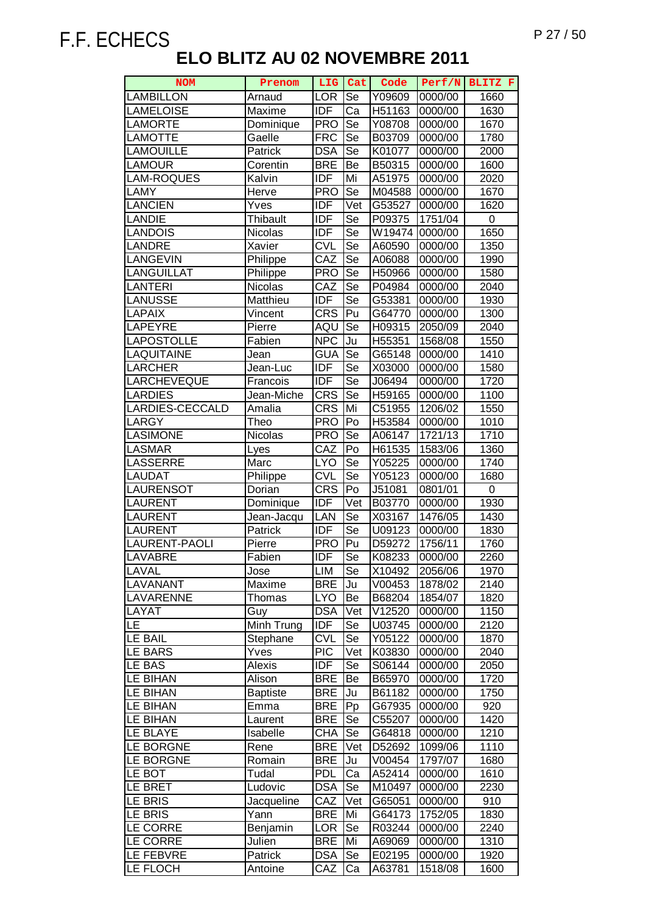| <b>NOM</b>           | Prenom          | LIG                     | Cat       | Code   | Perf/N  | BLITZ F |
|----------------------|-----------------|-------------------------|-----------|--------|---------|---------|
| LAMBILLON            | Arnaud          | <b>LOR</b>              | Se        | Y09609 | 0000/00 | 1660    |
| <b>LAMELOISE</b>     | Maxime          | <b>IDF</b>              | Ca        | H51163 | 0000/00 | 1630    |
| <b>LAMORTE</b>       | Dominique       | <b>PRO</b>              | Se        | Y08708 | 0000/00 | 1670    |
| <b>LAMOTTE</b>       | Gaelle          | <b>FRC</b>              | Se        | B03709 | 0000/00 | 1780    |
| <b>LAMOUILLE</b>     | Patrick         | <b>DSA</b>              | Se        | K01077 | 0000/00 | 2000    |
| <b>LAMOUR</b>        | Corentin        | <b>BRE</b>              | Be        | B50315 | 0000/00 | 1600    |
| <b>AM-ROQUES</b>     | Kalvin          | <b>IDF</b>              | Mi        | A51975 | 0000/00 | 2020    |
| LAMY                 | Herve           | <b>PRO</b>              | Se        | M04588 | 0000/00 | 1670    |
| <b>LANCIEN</b>       | Yves            | <b>IDF</b>              | Vet       | G53527 | 0000/00 | 1620    |
| <b>LANDIE</b>        | <b>Thibault</b> | <b>IDF</b>              | Se        | P09375 | 1751/04 | 0       |
| LANDOIS              | Nicolas         | <b>IDF</b>              | Se        | W19474 | 0000/00 | 1650    |
| <b>LANDRE</b>        | Xavier          | $\overline{\text{CVL}}$ | Se        | A60590 | 0000/00 | 1350    |
| <b>LANGEVIN</b>      | Philippe        | CAZ                     | Se        | A06088 | 0000/00 | 1990    |
| <b>LANGUILLAT</b>    | Philippe        | <b>PRO</b>              | Se        | H50966 | 0000/00 | 1580    |
| <b>LANTERI</b>       | Nicolas         | CAZ                     | Se        | P04984 | 0000/00 | 2040    |
| <b>LANUSSE</b>       | Matthieu        | <b>IDF</b>              | Se        | G53381 | 0000/00 | 1930    |
| <b>LAPAIX</b>        | Vincent         | <b>CRS</b>              | Pu        | G64770 | 0000/00 | 1300    |
| LAPEYRE              | Pierre          | AQU                     | Se        | H09315 | 2050/09 | 2040    |
| <b>LAPOSTOLLE</b>    | Fabien          | <b>NPC</b>              | Ju        | H55351 | 1568/08 | 1550    |
| LAQUITAINE           | Jean            | <b>GUA</b>              | Se        | G65148 | 0000/00 | 1410    |
| LARCHER              | Jean-Luc        | <b>IDF</b>              | Se        | X03000 | 0000/00 | 1580    |
| <b>LARCHEVEQUE</b>   | Francois        | <b>IDF</b>              | Se        | J06494 | 0000/00 | 1720    |
| <b>LARDIES</b>       | Jean-Miche      | <b>CRS</b>              | Se        | H59165 | 0000/00 | 1100    |
| LARDIES-CECCALD      | Amalia          | <b>CRS</b>              | Mi        | C51955 | 1206/02 | 1550    |
| LARGY                | Theo            | <b>PRO</b>              | Po        | H53584 | 0000/00 | 1010    |
| <b>LASIMONE</b>      | Nicolas         | <b>PRO</b>              | Se        | A06147 | 1721/13 | 1710    |
| <b>LASMAR</b>        | Lyes            | $\overline{C}$ AZ       | Po        | H61535 | 1583/06 | 1360    |
| <b>LASSERRE</b>      | Marc            | <b>LYO</b>              | Se        | Y05225 | 0000/00 | 1740    |
| <b>LAUDAT</b>        | Philippe        | <b>CVL</b>              | Se        | Y05123 | 0000/00 | 1680    |
| <b>LAURENSOT</b>     | Dorian          | <b>CRS</b>              | Po        | J51081 | 0801/01 | 0       |
| <b>LAURENT</b>       | Dominique       | <b>IDF</b>              | Vet       | B03770 | 0000/00 | 1930    |
| <b>AURENT</b>        | Jean-Jacqu      | LAN                     | Se        | X03167 | 1476/05 | 1430    |
| <b>LAURENT</b>       | Patrick         | <b>IDF</b>              | Se        | U09123 | 0000/00 | 1830    |
| <b>LAURENT-PAOLI</b> | Pierre          | <b>PRO</b>              | Pu        | D59272 | 1756/11 | 1760    |
| <b>LAVABRE</b>       | Fabien          | IDF                     | Se        | K08233 | 0000/00 | 2260    |
| LAVAL                | Jose            | LIM                     | Se        | X10492 | 2056/06 | 1970    |
| <b>LAVANANT</b>      | Maxime          | <b>BRE</b>              | Ju        | V00453 | 1878/02 | 2140    |
| LAVARENNE            | Thomas          | <b>LYO</b>              | Be        | B68204 | 1854/07 | 1820    |
| LAYAT                | Guy             | <b>DSA</b>              | Vet       | V12520 | 0000/00 | 1150    |
| <b>LE</b>            | Minh Trung      | <b>IDF</b>              | Se        | U03745 | 0000/00 | 2120    |
| <b>LE BAIL</b>       | Stephane        | <b>CVL</b>              | Se        | Y05122 | 0000/00 | 1870    |
| <b>LE BARS</b>       | Yves            | <b>PIC</b>              | Vet       | K03830 | 0000/00 | 2040    |
| LE BAS               | Alexis          | <b>IDF</b>              | Se        | S06144 | 0000/00 | 2050    |
| LE BIHAN             | Alison          | <b>BRE</b>              | Be        | B65970 | 0000/00 | 1720    |
| LE BIHAN             | <b>Baptiste</b> | <b>BRE</b>              | Ju        | B61182 | 0000/00 | 1750    |
| LE BIHAN             | Emma            | <b>BRE</b>              | Pp        | G67935 | 0000/00 | 920     |
| LE BIHAN             | Laurent         | <b>BRE</b>              | Se        | C55207 | 0000/00 | 1420    |
| LE BLAYE             | Isabelle        | CHA                     | <b>Se</b> | G64818 | 0000/00 | 1210    |
| LE BORGNE            | Rene            | <b>BRE</b>              | Vet       | D52692 | 1099/06 | 1110    |
| LE BORGNE            | Romain          | <b>BRE</b>              | Ju        | V00454 | 1797/07 | 1680    |
| LE BOT               | Tudal           | <b>PDL</b>              | Ca        | A52414 | 0000/00 | 1610    |
| LE BRET              | Ludovic         | <b>DSA</b>              | Se        | M10497 | 0000/00 | 2230    |
| LE BRIS              | Jacqueline      | CAZ                     | Vet       | G65051 | 0000/00 | 910     |
| LE BRIS              | Yann            | <b>BRE</b>              | Mi        | G64173 | 1752/05 | 1830    |
| LE CORRE             | Benjamin        | LOR                     | Se        | R03244 | 0000/00 | 2240    |
| LE CORRE             | Julien          | <b>BRE</b>              | Mi        | A69069 | 0000/00 | 1310    |
| LE FEBVRE            | Patrick         | <b>DSA</b>              | Se        | E02195 | 0000/00 | 1920    |
| LE FLOCH             | Antoine         | CAZ                     | Ca        | A63781 | 1518/08 | 1600    |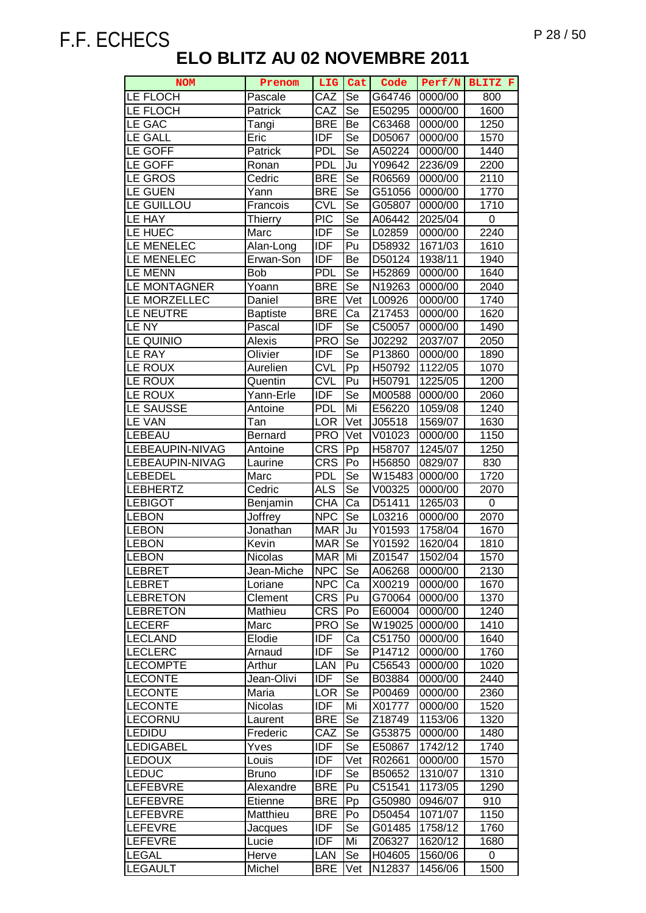| <b>NOM</b>       | Prenom          | LIG Cat          |           | Code   |         | Perf/N BLITZ F |
|------------------|-----------------|------------------|-----------|--------|---------|----------------|
| LE FLOCH         | Pascale         | CAZ              | Se        | G64746 | 0000/00 | 800            |
| LE FLOCH         | <b>Patrick</b>  | CAZ              | Se        | E50295 | 0000/00 | 1600           |
| LE GAC           | Tangi           | <b>BRE</b>       | Be        | C63468 | 0000/00 | 1250           |
| <b>LE GALL</b>   | Eric            | <b>IDF</b>       | Se        | D05067 | 0000/00 | 1570           |
| LE GOFF          | Patrick         | <b>PDL</b>       | Se        | A50224 | 0000/00 | 1440           |
| LE GOFF          | Ronan           | <b>PDL</b>       | Ju        | Y09642 | 2236/09 | 2200           |
| LE GROS          | Cedric          | <b>BRE</b>       | Se        | R06569 | 0000/00 | 2110           |
| <b>LE GUEN</b>   | Yann            | <b>BRE</b>       | Se        | G51056 | 0000/00 | 1770           |
| LE GUILLOU       | Francois        | <b>CVL</b>       | Se        | G05807 | 0000/00 | 1710           |
| LE HAY           | Thierry         | <b>PIC</b>       | Se        | A06442 | 2025/04 | 0              |
| LE HUEC          | Marc            | IDF              | Se        | L02859 | 0000/00 | 2240           |
| LE MENELEC       | Alan-Long       | <b>IDF</b>       | Pu        | D58932 | 1671/03 | 1610           |
| LE MENELEC       | Erwan-Son       | IDF              | Be        | D50124 | 1938/11 | 1940           |
| <b>LE MENN</b>   | <b>Bob</b>      | <b>PDL</b>       | Se        | H52869 | 0000/00 | 1640           |
| LE MONTAGNER     | Yoann           | <b>BRE</b>       | Se        | N19263 | 0000/00 | 2040           |
| LE MORZELLEC     | Daniel          | <b>BRE</b>       | Vet       | L00926 | 0000/00 | 1740           |
| LE NEUTRE        | <b>Baptiste</b> | <b>BRE</b>       | Ca        | Z17453 | 0000/00 | 1620           |
| LE NY            | Pascal          | <b>IDF</b>       | Se        | C50057 | 0000/00 | 1490           |
| LE QUINIO        | Alexis          | <b>PRO</b>       | Se        | J02292 | 2037/07 | 2050           |
| <b>LE RAY</b>    | Olivier         | <b>IDF</b>       | Se        | P13860 | 0000/00 | 1890           |
| LE ROUX          | Aurelien        | <b>CVL</b>       | Pp        | H50792 | 1122/05 | 1070           |
| LE ROUX          | Quentin         | <b>CVL</b>       | Pu        | H50791 | 1225/05 | 1200           |
| LE ROUX          | Yann-Erle       | <b>IDF</b>       | Se        | M00588 | 0000/00 | 2060           |
| LE SAUSSE        | Antoine         | <b>PDL</b>       | Mi        | E56220 | 1059/08 | 1240           |
| <b>LE VAN</b>    | Tan             | <b>LOR</b>       | Vet       | J05518 | 1569/07 | 1630           |
| LEBEAU           | Bernard         | <b>PRO</b>       | Vet       | V01023 | 0000/00 | 1150           |
| LEBEAUPIN-NIVAG  | Antoine         | <b>CRS</b>       | Pp        | H58707 | 1245/07 | 1250           |
| LEBEAUPIN-NIVAG  | Laurine         | <b>CRS</b>       | Po        | H56850 | 0829/07 | 830            |
| <b>LEBEDEL</b>   | Marc            | <b>PDL</b>       | Se        | W15483 | 0000/00 | 1720           |
| <b>LEBHERTZ</b>  | Cedric          | $AI\overline{S}$ | <b>Se</b> | V00325 | 0000/00 | 2070           |
| <b>LEBIGOT</b>   | Benjamin        | <b>CHA</b>       | Ca        | D51411 | 1265/03 | $\pmb{0}$      |
| <b>LEBON</b>     | Joffrey         | <b>NPC</b>       | Se        | L03216 | 0000/00 | 2070           |
| <b>LEBON</b>     | Jonathan        | <b>MAR</b>       | Ju        | Y01593 | 1758/04 | 1670           |
| <b>LEBON</b>     | Kevin           | <b>MAR</b>       | Se        | Y01592 | 1620/04 | 1810           |
| <b>LEBON</b>     | <b>Nicolas</b>  | MAR Mi           |           | Z01547 | 1502/04 | 1570           |
| LEBRET           | Jean-Miche      | <b>NPC</b>       | Se        | A06268 | 0000/00 | 2130           |
| <b>LEBRET</b>    | Loriane         | <b>NPC</b>       | Ca        | X00219 | 0000/00 | 1670           |
| <b>LEBRETON</b>  | Clement         | <b>CRS</b>       | Pu        | G70064 | 0000/00 | 1370           |
| <b>LEBRETON</b>  | Mathieu         | <b>CRS</b>       | Po        | E60004 | 0000/00 | 1240           |
| <b>LECERF</b>    | Marc            | <b>PRO</b>       | Se        | W19025 | 0000/00 | 1410           |
| LECLAND          | Elodie          | <b>IDF</b>       | Ca        | C51750 | 0000/00 | 1640           |
| <b>LECLERC</b>   | Arnaud          | IDF              | Se        | P14712 | 0000/00 | 1760           |
| <b>LECOMPTE</b>  | Arthur          | LAN              | Pu        | C56543 | 0000/00 | 1020           |
| <b>LECONTE</b>   | Jean-Olivi      | IDF              | Se        | B03884 | 0000/00 | 2440           |
| <b>LECONTE</b>   | Maria           | <b>LOR</b>       | Se        | P00469 | 0000/00 | 2360           |
| <b>LECONTE</b>   | <b>Nicolas</b>  | <b>IDF</b>       | Mi        | X01777 | 0000/00 | 1520           |
| LECORNU          | Laurent         | <b>BRE</b>       | Se        | Z18749 | 1153/06 | 1320           |
| LEDIDU           | Frederic        | CAZ              | Se        | G53875 | 0000/00 | 1480           |
| <b>LEDIGABEL</b> | Yves            | <b>IDF</b>       | Se        | E50867 | 1742/12 | 1740           |
| <b>LEDOUX</b>    | Louis           | <b>IDF</b>       | Vet       | R02661 | 0000/00 | 1570           |
| <b>LEDUC</b>     | <b>Bruno</b>    | <b>IDF</b>       | Se        | B50652 | 1310/07 | 1310           |
| <b>LEFEBVRE</b>  | Alexandre       | <b>BRE</b>       | Pu        | C51541 | 1173/05 | 1290           |
| LEFEBVRE         | Etienne         | <b>BRE</b>       | Pp        | G50980 | 0946/07 | 910            |
| LEFEBVRE         | Matthieu        | <b>BRE</b>       | Po        | D50454 | 1071/07 | 1150           |
| LEFEVRE          | Jacques         | <b>IDF</b>       | Se        | G01485 | 1758/12 | 1760           |
| <b>LEFEVRE</b>   | Lucie           | IDF              | Mi        | Z06327 | 1620/12 | 1680           |
| <b>LEGAL</b>     | Herve           | LAN              | Se        | H04605 | 1560/06 | 0              |
| <b>LEGAULT</b>   | Michel          | <b>BRE</b>       | Vet       | N12837 | 1456/06 | 1500           |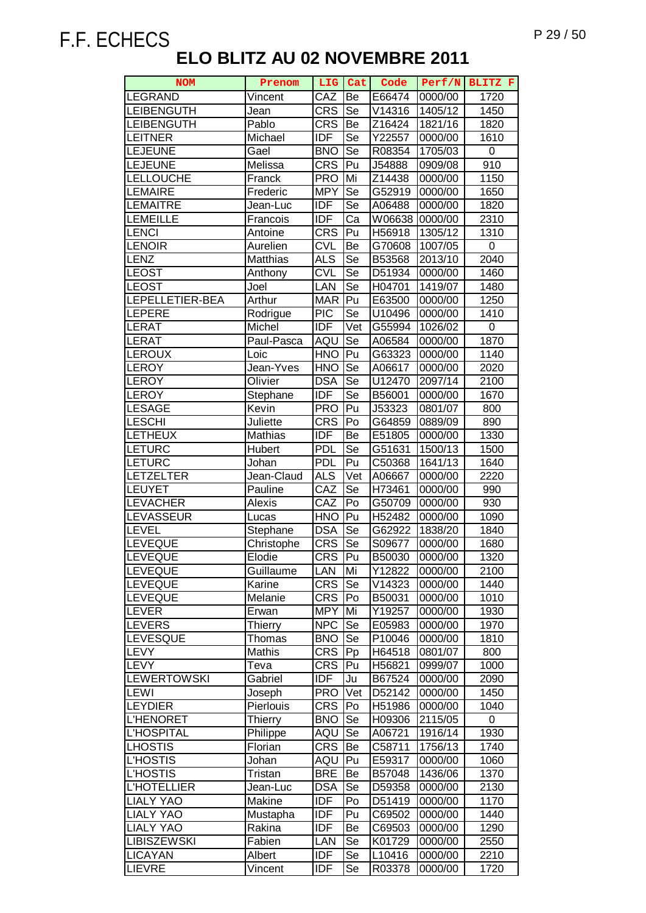| <b>NOM</b>         | Prenom         | LIG              | Cat                    | Code   | Perf/N  | BLITZ F     |
|--------------------|----------------|------------------|------------------------|--------|---------|-------------|
| <b>LEGRAND</b>     | Vincent        | CAZ              | Be                     | E66474 | 0000/00 | 1720        |
| <b>LEIBENGUTH</b>  | Jean           | <b>CRS</b>       | Se                     | V14316 | 1405/12 | 1450        |
| <b>LEIBENGUTH</b>  | Pablo          | <b>CRS</b>       | Be                     | Z16424 | 1821/16 | 1820        |
| <b>LEITNER</b>     | Michael        | <b>IDF</b>       | <b>Se</b>              | Y22557 | 0000/00 | 1610        |
| <b>LEJEUNE</b>     | Gael           | <b>BNO</b>       | <b>Se</b>              | R08354 | 1705/03 | 0           |
| <b>LEJEUNE</b>     | Melissa        | <b>CRS</b>       | Pu                     | J54888 | 0909/08 | 910         |
| <b>LELLOUCHE</b>   | Franck         | <b>PRO</b>       | Mi                     | Z14438 | 0000/00 | 1150        |
| <b>LEMAIRE</b>     | Frederic       | <b>MPY</b>       | Se                     | G52919 | 0000/00 | 1650        |
| <b>LEMAITRE</b>    | Jean-Luc       | <b>IDF</b>       | Se                     | A06488 | 0000/00 | 1820        |
| <b>LEMEILLE</b>    | Francois       | <b>IDF</b>       | Ca                     | W06638 | 0000/00 | 2310        |
| <b>LENCI</b>       | Antoine        | <b>CRS</b>       | Pu                     | H56918 | 1305/12 | 1310        |
| LENOIR             | Aurelien       | <b>CVL</b>       | Be                     | G70608 | 1007/05 | $\mathsf 0$ |
| <b>LENZ</b>        | Matthias       | <b>ALS</b>       | Se                     | B53568 | 2013/10 | 2040        |
| <b>LEOST</b>       | Anthony        | <b>CVL</b>       | Se                     | D51934 | 0000/00 | 1460        |
| <b>LEOST</b>       | Joel           | LAN              | $\overline{\text{Se}}$ | H04701 | 1419/07 | 1480        |
| LEPELLETIER-BEA    | <b>Arthur</b>  | <b>MAR</b>       | Pu                     | E63500 | 0000/00 | 1250        |
| LEPERE             | Rodrigue       | <b>PIC</b>       | Se                     | U10496 | 0000/00 | 1410        |
| <b>LERAT</b>       | Michel         | $\overline{IDF}$ | Vet                    | G55994 | 1026/02 | 0           |
| <b>LERAT</b>       | Paul-Pasca     | AQU              | Se                     | A06584 | 0000/00 | 1870        |
| <b>LEROUX</b>      | Loic           | <b>HNO</b>       | Pu                     | G63323 | 0000/00 | 1140        |
| <b>LEROY</b>       | Jean-Yves      | <b>HNO</b>       | Se                     | A06617 | 0000/00 | 2020        |
| <b>LEROY</b>       | Olivier        | <b>DSA</b>       | Se                     | U12470 | 2097/14 | 2100        |
| <b>LEROY</b>       | Stephane       | <b>IDF</b>       | Se                     | B56001 | 0000/00 | 1670        |
| <b>LESAGE</b>      | Kevin          | <b>PRO</b>       | Pu                     | J53323 | 0801/07 | 800         |
| <b>LESCHI</b>      | Juliette       | <b>CRS</b>       | Po                     | G64859 | 0889/09 | 890         |
| <b>LETHEUX</b>     | Mathias        | <b>IDF</b>       | Be                     | E51805 | 0000/00 | 1330        |
| <b>LETURC</b>      | Hubert         | <b>PDL</b>       | Se                     | G51631 | 1500/13 | 1500        |
| <b>LETURC</b>      | Johan          | <b>PDL</b>       | Pu                     | C50368 | 1641/13 | 1640        |
| <b>LETZELTER</b>   | Jean-Claud     | <b>ALS</b>       | Vet                    | A06667 | 0000/00 | 2220        |
| <b>LEUYET</b>      | Pauline        | CAZ              | Se                     | H73461 | 0000/00 | 990         |
| <b>LEVACHER</b>    | Alexis         | CAZ              | Po                     | G50709 | 0000/00 | 930         |
| LEVASSEUR          | Lucas          | <b>HNO</b>       | Pu                     | H52482 | 0000/00 | 1090        |
| LEVEL              | Stephane       | <b>DSA</b>       | Se                     | G62922 | 1838/20 | 1840        |
| <b>LEVEQUE</b>     | Christophe     | <b>CRS</b>       | Se                     | S09677 | 0000/00 | 1680        |
| <b>LEVEQUE</b>     | Elodie         | <b>CRS</b>       | Pu                     | B50030 | 0000/00 | 1320        |
| <b>LEVEQUE</b>     | Guillaume      | <b>LAN</b>       | Mi                     | Y12822 | 0000/00 | 2100        |
| LEVEQUE            | Karine         | <b>CRS</b>       | Se                     | V14323 | 0000/00 | 1440        |
| LEVEQUE            | Melanie        | <b>CRS</b>       | Po                     | B50031 | 0000/00 | 1010        |
| LEVER              | Erwan          | <b>MPY</b>       | Mi                     | Y19257 | 0000/00 | 1930        |
| LEVERS             | <b>Thierry</b> | <b>NPC</b>       | Se                     | E05983 | 0000/00 | 1970        |
| LEVESQUE           | Thomas         | <b>BNO</b>       | Se                     | P10046 | 0000/00 | 1810        |
| <b>LEVY</b>        | Mathis         | <b>CRS</b>       | Pp                     | H64518 | 0801/07 | 800         |
| <b>LEVY</b>        | Teva           | <b>CRS</b>       | Pu                     | H56821 | 0999/07 | 1000        |
| <b>LEWERTOWSKI</b> | Gabriel        | <b>IDF</b>       | Ju                     | B67524 | 0000/00 | 2090        |
| <b>LEWI</b>        | Joseph         | <b>PRO</b>       | Vet                    | D52142 | 0000/00 | 1450        |
| <b>LEYDIER</b>     | Pierlouis      | <b>CRS</b>       | Po                     | H51986 | 0000/00 | 1040        |
| <b>L'HENORET</b>   | Thierry        | <b>BNO</b>       | Se                     | H09306 | 2115/05 | 0           |
| <b>L'HOSPITAL</b>  | Philippe       | AQU              | Se                     | A06721 | 1916/14 | 1930        |
| <b>LHOSTIS</b>     | Florian        | <b>CRS</b>       | Be                     | C58711 | 1756/13 | 1740        |
| <b>L'HOSTIS</b>    | Johan          | AQU              | Pu                     | E59317 | 0000/00 | 1060        |
| <b>L'HOSTIS</b>    | Tristan        | <b>BRE</b>       | Be                     | B57048 | 1436/06 | 1370        |
| <b>L'HOTELLIER</b> | Jean-Luc       | <b>DSA</b>       | $\overline{Se}$        | D59358 | 0000/00 | 2130        |
| <b>LIALY YAO</b>   | Makine         | <b>IDF</b>       | Po                     | D51419 | 0000/00 | 1170        |
| <b>LIALY YAO</b>   | Mustapha       | <b>IDF</b>       | Pu                     | C69502 | 0000/00 | 1440        |
| <b>LIALY YAO</b>   | Rakina         | <b>IDF</b>       | Be                     | C69503 | 0000/00 | 1290        |
| <b>LIBISZEWSKI</b> | Fabien         | LAN              | Se                     | K01729 | 0000/00 | 2550        |
| <b>LICAYAN</b>     | Albert         | <b>IDF</b>       | Se                     | L10416 | 0000/00 | 2210        |
| <b>LIEVRE</b>      | Vincent        | IDF              | Se                     | R03378 | 0000/00 | 1720        |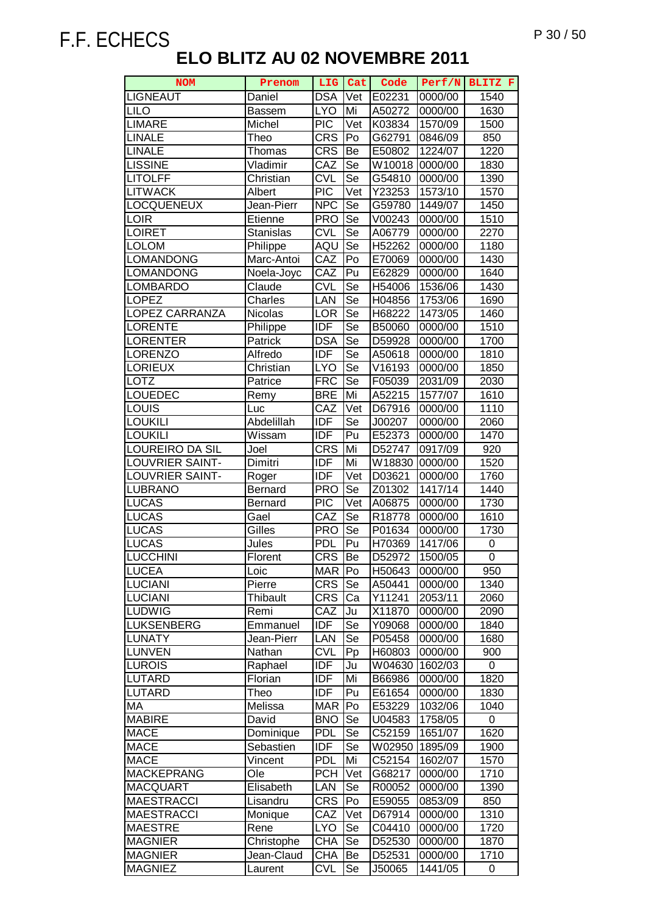| <b>NOM</b>             | Prenom           | LIG              | Cat                      | Code   | Perf/N  | BLITZ F |
|------------------------|------------------|------------------|--------------------------|--------|---------|---------|
| <b>LIGNEAUT</b>        | Daniel           | <b>DSA</b>       | Vet                      | E02231 | 0000/00 | 1540    |
| <b>LILO</b>            | Bassem           | <b>LYO</b>       | Mi                       | A50272 | 0000/00 | 1630    |
| <b>LIMARE</b>          | Michel           | <b>PIC</b>       | Vet                      | K03834 | 1570/09 | 1500    |
| <b>LINALE</b>          | Theo             | <b>CRS</b>       | Po                       | G62791 | 0846/09 | 850     |
| <b>LINALE</b>          | Thomas           | <b>CRS</b>       | Be                       | E50802 | 1224/07 | 1220    |
| <b>LISSINE</b>         | Vladimir         | CAZ              | Se                       | W10018 | 0000/00 | 1830    |
| <b>LITOLFF</b>         | Christian        | <b>CVL</b>       | Se                       | G54810 | 0000/00 | 1390    |
| <b>LITWACK</b>         | Albert           | $\overline{PIC}$ | Vet                      | Y23253 | 1573/10 | 1570    |
| <b>LOCQUENEUX</b>      | Jean-Pierr       | <b>NPC</b>       | Se                       | G59780 | 1449/07 | 1450    |
| LOIR                   | Etienne          | <b>PRO</b>       | Se                       | V00243 | 0000/00 | 1510    |
| <b>LOIRET</b>          | <b>Stanislas</b> | <b>CVL</b>       | Se                       | A06779 | 0000/00 | 2270    |
| <b>LOLOM</b>           | Philippe         | AQU              | Se                       | H52262 | 0000/00 | 1180    |
| <b>LOMANDONG</b>       | Marc-Antoi       | CAZ              | Po                       | E70069 | 0000/00 | 1430    |
| <b>LOMANDONG</b>       | Noela-Joyc       | CAZ              | Pu                       | E62829 | 0000/00 | 1640    |
| <b>LOMBARDO</b>        | Claude           | <b>CVL</b>       | Se                       | H54006 | 1536/06 | 1430    |
| <b>LOPEZ</b>           | Charles          | LAN              | $\overline{\mathsf{Se}}$ | H04856 | 1753/06 | 1690    |
| <b>LOPEZ CARRANZA</b>  | Nicolas          | <b>LOR</b>       | Se                       | H68222 | 1473/05 | 1460    |
| <b>LORENTE</b>         | Philippe         | <b>IDF</b>       | Se                       | B50060 | 0000/00 | 1510    |
| <b>LORENTER</b>        | Patrick          | <b>DSA</b>       | $\overline{\mathsf{Se}}$ | D59928 | 0000/00 | 1700    |
| <b>LORENZO</b>         | Alfredo          | <b>IDF</b>       | Se                       | A50618 | 0000/00 | 1810    |
| <b>LORIEUX</b>         | Christian        | <b>LYO</b>       | Se                       | V16193 | 0000/00 | 1850    |
| LOTZ                   | Patrice          | <b>FRC</b>       | Se                       | F05039 | 2031/09 | 2030    |
| LOUEDEC                | Remy             | <b>BRE</b>       | Mi                       | A52215 | 1577/07 | 1610    |
| LOUIS                  | Luc              | CAZ              | Vet                      | D67916 | 0000/00 | 1110    |
| <b>LOUKILI</b>         | Abdelillah       | <b>IDF</b>       | Se                       | J00207 | 0000/00 | 2060    |
| <b>LOUKILI</b>         | Wissam           | <b>IDF</b>       | Pu                       | E52373 | 0000/00 | 1470    |
| LOUREIRO DA SIL        | Joel             | <b>CRS</b>       | Mi                       | D52747 | 0917/09 | 920     |
| <b>LOUVRIER SAINT-</b> | Dimitri          | <b>IDF</b>       | Mi                       | W18830 | 0000/00 | 1520    |
| <b>LOUVRIER SAINT-</b> | Roger            | <b>IDF</b>       | Vet                      | D03621 | 0000/00 | 1760    |
| <b>LUBRANO</b>         | Bernard          | <b>PRO</b>       | Se                       | Z01302 | 1417/14 | 1440    |
| <b>LUCAS</b>           | Bernard          | <b>PIC</b>       | Vet                      | A06875 | 0000/00 | 1730    |
| <b>LUCAS</b>           | Gael             | CAZ              | Se                       | R18778 | 0000/00 | 1610    |
| <b>LUCAS</b>           | Gilles           | <b>PRO</b>       | Se                       | P01634 | 0000/00 | 1730    |
| <b>LUCAS</b>           | Jules            | <b>PDL</b>       | $\overline{P}$ u         | H70369 | 1417/06 | 0       |
| <b>LUCCHINI</b>        | Florent          | <b>CRS</b>       | Be                       | D52972 | 1500/05 | 0       |
| <b>LUCEA</b>           | Loic             | <b>MAR</b>       | Po                       | H50643 | 0000/00 | 950     |
| <b>LUCIANI</b>         | Pierre           | <b>CRS</b>       | Se                       | A50441 | 0000/00 | 1340    |
| <b>LUCIANI</b>         | Thibault         | <b>CRS</b>       | Ca                       | Y11241 | 2053/11 | 2060    |
| LUDWIG                 | Remi             | CAZ              | Ju                       | X11870 | 0000/00 | 2090    |
| <b>LUKSENBERG</b>      | Emmanuel         | <b>IDF</b>       | Se                       | Y09068 | 0000/00 | 1840    |
| <b>LUNATY</b>          | Jean-Pierr       | LAN              | Se                       | P05458 | 0000/00 | 1680    |
| <b>LUNVEN</b>          | Nathan           | <b>CVL</b>       | Pp                       | H60803 | 0000/00 | 900     |
| <b>LUROIS</b>          | Raphael          | <b>IDF</b>       | Ju                       | W04630 | 1602/03 | 0       |
| <b>LUTARD</b>          | Florian          | <b>IDF</b>       | Mi                       | B66986 | 0000/00 | 1820    |
| <b>LUTARD</b>          | Theo             | <b>IDF</b>       | Pu                       | E61654 | 0000/00 | 1830    |
| MA                     | Melissa          | <b>MAR</b>       | Po                       | E53229 | 1032/06 | 1040    |
| <b>MABIRE</b>          | David            | <b>BNO</b>       | Se                       | U04583 | 1758/05 | 0       |
| <b>MACE</b>            | Dominique        | <b>PDL</b>       | Se                       | C52159 | 1651/07 | 1620    |
| <b>MACE</b>            | Sebastien        | <b>IDF</b>       | Se                       | W02950 | 1895/09 | 1900    |
| <b>MACE</b>            | Vincent          | <b>PDL</b>       | Mi                       | C52154 | 1602/07 | 1570    |
| <b>MACKEPRANG</b>      | Ole              | <b>PCH</b>       | Vet                      | G68217 | 0000/00 | 1710    |
| <b>MACQUART</b>        | Elisabeth        | LAN              | Se                       | R00052 | 0000/00 | 1390    |
| <b>MAESTRACCI</b>      | Lisandru         | <b>CRS</b>       | Po                       | E59055 | 0853/09 | 850     |
| <b>MAESTRACCI</b>      | Monique          | CAZ              | Vet                      | D67914 | 0000/00 | 1310    |
| <b>MAESTRE</b>         | Rene             | <b>LYO</b>       | Se                       | C04410 | 0000/00 | 1720    |
| <b>MAGNIER</b>         | Christophe       | <b>CHA</b>       | Se                       | D52530 | 0000/00 | 1870    |
| <b>MAGNIER</b>         | Jean-Claud       | <b>CHA</b>       | Be                       | D52531 | 0000/00 | 1710    |
| <b>MAGNIEZ</b>         | Laurent          | <b>CVL</b>       | Se                       | J50065 | 1441/05 | 0       |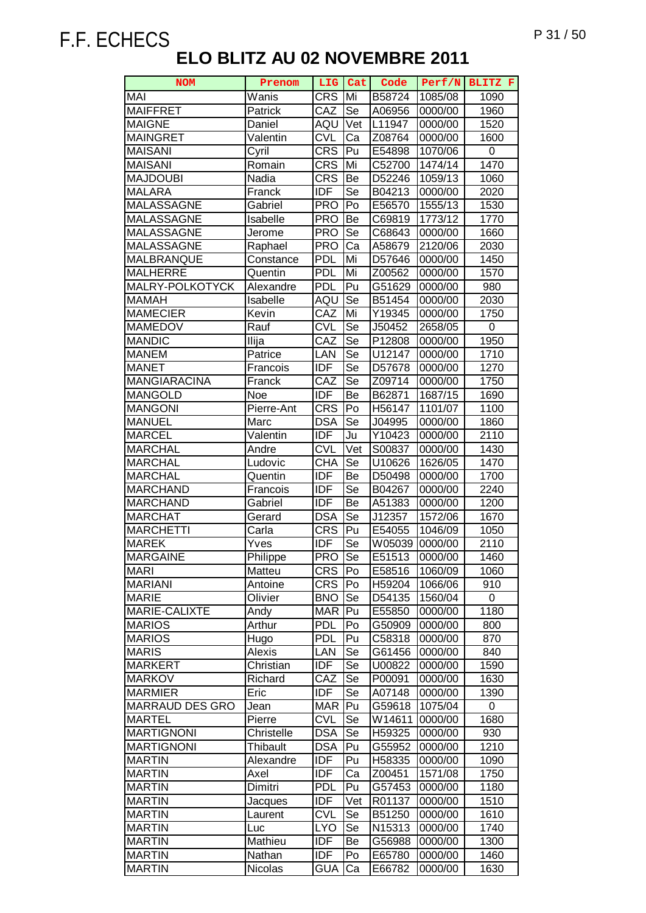| <b>NOM</b>                    | Prenom              | LIG               | Cat      | Code               | Perf/N             | BLITZ F      |
|-------------------------------|---------------------|-------------------|----------|--------------------|--------------------|--------------|
| <b>MAI</b>                    | Wanis               | <b>CRS</b>        | Mi       | B58724             | 1085/08            | 1090         |
| <b>MAIFFRET</b>               | Patrick             | CAZ               | Se       | A06956             | 0000/00            | 1960         |
| <b>MAIGNE</b>                 | Daniel              | AQU               | Vet      | L11947             | 0000/00            | 1520         |
| <b>MAINGRET</b>               | Valentin            | <b>CVL</b>        | Ca       | Z08764             | 0000/00            | 1600         |
| <b>MAISANI</b>                | Cyril               | <b>CRS</b>        | Pu       | E54898             | 1070/06            | 0            |
| <b>MAISANI</b>                | Romain              | <b>CRS</b>        | Mi       | C52700             | 1474/14            | 1470         |
| <b>MAJDOUBI</b>               | Nadia               | <b>CRS</b>        | Be       | D52246             | 1059/13            | 1060         |
| <b>MALARA</b>                 | Franck              | <b>IDF</b>        | Se       | B04213             | 0000/00            | 2020         |
| <b>MALASSAGNE</b>             | Gabriel             | <b>PRO</b>        | Po       | E56570             | 1555/13            | 1530         |
| <b>MALASSAGNE</b>             | Isabelle            | <b>PRO</b>        | Be       | C69819             | 1773/12            | 1770         |
| <b>MALASSAGNE</b>             | Jerome              | <b>PRO</b>        | Se       | C68643             | 0000/00            | 1660         |
| MALASSAGNE                    | Raphael             | <b>PRO</b>        | Ca       | A58679             | 2120/06            | 2030         |
| MALBRANQUE                    | Constance           | <b>PDL</b>        | Mi       | D57646             | 0000/00            | 1450         |
| <b>MALHERRE</b>               | Quentin             | <b>PDL</b>        | Mi       | Z00562             | 0000/00            | 1570         |
| MALRY-POLKOTYCK               | Alexandre           | <b>PDL</b>        | Pu       | G51629             | 0000/00            | 980          |
| <b>MAMAH</b>                  | Isabelle            | AQU               | Se       | B51454             | 0000/00            | 2030         |
| <b>MAMECIER</b>               |                     | $\overline{C}$ AZ | Mi       | Y19345             |                    |              |
| <b>MAMEDOV</b>                | Kevin<br>Rauf       | <b>CVL</b>        | Se       | J50452             | 0000/00<br>2658/05 | 1750<br>0    |
|                               |                     | CAZ               |          |                    |                    |              |
| <b>MANDIC</b><br><b>MANEM</b> | Ilija<br>Patrice    | LAN               | Se<br>Se | P12808<br>U12147   | 0000/00<br>0000/00 | 1950<br>1710 |
| <b>MANET</b>                  |                     | <b>IDF</b>        | Se       |                    |                    | 1270         |
| <b>MANGIARACINA</b>           | Francois            |                   |          | D57678             | 0000/00            |              |
|                               | Franck              | CAZ<br><b>IDF</b> | Se       | Z09714             | 0000/00            | 1750         |
| MANGOLD<br>MANGONI            | Noe<br>Pierre-Ant   | <b>CRS</b>        | Be<br>Po | B62871<br>H56147   | 1687/15<br>1101/07 | 1690         |
| <b>MANUEL</b>                 |                     | <b>DSA</b>        | Se       |                    | 0000/00            | 1100         |
| <b>MARCEL</b>                 | Marc<br>Valentin    | <b>IDF</b>        | Ju       | J04995<br>Y10423   | 0000/00            | 1860<br>2110 |
| <b>MARCHAL</b>                | Andre               | <b>CVL</b>        | Vet      | S00837             | 0000/00            | 1430         |
| <b>MARCHAL</b>                | Ludovic             | CHA               | Se       | U <sub>10626</sub> | 1626/05            | 1470         |
| <b>MARCHAL</b>                |                     | <b>IDF</b>        | Be       | D50498             | 0000/00            | 1700         |
| <b>MARCHAND</b>               | Quentin<br>Francois | <b>IDF</b>        | Se       | B04267             | 0000/00            | 2240         |
| <b>MARCHAND</b>               | Gabriel             | <b>IDF</b>        | Be       | A51383             | 0000/00            | 1200         |
| <b>MARCHAT</b>                | Gerard              | <b>DSA</b>        | Se       | J12357             | 1572/06            | 1670         |
| <b>MARCHETTI</b>              | Carla               | <b>CRS</b>        | Pu       | E54055             | 1046/09            | 1050         |
| <b>MAREK</b>                  | Yves                | IDF               | Se       | W05039             | 0000/00            | 2110         |
| <b>MARGAINE</b>               | Philippe            | <b>PRO</b>        | Se       | E51513             | 0000/00            | 1460         |
| <b>MARI</b>                   | Matteu              | <b>CRS</b>        | Po       | E58516             | 1060/09            | 1060         |
| <b>MARIANI</b>                | Antoine             | <b>CRS</b>        | Po       | H59204             | 1066/06            | 910          |
| <b>MARIE</b>                  | Olivier             | <b>BNO</b>        | Se       | D54135             | 1560/04            | 0            |
| MARIE-CALIXTE                 | Andy                | <b>MAR</b>        | Pu       | E55850             | 0000/00            | 1180         |
| <b>MARIOS</b>                 | Arthur              | <b>PDL</b>        | Po       | G50909             | 0000/00            | 800          |
| <b>MARIOS</b>                 | Hugo                | <b>PDL</b>        | Pu       | C58318             | 0000/00            | 870          |
| <b>MARIS</b>                  | Alexis              | LAN               | Se       | G61456             | 0000/00            | 840          |
| <b>MARKERT</b>                | Christian           | <b>IDF</b>        | Se       | U00822             | 0000/00            | 1590         |
| <b>MARKOV</b>                 | Richard             | CAZ               | Se       | P00091             | 0000/00            | 1630         |
| <b>MARMIER</b>                | Eric                | <b>IDF</b>        | Se       | A07148             | 0000/00            | 1390         |
| MARRAUD DES GRO               | Jean                | <b>MAR</b>        | Pu       | G59618             | 1075/04            | 0            |
| <b>MARTEL</b>                 | Pierre              | <b>CVL</b>        | Se       | W14611             | 0000/00            | 1680         |
| <b>MARTIGNONI</b>             | Christelle          | <b>DSA</b>        | Se       | H59325             | 0000/00            | 930          |
| <b>MARTIGNONI</b>             | Thibault            | <b>DSA</b>        | Pu       | G55952             | 0000/00            | 1210         |
| <b>MARTIN</b>                 | Alexandre           | <b>IDF</b>        | Pu       | H58335             | 0000/00            | 1090         |
| <b>MARTIN</b>                 | Axel                | <b>IDF</b>        | Ca       | Z00451             | 1571/08            | 1750         |
| <b>MARTIN</b>                 | Dimitri             | <b>PDL</b>        | Pu       | G57453             | 0000/00            | 1180         |
| <b>MARTIN</b>                 | Jacques             | <b>IDF</b>        | Vet      | R01137             | 0000/00            | 1510         |
| <b>MARTIN</b>                 | Laurent             | <b>CVL</b>        | Se       | B51250             | 0000/00            | 1610         |
| <b>MARTIN</b>                 | Luc                 | <b>LYO</b>        | Se       | N15313             | 0000/00            | 1740         |
| <b>MARTIN</b>                 | Mathieu             | <b>IDF</b>        | Be       | G56988             | 0000/00            | 1300         |
| <b>MARTIN</b>                 | Nathan              | <b>IDF</b>        | Po       | E65780             | 0000/00            | 1460         |
| <b>MARTIN</b>                 | Nicolas             | <b>GUA</b>        | Ca       | E66782             | 0000/00            | 1630         |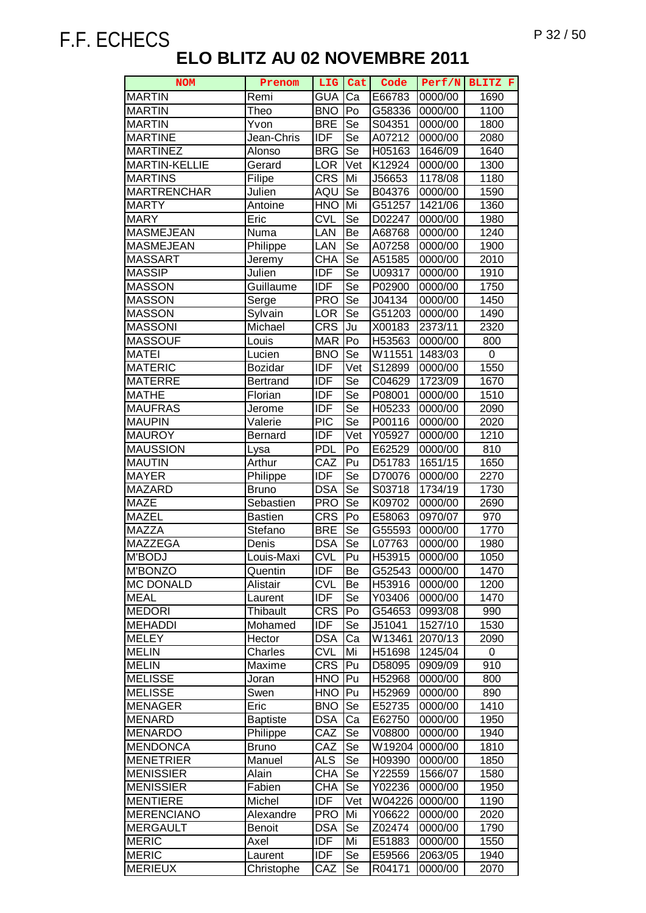| <b>NOM</b>           | Prenom          | <b>LIG</b> | Cat                      | Code   | Perf/N  | BLITZ F   |
|----------------------|-----------------|------------|--------------------------|--------|---------|-----------|
| <b>MARTIN</b>        | Remi            | <b>GUA</b> | Ca                       | E66783 | 0000/00 | 1690      |
| <b>MARTIN</b>        | Theo            | <b>BNO</b> | Po                       | G58336 | 0000/00 | 1100      |
| <b>MARTIN</b>        | Yvon            | <b>BRE</b> | Se                       | S04351 | 0000/00 | 1800      |
| <b>MARTINE</b>       | Jean-Chris      | <b>IDF</b> | Se                       | A07212 | 0000/00 | 2080      |
| <b>MARTINEZ</b>      | Alonso          | <b>BRG</b> | Se                       | H05163 | 1646/09 | 1640      |
| <b>MARTIN-KELLIE</b> | Gerard          | <b>LOR</b> | Vet                      | K12924 | 0000/00 | 1300      |
| <b>MARTINS</b>       | Filipe          | <b>CRS</b> | Mi                       | J56653 | 1178/08 | 1180      |
| <b>MARTRENCHAR</b>   | Julien          | AQU        | Se                       | B04376 | 0000/00 | 1590      |
| <b>MARTY</b>         | Antoine         | <b>HNO</b> | Mi                       | G51257 | 1421/06 | 1360      |
| <b>MARY</b>          | Eric            | <b>CVL</b> | Se                       | D02247 | 0000/00 | 1980      |
| <b>MASMEJEAN</b>     | Numa            | LAN        | Be                       | A68768 | 0000/00 | 1240      |
| <b>MASMEJEAN</b>     | Philippe        | LAN        | Se                       | A07258 | 0000/00 | 1900      |
| <b>MASSART</b>       | Jeremy          | <b>CHA</b> | Se                       | A51585 | 0000/00 | 2010      |
| <b>MASSIP</b>        | Julien          | <b>IDF</b> | Se                       | U09317 | 0000/00 | 1910      |
| <b>MASSON</b>        | Guillaume       | <b>IDF</b> | Se                       | P02900 | 0000/00 | 1750      |
| <b>MASSON</b>        | Serge           | <b>PRO</b> | $\overline{\mathsf{Se}}$ | J04134 | 0000/00 | 1450      |
| <b>MASSON</b>        | Sylvain         | <b>LOR</b> | Se                       | G51203 | 0000/00 | 1490      |
| <b>MASSONI</b>       | Michael         | <b>CRS</b> | Ju                       | X00183 | 2373/11 | 2320      |
| <b>MASSOUF</b>       | Louis           | <b>MAR</b> | Po                       | H53563 | 0000/00 | 800       |
| <b>MATEI</b>         | Lucien          | <b>BNO</b> | Se                       | W11551 | 1483/03 | $\pmb{0}$ |
| <b>MATERIC</b>       | Bozidar         | <b>IDF</b> | Vet                      | S12899 | 0000/00 | 1550      |
| <b>MATERRE</b>       | Bertrand        | <b>IDF</b> | Se                       | C04629 | 1723/09 | 1670      |
| <b>MATHE</b>         | Florian         | <b>IDF</b> | Se                       | P08001 | 0000/00 | 1510      |
| <b>MAUFRAS</b>       | Jerome          | <b>IDF</b> | Se                       | H05233 | 0000/00 | 2090      |
| <b>MAUPIN</b>        | Valerie         | <b>PIC</b> | Se                       | P00116 | 0000/00 | 2020      |
| <b>MAUROY</b>        | <b>Bernard</b>  | <b>IDF</b> | Vet                      | Y05927 | 0000/00 | 1210      |
| <b>MAUSSION</b>      | Lysa            | <b>PDL</b> | Po                       | E62529 | 0000/00 | 810       |
| <b>MAUTIN</b>        | Arthur          | CAZ        | Pu                       | D51783 | 1651/15 | 1650      |
| <b>MAYER</b>         | Philippe        | <b>IDF</b> | Se                       | D70076 | 0000/00 | 2270      |
| <b>MAZARD</b>        | <b>Bruno</b>    | <b>DSA</b> | Se                       | S03718 | 1734/19 | 1730      |
| <b>MAZE</b>          | Sebastien       | <b>PRO</b> | Se                       | K09702 | 0000/00 | 2690      |
| <b>MAZEL</b>         | <b>Bastien</b>  | <b>CRS</b> | Po                       | E58063 | 0970/07 | 970       |
| <b>MAZZA</b>         | Stefano         | <b>BRE</b> | Se                       | G55593 | 0000/00 | 1770      |
| <b>MAZZEGA</b>       | Denis           | <b>DSA</b> | Se                       | L07763 | 0000/00 | 1980      |
| M'BODJ               | Louis-Maxi      | <b>CVL</b> | Pu                       | H53915 | 0000/00 | 1050      |
| <b>M'BONZO</b>       | Quentin         | <b>IDF</b> | Be                       | G52543 | 0000/00 | 1470      |
| <b>MC DONALD</b>     | Alistair        | <b>CVL</b> | Be                       | H53916 | 0000/00 | 1200      |
| <b>MEAL</b>          | Laurent         | <b>IDF</b> | Se                       | Y03406 | 0000/00 | 1470      |
| <b>MEDORI</b>        | Thibault        | <b>CRS</b> | Po                       | G54653 | 0993/08 | 990       |
| <b>MEHADDI</b>       | Mohamed         | <b>IDF</b> | Se                       | J51041 | 1527/10 | 1530      |
| <b>MELEY</b>         | Hector          | <b>DSA</b> | Ca                       | W13461 | 2070/13 | 2090      |
| <b>MELIN</b>         | Charles         | <b>CVL</b> | Mi                       | H51698 | 1245/04 | 0         |
| <b>MELIN</b>         | Maxime          | <b>CRS</b> | Pu                       | D58095 | 0909/09 | 910       |
| <b>MELISSE</b>       | Joran           | <b>HNO</b> | Pu                       | H52968 | 0000/00 | 800       |
| <b>MELISSE</b>       | Swen            | <b>HNO</b> | Pu                       | H52969 | 0000/00 | 890       |
| <b>MENAGER</b>       | Eric            | <b>BNO</b> | Se                       | E52735 | 0000/00 | 1410      |
| MENARD               | <b>Baptiste</b> | <b>DSA</b> | Ca                       | E62750 | 0000/00 | 1950      |
| <b>MENARDO</b>       | Philippe        | CAZ        | Se                       | V08800 | 0000/00 | 1940      |
| <b>MENDONCA</b>      | <b>Bruno</b>    | CAZ        | Se                       | W19204 | 0000/00 | 1810      |
| <b>MENETRIER</b>     | Manuel          | <b>ALS</b> | Se                       | H09390 | 0000/00 | 1850      |
| <b>MENISSIER</b>     | Alain           | <b>CHA</b> | Se                       | Y22559 | 1566/07 | 1580      |
| <b>MENISSIER</b>     | Fabien          | <b>CHA</b> | Se                       | Y02236 | 0000/00 | 1950      |
| <b>MENTIERE</b>      | Michel          | <b>IDF</b> | Vet                      | W04226 | 0000/00 | 1190      |
| <b>MERENCIANO</b>    | Alexandre       | <b>PRO</b> | Mi                       | Y06622 | 0000/00 | 2020      |
| <b>MERGAULT</b>      | Benoit          | <b>DSA</b> | Se                       | Z02474 | 0000/00 | 1790      |
| <b>MERIC</b>         | Axel            | <b>IDF</b> | Mi                       | E51883 | 0000/00 | 1550      |
| <b>MERIC</b>         | Laurent         | <b>IDF</b> | Se                       | E59566 | 2063/05 | 1940      |
| <b>MERIEUX</b>       | Christophe      | CAZ        | Se                       | R04171 | 0000/00 | 2070      |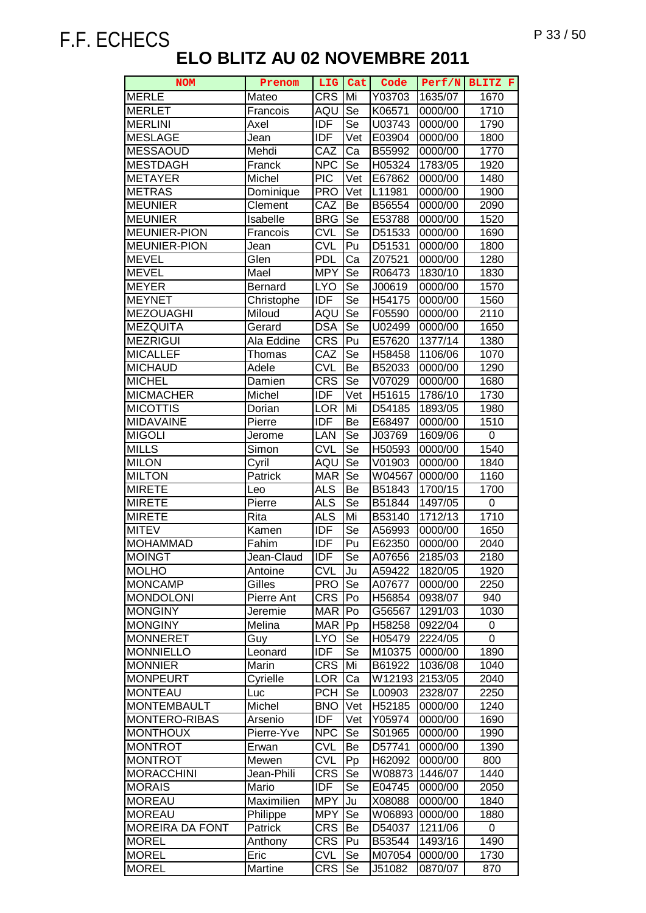| <b>NOM</b>             | Prenom               | LIG               | Cat                        | Code             | Perf/N             | BLITZ F |
|------------------------|----------------------|-------------------|----------------------------|------------------|--------------------|---------|
| <b>MERLE</b>           | Mateo                | <b>CRS</b>        | Mi                         | Y03703           | 1635/07            | 1670    |
| <b>MERLET</b>          | Francois             | AQU               | Se                         | K06571           | 0000/00            | 1710    |
| <b>MERLINI</b>         | Axel                 | <b>IDF</b>        | $\overline{\mathsf{S}}$ e  | U03743           | 0000/00            | 1790    |
| <b>MESLAGE</b>         | Jean                 | <b>IDF</b>        | $\overline{\mathsf{V}}$ et | E03904           | 0000/00            | 1800    |
| <b>MESSAOUD</b>        | Mehdi                | $\overline{C}$ AZ | Ca                         | B55992           | 0000/00            | 1770    |
| <b>MESTDAGH</b>        | Franck               | <b>NPC</b>        | Se                         | H05324           | 1783/05            | 1920    |
| <b>METAYER</b>         | Michel               | <b>PIC</b>        | Vet                        | E67862           | 0000/00            | 1480    |
| <b>METRAS</b>          | Dominique            | <b>PRO</b>        | Vet                        | L11981           | 0000/00            | 1900    |
| <b>MEUNIER</b>         | Clement              | CAZ               | Be                         | B56554           | 0000/00            | 2090    |
| <b>MEUNIER</b>         | Isabelle             | <b>BRG</b>        | Se                         | E53788           | 0000/00            | 1520    |
| <b>MEUNIER-PION</b>    | Francois             | <b>CVL</b>        | Se                         | D51533           | 0000/00            | 1690    |
| <b>MEUNIER-PION</b>    | Jean                 | <b>CVL</b>        | Pu                         | D51531           | 0000/00            | 1800    |
| <b>MEVEL</b>           | Glen                 | <b>PDL</b>        | Ca                         | Z07521           | 0000/00            | 1280    |
| <b>MEVEL</b>           | Mael                 | <b>MPY</b>        | Se                         | R06473           | 1830/10            | 1830    |
| <b>MEYER</b>           | Bernard              | <b>LYO</b>        | Se                         | J00619           | 0000/00            | 1570    |
| <b>MEYNET</b>          | Christophe           | <b>IDF</b>        | Se                         | H54175           | 0000/00            | 1560    |
| <b>MEZOUAGHI</b>       |                      |                   | $\overline{\mathsf{Se}}$   |                  |                    | 2110    |
| <b>MEZQUITA</b>        | Miloud<br>Gerard     | AQU<br><b>DSA</b> | $\overline{\mathsf{Se}}$   | F05590<br>U02499 | 0000/00<br>0000/00 | 1650    |
| <b>MEZRIGUI</b>        |                      | <b>CRS</b>        | Pu                         |                  |                    | 1380    |
| <b>MICALLEF</b>        | Ala Eddine<br>Thomas | CAZ               | Se                         | E57620<br>H58458 | 1377/14<br>1106/06 | 1070    |
| <b>MICHAUD</b>         | Adele                | <b>CVL</b>        | Be                         | B52033           | 0000/00            | 1290    |
| <b>MICHEL</b>          | Damien               | <b>CRS</b>        | Se                         | V07029           | 0000/00            | 1680    |
| <b>MICMACHER</b>       | Michel               | <b>IDF</b>        | Vet                        | H51615           | 1786/10            | 1730    |
| <b>MICOTTIS</b>        | Dorian               | <b>LOR</b>        | Mi                         | D54185           | 1893/05            | 1980    |
| <b>MIDAVAINE</b>       | Pierre               | <b>IDF</b>        | Be                         | E68497           | 0000/00            | 1510    |
| <b>MIGOLI</b>          | Jerome               | LAN               | Se                         | J03769           | 1609/06            | 0       |
| <b>MILLS</b>           | Simon                | <b>CVL</b>        | Se                         | H50593           | 0000/00            | 1540    |
| <b>MILON</b>           | Cyril                | AQU               | Se                         | V01903           | 0000/00            | 1840    |
| <b>MILTON</b>          | Patrick              | <b>MAR</b>        | $\overline{\mathsf{Se}}$   | W04567           | 0000/00            | 1160    |
| <b>MIRETE</b>          | Leo                  | <b>ALS</b>        | Be                         | B51843           | 1700/15            | 1700    |
| <b>MIRETE</b>          | Pierre               | <b>ALS</b>        | <b>Se</b>                  | B51844           | 1497/05            | 0       |
| <b>MIRETE</b>          | Rita                 | <b>ALS</b>        | Mi                         | B53140           | 1712/13            | 1710    |
| <b>MITEV</b>           | Kamen                | <b>IDF</b>        | Se                         | A56993           | 0000/00            | 1650    |
| <b>MOHAMMAD</b>        | Fahim                | <b>IDF</b>        | Pu                         | E62350           | 0000/00            | 2040    |
| <b>MOINGT</b>          | Jean-Claud           | <b>IDF</b>        | Se                         | A07656           | 2185/03            | 2180    |
| <b>MOLHO</b>           | Antoine              | <b>CVL</b>        | Ju                         | A59422           | 1820/05            | 1920    |
| <b>MONCAMP</b>         | Gilles               | <b>PRO</b>        | Se                         | A07677           | 0000/00            | 2250    |
| <b>MONDOLONI</b>       | Pierre Ant           | <b>CRS</b>        | Po                         | H56854           | 0938/07            | 940     |
| <b>MONGINY</b>         | Jeremie              | <b>MAR</b>        | Po                         | G56567           | 1291/03            | 1030    |
| <b>MONGINY</b>         | Melina               | <b>MAR</b>        | Pp                         | H58258           | 0922/04            | 0       |
| <b>MONNERET</b>        | Guy                  | <b>LYO</b>        | Se                         | H05479           | 2224/05            | 0       |
| <b>MONNIELLO</b>       | Leonard              | <b>IDF</b>        | <b>Se</b>                  | M10375           | 0000/00            | 1890    |
| <b>MONNIER</b>         | Marin                | <b>CRS</b>        | Mi                         | B61922           | 1036/08            | 1040    |
| <b>MONPEURT</b>        | Cyrielle             | <b>LOR</b>        | Ca                         | W12193           | 2153/05            | 2040    |
| <b>MONTEAU</b>         | Luc                  | <b>PCH</b>        | Se                         | L00903           | 2328/07            | 2250    |
| <b>MONTEMBAULT</b>     | Michel               | <b>BNO</b>        | Vet                        | H52185           | 0000/00            | 1240    |
| <b>MONTERO-RIBAS</b>   | Arsenio              | <b>IDF</b>        | Vet                        | Y05974           | 0000/00            | 1690    |
| <b>MONTHOUX</b>        | Pierre-Yve           | <b>NPC</b>        | Se                         | S01965           | 0000/00            | 1990    |
| <b>MONTROT</b>         | Erwan                | <b>CVL</b>        | Be                         | D57741           | 0000/00            | 1390    |
| <b>MONTROT</b>         | Mewen                | <b>CVL</b>        | Pp                         | H62092           | 0000/00            | 800     |
| <b>MORACCHINI</b>      | Jean-Phili           | <b>CRS</b>        | <b>Se</b>                  | W08873           | 1446/07            | 1440    |
| <b>MORAIS</b>          | Mario                | <b>IDF</b>        | Se                         | E04745           | 0000/00            | 2050    |
| <b>MOREAU</b>          | Maximilien           | <b>MPY</b>        | Ju                         | X08088           | 0000/00            | 1840    |
| <b>MOREAU</b>          | Philippe             | <b>MPY</b>        | Se                         | W06893           | 0000/00            | 1880    |
| <b>MOREIRA DA FONT</b> | Patrick              | <b>CRS</b>        | Be                         | D54037           | 1211/06            | 0       |
| <b>MOREL</b>           | Anthony              | <b>CRS</b>        | Pu                         | B53544           | 1493/16            | 1490    |
| <b>MOREL</b>           | Eric                 | <b>CVL</b>        | Se                         | M07054           | 0000/00            | 1730    |
| <b>MOREL</b>           | Martine              | <b>CRS</b>        | Se                         | J51082           | 0870/07            | 870     |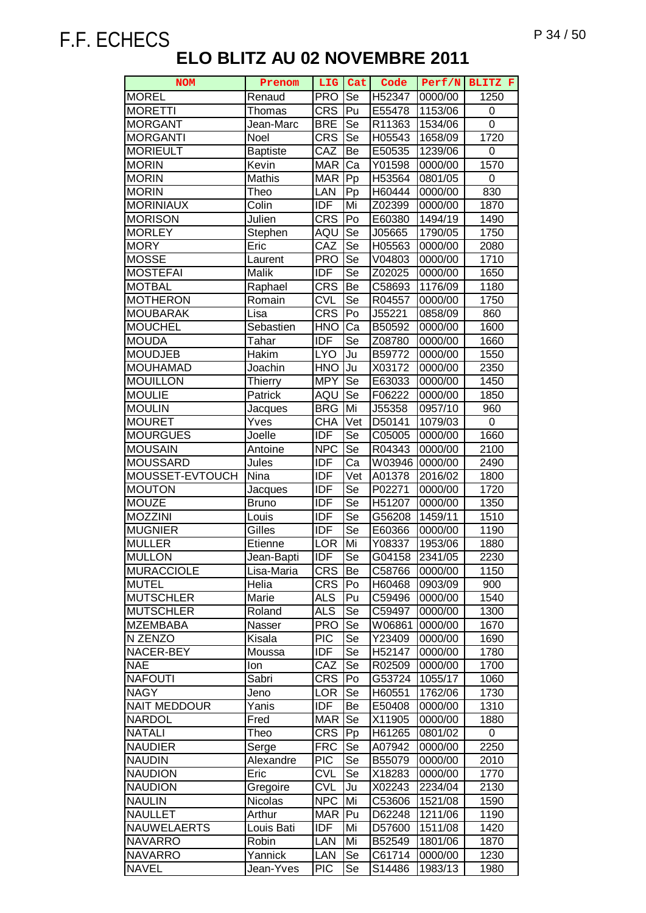| <b>NOM</b>          | Prenom          | <b>LIG</b> | Cat                      | Code   | Perf/N  | BLITZ F        |
|---------------------|-----------------|------------|--------------------------|--------|---------|----------------|
| <b>MOREL</b>        | Renaud          | <b>PRO</b> | Se                       | H52347 | 0000/00 | 1250           |
| <b>MORETTI</b>      | Thomas          | <b>CRS</b> | Pu                       | E55478 | 1153/06 | 0              |
| <b>MORGANT</b>      | Jean-Marc       | <b>BRE</b> | Se                       | R11363 | 1534/06 | $\overline{0}$ |
| <b>MORGANTI</b>     | Noel            | <b>CRS</b> | $\overline{\mathsf{Se}}$ | H05543 | 1658/09 | 1720           |
| <b>MORIEULT</b>     | <b>Baptiste</b> | CAZ        | Be                       | E50535 | 1239/06 | 0              |
| <b>MORIN</b>        | Kevin           | <b>MAR</b> | Ca                       | Y01598 | 0000/00 | 1570           |
| <b>MORIN</b>        | Mathis          | <b>MAR</b> | Pp                       | H53564 | 0801/05 | 0              |
| <b>MORIN</b>        | Theo            | LAN        | Pp                       | H60444 | 0000/00 | 830            |
| <b>MORINIAUX</b>    | Colin           | <b>IDF</b> | Mi                       | Z02399 | 0000/00 | 1870           |
| <b>MORISON</b>      | Julien          | <b>CRS</b> | Po                       | E60380 | 1494/19 | 1490           |
| <b>MORLEY</b>       | Stephen         | AQU        | Se                       | J05665 | 1790/05 | 1750           |
| <b>MORY</b>         | Eric            | CAZ        | Se                       | H05563 | 0000/00 | 2080           |
| <b>MOSSE</b>        | Laurent         | <b>PRO</b> | Se                       | V04803 | 0000/00 | 1710           |
| <b>MOSTEFAI</b>     | Malik           | IDF        | Se                       | Z02025 | 0000/00 | 1650           |
| <b>MOTBAL</b>       | Raphael         | <b>CRS</b> | Be                       | C58693 | 1176/09 | 1180           |
| <b>MOTHERON</b>     | Romain          | <b>CVL</b> | $\overline{\mathsf{Se}}$ | R04557 | 0000/00 | 1750           |
| <b>MOUBARAK</b>     | Lisa            | CRS        | Po                       | J55221 | 0858/09 | 860            |
| <b>MOUCHEL</b>      | Sebastien       | <b>HNO</b> | Ca                       | B50592 | 0000/00 | 1600           |
| <b>MOUDA</b>        | Tahar           | <b>IDF</b> | Se                       | Z08780 | 0000/00 | 1660           |
| <b>MOUDJEB</b>      | Hakim           | <b>LYO</b> | Ju                       | B59772 | 0000/00 | 1550           |
| <b>MOUHAMAD</b>     | Joachin         | <b>HNO</b> | Ju                       | X03172 | 0000/00 | 2350           |
| <b>MOUILLON</b>     | Thierry         | <b>MPY</b> | Se                       | E63033 | 0000/00 | 1450           |
| <b>MOULIE</b>       | Patrick         | AQU        | Se                       | F06222 | 0000/00 | 1850           |
| <b>MOULIN</b>       | Jacques         | <b>BRG</b> | Mi                       | J55358 | 0957/10 | 960            |
| <b>MOURET</b>       | Yves            | <b>CHA</b> | Vet                      | D50141 | 1079/03 | 0              |
| <b>MOURGUES</b>     | Joelle          | <b>IDF</b> | Se                       | C05005 | 0000/00 | 1660           |
| <b>MOUSAIN</b>      | Antoine         | <b>NPC</b> | Se                       | R04343 | 0000/00 | 2100           |
| <b>MOUSSARD</b>     | Jules           | <b>IDF</b> | Ca                       | W03946 | 0000/00 | 2490           |
| MOUSSET-EVTOUCH     | Nina            | <b>IDF</b> | Vet                      | A01378 | 2016/02 | 1800           |
| <b>MOUTON</b>       | Jacques         | <b>IDF</b> | Se                       | P02271 | 0000/00 | 1720           |
| <b>MOUZE</b>        | <b>Bruno</b>    | <b>IDF</b> | Se                       | H51207 | 0000/00 | 1350           |
| <b>MOZZINI</b>      | Louis           | <b>IDF</b> | Se                       | G56208 | 1459/11 | 1510           |
| <b>MUGNIER</b>      | Gilles          | <b>IDF</b> | Se                       | E60366 | 0000/00 | 1190           |
| <b>MULLER</b>       | Etienne         | <b>LOR</b> | Mi                       | Y08337 | 1953/06 | 1880           |
| <b>MULLON</b>       | Jean-Bapti      | <b>IDF</b> | Se                       | G04158 | 2341/05 | 2230           |
| <b>MURACCIOLE</b>   | Lisa-Maria      | <b>CRS</b> | Be                       | C58766 | 0000/00 | 1150           |
| <b>MUTEL</b>        | Helia           | <b>CRS</b> | Po                       | H60468 | 0903/09 | 900            |
| <b>MUTSCHLER</b>    | Marie           | <b>ALS</b> | Pu                       | C59496 | 0000/00 | 1540           |
| <b>MUTSCHLER</b>    | Roland          | <b>ALS</b> | Se                       | C59497 | 0000/00 | 1300           |
| <b>MZEMBABA</b>     | Nasser          | <b>PRO</b> | Se                       | W06861 | 0000/00 | 1670           |
| N ZENZO             | Kisala          | <b>PIC</b> | Se                       | Y23409 | 0000/00 | 1690           |
| NACER-BEY           | Moussa          | <b>IDF</b> | Se                       | H52147 | 0000/00 | 1780           |
| <b>NAE</b>          | Ion             | CAZ        | Se                       | R02509 | 0000/00 | 1700           |
| <b>NAFOUTI</b>      | Sabri           | <b>CRS</b> | Po                       | G53724 | 1055/17 | 1060           |
| <b>NAGY</b>         | Jeno            | <b>LOR</b> | Se                       | H60551 | 1762/06 | 1730           |
| <b>NAIT MEDDOUR</b> | Yanis           | <b>IDF</b> | Be                       | E50408 | 0000/00 | 1310           |
| <b>NARDOL</b>       | Fred            | <b>MAR</b> | Se                       | X11905 | 0000/00 | 1880           |
| <b>NATALI</b>       | Theo            | <b>CRS</b> | Pp                       | H61265 | 0801/02 | 0              |
| <b>NAUDIER</b>      | Serge           | <b>FRC</b> | Se                       | A07942 | 0000/00 | 2250           |
| <b>NAUDIN</b>       | Alexandre       | <b>PIC</b> | Se                       | B55079 | 0000/00 | 2010           |
| <b>NAUDION</b>      | Eric            | <b>CVL</b> | Se                       | X18283 | 0000/00 | 1770           |
| <b>NAUDION</b>      | Gregoire        | <b>CVL</b> | Ju                       | X02243 | 2234/04 | 2130           |
| <b>NAULIN</b>       | <b>Nicolas</b>  | <b>NPC</b> | Mi                       | C53606 | 1521/08 | 1590           |
| <b>NAULLET</b>      | Arthur          | <b>MAR</b> | Pu                       | D62248 | 1211/06 | 1190           |
| <b>NAUWELAERTS</b>  | Louis Bati      | <b>IDF</b> | Mi                       | D57600 | 1511/08 | 1420           |
| <b>NAVARRO</b>      | Robin           | LAN        | Mi                       | B52549 | 1801/06 | 1870           |
| <b>NAVARRO</b>      | Yannick         | LAN        | Se                       | C61714 | 0000/00 | 1230           |
| <b>NAVEL</b>        | Jean-Yves       | <b>PIC</b> | Se                       | S14486 | 1983/13 | 1980           |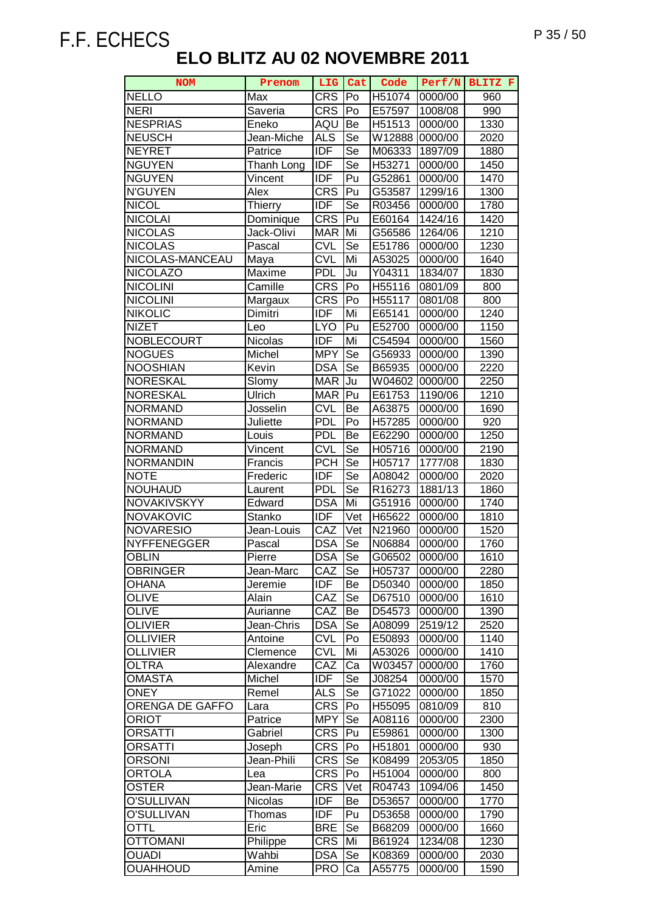| <b>NOM</b>         | Prenom         | <b>LIG</b> | Cat | Code   | Perf/N  | BLITZ F |
|--------------------|----------------|------------|-----|--------|---------|---------|
| <b>NELLO</b>       | Max            | <b>CRS</b> | lPo | H51074 | 0000/00 | 960     |
| <b>NERI</b>        | Saveria        | <b>CRS</b> | Po  | E57597 | 1008/08 | 990     |
| <b>NESPRIAS</b>    | Eneko          | AQU        | Be  | H51513 | 0000/00 | 1330    |
| <b>NEUSCH</b>      | Jean-Miche     | <b>ALS</b> | Se  | W12888 | 0000/00 | 2020    |
| <b>NEYRET</b>      | Patrice        | <b>IDF</b> | Se  | M06333 | 1897/09 | 1880    |
| <b>NGUYEN</b>      | Thanh Long     | <b>IDF</b> | Se  | H53271 | 0000/00 | 1450    |
| <b>NGUYEN</b>      | Vincent        | <b>IDF</b> | Pu  | G52861 | 0000/00 | 1470    |
| <b>N'GUYEN</b>     | Alex           | <b>CRS</b> | Pu  | G53587 | 1299/16 | 1300    |
| <b>NICOL</b>       | Thierry        | <b>IDF</b> | Se  | R03456 | 0000/00 | 1780    |
| <b>NICOLAI</b>     | Dominique      | <b>CRS</b> | Pu  | E60164 | 1424/16 | 1420    |
| <b>NICOLAS</b>     | Jack-Olivi     | <b>MAR</b> | Mi  | G56586 | 1264/06 | 1210    |
| <b>NICOLAS</b>     | Pascal         | <b>CVL</b> | Se  | E51786 | 0000/00 | 1230    |
| NICOLAS-MANCEAU    | Maya           | <b>CVL</b> | Mi  | A53025 | 0000/00 | 1640    |
| <b>NICOLAZO</b>    | Maxime         | <b>PDL</b> | Ju  | Y04311 | 1834/07 | 1830    |
| <b>NICOLINI</b>    | Camille        | <b>CRS</b> | Po  | H55116 | 0801/09 | 800     |
| <b>NICOLINI</b>    | Margaux        | <b>CRS</b> | Po  | H55117 | 0801/08 | 800     |
| <b>NIKOLIC</b>     | Dimitri        | <b>IDF</b> | Mi  | E65141 | 0000/00 | 1240    |
| <b>NIZET</b>       | Leo            | <b>LYO</b> | Pu  | E52700 | 0000/00 | 1150    |
| <b>NOBLECOURT</b>  | Nicolas        | <b>IDF</b> | Mi  | C54594 | 0000/00 | 1560    |
| <b>NOGUES</b>      | Michel         | <b>MPY</b> | Se  | G56933 | 0000/00 | 1390    |
| <b>NOOSHIAN</b>    | Kevin          | <b>DSA</b> | Se  | B65935 | 0000/00 | 2220    |
| <b>NORESKAL</b>    | Slomy          | <b>MAR</b> | Ju  | W04602 | 0000/00 | 2250    |
| <b>NORESKAL</b>    | Ulrich         | <b>MAR</b> | Pu  | E61753 | 1190/06 | 1210    |
| <b>NORMAND</b>     | Josselin       | <b>CVL</b> | Be  | A63875 | 0000/00 | 1690    |
| <b>NORMAND</b>     | Juliette       | <b>PDL</b> | Po  | H57285 | 0000/00 | 920     |
| <b>NORMAND</b>     | Louis          | <b>PDL</b> | Be  | E62290 | 0000/00 | 1250    |
| <b>NORMAND</b>     | Vincent        | <b>CVL</b> | Se  | H05716 | 0000/00 | 2190    |
| <b>NORMANDIN</b>   | Francis        | <b>PCH</b> | Se  | H05717 | 1777/08 | 1830    |
| <b>NOTE</b>        | Frederic       | <b>IDF</b> | Se  | A08042 | 0000/00 | 2020    |
| <b>NOUHAUD</b>     | Laurent        | <b>PDL</b> | Se  | R16273 | 1881/13 | 1860    |
| <b>NOVAKIVSKYY</b> | Edward         | <b>DSA</b> | Mi  | G51916 | 0000/00 | 1740    |
| <b>NOVAKOVIC</b>   | Stanko         | <b>IDF</b> | Vet | H65622 | 0000/00 | 1810    |
| <b>NOVARESIO</b>   | Jean-Louis     | CAZ        | Vet | N21960 | 0000/00 | 1520    |
| <b>NYFFENEGGER</b> | Pascal         | <b>DSA</b> | Se  | N06884 | 0000/00 | 1760    |
| <b>OBLIN</b>       | Pierre         | <b>DSA</b> | Se  | G06502 | 0000/00 | 1610    |
| <b>OBRINGER</b>    | Jean-Marc      | CAZ        | Se  | H05737 | 0000/00 | 2280    |
| <b>OHANA</b>       | Jeremie        | <b>IDF</b> | Be  | D50340 | 0000/00 | 1850    |
| <b>OLIVE</b>       | Alain          | CAZ        | Se  | D67510 | 0000/00 | 1610    |
| <b>OLIVE</b>       | Aurianne       | CAZ        | Be  | D54573 | 0000/00 | 1390    |
| <b>OLIVIER</b>     | Jean-Chris     | <b>DSA</b> | Se  | A08099 | 2519/12 | 2520    |
| <b>OLLIVIER</b>    | Antoine        | <b>CVL</b> | Po  | E50893 | 0000/00 | 1140    |
| <b>OLLIVIER</b>    | Clemence       | <b>CVL</b> | Mi  | A53026 | 0000/00 | 1410    |
| <b>OLTRA</b>       | Alexandre      | CAZ        | Ca  | W03457 | 0000/00 | 1760    |
| <b>OMASTA</b>      | Michel         | <b>IDF</b> | Se  | J08254 | 0000/00 | 1570    |
| <b>ONEY</b>        | Remel          | <b>ALS</b> | Se  | G71022 | 0000/00 | 1850    |
| ORENGA DE GAFFO    | Lara           | <b>CRS</b> | Po  | H55095 | 0810/09 | 810     |
| ORIOT              | Patrice        | <b>MPY</b> | Se  | A08116 | 0000/00 | 2300    |
| ORSATTI            | Gabriel        | <b>CRS</b> | Pu  | E59861 | 0000/00 | 1300    |
| ORSATTI            | Joseph         | <b>CRS</b> | Po  | H51801 | 0000/00 | 930     |
| <b>ORSONI</b>      | Jean-Phili     | <b>CRS</b> | Se  | K08499 | 2053/05 | 1850    |
| <b>ORTOLA</b>      | Lea            | <b>CRS</b> | Po  | H51004 | 0000/00 | 800     |
| <b>OSTER</b>       | Jean-Marie     | <b>CRS</b> | Vet | R04743 | 1094/06 | 1450    |
| O'SULLIVAN         | <b>Nicolas</b> | <b>IDF</b> | Be  | D53657 | 0000/00 | 1770    |
| O'SULLIVAN         | Thomas         | <b>IDF</b> | Pu  | D53658 | 0000/00 | 1790    |
| OTTL               | Eric           | <b>BRE</b> | Se  | B68209 | 0000/00 | 1660    |
| <b>OTTOMANI</b>    | Philippe       | <b>CRS</b> | Mi  | B61924 | 1234/08 | 1230    |
| <b>OUADI</b>       | Wahbi          | <b>DSA</b> | Se  | K08369 | 0000/00 | 2030    |
| <b>OUAHHOUD</b>    | Amine          | <b>PRO</b> | Ca  | A55775 | 0000/00 | 1590    |
|                    |                |            |     |        |         |         |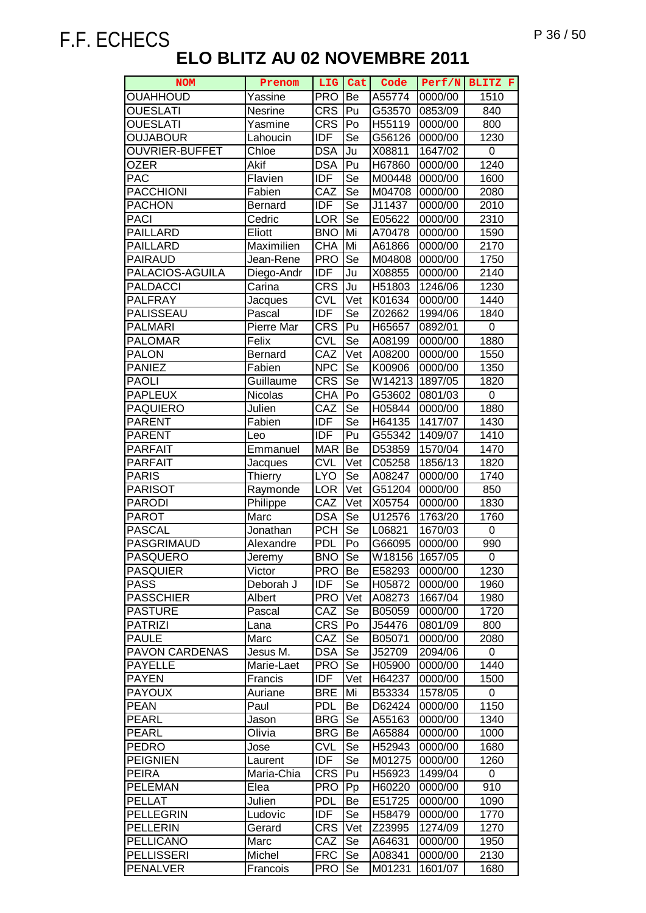| <b>NOM</b>                              | Prenom             |                          | LIG Cat   | Code             |                    | Perf/N BLITZ F    |
|-----------------------------------------|--------------------|--------------------------|-----------|------------------|--------------------|-------------------|
| <b>OUAHHOUD</b>                         | Yassine            | <b>PRO</b>               | Be        | A55774           | 0000/00            | 1510              |
| <b>OUESLATI</b>                         | <b>Nesrine</b>     | <b>CRS</b>               | Pu        | G53570           | 0853/09            | 840               |
| <b>OUESLATI</b>                         | Yasmine            | <b>CRS</b>               | Po        | H55119           | 0000/00            | 800               |
| <b>OUJABOUR</b>                         | Lahoucin           | <b>IDF</b>               | Se        | G56126           | 0000/00            | 1230              |
| <b>OUVRIER-BUFFET</b>                   | Chloe              | <b>DSA</b>               | Ju        | X08811           | 1647/02            | 0                 |
| <b>OZER</b>                             | Akif               | <b>DSA</b>               | Pu        | H67860           | 0000/00            | $\overline{1240}$ |
| <b>PAC</b>                              | Flavien            | <b>IDF</b>               | Se        | M00448           | 0000/00            | 1600              |
| <b>PACCHIONI</b>                        | Fabien             | CAZ                      | Se        | M04708           | 0000/00            | 2080              |
| <b>PACHON</b>                           | Bernard            | <b>IDF</b>               | Se        | J11437           | 0000/00            | 2010              |
| <b>PACI</b>                             | Cedric             | <b>LOR</b>               | Se        | E05622           | 0000/00            | 2310              |
| <b>PAILLARD</b>                         | Eliott             | <b>BNO</b>               | Mi        | A70478           | 0000/00            | 1590              |
| <b>PAILLARD</b>                         | Maximilien         | <b>CHA</b>               | Mi        | A61866           | 0000/00            | 2170              |
| <b>PAIRAUD</b>                          | Jean-Rene          | <b>PRO</b>               | Se        | M04808           | 0000/00            | 1750              |
| PALACIOS-AGUILA                         | Diego-Andr         | <b>IDF</b>               | Ju        | X08855           | 0000/00            | 2140              |
| <b>PALDACCI</b>                         | Carina             | <b>CRS</b>               | Ju        | H51803           | 1246/06            | 1230              |
| <b>PALFRAY</b>                          | Jacques            | <b>CVL</b>               | Vet       | K01634           | 0000/00            | 1440              |
| PALISSEAU                               | Pascal             | <b>IDF</b>               | Se        | Z02662           | 1994/06            | 1840              |
| <b>PALMARI</b>                          | Pierre Mar         | <b>CRS</b>               | Pu        | H65657           | 0892/01            | $\pmb{0}$         |
| <b>PALOMAR</b>                          | Felix              | <b>CVL</b>               | Se        | A08199           | 0000/00            | 1880              |
| <b>PALON</b>                            | <b>Bernard</b>     | CAZ                      | Vet       | A08200           | 0000/00            | 1550              |
| <b>PANIEZ</b>                           | Fabien             | <b>NPC</b>               | Se        | K00906           | 0000/00            | 1350              |
| <b>PAOLI</b>                            | Guillaume          | <b>CRS</b>               | Se        | W14213           | 1897/05            | 1820              |
| <b>PAPLEUX</b>                          | Nicolas            | <b>CHA</b>               | Po        | G53602           | 0801/03            | $\boldsymbol{0}$  |
| <b>PAQUIERO</b>                         | Julien             | CAZ                      | Se        | H05844           | 0000/00            | 1880              |
| <b>PARENT</b>                           | Fabien             | <b>IDF</b>               | Se        | H64135           | 1417/07            | 1430              |
| <b>PARENT</b>                           | Leo                | <b>IDF</b>               | Pu        | G55342           | 1409/07            | 1410              |
| <b>PARFAIT</b>                          | Emmanuel           | <b>MAR</b>               | Be        | D53859           | 1570/04            | 1470              |
| <b>PARFAIT</b>                          | Jacques            | <b>CVL</b>               | Vet       | C05258           | 1856/13            | 1820              |
| <b>PARIS</b>                            | Thierry            | <b>LYO</b>               | Se        | A08247           | 0000/00            | 1740              |
| <b>PARISOT</b>                          | Raymonde           | <b>LOR</b>               | Vet       | G51204           | 0000/00            | 850               |
| <b>PARODI</b>                           | Philippe           | CAZ                      | Vet       | X05754           | 0000/00            | 1830              |
| <b>PAROT</b>                            | Marc               | <b>DSA</b>               | Se        | U12576           | 1763/20            | 1760              |
| <b>PASCAL</b>                           | Jonathan           | <b>PCH</b>               | Se        | L06821           | 1670/03            | 0                 |
| PASGRIMAUD                              | Alexandre          | <b>PDL</b>               | Po        | G66095           | 0000/00            | 990               |
| <b>PASQUERO</b>                         | Jeremv             | <b>BNO</b>               | Se        | W18156 1657/05   |                    | 0                 |
| <b>PASQUIER</b>                         | Victor             | <b>PRO</b>               | Be        | E58293           | 0000/00            | 1230              |
| <b>PASS</b>                             | Deborah J          | <b>IDF</b>               | Se        | H05872           | 0000/00            | 1960              |
| <b>PASSCHIER</b>                        | Albert             | <b>PRO</b>               | Vet       | A08273           | 1667/04            | 1980              |
| <b>PASTURE</b>                          | Pascal             | CAZ                      | Se        | B05059           | 0000/00            | 1720              |
| <b>PATRIZI</b>                          | Lana               | <b>CRS</b>               | Po        | J54476           | 0801/09            | 800               |
| <b>PAULE</b>                            | Marc               | CAZ                      | Se        | B05071           | 0000/00            | 2080              |
| <b>PAVON CARDENAS</b><br><b>PAYELLE</b> | Jesus M.           | <b>DSA</b><br><b>PRO</b> | Se        | J52709           | 2094/06            | 0<br>1440         |
| <b>PAYEN</b>                            | Marie-Laet         |                          | Se<br>Vet | H05900           | 0000/00<br>0000/00 | 1500              |
| <b>PAYOUX</b>                           | Francis<br>Auriane | <b>IDF</b><br><b>BRE</b> | Mi        | H64237<br>B53334 | 1578/05            | 0                 |
| <b>PEAN</b>                             | Paul               | <b>PDL</b>               | Be        | D62424           | 0000/00            | 1150              |
| <b>PEARL</b>                            | Jason              | <b>BRG</b>               | Se        | A55163           | 0000/00            | 1340              |
| <b>PEARL</b>                            | Olivia             | <b>BRG</b>               | Be        | A65884           | 0000/00            | 1000              |
| <b>PEDRO</b>                            | Jose               | <b>CVL</b>               | Se        | H52943           | 0000/00            | 1680              |
| <b>PEIGNIEN</b>                         | Laurent            | <b>IDF</b>               | Se        | M01275           | 0000/00            | 1260              |
| <b>PEIRA</b>                            | Maria-Chia         | <b>CRS</b>               | Pu        | H56923           | 1499/04            | 0                 |
| <b>PELEMAN</b>                          | Elea               | <b>PRO</b>               | Pp        | H60220           | 0000/00            | 910               |
| <b>PELLAT</b>                           | Julien             | <b>PDL</b>               | Be        | E51725           | 0000/00            | 1090              |
| <b>PELLEGRIN</b>                        | Ludovic            | <b>IDF</b>               | Se        | H58479           | 0000/00            | 1770              |
| <b>PELLERIN</b>                         | Gerard             | <b>CRS</b>               | Vet       | Z23995           | 1274/09            | 1270              |
| <b>PELLICANO</b>                        | Marc               | CAZ                      | Se        | A64631           | 0000/00            | 1950              |
| <b>PELLISSERI</b>                       | Michel             | <b>FRC</b>               | Se        | A08341           | 0000/00            | 2130              |
| <b>PENALVER</b>                         | Francois           | <b>PRO</b>               | Se        | M01231           | 1601/07            | 1680              |
|                                         |                    |                          |           |                  |                    |                   |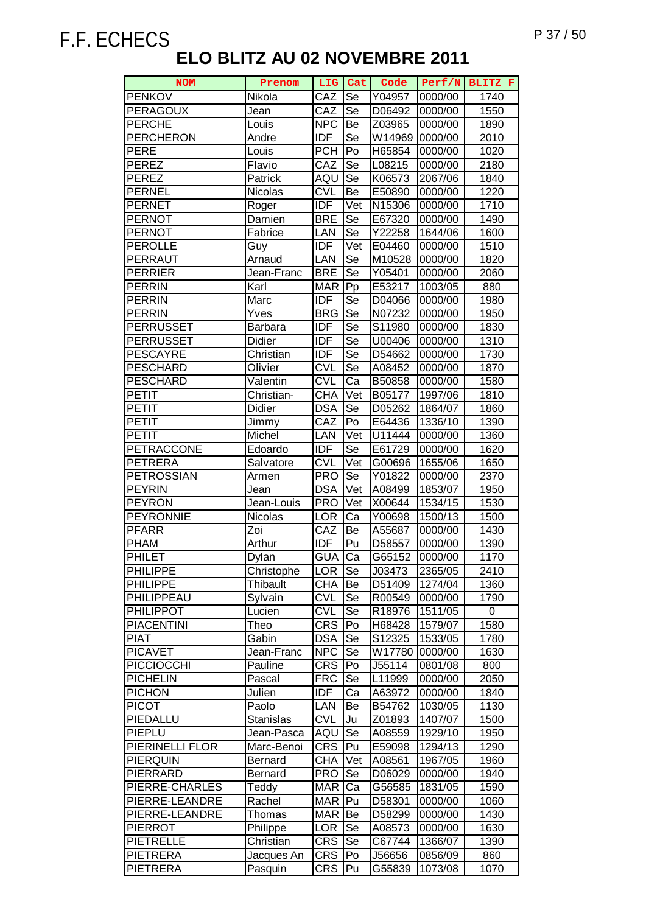| <b>NOM</b>        | Prenom           | LIG.            | Cat                        | Code   | Perf/N  | BLITZ F |
|-------------------|------------------|-----------------|----------------------------|--------|---------|---------|
| <b>PENKOV</b>     | Nikola           | CAZ             | Se                         | Y04957 | 0000/00 | 1740    |
| <b>PERAGOUX</b>   | Jean             | CAZ             | Se                         | D06492 | 0000/00 | 1550    |
| <b>PERCHE</b>     | Louis            | NP <sub>C</sub> | Be                         | Z03965 | 0000/00 | 1890    |
| <b>PERCHERON</b>  | Andre            | <b>IDF</b>      | Se                         | W14969 | 0000/00 | 2010    |
| <b>PERE</b>       | Louis            | <b>PCH</b>      | Po                         | H65854 | 0000/00 | 1020    |
| <b>PEREZ</b>      | Flavio           | CAZ             | <b>Se</b>                  | L08215 | 0000/00 | 2180    |
| <b>PEREZ</b>      | Patrick          | AQU             | Se                         | K06573 | 2067/06 | 1840    |
| <b>PERNEL</b>     | Nicolas          | <b>CVL</b>      | Be                         | E50890 | 0000/00 | 1220    |
| <b>PERNET</b>     | Roger            | <b>IDF</b>      | Vet                        | N15306 | 0000/00 | 1710    |
| <b>PERNOT</b>     | Damien           | <b>BRE</b>      | Se                         | E67320 | 0000/00 | 1490    |
| <b>PERNOT</b>     | Fabrice          | LAN             | Se                         | Y22258 | 1644/06 | 1600    |
| <b>PEROLLE</b>    | Guy              | <b>IDF</b>      | Vet                        | E04460 | 0000/00 | 1510    |
| <b>PERRAUT</b>    | Arnaud           | LAN             | Se                         | M10528 | 0000/00 | 1820    |
| <b>PERRIER</b>    | Jean-Franc       | <b>BRE</b>      | Se                         | Y05401 | 0000/00 | 2060    |
| <b>PERRIN</b>     | Karl             | <b>MAR</b>      | Pp                         | E53217 | 1003/05 | 880     |
| <b>PERRIN</b>     | Marc             | <b>IDF</b>      | Se                         | D04066 | 0000/00 | 1980    |
| <b>PERRIN</b>     | Yves             | <b>BRG</b>      | Se                         | N07232 | 0000/00 | 1950    |
| <b>PERRUSSET</b>  | <b>Barbara</b>   | <b>IDF</b>      | Se                         | S11980 | 0000/00 | 1830    |
| <b>PERRUSSET</b>  | Didier           | <b>IDF</b>      | Se                         | U00406 | 0000/00 | 1310    |
| <b>PESCAYRE</b>   | Christian        | <b>IDF</b>      | Se                         | D54662 | 0000/00 | 1730    |
| <b>PESCHARD</b>   | Olivier          | <b>CVL</b>      | Se                         | A08452 | 0000/00 | 1870    |
| <b>PESCHARD</b>   | Valentin         | <b>CVL</b>      | Ca                         | B50858 | 0000/00 | 1580    |
| PETIT             | Christian-       | <b>CHA</b>      | Vet                        | B05177 | 1997/06 | 1810    |
| <b>PETIT</b>      | Didier           | <b>DSA</b>      | Se                         | D05262 | 1864/07 | 1860    |
| <b>PETIT</b>      | Jimmy            | CAZ             | Po                         | E64436 | 1336/10 | 1390    |
| <b>PETIT</b>      | Michel           | LAN             | Vet                        | U11444 | 0000/00 | 1360    |
| <b>PETRACCONE</b> | Edoardo          | <b>IDF</b>      | Se                         | E61729 | 0000/00 | 1620    |
| <b>PETRERA</b>    | Salvatore        | <b>CVL</b>      | Vet                        | G00696 | 1655/06 | 1650    |
| <b>PETROSSIAN</b> | Armen            | <b>PRO</b>      | Se                         | Y01822 | 0000/00 | 2370    |
| <b>PEYRIN</b>     | Jean             | <b>DSA</b>      | Vet                        | A08499 | 1853/07 | 1950    |
| <b>PEYRON</b>     | Jean-Louis       | <b>PRO</b>      | Vet                        | X00644 | 1534/15 | 1530    |
| <b>PEYRONNIE</b>  | Nicolas          | <b>LOR</b>      | Ca                         | Y00698 | 1500/13 | 1500    |
| <b>PFARR</b>      | Zoi              | CAZ             | Be                         | A55687 | 0000/00 | 1430    |
| <b>PHAM</b>       | Arthur           | <b>IDF</b>      | Pu                         | D58557 | 0000/00 | 1390    |
| <b>PHILET</b>     | Dylan            | <b>GUA</b>      | Ca                         | G65152 | 0000/00 | 1170    |
| <b>PHILIPPE</b>   | Christophe       | <b>LOR</b>      | Se                         | J03473 | 2365/05 | 2410    |
| <b>PHILIPPE</b>   | <b>Thibault</b>  | <b>CHA</b>      | Be                         | D51409 | 1274/04 | 1360    |
| PHILIPPEAU        | Sylvain          | <b>CVL</b>      | Se                         | R00549 | 0000/00 | 1790    |
| <b>PHILIPPOT</b>  | Lucien           | <b>CVL</b>      | Se                         | R18976 | 1511/05 | 0       |
| <b>PIACENTINI</b> | Theo             | <b>CRS</b>      | Po                         | H68428 | 1579/07 | 1580    |
| <b>PIAT</b>       | Gabin            | <b>DSA</b>      | <b>Se</b>                  | S12325 | 1533/05 | 1780    |
| <b>PICAVET</b>    | Jean-Franc       | <b>NPC</b>      | Se                         | W17780 | 0000/00 | 1630    |
| <b>PICCIOCCHI</b> | Pauline          | <b>CRS</b>      | Po                         | J55114 | 0801/08 | 800     |
| <b>PICHELIN</b>   | Pascal           | <b>FRC</b>      | Se                         | L11999 | 0000/00 | 2050    |
| <b>PICHON</b>     | Julien           | <b>IDF</b>      | Ca                         | A63972 | 0000/00 | 1840    |
| <b>PICOT</b>      | Paolo            | LAN             | Be                         | B54762 | 1030/05 | 1130    |
| PIEDALLU          | <b>Stanislas</b> | <b>CVL</b>      | Ju                         | Z01893 | 1407/07 | 1500    |
| PIEPLU            | Jean-Pasca       | AQU             | Se                         | A08559 | 1929/10 | 1950    |
| PIERINELLI FLOR   | Marc-Benoi       | <b>CRS</b>      | Pu                         | E59098 | 1294/13 | 1290    |
| <b>PIERQUIN</b>   | Bernard          | <b>CHA</b>      | $\overline{\mathsf{V}}$ et | A08561 | 1967/05 | 1960    |
| PIERRARD          | Bernard          | <b>PRO</b>      | Se                         | D06029 | 0000/00 | 1940    |
| PIERRE-CHARLES    | Teddy            | <b>MAR</b>      | Ca                         | G56585 | 1831/05 | 1590    |
| PIERRE-LEANDRE    | Rachel           | <b>MAR</b>      | Pu                         | D58301 | 0000/00 | 1060    |
| PIERRE-LEANDRE    | Thomas           | <b>MAR</b>      | Be                         | D58299 | 0000/00 | 1430    |
| <b>PIERROT</b>    | Philippe         | <b>LOR</b>      | Se                         | A08573 | 0000/00 | 1630    |
| <b>PIETRELLE</b>  | Christian        | <b>CRS</b>      | Se                         | C67744 | 1366/07 | 1390    |
| <b>PIETRERA</b>   | Jacques An       | <b>CRS</b>      | Po                         | J56656 | 0856/09 | 860     |
| <b>PIETRERA</b>   | Pasquin          | <b>CRS</b>      | Pu                         | G55839 | 1073/08 | 1070    |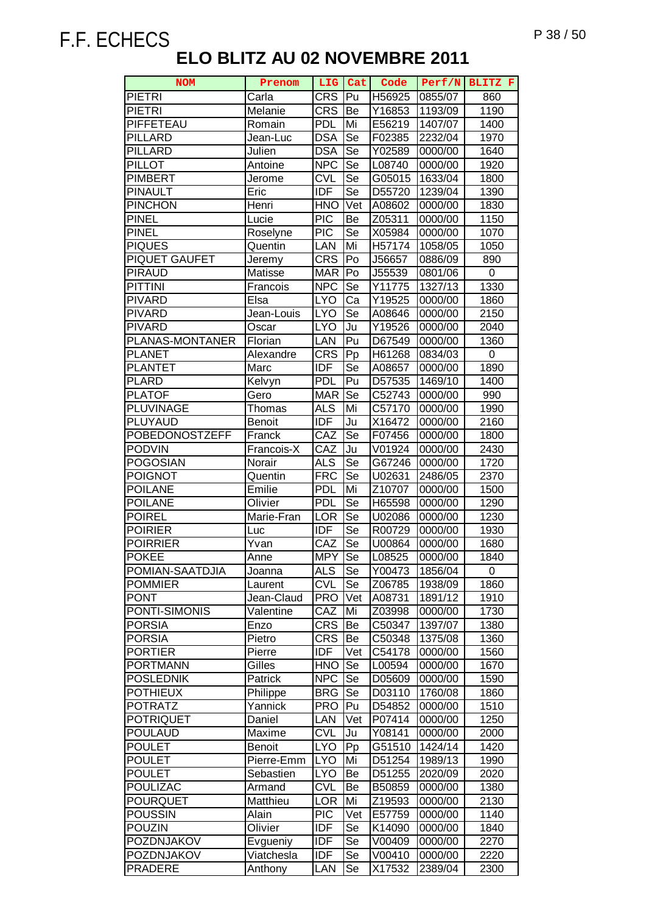| <b>NOM</b>           | Prenom        | <b>LIG</b> | <b>Cat</b>               | Code                 | Perf/N  | BLITZ F |
|----------------------|---------------|------------|--------------------------|----------------------|---------|---------|
| <b>PIETRI</b>        | Carla         | <b>CRS</b> | Pu                       | H56925               | 0855/07 | 860     |
| <b>PIETRI</b>        | Melanie       | <b>CRS</b> | Be                       | Y16853               | 1193/09 | 1190    |
| PIFFETEAU            | Romain        | <b>PDL</b> | Mi                       | E56219               | 1407/07 | 1400    |
| <b>PILLARD</b>       | Jean-Luc      | <b>DSA</b> | $\overline{\mathsf{Se}}$ | F02385               | 2232/04 | 1970    |
| <b>PILLARD</b>       | Julien        | <b>DSA</b> | Se                       | Y02589               | 0000/00 | 1640    |
| <b>PILLOT</b>        | Antoine       | <b>NPC</b> | Se                       | L08740               | 0000/00 | 1920    |
| <b>PIMBERT</b>       | Jerome        | <b>CVL</b> | Se                       | G05015               | 1633/04 | 1800    |
| <b>PINAULT</b>       | Eric          | <b>IDF</b> | Se                       | D55720               | 1239/04 | 1390    |
| <b>PINCHON</b>       | Henri         | <b>HNO</b> | Vet                      | A08602               | 0000/00 | 1830    |
| <b>PINEL</b>         | Lucie         | <b>PIC</b> | Be                       | Z05311               | 0000/00 | 1150    |
| <b>PINEL</b>         | Roselyne      | <b>PIC</b> | Se                       | X05984               | 0000/00 | 1070    |
| <b>PIQUES</b>        | Quentin       | LAN        | Mi                       | H57174               | 1058/05 | 1050    |
| <b>PIQUET GAUFET</b> | Jeremy        | <b>CRS</b> | Po                       | J56657               | 0886/09 | 890     |
| PIRAUD               | Matisse       | <b>MAR</b> | Po                       | J55539               | 0801/06 | 0       |
| <b>PITTINI</b>       | Francois      | <b>NPC</b> | Se                       | Y11775               | 1327/13 | 1330    |
| <b>PIVARD</b>        | Elsa          | <b>LYO</b> | Ca                       | $\overline{Y}$ 19525 | 0000/00 | 1860    |
| <b>PIVARD</b>        | Jean-Louis    | <b>LYO</b> | $\overline{\mathsf{Se}}$ | A08646               | 0000/00 | 2150    |
| <b>PIVARD</b>        | Oscar         | <b>LYO</b> | Ju                       | Y19526               | 0000/00 | 2040    |
| PLANAS-MONTANER      | Florian       | LAN        | Pu                       | D67549               | 0000/00 | 1360    |
| <b>PLANET</b>        | Alexandre     | <b>CRS</b> | Pp                       | H61268               | 0834/03 | 0       |
| <b>PLANTET</b>       | Marc          | <b>IDF</b> | Se                       | A08657               | 0000/00 | 1890    |
| <b>PLARD</b>         | Kelvyn        | <b>PDL</b> | Pu                       | D57535               | 1469/10 | 1400    |
| <b>PLATOF</b>        | Gero          | <b>MAR</b> | Se                       | C52743               | 0000/00 | 990     |
| <b>PLUVINAGE</b>     | Thomas        | <b>ALS</b> | Mi                       | C57170               | 0000/00 | 1990    |
| PLUYAUD              | <b>Benoit</b> | <b>IDF</b> | Ju                       | X16472               | 0000/00 | 2160    |
| POBEDONOSTZEFF       | Franck        | CAZ        | Se                       | F07456               | 0000/00 | 1800    |
| <b>PODVIN</b>        | Francois-X    | CAZ        | Ju                       | V01924               | 0000/00 | 2430    |
| <b>POGOSIAN</b>      | Norair        | <b>ALS</b> | Se                       | G67246               | 0000/00 | 1720    |
| <b>POIGNOT</b>       | Quentin       | <b>FRC</b> | Se                       | U02631               | 2486/05 | 2370    |
| <b>POILANE</b>       | Emilie        | <b>PDL</b> | Mi                       | Z <sub>10707</sub>   | 0000/00 | 1500    |
| <b>POILANE</b>       | Olivier       | <b>PDL</b> | Se                       | H65598               | 0000/00 | 1290    |
| <b>POIREL</b>        | Marie-Fran    | <b>LOR</b> | Se                       | U02086               | 0000/00 | 1230    |
| <b>POIRIER</b>       | Luc           | IDF        | Se                       | R00729               | 0000/00 | 1930    |
| <b>POIRRIER</b>      | Yvan          | CAZ        | Se                       | U00864               | 0000/00 | 1680    |
| <b>POKEE</b>         | Anne          | <b>MPY</b> | Se                       | L08525               | 0000/00 | 1840    |
| POMIAN-SAATDJIA      | Joanna        | <b>ALS</b> | Se                       | Y00473               | 1856/04 | 0       |
| <b>POMMIER</b>       | Laurent       | <b>CVL</b> | Se                       | Z06785               | 1938/09 | 1860    |
| <b>PONT</b>          | Jean-Claud    | <b>PRO</b> | Vet                      | A08731               | 1891/12 | 1910    |
| PONTI-SIMONIS        | Valentine     | CAZ        | Mi                       | Z03998               | 0000/00 | 1730    |
| <b>PORSIA</b>        | Enzo          | <b>CRS</b> | Be                       | C50347               | 1397/07 | 1380    |
| <b>PORSIA</b>        | Pietro        | <b>CRS</b> | Be                       | C50348               | 1375/08 | 1360    |
| <b>PORTIER</b>       | Pierre        | <b>IDF</b> | Vet                      | C54178               | 0000/00 | 1560    |
| <b>PORTMANN</b>      | Gilles        | <b>HNO</b> | Se                       | L00594               | 0000/00 | 1670    |
| <b>POSLEDNIK</b>     | Patrick       | <b>NPC</b> | Se                       | D05609               | 0000/00 | 1590    |
| <b>POTHIEUX</b>      | Philippe      | <b>BRG</b> | Se                       | D03110               | 1760/08 | 1860    |
| <b>POTRATZ</b>       | Yannick       | <b>PRO</b> | Pu                       | D54852               | 0000/00 | 1510    |
| <b>POTRIQUET</b>     | Daniel        | LAN        | Vet                      | P07414               | 0000/00 | 1250    |
| <b>POULAUD</b>       | Maxime        | <b>CVL</b> | Ju                       | Y08141               | 0000/00 | 2000    |
| <b>POULET</b>        | <b>Benoit</b> | <b>LYO</b> | Pp                       | G51510               | 1424/14 | 1420    |
| <b>POULET</b>        | Pierre-Emm    | <b>LYO</b> | Mi                       | D51254               | 1989/13 | 1990    |
| <b>POULET</b>        | Sebastien     | <b>LYO</b> | Be                       | D51255               | 2020/09 | 2020    |
| <b>POULIZAC</b>      | Armand        | <b>CVL</b> | Be                       | B50859               | 0000/00 | 1380    |
| <b>POURQUET</b>      | Matthieu      | <b>LOR</b> | Mi                       | Z19593               | 0000/00 | 2130    |
| <b>POUSSIN</b>       | Alain         | <b>PIC</b> | Vet                      | E57759               | 0000/00 | 1140    |
| <b>POUZIN</b>        | Olivier       | <b>IDF</b> | Se                       | K14090               | 0000/00 | 1840    |
| POZDNJAKOV           | Evgueniy      | <b>IDF</b> | Se                       | V00409               | 0000/00 | 2270    |
| POZDNJAKOV           | Viatchesla    | <b>IDF</b> | Se                       | V00410               | 0000/00 | 2220    |
| <b>PRADERE</b>       | Anthony       | LAN        | Se                       | X17532               | 2389/04 | 2300    |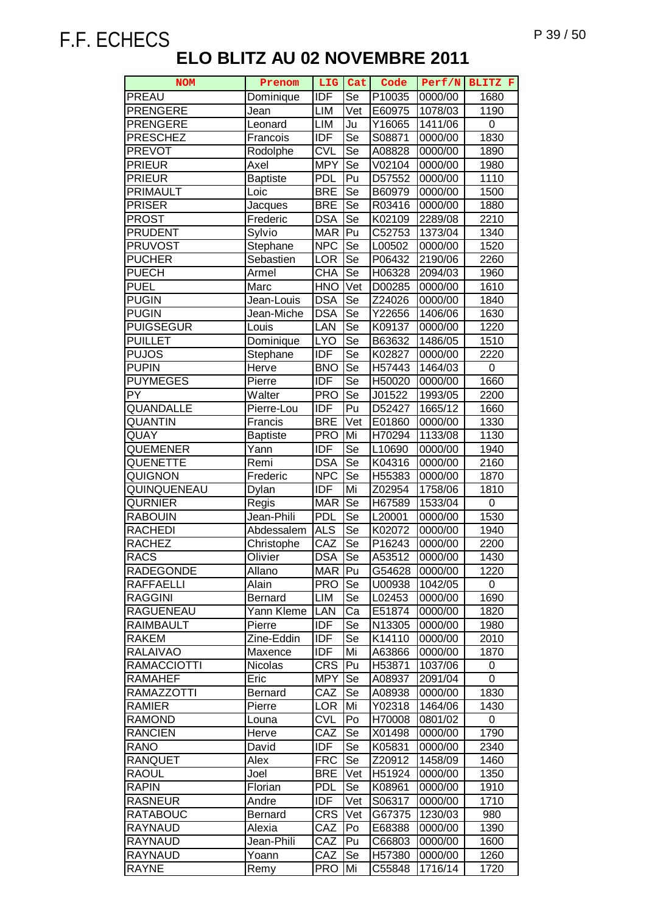| <b>NOM</b>                         | Prenom                  | LIG               | Cat      | Code               | Perf/N             | BLITZ F      |
|------------------------------------|-------------------------|-------------------|----------|--------------------|--------------------|--------------|
| PREAU                              | Dominique               | <b>IDF</b>        | Se       | P10035             | 0000/00            | 1680         |
| <b>PRENGERE</b>                    | Jean                    | LIM               | Vet      | E60975             | 1078/03            | 1190         |
| <b>PRENGERE</b>                    | Leonard                 | <b>LIM</b>        | Ju       | Y <sub>16065</sub> | 1411/06            | 0            |
| <b>PRESCHEZ</b>                    | Francois                | <b>IDF</b>        | Se       | S08871             | 0000/00            | 1830         |
| <b>PREVOT</b>                      | Rodolphe                | <b>CVL</b>        | Se       | A08828             | 0000/00            | 1890         |
| <b>PRIEUR</b>                      | Axel                    | <b>MPY</b>        | Se       | V02104             | 0000/00            | 1980         |
| <b>PRIEUR</b>                      | <b>Baptiste</b>         | <b>PDL</b>        | Pu       | D57552             | 0000/00            | 1110         |
| <b>PRIMAULT</b>                    | Loic                    | <b>BRE</b>        | Se       | B60979             | 0000/00            | 1500         |
| <b>PRISER</b>                      | Jacques                 | <b>BRE</b>        | Se       | R03416             | 0000/00            | 1880         |
| <b>PROST</b>                       | Frederic                | <b>DSA</b>        | Se       | K02109             | 2289/08            | 2210         |
| <b>PRUDENT</b>                     | Sylvio                  | <b>MAR</b>        | Pu       | C52753             | 1373/04            | 1340         |
| <b>PRUVOST</b>                     | Stephane                | <b>NPC</b>        | Se       | L00502             | 0000/00            | 1520         |
| <b>PUCHER</b>                      | Sebastien               | LOR               | Se       | P06432             | 2190/06            | 2260         |
| <b>PUECH</b>                       | Armel                   | CHA               | Se       | H06328             | 2094/03            | 1960         |
| <b>PUEL</b>                        | Marc                    | <b>HNO</b>        | Vet      | D00285             | 0000/00            | 1610         |
| <b>PUGIN</b>                       | Jean-Louis              | <b>DSA</b>        | Se       | Z24026             | 0000/00            | 1840         |
| <b>PUGIN</b>                       | Jean-Miche              | <b>DSA</b>        | Se       | Y22656             | 1406/06            | 1630         |
| <b>PUIGSEGUR</b>                   | Louis                   | LAN               | Se       | K09137             | 0000/00            | 1220         |
| <b>PUILLET</b>                     | Dominique               | <b>LYO</b>        | Se       | B63632             | 1486/05            | 1510         |
| <b>PUJOS</b>                       | Stephane                | <b>IDF</b>        | Se       | K02827             | 0000/00            | 2220         |
| <b>PUPIN</b>                       | Herve                   | <b>BNO</b>        | Se       | H57443             | 1464/03            | 0            |
| <b>PUYMEGES</b>                    | Pierre                  | <b>IDF</b>        | Se       | H50020             | 0000/00            | 1660         |
| PY                                 | Walter                  | <b>PRO</b>        | Se       | J01522             | 1993/05            | 2200         |
| <b>QUANDALLE</b>                   | Pierre-Lou              | <b>IDF</b>        | Pu       | D52427             | 1665/12            | 1660         |
| <b>QUANTIN</b>                     | Francis                 | <b>BRE</b>        | Vet      | E01860             | 0000/00            | 1330         |
| QUAY                               | <b>Baptiste</b>         | <b>PRO</b>        | Mi       | H70294             | 1133/08            | 1130         |
| QUEMENER                           | Yann                    | <b>IDF</b>        | Se       | L10690             | 0000/00            | 1940         |
| QUENETTE                           | Remi                    | <b>DSA</b>        | Se       | K04316             | 0000/00            | 2160         |
| QUIGNON                            | Frederic                | <b>NPC</b>        | Se       | H55383             | 0000/00            | 1870         |
| QUINQUENEAU                        | Dylan                   | <b>IDF</b>        | Mi       | Z02954             | 1758/06            | 1810         |
| <b>QURNIER</b>                     | Regis                   | <b>MAR</b>        | Se       | H67589             | 1533/04            | 0            |
| <b>RABOUIN</b>                     | Jean-Phili              | <b>PDL</b>        | Se       | L20001             | 0000/00            | 1530         |
| <b>RACHEDI</b>                     | Abdessalem              | <b>ALS</b>        | Se       | K02072             | 0000/00            | 1940         |
| <b>RACHEZ</b>                      | Christophe              | CAZ               | Se       | P16243             | 0000/00            | 2200         |
| <b>RACS</b>                        | Olivier                 | <b>DSA</b>        | Se       | A53512             | 0000/00            | 1430         |
| <b>RADEGONDE</b>                   | Allano                  | MAR Pu            |          | G54628             | 0000/00            | 1220         |
| <b>RAFFAELLI</b><br><b>RAGGINI</b> | Alain<br><b>Bernard</b> | <b>PRO</b>        | Se       | U00938             | 1042/05<br>0000/00 | 0            |
|                                    |                         | LIM               | Se       | L02453             |                    | 1690         |
| RAGUENEAU<br><b>RAIMBAULT</b>      | Yann Kleme              | LAN<br><b>IDF</b> | Ca<br>Se | E51874             | 0000/00            | 1820         |
| <b>RAKEM</b>                       | Pierre<br>Zine-Eddin    | <b>IDF</b>        | Se       | N13305<br>K14110   | 0000/00<br>0000/00 | 1980<br>2010 |
| <b>RALAIVAO</b>                    | Maxence                 | <b>IDF</b>        | Mi       | A63866             | 0000/00            | 1870         |
| <b>RAMACCIOTTI</b>                 | Nicolas                 | <b>CRS</b>        | Pu       | H53871             | 1037/06            | 0            |
| <b>RAMAHEF</b>                     | Eric                    | <b>MPY</b>        | Se       | A08937             | 2091/04            | 0            |
| <b>RAMAZZOTTI</b>                  | <b>Bernard</b>          | CAZ               | Se       | A08938             | 0000/00            | 1830         |
| <b>RAMIER</b>                      | Pierre                  | <b>LOR</b>        | Mi       | Y02318             | 1464/06            | 1430         |
| <b>RAMOND</b>                      | Louna                   | <b>CVL</b>        | Po       | H70008             | 0801/02            | 0            |
| <b>RANCIEN</b>                     | Herve                   | CAZ               | Se       | X01498             | 0000/00            | 1790         |
| <b>RANO</b>                        | David                   | <b>IDF</b>        | Se       | K05831             | 0000/00            | 2340         |
| <b>RANQUET</b>                     | Alex                    | <b>FRC</b>        | Se       | Z20912             | 1458/09            | 1460         |
| <b>RAOUL</b>                       | Joel                    | <b>BRE</b>        | Vet      | H51924             | 0000/00            | 1350         |
| <b>RAPIN</b>                       | Florian                 | <b>PDL</b>        | Se       | K08961             | 0000/00            | 1910         |
| <b>RASNEUR</b>                     | Andre                   | <b>IDF</b>        | Vet      | S06317             | 0000/00            | 1710         |
| <b>RATABOUC</b>                    | <b>Bernard</b>          | <b>CRS</b>        | Vet      | G67375             | 1230/03            | 980          |
| <b>RAYNAUD</b>                     | Alexia                  | CAZ               | Po       | E68388             | 0000/00            | 1390         |
| <b>RAYNAUD</b>                     | Jean-Phili              | CAZ               | Pu       | C66803             | 0000/00            | 1600         |
| <b>RAYNAUD</b>                     | Yoann                   | CAZ               | Se       | H57380             | 0000/00            | 1260         |
| <b>RAYNE</b>                       | Remy                    | <b>PRO</b>        | Mi       | C55848             | 1716/14            | 1720         |
|                                    |                         |                   |          |                    |                    |              |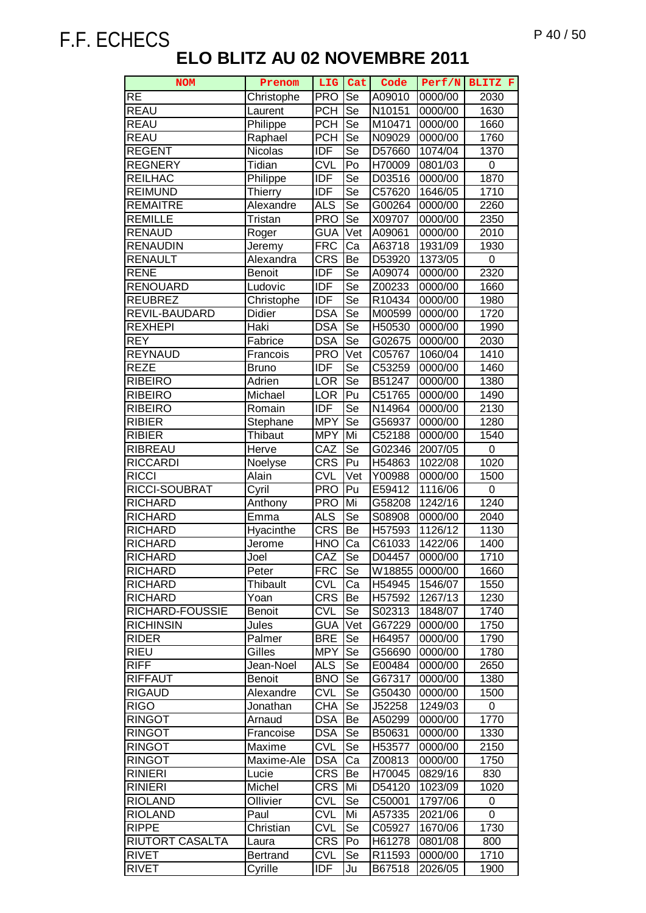| <b>NOM</b>       | Prenom          | LIG        | Cat                      | Code   | Perf/N  | BLITZ F |
|------------------|-----------------|------------|--------------------------|--------|---------|---------|
| <b>RE</b>        | Christophe      | <b>PRO</b> | Se                       | A09010 | 0000/00 | 2030    |
| <b>REAU</b>      | Laurent         | <b>PCH</b> | Se                       | N10151 | 0000/00 | 1630    |
| <b>REAU</b>      | Philippe        | <b>PCH</b> | Se                       | M10471 | 0000/00 | 1660    |
| <b>REAU</b>      | Raphael         | <b>PCH</b> | $\overline{\text{Se}}$   | N09029 | 0000/00 | 1760    |
| <b>REGENT</b>    | Nicolas         | <b>IDF</b> | Se                       | D57660 | 1074/04 | 1370    |
| <b>REGNERY</b>   | Tidian          | <b>CVL</b> | Po                       | H70009 | 0801/03 | 0       |
| <b>REILHAC</b>   | Philippe        | <b>IDF</b> | Se                       | D03516 | 0000/00 | 1870    |
| <b>REIMUND</b>   | <b>Thierry</b>  | <b>IDF</b> | Se                       | C57620 | 1646/05 | 1710    |
| <b>REMAITRE</b>  | Alexandre       | <b>ALS</b> | Se                       | G00264 | 0000/00 | 2260    |
| <b>REMILLE</b>   | Tristan         | <b>PRO</b> | Se                       | X09707 | 0000/00 | 2350    |
| RENAUD           | Roger           | <b>GUA</b> | Vet                      | A09061 | 0000/00 | 2010    |
| <b>RENAUDIN</b>  | Jeremy          | <b>FRC</b> | Ca                       | A63718 | 1931/09 | 1930    |
| RENAULT          | Alexandra       | <b>CRS</b> | Be                       | D53920 | 1373/05 | 0       |
| <b>RENE</b>      | <b>Benoit</b>   | <b>IDF</b> | Se                       | A09074 | 0000/00 | 2320    |
| <b>RENOUARD</b>  | Ludovic         | <b>IDF</b> | Se                       | Z00233 | 0000/00 | 1660    |
| <b>REUBREZ</b>   | Christophe      | <b>IDF</b> | Se                       | R10434 | 0000/00 | 1980    |
| REVIL-BAUDARD    | Didier          | <b>DSA</b> | Se                       | M00599 | 0000/00 | 1720    |
| <b>REXHEPI</b>   | Haki            | <b>DSA</b> | $\overline{\text{Se}}$   | H50530 | 0000/00 | 1990    |
| <b>REY</b>       | Fabrice         | <b>DSA</b> | $\overline{\mathsf{Se}}$ | G02675 | 0000/00 | 2030    |
| <b>REYNAUD</b>   | Francois        | <b>PRO</b> | Vet                      | C05767 | 1060/04 | 1410    |
| <b>REZE</b>      | <b>Bruno</b>    | <b>IDF</b> | Se                       | C53259 | 0000/00 | 1460    |
| <b>RIBEIRO</b>   | <b>Adrien</b>   | LOR        | Se                       | B51247 | 0000/00 | 1380    |
| RIBEIRO          | Michael         | <b>LOR</b> | Pu                       | C51765 | 0000/00 | 1490    |
| RIBEIRO          | Romain          | <b>IDF</b> | Se                       | N14964 | 0000/00 | 2130    |
| <b>RIBIER</b>    | Stephane        | <b>MPY</b> | Se                       | G56937 | 0000/00 | 1280    |
| <b>RIBIER</b>    | Thibaut         | <b>MPY</b> | Mi                       | C52188 | 0000/00 | 1540    |
| <b>RIBREAU</b>   | Herve           | CAZ        | Se                       | G02346 | 2007/05 | 0       |
| <b>RICCARDI</b>  | Noelyse         | <b>CRS</b> | Pu                       | H54863 | 1022/08 | 1020    |
| <b>RICCI</b>     | Alain           | <b>CVL</b> | Vet                      | Y00988 | 0000/00 | 1500    |
| RICCI-SOUBRAT    | Cyril           | <b>PRO</b> | Pu                       | E59412 | 1116/06 | 0       |
| <b>RICHARD</b>   | Anthony         | <b>PRO</b> | Mi                       | G58208 | 1242/16 | 1240    |
| <b>RICHARD</b>   | Emma            | <b>ALS</b> | Se                       | S08908 | 0000/00 | 2040    |
| <b>RICHARD</b>   | Hyacinthe       | <b>CRS</b> | Be                       | H57593 | 1126/12 | 1130    |
| RICHARD          | Jerome          | <b>HNO</b> | Ca                       | C61033 | 1422/06 | 1400    |
| <b>RICHARD</b>   | Joel            | CAZ        | Se                       | D04457 | 0000/00 | 1710    |
| <b>RICHARD</b>   | Peter           | <b>FRC</b> | Se                       | W18855 | 0000/00 | 1660    |
| <b>RICHARD</b>   | <b>Thibault</b> | <b>CVL</b> | Ca                       | H54945 | 1546/07 | 1550    |
| <b>RICHARD</b>   | Yoan            | <b>CRS</b> | Be                       | H57592 | 1267/13 | 1230    |
| RICHARD-FOUSSIE  | <b>Benoit</b>   | <b>CVL</b> | Se                       | S02313 | 1848/07 | 1740    |
| <b>RICHINSIN</b> | Jules           | <b>GUA</b> | Vet                      | G67229 | 0000/00 | 1750    |
| <b>RIDER</b>     | Palmer          | <b>BRE</b> | Se                       | H64957 | 0000/00 | 1790    |
| <b>RIEU</b>      | Gilles          | <b>MPY</b> | Se                       | G56690 | 0000/00 | 1780    |
| <b>RIFF</b>      | Jean-Noel       | <b>ALS</b> | Se                       | E00484 | 0000/00 | 2650    |
| <b>RIFFAUT</b>   | <b>Benoit</b>   | <b>BNO</b> | Se                       | G67317 | 0000/00 | 1380    |
| <b>RIGAUD</b>    | Alexandre       | <b>CVL</b> | Se                       | G50430 | 0000/00 | 1500    |
| <b>RIGO</b>      | Jonathan        | <b>CHA</b> | Se                       | J52258 | 1249/03 | 0       |
| <b>RINGOT</b>    | Arnaud          | <b>DSA</b> | Be                       | A50299 | 0000/00 | 1770    |
| <b>RINGOT</b>    | Francoise       | <b>DSA</b> | Se                       | B50631 | 0000/00 | 1330    |
| <b>RINGOT</b>    | Maxime          | <b>CVL</b> | Se                       | H53577 | 0000/00 | 2150    |
| <b>RINGOT</b>    | Maxime-Ale      | <b>DSA</b> | Ca                       | Z00813 | 0000/00 | 1750    |
| <b>RINIERI</b>   | Lucie           | <b>CRS</b> | Be                       | H70045 | 0829/16 | 830     |
| <b>RINIERI</b>   | Michel          | <b>CRS</b> | Mi                       | D54120 | 1023/09 | 1020    |
| <b>RIOLAND</b>   | Ollivier        | <b>CVL</b> | Se                       | C50001 | 1797/06 | 0       |
| <b>RIOLAND</b>   | Paul            | <b>CVL</b> | Mi                       | A57335 | 2021/06 | 0       |
| <b>RIPPE</b>     | Christian       | <b>CVL</b> | Se                       | C05927 | 1670/06 | 1730    |
| RIUTORT CASALTA  | Laura           | <b>CRS</b> | Po                       | H61278 | 0801/08 | 800     |
| <b>RIVET</b>     | <b>Bertrand</b> | <b>CVL</b> | Se                       | R11593 | 0000/00 | 1710    |
| <b>RIVET</b>     | Cyrille         | IDF        | Ju                       | B67518 | 2026/05 | 1900    |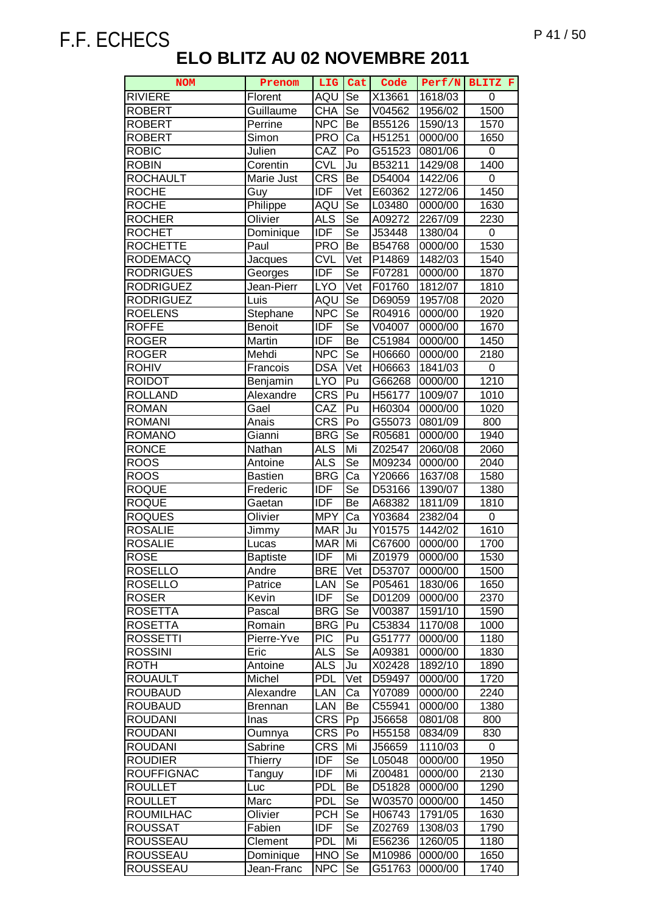| <b>NOM</b>        | Prenom          | LIG              | Cat              | Code   | Perf/N  | BLITZ F          |
|-------------------|-----------------|------------------|------------------|--------|---------|------------------|
| <b>RIVIERE</b>    | Florent         | AQU              | Se               | X13661 | 1618/03 | 0                |
| <b>ROBERT</b>     | Guillaume       | <b>CHA</b>       | Se               | V04562 | 1956/02 | 1500             |
| <b>ROBERT</b>     | Perrine         | <b>NPC</b>       | Be               | B55126 | 1590/13 | 1570             |
| <b>ROBERT</b>     | Simon           | <b>PRO</b>       | $\overline{c}$ a | H51251 | 0000/00 | 1650             |
| <b>ROBIC</b>      | Julien          | CAZ              | Po               | G51523 | 0801/06 | 0                |
| <b>ROBIN</b>      | Corentin        | <b>CVL</b>       | Ju               | B53211 | 1429/08 | 1400             |
| <b>ROCHAULT</b>   | Marie Just      | <b>CRS</b>       | Be               | D54004 | 1422/06 | 0                |
| <b>ROCHE</b>      | Guy             | <b>IDF</b>       | Vet              | E60362 | 1272/06 | 1450             |
| <b>ROCHE</b>      | Philippe        | AQU              | Se               | L03480 | 0000/00 | 1630             |
| <b>ROCHER</b>     | Olivier         | <b>ALS</b>       | Se               | A09272 | 2267/09 | 2230             |
| <b>ROCHET</b>     | Dominique       | IDF              | Se               | J53448 | 1380/04 | 0                |
| <b>ROCHETTE</b>   | Paul            | <b>PRO</b>       | Be               | B54768 | 0000/00 | 1530             |
| <b>RODEMACQ</b>   | Jacques         | <b>CVL</b>       | Vet              | P14869 | 1482/03 | 1540             |
| <b>RODRIGUES</b>  | Georges         | <b>IDF</b>       | <b>Se</b>        | F07281 | 0000/00 | 1870             |
| <b>RODRIGUEZ</b>  | Jean-Pierr      | <b>LYO</b>       | Vet              | F01760 | 1812/07 | 1810             |
| <b>RODRIGUEZ</b>  | Luis            | AQU              | Se               | D69059 | 1957/08 | 2020             |
| <b>ROELENS</b>    | Stephane        | <b>NPC</b>       | Se               | R04916 | 0000/00 | 1920             |
| <b>ROFFE</b>      | Benoit          | <b>IDF</b>       | Se               | V04007 | 0000/00 | 1670             |
| <b>ROGER</b>      | Martin          | IDF              | Be               | C51984 | 0000/00 | 1450             |
| <b>ROGER</b>      | Mehdi           | <b>NPC</b>       | Se               | H06660 | 0000/00 | 2180             |
| <b>ROHIV</b>      | Francois        | <b>DSA</b>       | Vet              | H06663 | 1841/03 | $\boldsymbol{0}$ |
| <b>ROIDOT</b>     | Benjamin        | <b>LYO</b>       | Pu               | G66268 | 0000/00 | 1210             |
| <b>ROLLAND</b>    | Alexandre       | $CR\overline{S}$ | Pu               | H56177 | 1009/07 | 1010             |
| <b>ROMAN</b>      | Gael            | CAZ              | Pu               | H60304 | 0000/00 | 1020             |
| <b>ROMANI</b>     | Anais           | <b>CRS</b>       | Po               | G55073 | 0801/09 | 800              |
| <b>ROMANO</b>     | Gianni          | <b>BRG</b>       | Se               | R05681 | 0000/00 | 1940             |
| <b>RONCE</b>      | Nathan          | <b>ALS</b>       | Mi               | Z02547 | 2060/08 | 2060             |
| <b>ROOS</b>       | Antoine         | <b>ALS</b>       | Se               | M09234 | 0000/00 | 2040             |
| <b>ROOS</b>       | <b>Bastien</b>  | <b>BRG</b>       | Ca               | Y20666 | 1637/08 | 1580             |
| <b>ROQUE</b>      | Frederic        | <b>IDF</b>       | Se               | D53166 | 1390/07 | 1380             |
| <b>ROQUE</b>      | Gaetan          | <b>IDF</b>       | Be               | A68382 | 1811/09 | 1810             |
| <b>ROQUES</b>     | Olivier         | <b>MPY</b>       | Ca               | Y03684 | 2382/04 | 0                |
| <b>ROSALIE</b>    | Jimmy           | <b>MAR</b>       | Ju               | Y01575 | 1442/02 | 1610             |
| <b>ROSALIE</b>    | Lucas           | <b>MAR</b>       | Mi               | C67600 | 0000/00 | 1700             |
| <b>ROSE</b>       | <b>Baptiste</b> | <b>IDF</b>       | Mi               | Z01979 | 0000/00 | 1530             |
| <b>ROSELLO</b>    | Andre           | <b>BRE</b>       | Vet              | D53707 | 0000/00 | 1500             |
| <b>ROSELLO</b>    | Patrice         | LAN              | Se               | P05461 | 1830/06 | 1650             |
| <b>ROSER</b>      | Kevin           | IDF              | Se               | D01209 | 0000/00 | 2370             |
| <b>ROSETTA</b>    | Pascal          | <b>BRG</b>       | Se               | V00387 | 1591/10 | 1590             |
| <b>ROSETTA</b>    | Romain          | <b>BRG</b>       | Pu               | C53834 | 1170/08 | 1000             |
| <b>ROSSETTI</b>   | Pierre-Yve      | <b>PIC</b>       | Pu               | G51777 | 0000/00 | 1180             |
| <b>ROSSINI</b>    | Eric            | <b>ALS</b>       | Se               | A09381 | 0000/00 | 1830             |
| <b>ROTH</b>       | Antoine         | <b>ALS</b>       | Ju               | X02428 | 1892/10 | 1890             |
| <b>ROUAULT</b>    | Michel          | <b>PDL</b>       | Vet              | D59497 | 0000/00 | 1720             |
| <b>ROUBAUD</b>    | Alexandre       | LAN              | Ca               | Y07089 | 0000/00 | 2240             |
| <b>ROUBAUD</b>    | <b>Brennan</b>  | LAN              | Be               | C55941 | 0000/00 | 1380             |
| <b>ROUDANI</b>    | Inas            | <b>CRS</b>       | Pp               | J56658 | 0801/08 | 800              |
| <b>ROUDANI</b>    | Oumnya          | <b>CRS</b>       | Po               | H55158 | 0834/09 | 830              |
| <b>ROUDANI</b>    | Sabrine         | <b>CRS</b>       | Mi               | J56659 | 1110/03 | 0                |
| <b>ROUDIER</b>    | <b>Thierry</b>  | IDF              | Se               | L05048 | 0000/00 | 1950             |
| <b>ROUFFIGNAC</b> | Tanguy          | IDF              | Mi               | Z00481 | 0000/00 | 2130             |
| <b>ROULLET</b>    | Luc             | <b>PDL</b>       | Be               | D51828 | 0000/00 | 1290             |
| <b>ROULLET</b>    | Marc            | <b>PDL</b>       | Se               | W03570 | 0000/00 | 1450             |
| <b>ROUMILHAC</b>  | Olivier         | <b>PCH</b>       | Se               | H06743 | 1791/05 | 1630             |
| <b>ROUSSAT</b>    | Fabien          | <b>IDF</b>       | Se               | Z02769 | 1308/03 | 1790             |
| <b>ROUSSEAU</b>   | Clement         | <b>PDL</b>       | Mi               | E56236 | 1260/05 | 1180             |
| <b>ROUSSEAU</b>   | Dominique       | <b>HNO</b>       | Se               | M10986 | 0000/00 | 1650             |
| <b>ROUSSEAU</b>   | Jean-Franc      | <b>NPC</b>       | Se               | G51763 | 0000/00 | 1740             |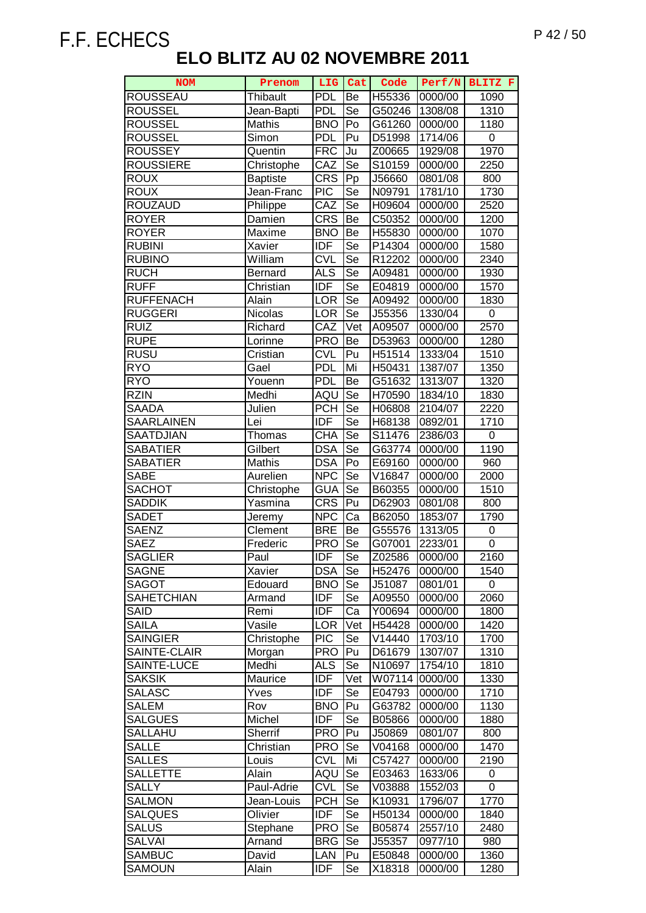| <b>NOM</b>                     | Prenom          |                          | LIG Cat                  | Code               | Perf/N             | BLITZ F           |
|--------------------------------|-----------------|--------------------------|--------------------------|--------------------|--------------------|-------------------|
| <b>ROUSSEAU</b>                | <b>Thibault</b> | <b>PDL</b>               | Be                       | H55336             | 0000/00            | 1090              |
| <b>ROUSSEL</b>                 | Jean-Bapti      | <b>PDL</b>               | Se                       | G50246             | 1308/08            | 1310              |
| <b>ROUSSEL</b>                 | Mathis          | <b>BNO</b>               | Po                       | G61260             | 0000/00            | 1180              |
| <b>ROUSSEL</b>                 | Simon           | <b>PDL</b>               | Pu                       | D51998             | 1714/06            | 0                 |
| <b>ROUSSEY</b>                 | Quentin         | <b>FRC</b>               | Ju                       | Z00665             | 1929/08            | 1970              |
| <b>ROUSSIERE</b>               | Christophe      | CAZ                      | Se                       | S10159             | 0000/00            | 2250              |
| <b>ROUX</b>                    | <b>Baptiste</b> | <b>CRS</b>               | Pp                       | J56660             | 0801/08            | 800               |
| <b>ROUX</b>                    | Jean-Franc      | <b>PIC</b>               | Se                       | N09791             | 1781/10            | 1730              |
| <b>ROUZAUD</b>                 | Philippe        | CAZ                      | Se                       | H09604             | 0000/00            | 2520              |
| <b>ROYER</b>                   | Damien          | <b>CRS</b>               | Be                       | C50352             | 0000/00            | 1200              |
| <b>ROYER</b>                   | Maxime          | <b>BNO</b>               | Be                       | H55830             | 0000/00            | 1070              |
| <b>RUBINI</b>                  | Xavier          | IDF                      | Se                       | P14304             | 0000/00            | 1580              |
| <b>RUBINO</b>                  | William         | <b>CVL</b>               | Se                       | R12202             | 0000/00            | 2340              |
| <b>RUCH</b>                    | Bernard         | <b>ALS</b>               | $\overline{\text{Se}}$   | A09481             | 0000/00            | 1930              |
| <b>RUFF</b>                    | Christian       | <b>IDF</b>               | Se                       | E04819             | 0000/00            | 1570              |
| <b>RUFFENACH</b>               | Alain           | <b>LOR</b>               | Se                       | A09492             | 0000/00            | 1830              |
| <b>RUGGERI</b>                 | Nicolas         | <b>LOR</b>               | Se                       | J55356             | 1330/04            | 0                 |
| <b>RUIZ</b>                    | Richard         | CAZ                      | Vet                      | A09507             | 0000/00            | 2570              |
| <b>RUPE</b>                    | Lorinne         | <b>PRO</b>               | Be                       | D53963             | 0000/00            | 1280              |
| <b>RUSU</b>                    | Cristian        | <b>CVL</b>               | Pu                       | H <sub>51514</sub> | 1333/04            | 1510              |
| <b>RYO</b>                     | Gael            | <b>PDL</b>               | Mi                       | H50431             | 1387/07            | 1350              |
| <b>RYO</b>                     | Youenn          | <b>PDL</b>               | Be                       | G51632             | 1313/07            | 1320              |
| <b>RZIN</b>                    | Medhi           | AQU                      | Se                       | H70590             | 1834/10            | 1830              |
| <b>SAADA</b>                   | Julien          | <b>PCH</b>               | Se                       | H06808             | 2104/07            | $\overline{2220}$ |
| <b>SAARLAINEN</b>              | Lei             | <b>IDF</b>               | Se                       | H68138             | 0892/01            | 1710              |
| <b>SAATDJIAN</b>               | Thomas          | CHA                      | Se                       | S11476             | 2386/03            | 0                 |
| <b>SABATIER</b>                | Gilbert         | <b>DSA</b>               | $\overline{\mathsf{Se}}$ | G63774             | 0000/00            | 1190              |
| <b>SABATIER</b>                | Mathis          | <b>DSA</b>               | Po                       | E69160             | 0000/00            | 960               |
| <b>SABE</b>                    | Aurelien        | <b>NPC</b>               | Se                       | V16847             | 0000/00            | 2000              |
| <b>SACHOT</b>                  | Christophe      | <b>GUA</b>               | Se                       | B60355             | 0000/00            | 1510              |
| <b>SADDIK</b>                  | Yasmina         | <b>CRS</b>               | Pu                       | D62903             | 0801/08            | 800               |
| <b>SADET</b>                   | Jeremy          | <b>NPC</b>               | Ca                       | B62050             | 1853/07            | 1790              |
| <b>SAENZ</b>                   | Clement         | <b>BRE</b>               | Be                       | G55576             | 1313/05            | 0                 |
| <b>SAEZ</b>                    | Frederic        | <b>PRO</b>               | Se                       | G07001             | 2233/01            | 0                 |
| <b>SAGLIER</b>                 | Paul            | <b>IDF</b>               | Se                       | Z02586             | 0000/00            | 2160              |
| <b>SAGNE</b>                   | Xavier          | <b>DSA</b>               | Se                       | H52476             | 0000/00            | 1540              |
| <b>SAGOT</b>                   | Edouard         | <b>BNO</b>               | Se                       | J51087             | 0801/01            | 0                 |
| <b>SAHETCHIAN</b>              | Armand          | IDF                      | Se                       | A09550             | 0000/00            | 2060              |
| <b>SAID</b>                    | Remi            | <b>IDF</b>               | Ca                       | Y00694             | 0000/00            | 1800              |
| <b>SAILA</b>                   | Vasile          | <b>LOR</b>               | Vet                      | H54428             | 0000/00            | 1420              |
| <b>SAINGIER</b>                | Christophe      | <b>PIC</b>               | Se                       | V14440             | 1703/10            | 1700              |
| SAINTE-CLAIR                   | Morgan          | <b>PRO</b>               | Pu                       | D61679             | 1307/07            | 1310              |
| SAINTE-LUCE                    | Medhi           | ALS                      | Se                       | N10697             | 1754/10            | 1810              |
| <b>SAKSIK</b>                  | Maurice         | <b>IDF</b><br><b>IDF</b> | Vet                      | W07114             | 0000/00            | 1330              |
| <b>SALASC</b>                  | Yves            |                          | Se                       | E04793             | 0000/00            | 1710              |
| <b>SALEM</b><br><b>SALGUES</b> | Rov<br>Michel   | <b>BNO</b><br><b>IDF</b> | Pu<br>Se                 | G63782             | 0000/00            | 1130              |
| <b>SALLAHU</b>                 | Sherrif         | <b>PRO</b>               | Pu                       | B05866<br>J50869   | 0000/00<br>0801/07 | 1880<br>800       |
| <b>SALLE</b>                   | Christian       | <b>PRO</b>               | Se                       | V04168             | 0000/00            | 1470              |
| <b>SALLES</b>                  | Louis           | <b>CVL</b>               | Mi                       | C57427             | 0000/00            | 2190              |
| <b>SALLETTE</b>                | Alain           | AQU                      | Se                       | E03463             | 1633/06            | 0                 |
| <b>SALLY</b>                   | Paul-Adrie      | <b>CVL</b>               | Se                       | V03888             | 1552/03            | 0                 |
| <b>SALMON</b>                  | Jean-Louis      | <b>PCH</b>               | Se                       | K10931             | 1796/07            | 1770              |
| <b>SALQUES</b>                 | Olivier         | IDF                      | Se                       | H50134             | 0000/00            | 1840              |
| <b>SALUS</b>                   | Stephane        | <b>PRO</b>               | Se                       | B05874             | 2557/10            | 2480              |
| <b>SALVAI</b>                  | Arnand          | <b>BRG</b>               | Se                       | J55357             | 0977/10            | 980               |
| <b>SAMBUC</b>                  | David           | LAN                      | Pu                       | E50848             | 0000/00            | 1360              |
| <b>SAMOUN</b>                  | Alain           | IDF                      | Se                       | X18318             | 0000/00            | 1280              |
|                                |                 |                          |                          |                    |                    |                   |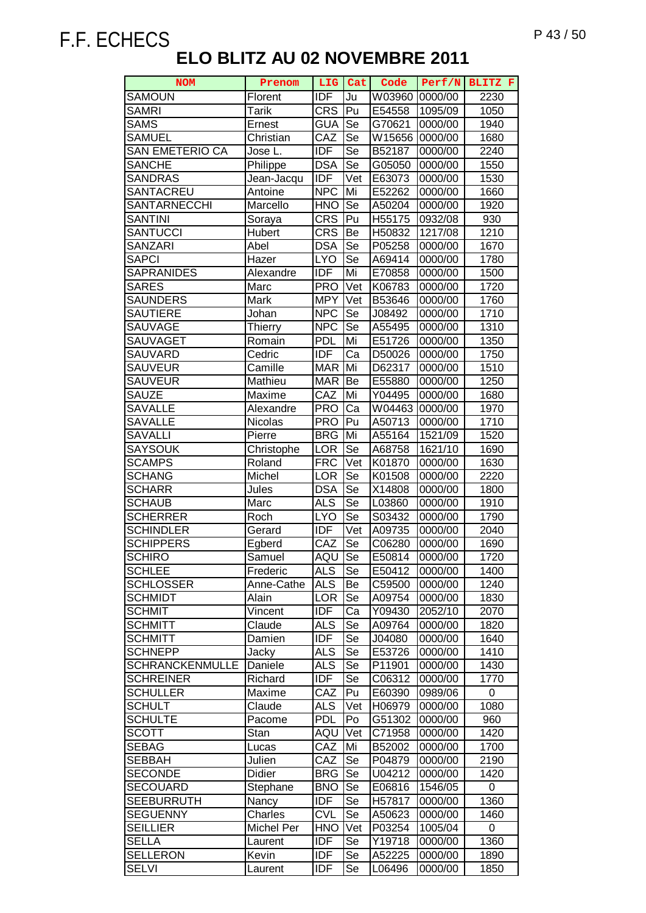| <b>NOM</b>             | Prenom     | LIG              | Cat                      | Code               | Perf/N  | BLITZ F |
|------------------------|------------|------------------|--------------------------|--------------------|---------|---------|
| <b>SAMOUN</b>          | Florent    | <b>IDF</b>       | Ju                       | W03960             | 0000/00 | 2230    |
| <b>SAMRI</b>           | Tarik      | <b>CRS</b>       | Pu                       | E54558             | 1095/09 | 1050    |
| <b>SAMS</b>            | Ernest     | <b>GUA</b>       | Se                       | G70621             | 0000/00 | 1940    |
| <b>SAMUEL</b>          | Christian  | CAZ              | Se                       | W15656             | 0000/00 | 1680    |
| SAN EMETERIO CA        | Jose L.    | <b>IDF</b>       | Se                       | B52187             | 0000/00 | 2240    |
| <b>SANCHE</b>          | Philippe   | <b>DSA</b>       | Se                       | G05050             | 0000/00 | 1550    |
| <b>SANDRAS</b>         | Jean-Jacqu | <b>IDF</b>       | Vet                      | E63073             | 0000/00 | 1530    |
| <b>SANTACREU</b>       | Antoine    | <b>NPC</b>       | Mi                       | E52262             | 0000/00 | 1660    |
| SANTARNECCHI           | Marcello   | <b>HNO</b>       | Se                       | A50204             | 0000/00 | 1920    |
| <b>SANTINI</b>         | Soraya     | $CR\overline{S}$ | Pu                       | H <sub>55175</sub> | 0932/08 | 930     |
| SANTUCCI               | Hubert     | <b>CRS</b>       | Be                       | H50832             | 1217/08 | 1210    |
| <b>SANZARI</b>         | Abel       | <b>DSA</b>       | Se                       | P05258             | 0000/00 | 1670    |
| <b>SAPCI</b>           | Hazer      | <b>LYO</b>       | Se                       | A69414             | 0000/00 | 1780    |
| <b>SAPRANIDES</b>      | Alexandre  | <b>IDF</b>       | Mi                       | E70858             | 0000/00 | 1500    |
|                        |            |                  |                          |                    |         |         |
| <b>SARES</b>           | Marc       | <b>PRO</b>       | Vet                      | K06783             | 0000/00 | 1720    |
| <b>SAUNDERS</b>        | Mark       | <b>MPY</b>       | Vet                      | B53646             | 0000/00 | 1760    |
| <b>SAUTIERE</b>        | Johan      | <b>NPC</b>       | $\overline{\mathsf{Se}}$ | J08492             | 0000/00 | 1710    |
| SAUVAGE                | Thierry    | <b>NPC</b>       | Se                       | A55495             | 0000/00 | 1310    |
| <b>SAUVAGET</b>        | Romain     | <b>PDL</b>       | Mi                       | E51726             | 0000/00 | 1350    |
| <b>SAUVARD</b>         | Cedric     | <b>IDF</b>       | Ca                       | D50026             | 0000/00 | 1750    |
| SAUVEUR                | Camille    | <b>MAR</b>       | Mi                       | D62317             | 0000/00 | 1510    |
| <b>SAUVEUR</b>         | Mathieu    | <b>MAR</b>       | Be                       | E55880             | 0000/00 | 1250    |
| <b>SAUZE</b>           | Maxime     | CAZ              | Mi                       | Y04495             | 0000/00 | 1680    |
| <b>SAVALLE</b>         | Alexandre  | <b>PRO</b>       | Ca                       | W04463             | 0000/00 | 1970    |
| <b>SAVALLE</b>         | Nicolas    | <b>PRO</b>       | Pu                       | A50713             | 0000/00 | 1710    |
| <b>SAVALLI</b>         | Pierre     | <b>BRG</b>       | Mi                       | A55164             | 1521/09 | 1520    |
| <b>SAYSOUK</b>         | Christophe | LOR              | Se                       | A68758             | 1621/10 | 1690    |
| <b>SCAMPS</b>          | Roland     | <b>FRC</b>       | Vet                      | K01870             | 0000/00 | 1630    |
| <b>SCHANG</b>          | Michel     | <b>LOR</b>       | Se                       | K01508             | 0000/00 | 2220    |
| <b>SCHARR</b>          | Jules      | <b>DSA</b>       | Se                       | X14808             | 0000/00 | 1800    |
| <b>SCHAUB</b>          | Marc       | <b>ALS</b>       | Se                       | L03860             | 0000/00 | 1910    |
| <b>SCHERRER</b>        | Roch       | <b>LYO</b>       | <b>Se</b>                | S03432             | 0000/00 | 1790    |
| <b>SCHINDLER</b>       | Gerard     | <b>IDF</b>       | Vet                      | A09735             | 0000/00 | 2040    |
| <b>SCHIPPERS</b>       | Egberd     | CAZ              | Se                       | C06280             | 0000/00 | 1690    |
| <b>SCHIRO</b>          | Samuel     | AQU              | Se                       | E50814             | 0000/00 | 1720    |
| <b>SCHLEE</b>          | Frederic   | <b>ALS</b>       | Se                       | E50412             | 0000/00 | 1400    |
| <b>SCHLOSSER</b>       | Anne-Cathe | <b>ALS</b>       | Be                       | C59500             | 0000/00 | 1240    |
| <b>SCHMIDT</b>         | Alain      | <b>LOR</b>       | Se                       | A09754             | 0000/00 | 1830    |
| <b>SCHMIT</b>          | Vincent    | <b>IDF</b>       | Ca                       | Y09430             | 2052/10 | 2070    |
| <b>SCHMITT</b>         | Claude     | <b>ALS</b>       | Se                       | A09764             | 0000/00 | 1820    |
| <b>SCHMITT</b>         | Damien     | <b>IDF</b>       | Se                       | J04080             | 0000/00 | 1640    |
| <b>SCHNEPP</b>         | Jacky      | <b>ALS</b>       | Se                       | E53726             | 0000/00 | 1410    |
| <b>SCHRANCKENMULLE</b> | Daniele    | <b>ALS</b>       | Se                       | P11901             | 0000/00 | 1430    |
| <b>SCHREINER</b>       | Richard    | <b>IDF</b>       | <b>Se</b>                | C06312             | 0000/00 | 1770    |
| <b>SCHULLER</b>        | Maxime     | CAZ              | Pu                       | E60390             | 0989/06 | 0       |
| SCHULT                 | Claude     | <b>ALS</b>       | Vet                      | H06979             | 0000/00 | 1080    |
| <b>SCHULTE</b>         | Pacome     | <b>PDL</b>       | Po                       | G51302             | 0000/00 | 960     |
| SCOTT                  | Stan       | AQU              | Vet                      | C71958             | 0000/00 | 1420    |
| <b>SEBAG</b>           | Lucas      | CAZ              | Mi                       | B52002             | 0000/00 | 1700    |
| <b>SEBBAH</b>          | Julien     | CAZ              | Se                       | P04879             | 0000/00 | 2190    |
| <b>SECONDE</b>         | Didier     | <b>BRG</b>       | Se                       | U04212             | 0000/00 | 1420    |
| <b>SECOUARD</b>        | Stephane   | <b>BNO</b>       | Se                       | E06816             | 1546/05 | 0       |
| <b>SEEBURRUTH</b>      | Nancy      | <b>IDF</b>       | Se                       | H57817             | 0000/00 | 1360    |
| <b>SEGUENNY</b>        | Charles    | <b>CVL</b>       | Se                       | A50623             | 0000/00 | 1460    |
| <b>SEILLIER</b>        | Michel Per | <b>HNO</b>       | Vet                      | P03254             | 1005/04 | 0       |
| <b>SELLA</b>           |            | <b>IDF</b>       | Se                       |                    |         | 1360    |
| <b>SELLERON</b>        | Laurent    | <b>IDF</b>       |                          | Y19718             | 0000/00 |         |
|                        | Kevin      |                  | Se                       | A52225             | 0000/00 | 1890    |
| <b>SELVI</b>           | Laurent    | IDF              | Se                       | L06496             | 0000/00 | 1850    |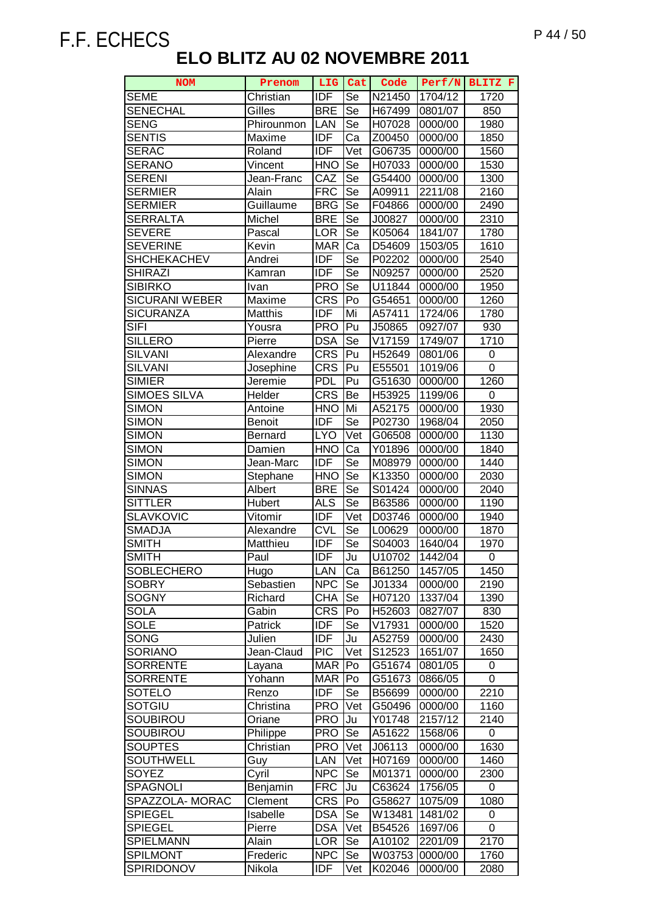| <b>NOM</b>             | Prenom               |                          | LIG Cat                  | Code               |                    | Perf/N BLITZ F   |
|------------------------|----------------------|--------------------------|--------------------------|--------------------|--------------------|------------------|
| <b>SEME</b>            | Christian            | <b>IDF</b>               | Se                       | N21450             | 1704/12            | 1720             |
| <b>SENECHAL</b>        | Gilles               | <b>BRE</b>               | Se                       | H67499             | 0801/07            | 850              |
| <b>SENG</b>            | Phirounmon           | LAN                      | Se                       | H07028             | 0000/00            | 1980             |
| <b>SENTIS</b>          | Maxime               | <b>IDF</b>               | Ca                       | Z00450             | 0000/00            | 1850             |
| <b>SERAC</b>           | Roland               | <b>IDF</b>               | Vet                      | G06735             | 0000/00            | 1560             |
| <b>SERANO</b>          | Vincent              | <b>HNO</b>               | Se                       | H07033             | 0000/00            | 1530             |
| <b>SERENI</b>          | Jean-Franc           | CAZ                      | Se                       | G54400             | 0000/00            | 1300             |
| <b>SERMIER</b>         | Alain                | <b>FRC</b>               | Se                       | A09911             | 2211/08            | 2160             |
| <b>SERMIER</b>         | Guillaume            | <b>BRG</b>               | Se                       | F04866             | 0000/00            | 2490             |
| <b>SERRALTA</b>        | Michel               | <b>BRE</b>               | Se                       | J00827             | 0000/00            | 2310             |
| <b>SEVERE</b>          | Pascal               | <b>LOR</b>               | Se                       | K05064             | 1841/07            | 1780             |
| <b>SEVERINE</b>        | Kevin                | <b>MAR</b>               | Ca                       | D54609             | 1503/05            | 1610             |
| <b>SHCHEKACHEV</b>     | Andrei               | <b>IDF</b>               | Se                       | P02202             | 0000/00            | 2540             |
| <b>SHIRAZI</b>         | Kamran               | <b>IDF</b>               | $\overline{\mathsf{Se}}$ | N09257             | 0000/00            | 2520             |
| <b>SIBIRKO</b>         | Ivan                 | <b>PRO</b>               | Se                       | U11844             | 0000/00            | 1950             |
| <b>SICURANI WEBER</b>  | Maxime               | <b>CRS</b>               | Po                       | G54651             | 0000/00            | 1260             |
| <b>SICURANZA</b>       | Matthis              | <b>IDF</b>               | Mi                       | A57411             | 1724/06            | 1780             |
| <b>SIFI</b>            | Yousra               | <b>PRO</b>               | Pu                       | J50865             | 0927/07            | 930              |
| <b>SILLERO</b>         | Pierre               | <b>DSA</b>               | Se                       | V17159             | 1749/07            | 1710             |
| <b>SILVANI</b>         | Alexandre            | $CR\overline{S}$         | Pu                       | H52649             | 0801/06            | 0                |
| <b>SILVANI</b>         | Josephine            | <b>CRS</b>               | Pu                       | E55501             | 1019/06            | 0                |
| SIMIER                 | Jeremie              | PDL                      | Pu                       | G51630             | 0000/00            | 1260             |
| <b>SIMOES SILVA</b>    | Helder               | <b>CRS</b>               | Be                       | H53925             | 1199/06            | $\boldsymbol{0}$ |
| <b>SIMON</b>           | Antoine              | <b>HNO</b>               | Mi                       | A52175             | 0000/00            | 1930             |
| <b>SIMON</b>           | <b>Benoit</b>        | <b>IDF</b>               | Se                       | P02730             | 1968/04            | 2050             |
| <b>SIMON</b>           | Bernard              | <b>LYO</b>               | Vet                      | G06508             | 0000/00            | 1130             |
| <b>SIMON</b>           | Damien               | <b>HNO</b>               | Ca                       | Y01896             | 0000/00            | 1840             |
| <b>SIMON</b>           | Jean-Marc            | <b>IDF</b>               | Se                       | M08979             | 0000/00            | 1440             |
| <b>SIMON</b>           | Stephane             | <b>HNO</b>               | Se                       | K13350             | 0000/00            | 2030             |
| <b>SINNAS</b>          | Albert               | <b>BRE</b>               | Se                       | S01424             | 0000/00            | 2040             |
| <b>SITTLER</b>         | Hubert               | <b>ALS</b>               | Se                       | B63586             | 0000/00            | 1190             |
| <b>SLAVKOVIC</b>       | Vitomir              | <b>IDF</b>               | Vet                      | D03746             | 0000/00            | 1940             |
| <b>SMADJA</b>          | Alexandre            | <b>CVL</b>               | Se                       | L00629             | 0000/00            | 1870             |
| <b>SMITH</b>           | Matthieu             | <b>IDF</b>               | Se                       | S04003             | 1640/04            | 1970             |
| <b>SMITH</b>           | Paul                 | <b>IDF</b>               | Ju                       | U <sub>10702</sub> | 1442/04            | 0                |
| <b>SOBLECHERO</b>      | Hugo                 | LAN                      | Ca                       | B61250             | 1457/05            | 1450             |
| <b>SOBRY</b>           | Sebastien            | <b>NPC</b>               | Se                       | J01334             | 0000/00            | 2190             |
| <b>SOGNY</b>           | Richard              | <b>CHA</b>               | Se                       | H07120             | 1337/04            | 1390             |
| <b>SOLA</b>            | Gabin                | <b>CRS</b>               | Po                       | H52603             | 0827/07            | 830              |
| <b>SOLE</b>            | Patrick              | <b>IDF</b><br><b>IDF</b> | Se                       | V17931             | 0000/00            | 1520             |
| SONG<br><b>SORIANO</b> | Julien<br>Jean-Claud | <b>PIC</b>               | Ju<br>Vet                | A52759             | 0000/00<br>1651/07 | 2430<br>1650     |
| <b>SORRENTE</b>        |                      | <b>MAR</b>               | Po                       | S12523             | 0801/05            |                  |
| <b>SORRENTE</b>        | Layana<br>Yohann     | <b>MAR</b>               | Po                       | G51674<br>G51673   | 0866/05            | 0<br>0           |
| <b>SOTELO</b>          | Renzo                | <b>IDF</b>               | Se                       | B56699             | 0000/00            | 2210             |
| <b>SOTGIU</b>          | Christina            | <b>PRO</b>               | Vet                      | G50496             | 0000/00            | 1160             |
| <b>SOUBIROU</b>        | Oriane               | <b>PRO</b>               | Ju                       | Y01748             | 2157/12            | 2140             |
| SOUBIROU               | Philippe             | <b>PRO</b>               | Se                       | A51622             | 1568/06            | 0                |
| <b>SOUPTES</b>         | Christian            | <b>PRO</b>               | Vet                      | J06113             | 0000/00            | 1630             |
| <b>SOUTHWELL</b>       | Guy                  | <b>LAN</b>               | Vet                      | H07169             | 0000/00            | 1460             |
| SOYEZ                  | Cyril                | <b>NPC</b>               | Se                       | M01371             | 0000/00            | 2300             |
| SPAGNOLI               | Benjamin             | <b>FRC</b>               | Ju                       | C63624             | 1756/05            | 0                |
| SPAZZOLA- MORAC        | Clement              | <b>CRS</b>               | Po                       | G58627             | 1075/09            | 1080             |
| <b>SPIEGEL</b>         | Isabelle             | <b>DSA</b>               | Se                       | W13481             | 1481/02            | 0                |
| <b>SPIEGEL</b>         | Pierre               | <b>DSA</b>               | Vet                      | B54526             | 1697/06            | $\Omega$         |
| <b>SPIELMANN</b>       | Alain                | <b>LOR</b>               | Se                       | A10102             | 2201/09            | 2170             |
| <b>SPILMONT</b>        | Frederic             | <b>NPC</b>               | Se                       | W03753             | 0000/00            | 1760             |
| SPIRIDONOV             | Nikola               | <b>IDF</b>               | Vet                      | K02046             | 0000/00            | 2080             |
|                        |                      |                          |                          |                    |                    |                  |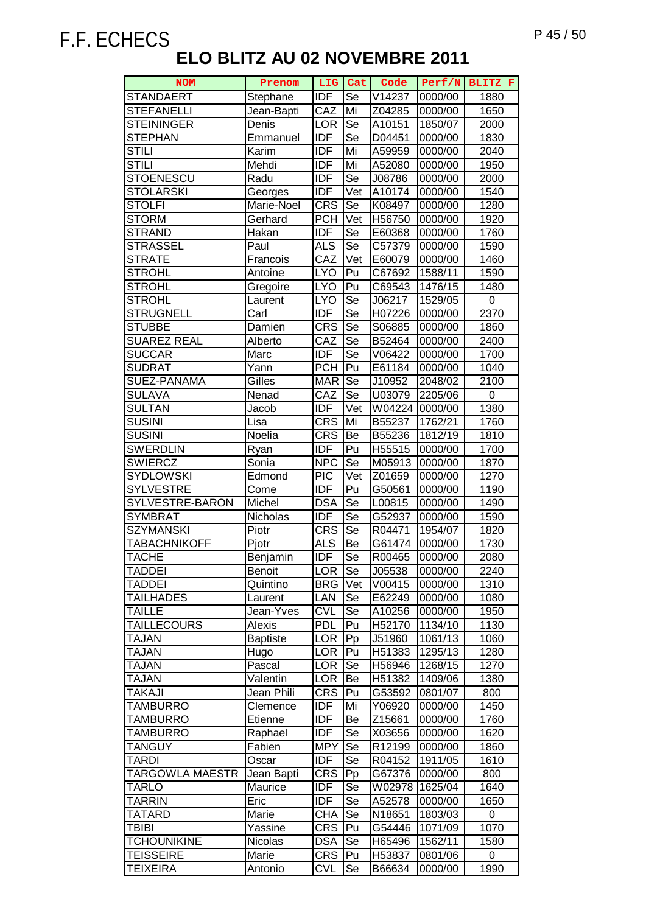| <b>NOM</b>             | Prenom                 | <b>LIG</b>               | Cat                      | Code             | Perf/N             | BLITZ F      |
|------------------------|------------------------|--------------------------|--------------------------|------------------|--------------------|--------------|
| <b>STANDAERT</b>       | Stephane               | <b>IDF</b>               | Se                       | V14237           | 0000/00            | 1880         |
| <b>STEFANELLI</b>      | Jean-Bapti             | CAZ                      | Mi                       | Z04285           | 0000/00            | 1650         |
| <b>STEININGER</b>      | Denis                  | <b>LOR</b>               | $\overline{\mathsf{Se}}$ | A10151           | 1850/07            | 2000         |
| <b>STEPHAN</b>         | Emmanuel               | <b>IDF</b>               | $\overline{\text{Se}}$   | D04451           | 0000/00            | 1830         |
| <b>STILI</b>           | Karim                  | <b>IDF</b>               | Mi                       | A59959           | 0000/00            | 2040         |
| STILI                  | Mehdi                  | <b>IDF</b>               | Mi                       | A52080           | 0000/00            | 1950         |
| <b>STOENESCU</b>       | Radu                   | <b>IDF</b>               | Se                       | J08786           | 0000/00            | 2000         |
| <b>STOLARSKI</b>       | Georges                | <b>IDF</b>               | Vet                      | A10174           | 0000/00            | 1540         |
| <b>STOLFI</b>          | Marie-Noel             | <b>CRS</b>               | Se                       | K08497           | 0000/00            | 1280         |
| <b>STORM</b>           | Gerhard                | <b>PCH</b>               | Vet                      | H56750           | 0000/00            | 1920         |
| STRAND                 | Hakan                  | <b>IDF</b>               | Se                       | E60368           | 0000/00            | 1760         |
| <b>STRASSEL</b>        | Paul                   | <b>ALS</b>               | Se                       | C57379           | 0000/00            | 1590         |
| <b>STRATE</b>          | Francois               | CAZ                      | Vet                      | E60079           | 0000/00            | 1460         |
| <b>STROHL</b>          | Antoine                | <b>LYO</b>               | Pu                       | C67692           | 1588/11            | 1590         |
| <b>STROHL</b>          | Gregoire               | <b>LYO</b>               | Pu                       | C69543           | 1476/15            | 1480         |
| STROHL                 | Laurent                | <b>LYO</b>               | $\overline{\mathsf{Se}}$ | J06217           | 1529/05            | 0            |
| <b>STRUGNELL</b>       | Carl                   | <b>IDF</b>               | Se                       | H07226           | 0000/00            | 2370         |
| <b>STUBBE</b>          | Damien                 | <b>CRS</b>               | $\overline{\text{Se}}$   | S06885           | 0000/00            | 1860         |
| <b>SUAREZ REAL</b>     | Alberto                | CAZ                      | $\overline{5}$ e         | B52464           | 0000/00            | 2400         |
| <b>SUCCAR</b>          | Marc                   | <b>IDF</b>               | Se                       | V06422           | 0000/00            | 1700         |
| <b>SUDRAT</b>          | Yann                   | <b>PCH</b>               | Pu                       | E61184           | 0000/00            | 1040         |
| SUEZ-PANAMA            | Gilles                 | <b>MAR</b>               | Se                       | J10952           | 2048/02            | 2100         |
| <b>SULAVA</b>          | Nenad                  | CAZ                      | Se                       | U03079           | 2205/06            | 0            |
| <b>SULTAN</b>          | Jacob                  | <b>IDF</b>               | Vet                      | W04224           | 0000/00            | 1380         |
| <b>SUSINI</b>          | Lisa                   | <b>CRS</b>               | Mi                       | B55237           | 1762/21            | 1760         |
| <b>SUSINI</b>          | Noelia                 | <b>CRS</b>               | Be                       | B55236           | 1812/19            | 1810         |
| <b>SWERDLIN</b>        | Ryan                   | <b>IDF</b>               | Pu                       | H55515           | 0000/00            | 1700         |
| <b>SWIERCZ</b>         | Sonia                  | <b>NPC</b>               | $\overline{\mathsf{Se}}$ | M05913           | 0000/00            | 1870         |
| <b>SYDLOWSKI</b>       | Edmond                 | <b>PIC</b>               | Vet                      | Z01659           | 0000/00            | 1270         |
| <b>SYLVESTRE</b>       | Come                   | $\overline{IDF}$         | Pu                       | G50561           | 0000/00            | 1190         |
| SYLVESTRE-BARON        | Michel                 | <b>DSA</b>               | Se                       | L00815           | 0000/00            | 1490         |
| <b>SYMBRAT</b>         | Nicholas               | <b>IDF</b>               | Se                       | G52937           | 0000/00            | 1590         |
| <b>SZYMANSKI</b>       | Piotr                  | <b>CRS</b>               | Se                       | R04471           | 1954/07            | 1820         |
| <b>TABACHNIKOFF</b>    | Pjotr                  | <b>ALS</b>               | Be                       | G61474           | 0000/00            | 1730         |
| <b>TACHE</b>           | Benjamin               | IDF                      | Se                       | R00465           | 0000/00            | 2080         |
| <b>TADDEI</b>          | <b>Benoit</b>          | LOR                      | Se                       | J05538           | 0000/00            | 2240         |
| <b>TADDEI</b>          | Quintino               | <b>BRG</b>               | Vet                      | V00415           | 0000/00            | 1310         |
| <b>TAILHADES</b>       | Laurent                | LAN                      | Se                       | E62249           | 0000/00            | 1080         |
| <b>TAILLE</b>          | Jean-Yves              | <b>CVL</b>               | Se                       | A10256           | 0000/00            | 1950         |
| <b>TAILLECOURS</b>     | Alexis                 | <b>PDL</b>               | Pu                       | H52170           | 1134/10            | 1130         |
| TAJAN<br><b>TAJAN</b>  | <b>Baptiste</b>        | <b>LOR</b>               | Pp                       | J51960           | 1061/13            | 1060         |
|                        | Hugo                   | <b>LOR</b>               | Pu                       | H51383           | 1295/13            | 1280         |
| TAJAN<br><b>TAJAN</b>  | Pascal                 | <b>LOR</b><br><b>LOR</b> | Se                       | H56946           | 1268/15            | 1270<br>1380 |
| TAKAJI                 | Valentin<br>Jean Phili | <b>CRS</b>               | Be<br>Pu                 | H51382<br>G53592 | 1409/06<br>0801/07 | 800          |
| <b>TAMBURRO</b>        |                        | <b>IDF</b>               | Mi                       | Y06920           | 0000/00            | 1450         |
| TAMBURRO               | Clemence<br>Etienne    | <b>IDF</b>               | Be                       | Z15661           | 0000/00            | 1760         |
| TAMBURRO               | Raphael                | <b>IDF</b>               | Se                       | X03656           | 0000/00            | 1620         |
| TANGUY                 | Fabien                 | <b>MPY</b>               | Se                       | R12199           | 0000/00            | 1860         |
| <b>TARDI</b>           | Oscar                  | IDF                      | Se                       | R04152           | 1911/05            | 1610         |
| <b>TARGOWLA MAESTR</b> | Jean Bapti             | <b>CRS</b>               | Pp                       | G67376           | 0000/00            | 800          |
| <b>TARLO</b>           | Maurice                | <b>IDF</b>               | Se                       | W02978           | 1625/04            | 1640         |
| <b>TARRIN</b>          | Eric                   | <b>IDF</b>               | Se                       | A52578           | 0000/00            | 1650         |
| TATARD                 | Marie                  | <b>CHA</b>               | Se                       | N18651           | 1803/03            | 0            |
| TBIBI                  | Yassine                | <b>CRS</b>               | Pu                       | G54446           | 1071/09            | 1070         |
| <b>TCHOUNIKINE</b>     | Nicolas                | <b>DSA</b>               | Se                       | H65496           | 1562/11            | 1580         |
| <b>TEISSEIRE</b>       | Marie                  | <b>CRS</b>               | Pu                       | H53837           | 0801/06            | 0            |
| <b>TEIXEIRA</b>        | Antonio                | <b>CVL</b>               | Se                       | B66634           | 0000/00            | 1990         |
|                        |                        |                          |                          |                  |                    |              |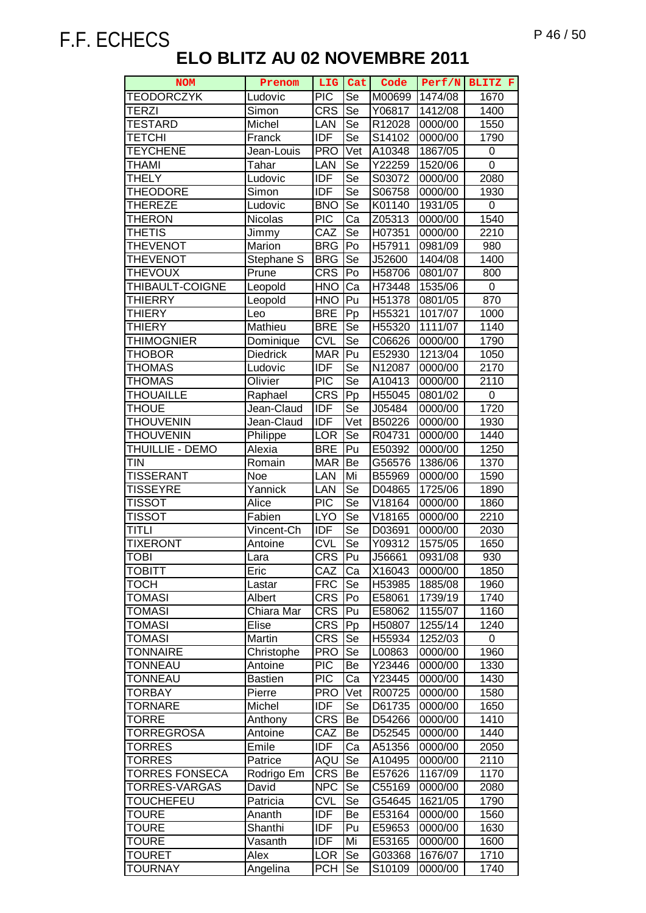| <b>NOM</b>            | Prenom          | LIG        | Cat                    | Code   |         | Perf/N BLITZ F   |
|-----------------------|-----------------|------------|------------------------|--------|---------|------------------|
| <b>TEODORCZYK</b>     | Ludovic         | <b>PIC</b> | Se                     | M00699 | 1474/08 | 1670             |
| <b>TERZI</b>          | Simon           | <b>CRS</b> | Se                     | Y06817 | 1412/08 | 1400             |
| <b>TESTARD</b>        | Michel          | LAN        | Se                     | R12028 | 0000/00 | 1550             |
| <b>TETCHI</b>         | Franck          | <b>IDF</b> | Se                     | S14102 | 0000/00 | 1790             |
| <b>TEYCHENE</b>       | Jean-Louis      | <b>PRO</b> | Vet                    | A10348 | 1867/05 | 0                |
| THAMI                 | Tahar           | LAN        | Se                     | Y22259 | 1520/06 | $\overline{0}$   |
| <b>THELY</b>          | Ludovic         | <b>IDF</b> | Se                     | S03072 | 0000/00 | 2080             |
| <b>THEODORE</b>       | Simon           | <b>IDF</b> | Se                     | S06758 | 0000/00 | 1930             |
| <b>THEREZE</b>        | Ludovic         | <b>BNO</b> | Se                     | K01140 | 1931/05 | 0                |
| THERON                | <b>Nicolas</b>  | <b>PIC</b> | Ca                     | Z05313 | 0000/00 | 1540             |
| <b>THETIS</b>         | Jimmy           | CAZ        | Se                     | H07351 | 0000/00 | 2210             |
| <b>THEVENOT</b>       | Marion          | <b>BRG</b> | Po                     | H57911 | 0981/09 | 980              |
| <b>THEVENOT</b>       | Stephane S      | <b>BRG</b> | Se                     | J52600 | 1404/08 | 1400             |
| <b>THEVOUX</b>        | Prune           | <b>CRS</b> | Po                     | H58706 | 0801/07 | 800              |
| THIBAULT-COIGNE       | Leopold         | <b>HNO</b> | Ca                     | H73448 | 1535/06 | 0                |
| <b>THIERRY</b>        | Leopold         | <b>HNO</b> | Pu                     | H51378 | 0801/05 | 870              |
| <b>THIERY</b>         | Leo             | <b>BRE</b> | Pp                     | H55321 | 1017/07 | 1000             |
| <b>THIERY</b>         | Mathieu         | <b>BRE</b> | Se                     | H55320 | 1111/07 | 1140             |
| <b>THIMOGNIER</b>     | Dominique       | <b>CVL</b> | Se                     | C06626 | 0000/00 | 1790             |
| THOBOR                | <b>Diedrick</b> | <b>MAR</b> | Pu                     | E52930 | 1213/04 | 1050             |
| <b>THOMAS</b>         | Ludovic         | <b>IDF</b> | Se                     | N12087 | 0000/00 | 2170             |
| THOMAS                | Olivier         | <b>PIC</b> | Se                     | A10413 | 0000/00 | 2110             |
| <b>THOUAILLE</b>      | Raphael         | <b>CRS</b> | Pp                     | H55045 | 0801/02 | $\boldsymbol{0}$ |
| <b>THOUE</b>          | Jean-Claud      | <b>IDF</b> | Se                     | J05484 | 0000/00 | 1720             |
| <b>THOUVENIN</b>      | Jean-Claud      | <b>IDF</b> | Vet                    | B50226 | 0000/00 | 1930             |
| <b>THOUVENIN</b>      | Philippe        | <b>LOR</b> | $\overline{\text{Se}}$ | R04731 | 0000/00 | 1440             |
| THUILLIE - DEMO       | Alexia          | <b>BRE</b> | Pu                     | E50392 | 0000/00 | 1250             |
| <b>TIN</b>            | Romain          | <b>MAR</b> | Be                     | G56576 | 1386/06 | 1370             |
| TISSERANT             | Noe             | LAN        | Mi                     | B55969 | 0000/00 | 1590             |
| <b>TISSEYRE</b>       | Yannick         | LAN        | Se                     | D04865 | 1725/06 | 1890             |
| TISSOT                | Alice           | <b>PIC</b> | Se                     | V18164 | 0000/00 | 1860             |
| <b>TISSOT</b>         | Fabien          | <b>LYO</b> | Se                     | V18165 | 0000/00 | 2210             |
| <b>TITLI</b>          | Vincent-Ch      | IDF        | Se                     | D03691 | 0000/00 | 2030             |
| <b>TIXERONT</b>       | Antoine         | <b>CVL</b> | Se                     | Y09312 | 1575/05 | 1650             |
| <b>ITOBI</b>          | Lara            | <b>CRS</b> | Pu                     | J56661 | 0931/08 | 930              |
| TOBITT                | Eric            | CAZ        | Ca                     | X16043 | 0000/00 | 1850             |
| тосн                  | Lastar          | <b>FRC</b> | Se                     | H53985 | 1885/08 | 1960             |
| <b>TOMASI</b>         | Albert          | <b>CRS</b> | Po                     | E58061 | 1739/19 | 1740             |
| <b>TOMASI</b>         | Chiara Mar      | <b>CRS</b> | Pu                     | E58062 | 1155/07 | 1160             |
| TOMASI                | Elise           | <b>CRS</b> | Pp                     | H50807 | 1255/14 | 1240             |
| TOMASI                | Martin          | <b>CRS</b> | Se                     | H55934 | 1252/03 | 0                |
| <b>TONNAIRE</b>       | Christophe      | <b>PRO</b> | Se                     | L00863 | 0000/00 | 1960             |
| <b>TONNEAU</b>        | Antoine         | <b>PIC</b> | Be                     | Y23446 | 0000/00 | 1330             |
| <b>TONNEAU</b>        | <b>Bastien</b>  | <b>PIC</b> | Ca                     | Y23445 | 0000/00 | 1430             |
| TORBAY                | Pierre          | <b>PRO</b> | Vet                    | R00725 | 0000/00 | 1580             |
| TORNARE               | Michel          | <b>IDF</b> | Se                     | D61735 | 0000/00 | 1650             |
| <b>TORRE</b>          | Anthony         | <b>CRS</b> | Be                     | D54266 | 0000/00 | 1410             |
| TORREGROSA            | Antoine         | CAZ        | Be                     | D52545 | 0000/00 | 1440             |
| <b>TORRES</b>         | Emile           | <b>IDF</b> | Ca                     | A51356 | 0000/00 | 2050             |
| <b>TORRES</b>         | Patrice         | AQU        | Se                     | A10495 | 0000/00 | 2110             |
| <b>TORRES FONSECA</b> | Rodrigo Em      | <b>CRS</b> | Be                     | E57626 | 1167/09 | 1170             |
| <b>TORRES-VARGAS</b>  | David           | <b>NPC</b> | Se                     | C55169 | 0000/00 | 2080             |
| TOUCHEFEU             | Patricia        | <b>CVL</b> | Se                     | G54645 | 1621/05 | 1790             |
| <b>TOURE</b>          | Ananth          | <b>IDF</b> | Be                     | E53164 | 0000/00 | 1560             |
| <b>TOURE</b>          | Shanthi         | <b>IDF</b> | Pu                     | E59653 | 0000/00 | 1630             |
| <b>TOURE</b>          | Vasanth         | <b>IDF</b> | Mi                     | E53165 | 0000/00 | 1600             |
| TOURET                | Alex            | <b>LOR</b> | Se                     | G03368 | 1676/07 | 1710             |
| <b>TOURNAY</b>        | Angelina        | <b>PCH</b> | Se                     | S10109 | 0000/00 | 1740             |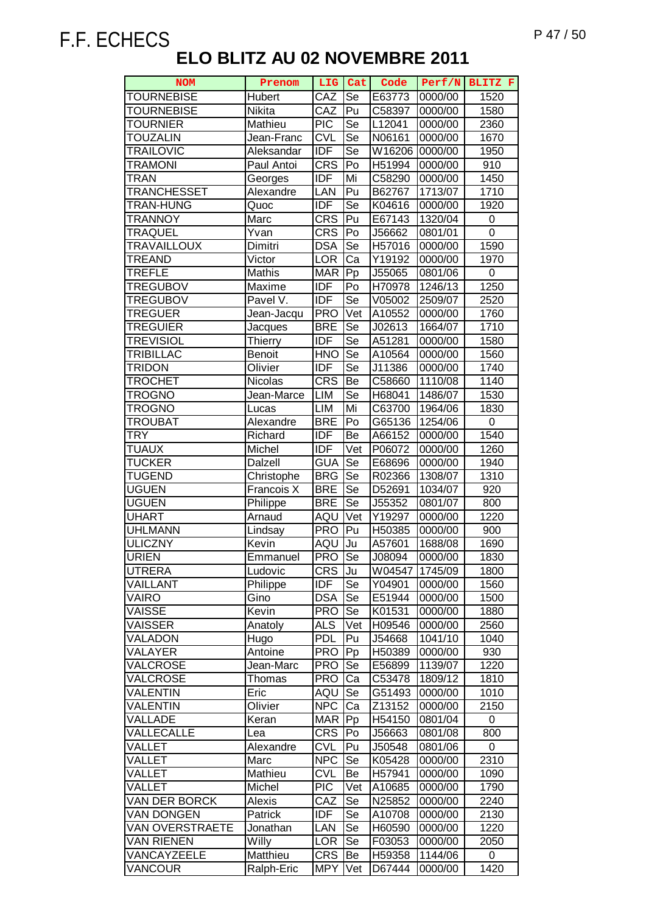| <b>NOM</b>             | Prenom         | LIG               | Cat                        | Code               | Perf/N  | BLITZ F     |
|------------------------|----------------|-------------------|----------------------------|--------------------|---------|-------------|
| <b>TOURNEBISE</b>      | Hubert         | CAZ               | Se                         | E63773             | 0000/00 | 1520        |
| <b>TOURNEBISE</b>      | <b>Nikita</b>  | CAZ               | Pu                         | C58397             | 0000/00 | 1580        |
| <b>TOURNIER</b>        | Mathieu        | $\overline{PIC}$  | $\overline{\mathsf{Se}}$   | L12041             | 0000/00 | 2360        |
| <b>TOUZALIN</b>        | Jean-Franc     | <b>CVL</b>        | $\overline{\mathsf{Se}}$   | N06161             | 0000/00 | 1670        |
| <b>TRAILOVIC</b>       | Aleksandar     | <b>IDF</b>        | Se                         | W16206             | 0000/00 | 1950        |
| <b>TRAMONI</b>         | Paul Antoi     | <b>CRS</b>        | Po                         | H51994             | 0000/00 | 910         |
| TRAN                   | Georges        | <b>IDF</b>        | Mi                         | C58290             | 0000/00 | 1450        |
| <b>TRANCHESSET</b>     | Alexandre      | LAN               | Pu                         | B62767             | 1713/07 | 1710        |
| <b>TRAN-HUNG</b>       | Quoc           | <b>IDF</b>        | Se                         | K04616             | 0000/00 | 1920        |
| <b>TRANNOY</b>         | Marc           | <b>CRS</b>        | Pu                         | E67143             | 1320/04 | 0           |
| <b>TRAQUEL</b>         | Yvan           | <b>CRS</b>        | Po                         | J56662             | 0801/01 | $\mathbf 0$ |
| <b>TRAVAILLOUX</b>     | Dimitri        | <b>DSA</b>        | Se                         | H57016             | 0000/00 | 1590        |
| <b>TREAND</b>          | Victor         | <b>LOR</b>        | Ca                         | Y <sub>19192</sub> | 0000/00 | 1970        |
| TREFLE                 | Mathis         | <b>MAR</b>        | $\bar{P}p$                 | J55065             | 0801/06 | 0           |
| <b>TREGUBOV</b>        | Maxime         | <b>IDF</b>        | Po                         | H70978             | 1246/13 | 1250        |
| <b>TREGUBOV</b>        | Pavel V.       | <b>IDF</b>        | $\overline{\mathsf{Se}}$   | V05002             | 2509/07 | 2520        |
| <b>TREGUER</b>         | Jean-Jacqu     | <b>PRO</b>        | Vet                        | A10552             | 0000/00 | 1760        |
| <b>TREGUIER</b>        | Jacques        | <b>BRE</b>        | Se                         | J02613             | 1664/07 | 1710        |
| <b>TREVISIOL</b>       | <b>Thierry</b> | <b>IDF</b>        | Se                         | A51281             | 0000/00 | 1580        |
| TRIBILLAC              | <b>Benoit</b>  | <b>HNO</b>        | Se                         | A10564             | 0000/00 | 1560        |
| <b>TRIDON</b>          | Olivier        | <b>IDF</b>        | Se                         | J11386             | 0000/00 | 1740        |
| <b>TROCHET</b>         | Nicolas        | $CR\overline{S}$  | Be                         | C58660             | 1110/08 | 1140        |
| TROGNO                 | Jean-Marce     | <b>LIM</b>        | Se                         | H68041             | 1486/07 | 1530        |
| TROGNO                 | Lucas          | <b>LIM</b>        | Mi                         | C63700             | 1964/06 | 1830        |
| <b>TROUBAT</b>         | Alexandre      | <b>BRE</b>        | Po                         | G65136             | 1254/06 | 0           |
| <b>TRY</b>             | Richard        | IDF               | Be                         | A66152             | 0000/00 | 1540        |
| <b>TUAUX</b>           | Michel         | <b>IDF</b>        | $\overline{\mathsf{V}}$ et | P06072             | 0000/00 | 1260        |
| <b>TUCKER</b>          | Dalzell        | <b>GUA</b>        | $\overline{\mathsf{Se}}$   | E68696             | 0000/00 | 1940        |
| <b>TUGEND</b>          | Christophe     | <b>BRG</b>        | Se                         | R02366             | 1308/07 | 1310        |
| <b>UGUEN</b>           | Francois X     | <b>BRE</b>        | Se                         | D52691             | 1034/07 | 920         |
| <b>UGUEN</b>           | Philippe       | <b>BRE</b>        | Se                         | J55352             | 0801/07 | 800         |
| <b>UHART</b>           | Arnaud         | AQU               | Vet                        | Y19297             | 0000/00 | 1220        |
| <b>UHLMANN</b>         | Lindsay        | <b>PRO</b>        | Pu                         | H50385             | 0000/00 | 900         |
| <b>ULICZNY</b>         | Kevin          | AQU               | Ju                         | A57601             | 1688/08 | 1690        |
| <b>URIEN</b>           | Emmanuel       | <b>PRO</b>        | Se                         | J08094             | 0000/00 | 1830        |
| UTRERA                 | Ludovic        | <b>CRS</b>        | Ju                         | W04547             | 1745/09 | 1800        |
| <b>VAILLANT</b>        | Philippe       | <b>IDF</b>        | Se                         | Y04901             | 0000/00 | 1560        |
| VAIRO                  | Gino           | <b>DSA</b>        | Se                         | E51944             | 0000/00 | 1500        |
| VAISSE                 | Kevin          | <b>PRO</b>        | Se                         | K01531             | 0000/00 | 1880        |
| <b>VAISSER</b>         | Anatoly        | <b>ALS</b>        | Vet                        | H09546             | 0000/00 | 2560        |
| VALADON                | Hugo           | <b>PDL</b>        | Pu                         | J54668             | 1041/10 | 1040        |
| VALAYER                | Antoine        | <b>PRO</b>        | Pp                         | H50389             | 0000/00 | 930         |
| VALCROSE               | Jean-Marc      | <b>PRO</b>        | Se                         | E56899             | 1139/07 | 1220        |
| VALCROSE               | Thomas         | <b>PRO</b>        | Ca                         | C53478             | 1809/12 | 1810        |
| VALENTIN               | Eric           | AQU               | Se                         | G51493             | 0000/00 | 1010        |
| VALENTIN               | Olivier        | <b>NPC</b>        | Ca                         | Z13152             | 0000/00 | 2150        |
| VALLADE                | Keran          | MAR               | Pp                         | H54150             | 0801/04 | 0           |
| VALLECALLE             | Lea            | <b>CRS</b>        | Po                         | J56663             | 0801/08 | 800         |
| VALLET                 | Alexandre      | <b>CVL</b>        | Pu                         | J50548             | 0801/06 | 0           |
| VALLET                 | Marc           | <b>NPC</b>        | Se                         | K05428             | 0000/00 | 2310        |
| VALUET                 | Mathieu        | <b>CVL</b>        | Be                         | H57941             | 0000/00 | 1090        |
| VALLET                 | Michel         | $\overline{P}$ IC | Vet                        | A10685             | 0000/00 | 1790        |
| VAN DER BORCK          | Alexis         | CAZ               | Se                         | N25852             | 0000/00 | 2240        |
| <b>VAN DONGEN</b>      | Patrick        | <b>IDF</b>        | Se                         | A10708             | 0000/00 | 2130        |
| <b>VAN OVERSTRAETE</b> | Jonathan       | LAN               | Se                         | H60590             | 0000/00 | 1220        |
| <b>VAN RIENEN</b>      | Willy          | <b>LOR</b>        | Se                         | F03053             | 0000/00 | 2050        |
| VANCAYZEELE            | Matthieu       | <b>CRS</b>        | Be                         | H59358             | 1144/06 | 0           |
| VANCOUR                | Ralph-Eric     | <b>MPY</b>        | Vet                        | D67444             | 0000/00 | 1420        |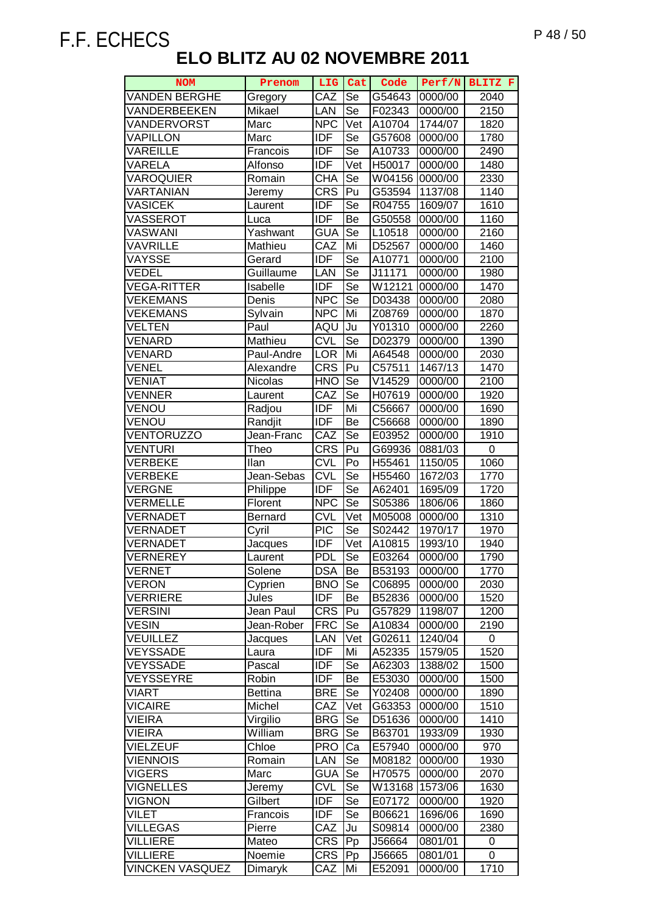| NOM                    | Prenom         | <b>LIG</b> | Cat                      | Code   | Perf/N  | BLITZ F     |
|------------------------|----------------|------------|--------------------------|--------|---------|-------------|
| <b>VANDEN BERGHE</b>   | Gregory        | CAZ        | Se                       | G54643 | 0000/00 | 2040        |
| VANDERBEEKEN           | Mikael         | LAN        | <b>Se</b>                | F02343 | 0000/00 | 2150        |
| VANDERVORST            | Marc           | <b>NPC</b> | Vet                      | A10704 | 1744/07 | 1820        |
| <b>VAPILLON</b>        | Marc           | <b>IDF</b> | Se                       | G57608 | 0000/00 | 1780        |
| <b>VAREILLE</b>        | Francois       | <b>IDF</b> | Se                       | A10733 | 0000/00 | 2490        |
| VARELA                 | Alfonso        | <b>IDF</b> | Vet                      | H50017 | 0000/00 | 1480        |
| <b>VAROQUIER</b>       | Romain         | <b>CHA</b> | Se                       | W04156 | 0000/00 | 2330        |
| VARTANIAN              | Jeremy         | <b>CRS</b> | Pu                       | G53594 | 1137/08 | 1140        |
| <b>VASICEK</b>         | Laurent        | <b>IDF</b> | Se                       | R04755 | 1609/07 | 1610        |
| VASSEROT               | Luca           | <b>IDF</b> | Be                       | G50558 | 0000/00 | 1160        |
| VASWANI                | Yashwant       | <b>GUA</b> | Se                       | L10518 | 0000/00 | 2160        |
| VAVRILLE               | Mathieu        | CAZ        | Mi                       | D52567 | 0000/00 | 1460        |
| VAYSSE                 | Gerard         | <b>IDF</b> | Se                       | A10771 | 0000/00 | 2100        |
| <b>VEDEL</b>           | Guillaume      | LAN        | Se                       | J11171 | 0000/00 | 1980        |
| <b>VEGA-RITTER</b>     | Isabelle       | <b>IDF</b> | Se                       | W12121 | 0000/00 | 1470        |
| <b>VEKEMANS</b>        | Denis          | <b>NPC</b> | $\overline{\mathsf{Se}}$ | D03438 | 0000/00 | 2080        |
| <b>VEKEMANS</b>        | Sylvain        | <b>NPC</b> | Mi                       | Z08769 | 0000/00 | 1870        |
| <b>VELTEN</b>          | Paul           | AQU        | Ju                       | Y01310 | 0000/00 | 2260        |
| VENARD                 | Mathieu        | <b>CVL</b> | $\overline{\text{Se}}$   | D02379 | 0000/00 | 1390        |
| VENARD                 | Paul-Andre     | LOR        | Mi                       | A64548 | 0000/00 | 2030        |
| <b>VENEL</b>           | Alexandre      | <b>CRS</b> | Pu                       | C57511 | 1467/13 | 1470        |
| <b>VENIAT</b>          | Nicolas        | <b>HNO</b> | Se                       | V14529 | 0000/00 | 2100        |
| <b>VENNER</b>          | Laurent        | CAZ        | Se                       | H07619 | 0000/00 | 1920        |
| VENOU                  | Radjou         | <b>IDF</b> | Mi                       | C56667 | 0000/00 | 1690        |
| VENOU                  | Randjit        | <b>IDF</b> | Be                       | C56668 | 0000/00 | 1890        |
| <b>VENTORUZZO</b>      | Jean-Franc     | CAZ        | Se                       | E03952 | 0000/00 | 1910        |
| <b>VENTURI</b>         | Theo           | <b>CRS</b> | Pu                       | G69936 | 0881/03 | $\mathbf 0$ |
| <b>VERBEKE</b>         | llan           | <b>CVL</b> | Po                       | H55461 | 1150/05 | 1060        |
| <b>VERBEKE</b>         | Jean-Sebas     | <b>CVL</b> | $\overline{\mathsf{Se}}$ | H55460 | 1672/03 | 1770        |
| <b>VERGNE</b>          | Philippe       | <b>IDF</b> | $\overline{\text{Se}}$   | A62401 | 1695/09 | 1720        |
| <b>VERMELLE</b>        | Florent        | <b>NPC</b> | $\overline{\text{Se}}$   | S05386 | 1806/06 | 1860        |
| VERNADET               | Bernard        | <b>CVL</b> | Vet                      | M05008 | 0000/00 | 1310        |
| VERNADET               | Cyril          | PIC        | Se                       | S02442 | 1970/17 | 1970        |
| VERNADET               | Jacques        | <b>IDF</b> | Vet                      | A10815 | 1993/10 | 1940        |
| <b>VERNEREY</b>        | Laurent        | <b>PDL</b> | Se                       | E03264 | 0000/00 | 1790        |
| <b>VERNET</b>          | Solene         | <b>DSA</b> | Be                       | B53193 | 0000/00 | 1770        |
| <b>VERON</b>           | Cyprien        | <b>BNO</b> | Se                       | C06895 | 0000/00 | 2030        |
| <b>VERRIERE</b>        | Jules          | <b>IDF</b> | Be                       | B52836 | 0000/00 | 1520        |
| <b>VERSINI</b>         | Jean Paul      | <b>CRS</b> | Pu                       | G57829 | 1198/07 | 1200        |
| <b>VESIN</b>           | Jean-Rober     | <b>FRC</b> | Se                       | A10834 | 0000/00 | 2190        |
| <b>VEUILLEZ</b>        | Jacques        | LAN        | Vet                      | G02611 | 1240/04 | 0           |
| <b>VEYSSADE</b>        | Laura          | <b>IDF</b> | Mi                       | A52335 | 1579/05 | 1520        |
| <b>VEYSSADE</b>        | Pascal         | <b>IDF</b> | Se                       | A62303 | 1388/02 | 1500        |
| VEYSSEYRE              | Robin          | <b>IDF</b> | Be                       | E53030 | 0000/00 | 1500        |
| VIART                  | <b>Bettina</b> | <b>BRE</b> | Se                       | Y02408 | 0000/00 | 1890        |
| <b>VICAIRE</b>         | Michel         | CAZ        | Vet                      | G63353 | 0000/00 | 1510        |
| <b>VIEIRA</b>          | Virgilio       | <b>BRG</b> | Se                       | D51636 | 0000/00 | 1410        |
| VIEIRA                 | William        | <b>BRG</b> | Se                       | B63701 | 1933/09 | 1930        |
| VIELZEUF               | Chloe          | <b>PRO</b> | Ca                       | E57940 | 0000/00 | 970         |
| <b>VIENNOIS</b>        | Romain         | LAN        | Se                       | M08182 | 0000/00 | 1930        |
| <b>VIGERS</b>          | Marc           | <b>GUA</b> | Se                       | H70575 | 0000/00 | 2070        |
| <b>VIGNELLES</b>       | Jeremy         | <b>CVL</b> | Se                       | W13168 | 1573/06 | 1630        |
| <b>VIGNON</b>          | Gilbert        | <b>IDF</b> | Se                       | E07172 | 0000/00 | 1920        |
| <b>VILET</b>           | Francois       | <b>IDF</b> | Se                       | B06621 | 1696/06 | 1690        |
| <b>VILLEGAS</b>        | Pierre         | CAZ        | Ju                       | S09814 | 0000/00 | 2380        |
| <b>VILLIERE</b>        | Mateo          | <b>CRS</b> | Pp                       | J56664 | 0801/01 | 0           |
| <b>VILLIERE</b>        | Noemie         | <b>CRS</b> | Pp                       | J56665 | 0801/01 | 0           |
| <b>VINCKEN VASQUEZ</b> | Dimaryk        | CAZ        | Mi                       | E52091 | 0000/00 | 1710        |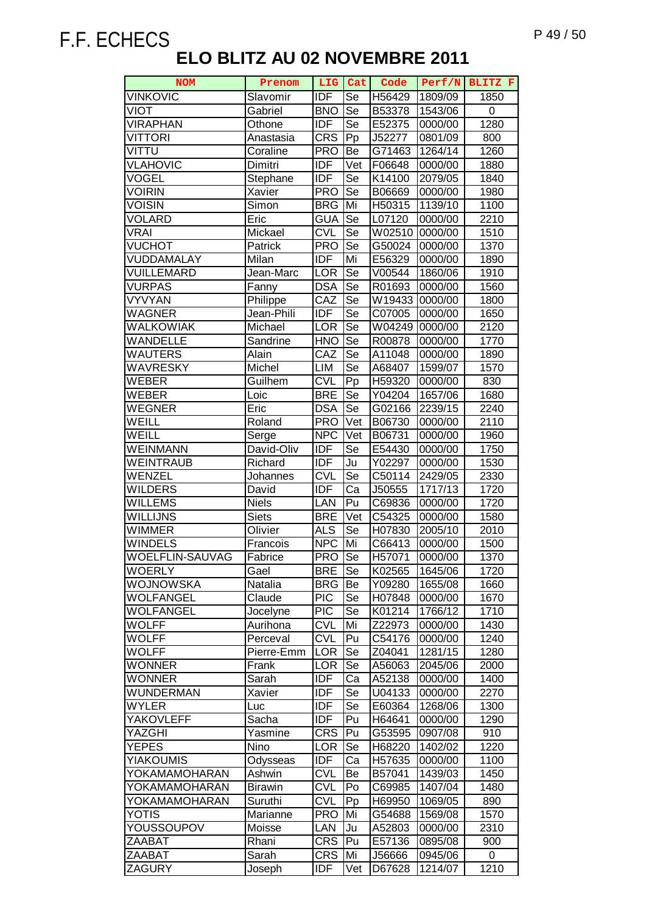| <b>NOM</b>             | Prenom         |            | LIG Cat                    | Code   |         | Perf/N BLITZ F |
|------------------------|----------------|------------|----------------------------|--------|---------|----------------|
| <b>VINKOVIC</b>        | Slavomir       | <b>IDF</b> | Se                         | H56429 | 1809/09 | 1850           |
| <b>VIOT</b>            | Gabriel        | <b>BNO</b> | Se                         | B53378 | 1543/06 | 0              |
| <b>VIRAPHAN</b>        | Othone         | <b>IDF</b> | Se                         | E52375 | 0000/00 | 1280           |
| <b>VITTORI</b>         | Anastasia      | <b>CRS</b> | Pp                         | J52277 | 0801/09 | 800            |
| VITTU                  | Coraline       | <b>PRO</b> | Be                         | G71463 | 1264/14 | 1260           |
| <b>VLAHOVIC</b>        | Dimitri        | <b>IDF</b> | Vet                        | F06648 | 0000/00 | 1880           |
| VOGEL                  | Stephane       | <b>IDF</b> | Se                         | K14100 | 2079/05 | 1840           |
| VOIRIN                 | Xavier         | <b>PRO</b> | Se                         | B06669 | 0000/00 | 1980           |
| <b>VOISIN</b>          | Simon          | <b>BRG</b> | Mi                         | H50315 | 1139/10 | 1100           |
| <b>VOLARD</b>          | Eric           | <b>GUA</b> | Se                         | L07120 | 0000/00 | 2210           |
| <b>VRAI</b>            | Mickael        | <b>CVL</b> | Se                         | W02510 | 0000/00 | 1510           |
| <b>VUCHOT</b>          | Patrick        | <b>PRO</b> | Se                         | G50024 | 0000/00 | 1370           |
| VUDDAMALAY             | Milan          | <b>IDF</b> | Mi                         | E56329 | 0000/00 | 1890           |
| <b>VUILLEMARD</b>      | Jean-Marc      | LOR        | Se                         | V00544 | 1860/06 | 1910           |
| <b>VURPAS</b>          | Fanny          | <b>DSA</b> | Se                         | R01693 | 0000/00 | 1560           |
| <b>VYVYAN</b>          | Philippe       | CAZ        | Se                         | W19433 | 0000/00 | 1800           |
| <b>WAGNER</b>          | Jean-Phili     | <b>IDF</b> | Se                         | C07005 | 0000/00 | 1650           |
| <b>WALKOWIAK</b>       | Michael        | LOR        | Se                         | W04249 | 0000/00 | 2120           |
| WANDELLE               | Sandrine       | <b>HNO</b> | Se                         | R00878 | 0000/00 | 1770           |
| WAUTERS                | Alain          | CAZ        | Se                         | A11048 | 0000/00 | 1890           |
| WAVRESKY               | Michel         | LIM        | Se                         | A68407 | 1599/07 | 1570           |
| WEBER                  | Guilhem        | <b>CVL</b> | Pp                         | H59320 | 0000/00 | 830            |
| <b>WEBER</b>           | Loic           | <b>BRE</b> | Se                         | Y04204 | 1657/06 | 1680           |
| <b>WEGNER</b>          | Eric           | <b>DSA</b> | Se                         | G02166 | 2239/15 | 2240           |
| WEILL                  | Roland         | <b>PRO</b> | $\overline{\mathsf{V}}$ et | B06730 | 0000/00 | 2110           |
| WEILL                  | Serge          | <b>NPC</b> | Vet                        | B06731 | 0000/00 | 1960           |
| <b>WEINMANN</b>        | David-Oliv     | <b>IDF</b> | Se                         | E54430 | 0000/00 | 1750           |
| <b>WEINTRAUB</b>       | Richard        | <b>IDF</b> | Ju                         | Y02297 | 0000/00 | 1530           |
| WENZEL                 | Johannes       | <b>CVL</b> | Se                         | C50114 | 2429/05 | 2330           |
| <b>WILDERS</b>         | David          | <b>IDF</b> | Ca                         | J50555 | 1717/13 | 1720           |
| <b>WILLEMS</b>         | <b>Niels</b>   | LAN        | Pu                         | C69836 | 0000/00 | 1720           |
| WILLIJNS               | <b>Siets</b>   | <b>BRE</b> | Vet                        | C54325 | 0000/00 | 1580           |
| WIMMER                 | Olivier        | <b>ALS</b> | Se                         | H07830 | 2005/10 | 2010           |
| WINDELS                | Francois       | <b>NPC</b> | Mi                         | C66413 | 0000/00 | 1500           |
| <b>WOELFLIN-SAUVAG</b> | Fabrice        | <b>PRO</b> | <b>Se</b>                  | H57071 | 0000/00 | 1370           |
| <b>WOERLY</b>          | Gael           | <b>BRE</b> | Se                         | K02565 | 1645/06 | 1720           |
| <b>WOJNOWSKA</b>       | Natalia        | <b>BRG</b> | Be                         | Y09280 | 1655/08 | 1660           |
| <b>WOLFANGEL</b>       | Claude         | <b>PIC</b> | Se                         | H07848 | 0000/00 | 1670           |
| <b>WOLFANGEL</b>       | Jocelyne       | <b>PIC</b> | Se                         | K01214 | 1766/12 | 1710           |
| <b>WOLFF</b>           | Aurihona       | <b>CVL</b> | Mi                         | Z22973 | 0000/00 | 1430           |
| <b>WOLFF</b>           | Perceval       | <b>CVL</b> | Pu                         | C54176 | 0000/00 | 1240           |
| <b>WOLFF</b>           | Pierre-Emm     | <b>LOR</b> | Se                         | Z04041 | 1281/15 | 1280           |
| <b>WONNER</b>          | Frank          | <b>LOR</b> | Se                         | A56063 | 2045/06 | 2000           |
| <b>WONNER</b>          | Sarah          | <b>IDF</b> | Ca                         | A52138 | 0000/00 | 1400           |
| <b>WUNDERMAN</b>       | Xavier         | IDF        | Se                         | U04133 | 0000/00 | 2270           |
| <b>WYLER</b>           | Luc            | <b>IDF</b> | Se                         | E60364 | 1268/06 | 1300           |
| YAKOVLEFF              | Sacha          | <b>IDF</b> | Pu                         | H64641 | 0000/00 | 1290           |
| YAZGHI                 | Yasmine        | <b>CRS</b> | Pu                         | G53595 | 0907/08 | 910            |
| <b>YEPES</b>           | Nino           | <b>LOR</b> | Se                         | H68220 | 1402/02 | 1220           |
| <b>YIAKOUMIS</b>       | Odysseas       | <b>IDF</b> | Ca                         | H57635 | 0000/00 | 1100           |
| YOKAMAMOHARAN          | Ashwin         | <b>CVL</b> | Be                         | B57041 | 1439/03 | 1450           |
| YOKAMAMOHARAN          | <b>Birawin</b> | <b>CVL</b> | Po                         | C69985 | 1407/04 | 1480           |
| YOKAMAMOHARAN          | Suruthi        | <b>CVL</b> | Pp                         | H69950 | 1069/05 | 890            |
| YOTIS                  | Marianne       | <b>PRO</b> | Mi                         | G54688 | 1569/08 | 1570           |
| YOUSSOUPOV             | Moisse         | LAN        | Ju                         | A52803 | 0000/00 | 2310           |
| ZAABAT                 | Rhani          | <b>CRS</b> | Pu                         | E57136 | 0895/08 | 900            |
| ZAABAT                 | Sarah          | <b>CRS</b> | Mi                         | J56666 | 0945/06 | 0              |
| ZAGURY                 | Joseph         | <b>IDF</b> | Vet                        | D67628 | 1214/07 | 1210           |